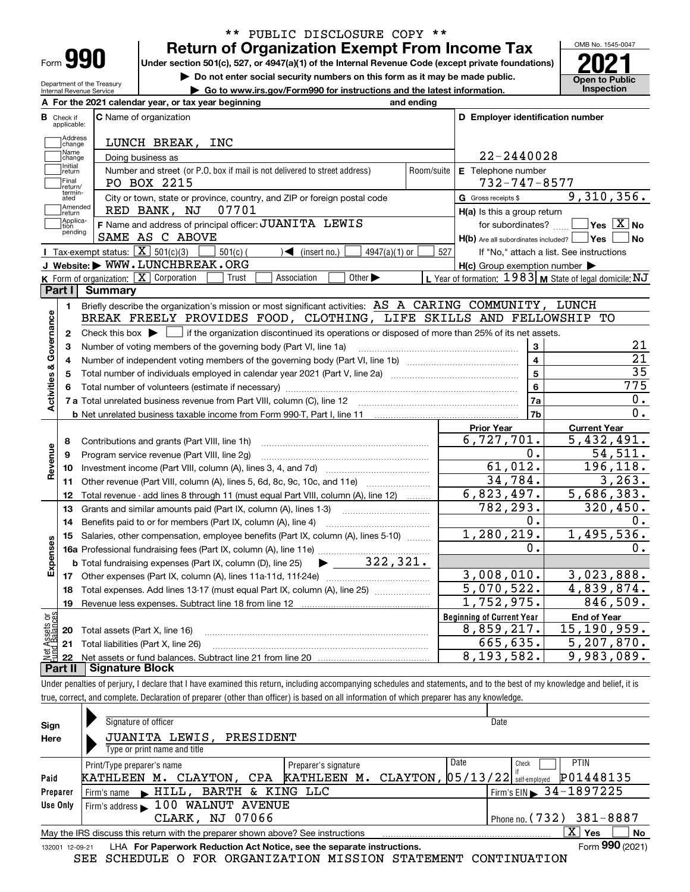| -orm |  |  |
|------|--|--|

Department of the Treasury Internal Revenue Service

### **Return of Organization Exempt From Income Tax** \*\* PUBLIC DISCLOSURE COPY \*\*

Under section 501(c), 527, or 4947(a)(1) of the Internal Revenue Code (except private foundations) **2021** 

**| Do not enter social security numbers on this form as it may be made public.**

**| Go to www.irs.gov/Form990 for instructions and the latest information. Inspection**



|                              | A For the 2021 calendar year, or tax year beginning                                                                                         | and ending |                                                         |                                                           |
|------------------------------|---------------------------------------------------------------------------------------------------------------------------------------------|------------|---------------------------------------------------------|-----------------------------------------------------------|
| в<br>Check if<br>applicable: | <b>C</b> Name of organization                                                                                                               |            | D Employer identification number                        |                                                           |
| Address<br>change            | LUNCH BREAK,<br>INC                                                                                                                         |            |                                                         |                                                           |
| Name<br>change               | Doing business as                                                                                                                           |            | 22-2440028                                              |                                                           |
| Initial<br>return            | Number and street (or P.O. box if mail is not delivered to street address)                                                                  | Room/suite | E Telephone number                                      |                                                           |
| Final<br>return/             | PO BOX 2215                                                                                                                                 |            | $732 - 747 - 8577$                                      |                                                           |
| termin-<br>ated              | City or town, state or province, country, and ZIP or foreign postal code                                                                    |            | G Gross receipts \$                                     | 9,310,356.                                                |
| Amended<br> return           | RED BANK, NJ<br>07701                                                                                                                       |            | H(a) Is this a group return                             |                                                           |
| Applica-<br>tion<br>pending  | F Name and address of principal officer: JUANITA LEWIS<br>SAME AS C ABOVE                                                                   |            | $H(b)$ Are all subordinates included? $\Box$ Yes $\Box$ | for subordinates? $\Box$ Yes $\boxed{X}$ No<br>l No       |
|                              | Tax-exempt status: $\boxed{\mathbf{X}}$ 501(c)(3)<br>$\sqrt{\bullet}$ (insert no.)<br>$501(c)$ (<br>$4947(a)(1)$ or                         | 527        |                                                         | If "No," attach a list. See instructions                  |
|                              | J Website: WWW.LUNCHBREAK.ORG                                                                                                               |            | $H(c)$ Group exemption number $\blacktriangleright$     |                                                           |
|                              | K Form of organization: X Corporation<br>Association<br>Other $\blacktriangleright$<br>Trust                                                |            |                                                         | L Year of formation: $1983$ M State of legal domicile: NJ |
| Part I                       | <b>Summary</b>                                                                                                                              |            |                                                         |                                                           |
| 1.                           | Briefly describe the organization's mission or most significant activities: AS A CARING COMMUNITY, LUNCH                                    |            |                                                         |                                                           |
| Activities & Governance      | BREAK FREELY PROVIDES FOOD, CLOTHING, LIFE SKILLS AND FELLOWSHIP TO                                                                         |            |                                                         |                                                           |
| $\mathbf{2}$                 | Check this box $\blacktriangleright$ $\Box$ if the organization discontinued its operations or disposed of more than 25% of its net assets. |            |                                                         |                                                           |
| з                            | Number of voting members of the governing body (Part VI, line 1a)                                                                           |            | 3                                                       | 21                                                        |
| 4                            |                                                                                                                                             |            | $\overline{\mathbf{4}}$                                 | $\overline{21}$                                           |
| 5                            |                                                                                                                                             |            | 5                                                       | 35                                                        |
| 6                            |                                                                                                                                             |            | 6                                                       | 775                                                       |
|                              |                                                                                                                                             |            | 7a                                                      | 0.                                                        |
|                              |                                                                                                                                             |            | 7b                                                      | 0.                                                        |
|                              |                                                                                                                                             |            | <b>Prior Year</b>                                       | <b>Current Year</b>                                       |
| 8                            | Contributions and grants (Part VIII, line 1h)                                                                                               |            | 6,727,701.                                              | 5,432,491.                                                |
| Revenue<br>9                 | Program service revenue (Part VIII, line 2g)                                                                                                |            | О.                                                      | 54, 511.                                                  |
| 10                           |                                                                                                                                             |            | 61,012.                                                 | 196,118.                                                  |
|                              | 11 Other revenue (Part VIII, column (A), lines 5, 6d, 8c, 9c, 10c, and 11e)                                                                 |            | 34,784.                                                 | 3, 263.                                                   |
| 12                           | Total revenue - add lines 8 through 11 (must equal Part VIII, column (A), line 12)                                                          |            | 6,823,497.                                              | 5,686,383.                                                |
| 13                           | Grants and similar amounts paid (Part IX, column (A), lines 1-3)                                                                            |            | 782,293.                                                | 320, 450.                                                 |
| 14                           | Benefits paid to or for members (Part IX, column (A), line 4)                                                                               |            | О.<br>1,280,219.                                        | 0.                                                        |
| 15                           | Salaries, other compensation, employee benefits (Part IX, column (A), lines 5-10)                                                           |            |                                                         | 1,495,536.                                                |
| Expenses                     |                                                                                                                                             |            | 0.                                                      | 0.                                                        |
|                              | $\blacktriangleright$ 322,321.<br><b>b</b> Total fundraising expenses (Part IX, column (D), line 25)                                        |            | 3,008,010.                                              |                                                           |
|                              |                                                                                                                                             |            |                                                         | 3,023,888.                                                |
| 18                           | Total expenses. Add lines 13-17 (must equal Part IX, column (A), line 25) <i>marronomini</i>                                                |            | 5,070,522.                                              | 4,839,874.                                                |
| 19                           |                                                                                                                                             |            | 1,752,975.                                              | 846,509.                                                  |
| ăğ                           |                                                                                                                                             |            | <b>Beginning of Current Year</b>                        | <b>End of Year</b>                                        |
| ssets                        | 20 Total assets (Part X, line 16)                                                                                                           |            | 8,859,217.                                              | 15, 190, 959.                                             |
|                              | 21 Total liabilities (Part X, line 26)                                                                                                      |            | 665,635.<br>8,193,582.                                  | 5, 207, 870.<br>9,983,089.                                |
| Part II                      | <b>Signature Block</b>                                                                                                                      |            |                                                         |                                                           |

Under penalties of perjury, I declare that I have examined this return, including accompanying schedules and statements, and to the best of my knowledge and belief, it is true, correct, and complete. Declaration of preparer (other than officer) is based on all information of which preparer has any knowledge.

| Sign     | Signature of officer                                                                                               |                      |                                   | Date |                                        |  |  |  |  |  |
|----------|--------------------------------------------------------------------------------------------------------------------|----------------------|-----------------------------------|------|----------------------------------------|--|--|--|--|--|
| Here     | JUANITA LEWIS, PRESIDENT                                                                                           |                      |                                   |      |                                        |  |  |  |  |  |
|          | Type or print name and title                                                                                       |                      |                                   |      |                                        |  |  |  |  |  |
|          | Print/Type preparer's name                                                                                         | Preparer's signature |                                   | Date | PTIN<br>Check                          |  |  |  |  |  |
| Paid     | CLAYTON,<br>KATHLEEN M.<br>CPA                                                                                     | KATHLEEN M.          | CLAYTON, $05/13/22$ self-employed |      | P01448135                              |  |  |  |  |  |
| Preparer | Firm's name HILL, BARTH                                                                                            | & KING LLC           |                                   |      | Firm's EIN $\triangleright$ 34-1897225 |  |  |  |  |  |
| Use Only | Firm's address 100 WALNUT AVENUE                                                                                   |                      |                                   |      |                                        |  |  |  |  |  |
|          | Phone no. $(732)$ $381-8887$<br>CLARK, NJ 07066                                                                    |                      |                                   |      |                                        |  |  |  |  |  |
|          | $\overline{X}$ Yes<br><b>No</b><br>May the IRS discuss this return with the preparer shown above? See instructions |                      |                                   |      |                                        |  |  |  |  |  |
|          | Form 990 (2021)<br>LHA For Paperwork Reduction Act Notice, see the separate instructions.<br>132001 12-09-21       |                      |                                   |      |                                        |  |  |  |  |  |

SEE SCHEDULE O FOR ORGANIZATION MISSION STATEMENT CONTINUATION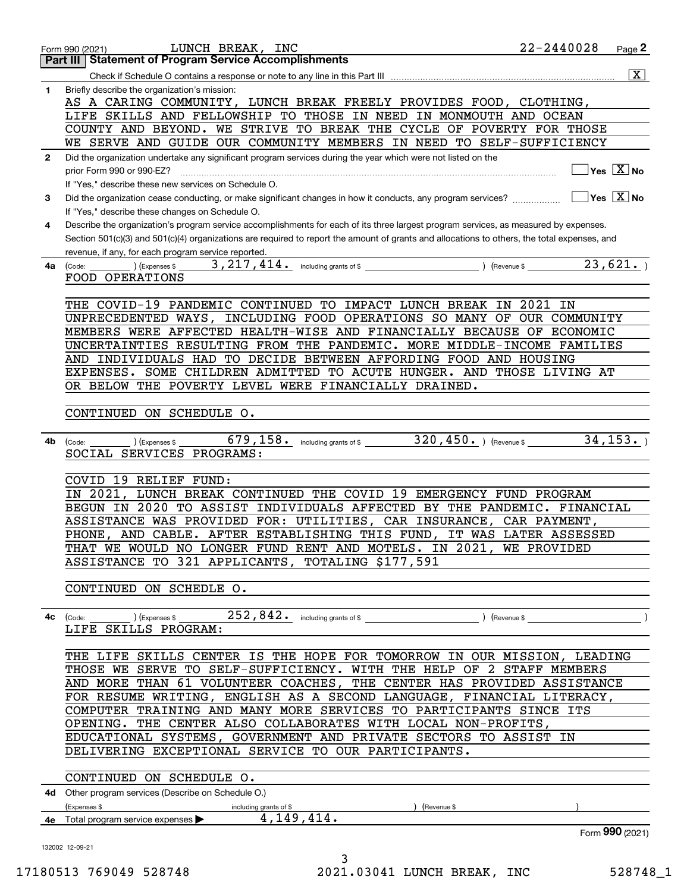|    | 22-2440028<br>LUNCH BREAK, INC<br>Page 2<br>Form 990 (2021)                                                                                                     |
|----|-----------------------------------------------------------------------------------------------------------------------------------------------------------------|
|    | <b>Statement of Program Service Accomplishments</b><br>Part III                                                                                                 |
|    | $\boxed{\text{X}}$                                                                                                                                              |
| 1  | Briefly describe the organization's mission:                                                                                                                    |
|    | AS A CARING COMMUNITY, LUNCH BREAK FREELY PROVIDES FOOD, CLOTHING,                                                                                              |
|    | LIFE SKILLS AND FELLOWSHIP TO THOSE IN NEED IN MONMOUTH AND OCEAN                                                                                               |
|    | COUNTY AND BEYOND. WE STRIVE TO BREAK THE CYCLE OF POVERTY FOR THOSE                                                                                            |
|    | WE SERVE AND GUIDE OUR COMMUNITY MEMBERS IN NEED TO SELF-SUFFICIENCY                                                                                            |
| 2  | Did the organization undertake any significant program services during the year which were not listed on the                                                    |
|    | $\overline{\ }$ Yes $\overline{\phantom{a}X}$ No<br>prior Form 990 or 990-EZ?                                                                                   |
|    | If "Yes," describe these new services on Schedule O.                                                                                                            |
| З  | $\overline{\ }$ Yes $\overline{\phantom{X}}$ No<br>Did the organization cease conducting, or make significant changes in how it conducts, any program services? |
|    | If "Yes," describe these changes on Schedule O.                                                                                                                 |
| 4  | Describe the organization's program service accomplishments for each of its three largest program services, as measured by expenses.                            |
|    | Section 501(c)(3) and 501(c)(4) organizations are required to report the amount of grants and allocations to others, the total expenses, and                    |
|    | revenue, if any, for each program service reported.                                                                                                             |
| 4a | 23,621.<br>3, 217, 414. including grants of \$<br>) (Revenue \$<br>) (Expenses \$<br>(Code:                                                                     |
|    | FOOD OPERATIONS                                                                                                                                                 |
|    |                                                                                                                                                                 |
|    | THE COVID-19 PANDEMIC CONTINUED TO IMPACT LUNCH BREAK IN 2021 IN                                                                                                |
|    | UNPRECEDENTED WAYS, INCLUDING FOOD OPERATIONS SO MANY OF OUR COMMUNITY                                                                                          |
|    | MEMBERS WERE AFFECTED HEALTH-WISE AND FINANCIALLY BECAUSE OF ECONOMIC                                                                                           |
|    | UNCERTAINTIES RESULTING FROM THE PANDEMIC. MORE MIDDLE-INCOME FAMILIES                                                                                          |
|    | AND INDIVIDUALS HAD TO DECIDE BETWEEN AFFORDING FOOD AND HOUSING                                                                                                |
|    | EXPENSES. SOME CHILDREN ADMITTED TO ACUTE HUNGER. AND THOSE LIVING AT                                                                                           |
|    | OR BELOW THE POVERTY LEVEL WERE FINANCIALLY DRAINED.                                                                                                            |
|    |                                                                                                                                                                 |
|    | CONTINUED ON SCHEDULE O.                                                                                                                                        |
|    |                                                                                                                                                                 |
| 4b | $679, 158$ including grants of \$ 320, 450. ) (Revenue \$<br>34, 153.<br>) (Expenses \$<br>(Code:                                                               |
|    | SOCIAL SERVICES PROGRAMS:                                                                                                                                       |
|    |                                                                                                                                                                 |
|    | COVID 19 RELIEF FUND:                                                                                                                                           |
|    | LUNCH BREAK CONTINUED THE COVID 19 EMERGENCY FUND PROGRAM<br>IN 2021,                                                                                           |
|    | BEGUN IN 2020 TO ASSIST INDIVIDUALS AFFECTED BY THE PANDEMIC. FINANCIAL                                                                                         |
|    | ASSISTANCE WAS PROVIDED FOR: UTILITIES, CAR INSURANCE, CAR PAYMENT,                                                                                             |
|    | PHONE, AND CABLE. AFTER ESTABLISHING THIS FUND, IT WAS LATER ASSESSED                                                                                           |
|    | THAT WE WOULD NO LONGER FUND RENT AND MOTELS. IN 2021, WE PROVIDED                                                                                              |
|    | ASSISTANCE TO 321 APPLICANTS, TOTALING \$177,591                                                                                                                |
|    |                                                                                                                                                                 |
|    | CONTINUED ON SCHEDLE O.                                                                                                                                         |
|    |                                                                                                                                                                 |
|    | <b>4c</b> (Code: ) (Expenses \$                                                                                                                                 |
|    | LIFE SKILLS PROGRAM:                                                                                                                                            |
|    |                                                                                                                                                                 |
|    | THE LIFE SKILLS CENTER IS THE HOPE FOR TOMORROW IN OUR MISSION, LEADING                                                                                         |
|    | THOSE WE SERVE TO SELF-SUFFICIENCY. WITH THE HELP OF 2 STAFF MEMBERS                                                                                            |
|    |                                                                                                                                                                 |
|    | AND MORE THAN 61 VOLUNTEER COACHES, THE CENTER HAS PROVIDED ASSISTANCE                                                                                          |
|    | FOR RESUME WRITING, ENGLISH AS A SECOND LANGUAGE, FINANCIAL LITERACY,                                                                                           |
|    | COMPUTER TRAINING AND MANY MORE SERVICES TO PARTICIPANTS SINCE ITS                                                                                              |
|    | OPENING. THE CENTER ALSO COLLABORATES WITH LOCAL NON-PROFITS,                                                                                                   |
|    | EDUCATIONAL SYSTEMS, GOVERNMENT AND PRIVATE SECTORS TO ASSIST IN                                                                                                |
|    | DELIVERING EXCEPTIONAL SERVICE TO OUR PARTICIPANTS.                                                                                                             |
|    |                                                                                                                                                                 |
|    | CONTINUED ON SCHEDULE O.                                                                                                                                        |
|    | 4d Other program services (Describe on Schedule O.)                                                                                                             |
|    | (Expenses \$<br>) (Revenue \$<br>including grants of \$                                                                                                         |
|    | 4, 149, 414.<br>4e Total program service expenses >                                                                                                             |
|    | Form 990 (2021)                                                                                                                                                 |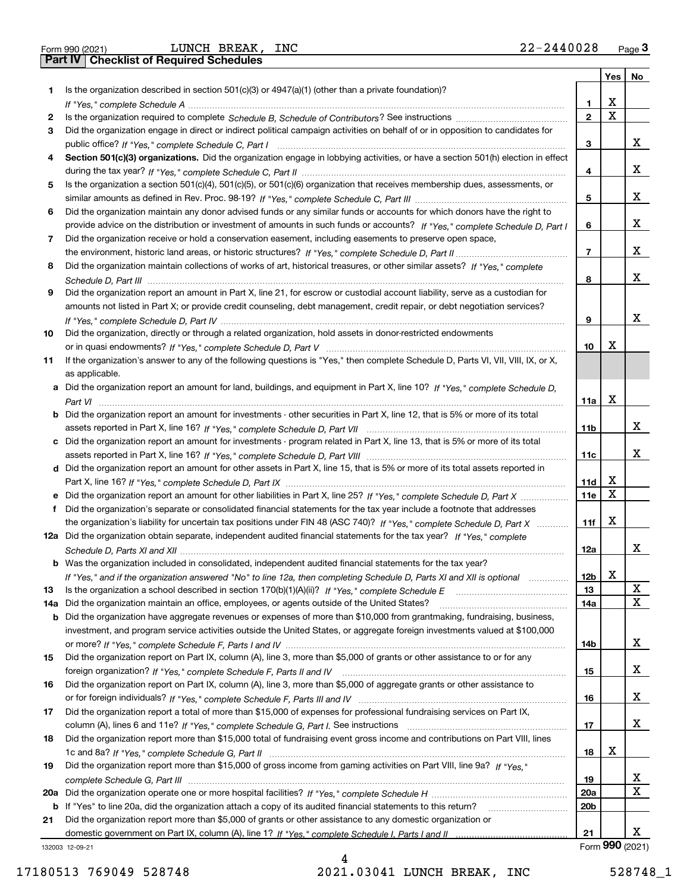|  | Form 990 (2021) |
|--|-----------------|

|     |                                                                                                                                       |                 |   | Yes   No        |
|-----|---------------------------------------------------------------------------------------------------------------------------------------|-----------------|---|-----------------|
| 1.  | Is the organization described in section $501(c)(3)$ or $4947(a)(1)$ (other than a private foundation)?                               |                 |   |                 |
|     |                                                                                                                                       | 1               | х |                 |
| 2   |                                                                                                                                       | $\overline{2}$  | X |                 |
| 3   | Did the organization engage in direct or indirect political campaign activities on behalf of or in opposition to candidates for       |                 |   |                 |
|     |                                                                                                                                       | 3               |   | x               |
| 4   | Section 501(c)(3) organizations. Did the organization engage in lobbying activities, or have a section 501(h) election in effect      |                 |   |                 |
|     |                                                                                                                                       | 4               |   | x               |
| 5   | Is the organization a section 501(c)(4), 501(c)(5), or 501(c)(6) organization that receives membership dues, assessments, or          |                 |   |                 |
|     |                                                                                                                                       | 5               |   | x               |
| 6   | Did the organization maintain any donor advised funds or any similar funds or accounts for which donors have the right to             |                 |   |                 |
|     | provide advice on the distribution or investment of amounts in such funds or accounts? If "Yes," complete Schedule D, Part I          | 6               |   | x               |
| 7   | Did the organization receive or hold a conservation easement, including easements to preserve open space,                             |                 |   |                 |
|     |                                                                                                                                       | $\overline{7}$  |   | x               |
| 8   | Did the organization maintain collections of works of art, historical treasures, or other similar assets? If "Yes," complete          |                 |   |                 |
|     |                                                                                                                                       | 8               |   | x               |
| 9   | Did the organization report an amount in Part X, line 21, for escrow or custodial account liability, serve as a custodian for         |                 |   |                 |
|     | amounts not listed in Part X; or provide credit counseling, debt management, credit repair, or debt negotiation services?             |                 |   |                 |
|     |                                                                                                                                       | 9               |   | x               |
| 10  | Did the organization, directly or through a related organization, hold assets in donor-restricted endowments                          |                 |   |                 |
|     |                                                                                                                                       | 10              | х |                 |
| 11  | If the organization's answer to any of the following questions is "Yes," then complete Schedule D, Parts VI, VII, VIII, IX, or X,     |                 |   |                 |
|     | as applicable.                                                                                                                        |                 |   |                 |
|     | a Did the organization report an amount for land, buildings, and equipment in Part X, line 10? If "Yes," complete Schedule D.         |                 |   |                 |
|     |                                                                                                                                       | 11a             | x |                 |
|     | <b>b</b> Did the organization report an amount for investments - other securities in Part X, line 12, that is 5% or more of its total |                 |   |                 |
|     |                                                                                                                                       | 11 <sub>b</sub> |   | x               |
|     | c Did the organization report an amount for investments - program related in Part X, line 13, that is 5% or more of its total         |                 |   |                 |
|     |                                                                                                                                       | 11c             |   | x               |
|     | d Did the organization report an amount for other assets in Part X, line 15, that is 5% or more of its total assets reported in       |                 |   |                 |
|     |                                                                                                                                       | 11d             | x |                 |
|     |                                                                                                                                       | <b>11e</b>      | x |                 |
| f   | Did the organization's separate or consolidated financial statements for the tax year include a footnote that addresses               |                 |   |                 |
|     | the organization's liability for uncertain tax positions under FIN 48 (ASC 740)? If "Yes," complete Schedule D, Part X                | 11f             | х |                 |
|     | 12a Did the organization obtain separate, independent audited financial statements for the tax year? If "Yes," complete               |                 |   |                 |
|     |                                                                                                                                       | 12a             |   | x               |
|     | <b>b</b> Was the organization included in consolidated, independent audited financial statements for the tax year?                    |                 | X |                 |
|     | If "Yes," and if the organization answered "No" to line 12a, then completing Schedule D, Parts XI and XII is optional                 | 12 <sub>b</sub> |   | X               |
| 13  | Is the organization a school described in section 170(b)(1)(A)(ii)? If "Yes," complete Schedule E                                     | 13              |   | X               |
| 14a | Did the organization maintain an office, employees, or agents outside of the United States?                                           | 14a             |   |                 |
|     | <b>b</b> Did the organization have aggregate revenues or expenses of more than \$10,000 from grantmaking, fundraising, business,      |                 |   |                 |
|     | investment, and program service activities outside the United States, or aggregate foreign investments valued at \$100,000            |                 |   | x               |
|     | Did the organization report on Part IX, column (A), line 3, more than \$5,000 of grants or other assistance to or for any             | 14b             |   |                 |
| 15  |                                                                                                                                       | 15              |   | x               |
| 16  | Did the organization report on Part IX, column (A), line 3, more than \$5,000 of aggregate grants or other assistance to              |                 |   |                 |
|     |                                                                                                                                       | 16              |   | x               |
| 17  | Did the organization report a total of more than \$15,000 of expenses for professional fundraising services on Part IX,               |                 |   |                 |
|     |                                                                                                                                       | 17              |   | x               |
| 18  | Did the organization report more than \$15,000 total of fundraising event gross income and contributions on Part VIII, lines          |                 |   |                 |
|     |                                                                                                                                       | 18              | х |                 |
| 19  | Did the organization report more than \$15,000 of gross income from gaming activities on Part VIII, line 9a? If "Yes."                |                 |   |                 |
|     |                                                                                                                                       | 19              |   | x               |
|     |                                                                                                                                       | 20a             |   | x               |
|     | b If "Yes" to line 20a, did the organization attach a copy of its audited financial statements to this return?                        | 20 <sub>b</sub> |   |                 |
| 21  | Did the organization report more than \$5,000 of grants or other assistance to any domestic organization or                           |                 |   |                 |
|     |                                                                                                                                       | 21              |   | х               |
|     | 132003 12-09-21                                                                                                                       |                 |   | Form 990 (2021) |
|     |                                                                                                                                       |                 |   |                 |

132003 12-09-21

17180513 769049 528748 2021.03041 LUNCH BREAK, INC 528748\_1

4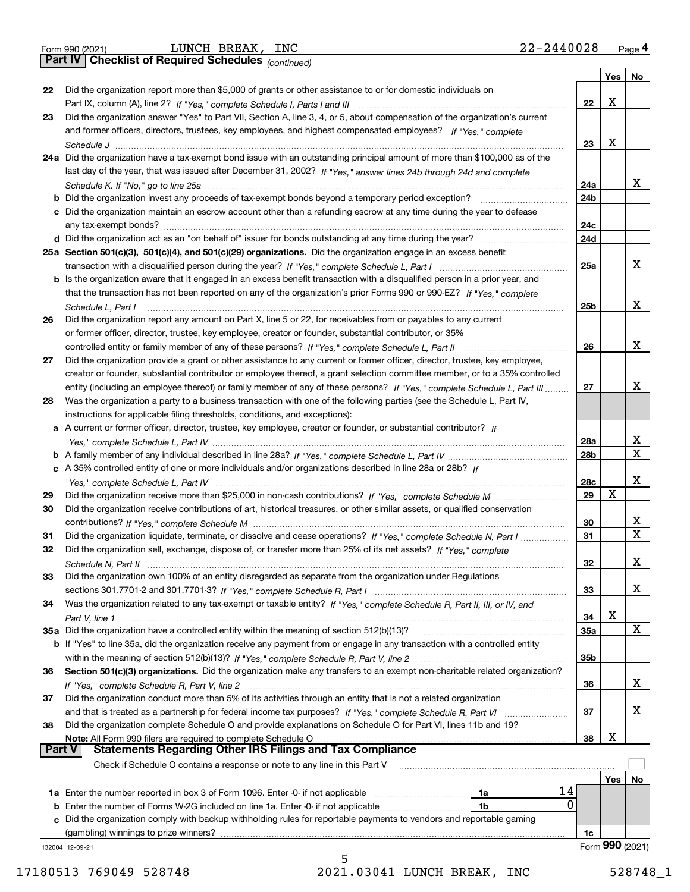|  | Form 990 (2021 |
|--|----------------|
|  |                |

*(continued)*

|               |                                                                                                                                    |            | Yes | No               |
|---------------|------------------------------------------------------------------------------------------------------------------------------------|------------|-----|------------------|
| 22            | Did the organization report more than \$5,000 of grants or other assistance to or for domestic individuals on                      |            |     |                  |
|               | Part IX, column (A), line 2? If "Yes," complete Schedule I, Parts I and III [[11]] [11] [11] [11] [11] [11] [1                     | 22         | X   |                  |
| 23            | Did the organization answer "Yes" to Part VII, Section A, line 3, 4, or 5, about compensation of the organization's current        |            |     |                  |
|               | and former officers, directors, trustees, key employees, and highest compensated employees? If "Yes," complete                     |            |     |                  |
|               |                                                                                                                                    | 23         | X   |                  |
|               | 24a Did the organization have a tax-exempt bond issue with an outstanding principal amount of more than \$100,000 as of the        |            |     |                  |
|               | last day of the year, that was issued after December 31, 2002? If "Yes," answer lines 24b through 24d and complete                 |            |     |                  |
|               |                                                                                                                                    | 24a        |     | х                |
|               |                                                                                                                                    | 24b        |     |                  |
|               | c Did the organization maintain an escrow account other than a refunding escrow at any time during the year to defease             |            |     |                  |
|               |                                                                                                                                    | 24c        |     |                  |
|               |                                                                                                                                    | 24d        |     |                  |
|               | 25a Section 501(c)(3), 501(c)(4), and 501(c)(29) organizations. Did the organization engage in an excess benefit                   |            |     |                  |
|               |                                                                                                                                    | 25a        |     | х                |
|               | b Is the organization aware that it engaged in an excess benefit transaction with a disqualified person in a prior year, and       |            |     |                  |
|               | that the transaction has not been reported on any of the organization's prior Forms 990 or 990-EZ? If "Yes," complete              |            |     |                  |
|               | Schedule L, Part I                                                                                                                 | 25b        |     | x                |
| 26            | Did the organization report any amount on Part X, line 5 or 22, for receivables from or payables to any current                    |            |     |                  |
|               | or former officer, director, trustee, key employee, creator or founder, substantial contributor, or 35%                            |            |     |                  |
|               | controlled entity or family member of any of these persons? If "Yes," complete Schedule L, Part II                                 | 26         |     | х                |
| 27            | Did the organization provide a grant or other assistance to any current or former officer, director, trustee, key employee,        |            |     |                  |
|               | creator or founder, substantial contributor or employee thereof, a grant selection committee member, or to a 35% controlled        |            |     |                  |
|               | entity (including an employee thereof) or family member of any of these persons? If "Yes," complete Schedule L, Part III           | 27         |     | x                |
| 28            | Was the organization a party to a business transaction with one of the following parties (see the Schedule L, Part IV,             |            |     |                  |
|               | instructions for applicable filing thresholds, conditions, and exceptions):                                                        |            |     |                  |
|               | a A current or former officer, director, trustee, key employee, creator or founder, or substantial contributor? If                 |            |     |                  |
|               |                                                                                                                                    | 28a        |     | x                |
|               |                                                                                                                                    | 28b        |     | $\mathbf X$      |
|               | c A 35% controlled entity of one or more individuals and/or organizations described in line 28a or 28b? If                         |            |     |                  |
|               |                                                                                                                                    |            |     | х                |
|               |                                                                                                                                    | 28c<br>29  | Х   |                  |
| 29            |                                                                                                                                    |            |     |                  |
| 30            | Did the organization receive contributions of art, historical treasures, or other similar assets, or qualified conservation        |            |     |                  |
|               |                                                                                                                                    | 30         |     | x<br>$\mathbf X$ |
| 31            | Did the organization liquidate, terminate, or dissolve and cease operations? If "Yes," complete Schedule N, Part I                 | 31         |     |                  |
| 32            | Did the organization sell, exchange, dispose of, or transfer more than 25% of its net assets? If "Yes," complete                   |            |     |                  |
|               | Schedule N, Part II                                                                                                                | 32         |     | х                |
| 33            | Did the organization own 100% of an entity disregarded as separate from the organization under Regulations                         |            |     |                  |
|               |                                                                                                                                    | 33         |     | х                |
| 34            | Was the organization related to any tax-exempt or taxable entity? If "Yes," complete Schedule R, Part II, III, or IV, and          |            |     |                  |
|               |                                                                                                                                    | 34         | X   |                  |
|               | 35a Did the organization have a controlled entity within the meaning of section 512(b)(13)?                                        | <b>35a</b> |     | X                |
|               | <b>b</b> If "Yes" to line 35a, did the organization receive any payment from or engage in any transaction with a controlled entity |            |     |                  |
|               |                                                                                                                                    | 35b        |     |                  |
| 36            | Section 501(c)(3) organizations. Did the organization make any transfers to an exempt non-charitable related organization?         |            |     |                  |
|               |                                                                                                                                    | 36         |     | x                |
| 37            | Did the organization conduct more than 5% of its activities through an entity that is not a related organization                   |            |     |                  |
|               |                                                                                                                                    | 37         |     | х                |
| 38            | Did the organization complete Schedule O and provide explanations on Schedule O for Part VI, lines 11b and 19?                     |            |     |                  |
|               | Note: All Form 990 filers are required to complete Schedule O                                                                      | 38         | X   |                  |
| <b>Part V</b> | <b>Statements Regarding Other IRS Filings and Tax Compliance</b>                                                                   |            |     |                  |
|               | Check if Schedule O contains a response or note to any line in this Part V                                                         |            |     |                  |
|               |                                                                                                                                    |            | Yes | No               |
|               | 14<br>1a                                                                                                                           |            |     |                  |
|               | 0<br>1b                                                                                                                            |            |     |                  |
|               | c Did the organization comply with backup withholding rules for reportable payments to vendors and reportable gaming               |            |     |                  |
|               | (gambling) winnings to prize winners?                                                                                              | 1c         |     |                  |
|               | 132004 12-09-21                                                                                                                    |            |     | Form 990 (2021)  |
|               | 5                                                                                                                                  |            |     |                  |

17180513 769049 528748 2021.03041 LUNCH BREAK, INC 528748\_1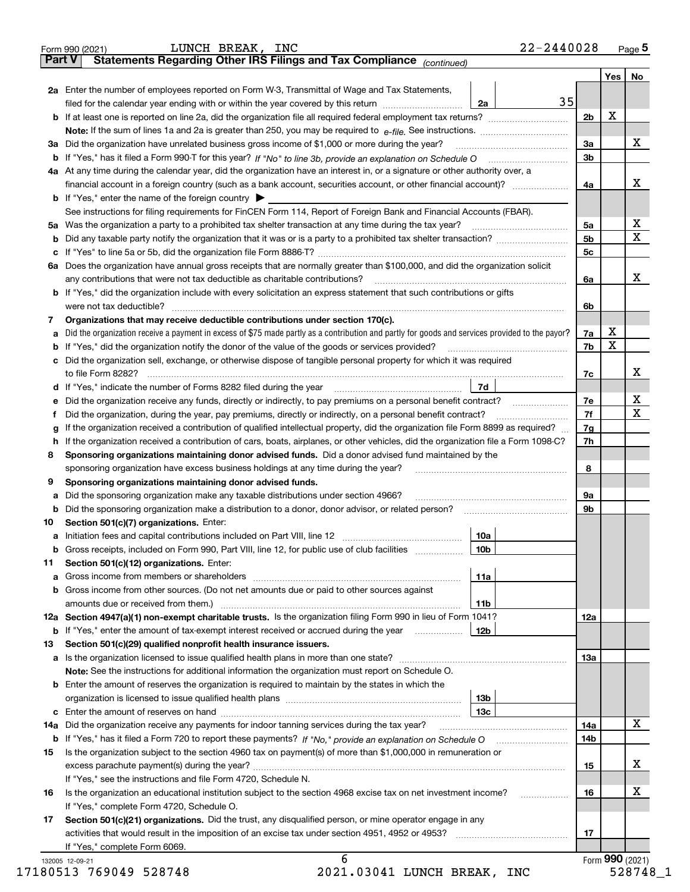| <b>Part V</b> | Statements Regarding Other IRS Filings and Tax Compliance (continued)                                                                           |                 |    |                |     |                         |
|---------------|-------------------------------------------------------------------------------------------------------------------------------------------------|-----------------|----|----------------|-----|-------------------------|
|               |                                                                                                                                                 |                 |    |                | Yes | No                      |
|               | 2a Enter the number of employees reported on Form W-3, Transmittal of Wage and Tax Statements,                                                  |                 | 35 |                |     |                         |
|               | filed for the calendar year ending with or within the year covered by this return                                                               | 2a              |    |                |     |                         |
|               |                                                                                                                                                 |                 |    | 2 <sub>b</sub> | x   |                         |
|               |                                                                                                                                                 |                 |    |                |     |                         |
|               | 3a Did the organization have unrelated business gross income of \$1,000 or more during the year?                                                |                 |    | 3a             |     | X                       |
|               |                                                                                                                                                 |                 |    | 3 <sub>b</sub> |     |                         |
|               | 4a At any time during the calendar year, did the organization have an interest in, or a signature or other authority over, a                    |                 |    |                |     |                         |
|               | financial account in a foreign country (such as a bank account, securities account, or other financial account)?                                |                 |    | 4a             |     | х                       |
|               | <b>b</b> If "Yes," enter the name of the foreign country $\blacktriangleright$                                                                  |                 |    |                |     |                         |
|               | See instructions for filing requirements for FinCEN Form 114, Report of Foreign Bank and Financial Accounts (FBAR).                             |                 |    |                |     |                         |
|               |                                                                                                                                                 |                 |    | 5a             |     | х                       |
| b             |                                                                                                                                                 |                 |    | 5b             |     | $\overline{\mathbf{X}}$ |
| c             |                                                                                                                                                 |                 |    | 5с             |     |                         |
|               | 6a Does the organization have annual gross receipts that are normally greater than \$100,000, and did the organization solicit                  |                 |    |                |     |                         |
|               | any contributions that were not tax deductible as charitable contributions?                                                                     |                 |    | 6a             |     | x                       |
|               | <b>b</b> If "Yes," did the organization include with every solicitation an express statement that such contributions or gifts                   |                 |    |                |     |                         |
|               |                                                                                                                                                 |                 |    | 6b             |     |                         |
| 7             | Organizations that may receive deductible contributions under section 170(c).                                                                   |                 |    |                |     |                         |
| а             | Did the organization receive a payment in excess of \$75 made partly as a contribution and partly for goods and services provided to the payor? |                 |    | 7a             | х   |                         |
| b             | If "Yes," did the organization notify the donor of the value of the goods or services provided?                                                 |                 |    | 7b             | X   |                         |
|               | c Did the organization sell, exchange, or otherwise dispose of tangible personal property for which it was required                             |                 |    |                |     |                         |
|               |                                                                                                                                                 |                 |    | 7c             |     | х                       |
|               | d If "Yes," indicate the number of Forms 8282 filed during the year [11] [11] No. 2010 [12] Henry Manuscover, 1                                 | 7d              |    |                |     |                         |
| е             | Did the organization receive any funds, directly or indirectly, to pay premiums on a personal benefit contract?                                 |                 |    | 7e             |     | х                       |
| f             | Did the organization, during the year, pay premiums, directly or indirectly, on a personal benefit contract?                                    |                 |    | 7f             |     | $\mathbf X$             |
| g             | If the organization received a contribution of qualified intellectual property, did the organization file Form 8899 as required?                |                 |    | 7g             |     |                         |
| h             | If the organization received a contribution of cars, boats, airplanes, or other vehicles, did the organization file a Form 1098-C?              |                 |    | 7h             |     |                         |
| 8             | Sponsoring organizations maintaining donor advised funds. Did a donor advised fund maintained by the                                            |                 |    |                |     |                         |
|               |                                                                                                                                                 |                 |    | 8              |     |                         |
|               | sponsoring organization have excess business holdings at any time during the year?                                                              |                 |    |                |     |                         |
| 9             | Sponsoring organizations maintaining donor advised funds.                                                                                       |                 |    |                |     |                         |
| а             | Did the sponsoring organization make any taxable distributions under section 4966?                                                              |                 |    | 9а             |     |                         |
| b             |                                                                                                                                                 |                 |    | 9b             |     |                         |
| 10            | Section 501(c)(7) organizations. Enter:                                                                                                         |                 |    |                |     |                         |
|               |                                                                                                                                                 | 10a<br> 10b     |    |                |     |                         |
|               | Gross receipts, included on Form 990, Part VIII, line 12, for public use of club facilities                                                     |                 |    |                |     |                         |
| 11            | Section 501(c)(12) organizations. Enter:                                                                                                        |                 |    |                |     |                         |
|               |                                                                                                                                                 | 11a             |    |                |     |                         |
|               | b Gross income from other sources. (Do not net amounts due or paid to other sources against                                                     |                 |    |                |     |                         |
|               |                                                                                                                                                 | 11b             |    |                |     |                         |
|               | 12a Section 4947(a)(1) non-exempt charitable trusts. Is the organization filing Form 990 in lieu of Form 1041?                                  |                 |    | 12a            |     |                         |
|               | <b>b</b> If "Yes," enter the amount of tax-exempt interest received or accrued during the year <i>manument</i>                                  | 12b             |    |                |     |                         |
| 13            | Section 501(c)(29) qualified nonprofit health insurance issuers.                                                                                |                 |    |                |     |                         |
|               | a Is the organization licensed to issue qualified health plans in more than one state?                                                          |                 |    | 13а            |     |                         |
|               | Note: See the instructions for additional information the organization must report on Schedule O.                                               |                 |    |                |     |                         |
|               | <b>b</b> Enter the amount of reserves the organization is required to maintain by the states in which the                                       |                 |    |                |     |                         |
|               |                                                                                                                                                 | 13 <sub>b</sub> |    |                |     |                         |
|               |                                                                                                                                                 | 13с             |    |                |     |                         |
|               | 14a Did the organization receive any payments for indoor tanning services during the tax year?                                                  |                 |    | 14a            |     | X                       |
|               |                                                                                                                                                 |                 |    | 14b            |     |                         |
| 15            | Is the organization subject to the section 4960 tax on payment(s) of more than \$1,000,000 in remuneration or                                   |                 |    |                |     |                         |
|               |                                                                                                                                                 |                 |    | 15             |     | x                       |
|               | If "Yes," see the instructions and file Form 4720, Schedule N.                                                                                  |                 |    |                |     |                         |
| 16            | Is the organization an educational institution subject to the section 4968 excise tax on net investment income?                                 |                 |    | 16             |     | х                       |
|               | If "Yes," complete Form 4720, Schedule O.                                                                                                       |                 |    |                |     |                         |
| 17            | Section 501(c)(21) organizations. Did the trust, any disqualified person, or mine operator engage in any                                        |                 |    |                |     |                         |
|               | activities that would result in the imposition of an excise tax under section 4951, 4952 or 4953?                                               |                 |    | 17             |     |                         |
|               | If "Yes," complete Form 6069.                                                                                                                   |                 |    |                |     |                         |
|               |                                                                                                                                                 |                 |    |                |     | Form 990 (2021)         |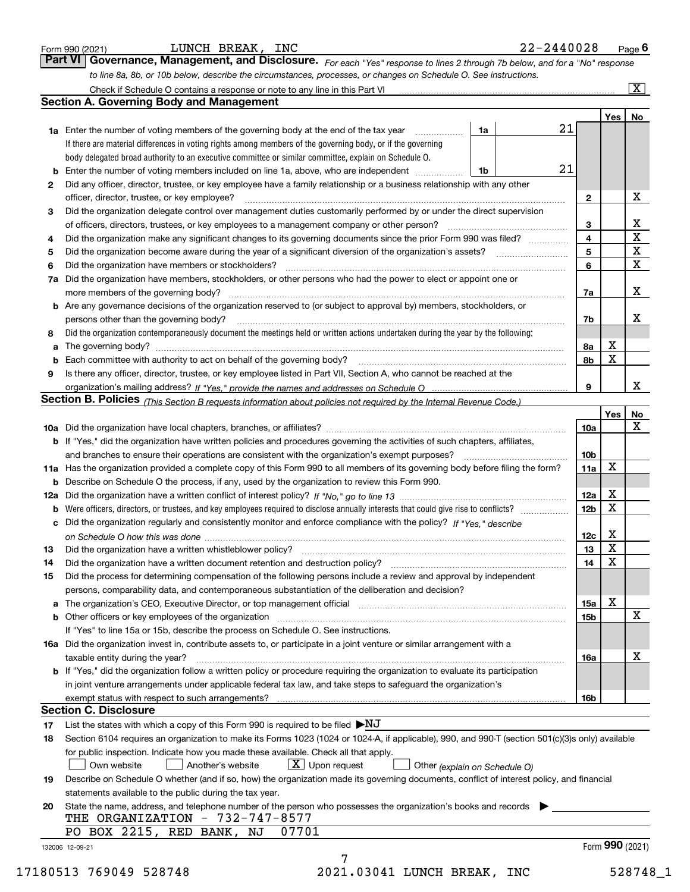|              | Check if Schedule O contains a response or note to any line in this Part VI [11] [12] Check if Schedule O contains a response or note to any line in this Part VI                                 |                 |             | $\overline{\mathbf{x}}$ |
|--------------|---------------------------------------------------------------------------------------------------------------------------------------------------------------------------------------------------|-----------------|-------------|-------------------------|
|              | <b>Section A. Governing Body and Management</b>                                                                                                                                                   |                 |             |                         |
|              |                                                                                                                                                                                                   | 21              | Yes   No    |                         |
|              | <b>1a</b> Enter the number of voting members of the governing body at the end of the tax year<br>1a                                                                                               |                 |             |                         |
|              | If there are material differences in voting rights among members of the governing body, or if the governing                                                                                       |                 |             |                         |
|              | body delegated broad authority to an executive committee or similar committee, explain on Schedule O.<br>Enter the number of voting members included on line 1a, above, who are independent<br>1b | 21              |             |                         |
| $\mathbf{2}$ | Did any officer, director, trustee, or key employee have a family relationship or a business relationship with any other                                                                          |                 |             |                         |
|              | officer, director, trustee, or key employee?                                                                                                                                                      | $\mathbf{2}$    |             | X                       |
| 3            | Did the organization delegate control over management duties customarily performed by or under the direct supervision                                                                             |                 |             |                         |
|              | of officers, directors, trustees, or key employees to a management company or other person?                                                                                                       | 3               |             |                         |
| 4            | Did the organization make any significant changes to its governing documents since the prior Form 990 was filed?                                                                                  | 4               |             | $rac{X}{X}$             |
| 5            |                                                                                                                                                                                                   | 5               |             | $\overline{\mathbf{x}}$ |
| 6            | Did the organization have members or stockholders?                                                                                                                                                | 6               |             | $\overline{\mathbf{x}}$ |
| 7a           | Did the organization have members, stockholders, or other persons who had the power to elect or appoint one or                                                                                    |                 |             |                         |
|              |                                                                                                                                                                                                   | 7a              |             | X                       |
|              | <b>b</b> Are any governance decisions of the organization reserved to (or subject to approval by) members, stockholders, or                                                                       |                 |             |                         |
|              | persons other than the governing body?                                                                                                                                                            | 7b              |             | х                       |
| 8            | Did the organization contemporaneously document the meetings held or written actions undertaken during the year by the following:                                                                 |                 |             |                         |
| а            |                                                                                                                                                                                                   | 8а              | х           |                         |
| b            |                                                                                                                                                                                                   | 8b              | X           |                         |
| 9            | Is there any officer, director, trustee, or key employee listed in Part VII, Section A, who cannot be reached at the                                                                              |                 |             |                         |
|              |                                                                                                                                                                                                   | 9               |             | x                       |
|              | Section B. Policies (This Section B requests information about policies not required by the Internal Revenue Code.)                                                                               |                 |             |                         |
|              |                                                                                                                                                                                                   |                 | Yes         | No                      |
|              |                                                                                                                                                                                                   | 10a             |             | X                       |
|              | b If "Yes," did the organization have written policies and procedures governing the activities of such chapters, affiliates,                                                                      |                 |             |                         |
|              |                                                                                                                                                                                                   | 10 <sub>b</sub> |             |                         |
|              | 11a Has the organization provided a complete copy of this Form 990 to all members of its governing body before filing the form?                                                                   | 11a             | x           |                         |
|              | <b>b</b> Describe on Schedule O the process, if any, used by the organization to review this Form 990.                                                                                            |                 |             |                         |
|              |                                                                                                                                                                                                   | 12a             | x           |                         |
| b            |                                                                                                                                                                                                   | 12 <sub>b</sub> | X           |                         |
|              | c Did the organization regularly and consistently monitor and enforce compliance with the policy? If "Yes," describe                                                                              |                 |             |                         |
|              |                                                                                                                                                                                                   | 12c             | X           |                         |
| 13           |                                                                                                                                                                                                   | 13              | $\mathbf X$ |                         |
| 14           | Did the organization have a written document retention and destruction policy? manufactured and the organization have a written document retention and destruction policy?                        | 14              | X           |                         |
| 15           | Did the process for determining compensation of the following persons include a review and approval by independent                                                                                |                 |             |                         |
|              | persons, comparability data, and contemporaneous substantiation of the deliberation and decision?                                                                                                 |                 |             |                         |
|              | a The organization's CEO, Executive Director, or top management official [111] [11] manument material manument                                                                                    | 15a             | х           |                         |
|              |                                                                                                                                                                                                   | 15b             |             | $\mathbf X$             |
|              | If "Yes" to line 15a or 15b, describe the process on Schedule O. See instructions.                                                                                                                |                 |             |                         |
|              | 16a Did the organization invest in, contribute assets to, or participate in a joint venture or similar arrangement with a                                                                         |                 |             |                         |
|              | taxable entity during the year?                                                                                                                                                                   | 16a             |             | х                       |
|              | b If "Yes," did the organization follow a written policy or procedure requiring the organization to evaluate its participation                                                                    |                 |             |                         |
|              | in joint venture arrangements under applicable federal tax law, and take steps to safequard the organization's                                                                                    |                 |             |                         |
|              | <b>Section C. Disclosure</b>                                                                                                                                                                      | 16b             |             |                         |
|              |                                                                                                                                                                                                   |                 |             |                         |
| 17           | List the states with which a copy of this Form 990 is required to be filed $\blacktriangleright\text{NJ}$                                                                                         |                 |             |                         |
| 18           | Section 6104 requires an organization to make its Forms 1023 (1024 or 1024-A, if applicable), 990, and 990-T (section 501(c)(3)s only) available                                                  |                 |             |                         |
|              | for public inspection. Indicate how you made these available. Check all that apply.<br>$\lfloor X \rfloor$ Upon request<br>Another's website                                                      |                 |             |                         |
|              | Own website<br>Other (explain on Schedule O)                                                                                                                                                      |                 |             |                         |
|              | Describe on Schedule O whether (and if so, how) the organization made its governing documents, conflict of interest policy, and financial                                                         |                 |             |                         |
| 19           |                                                                                                                                                                                                   |                 |             |                         |
|              | statements available to the public during the tax year.                                                                                                                                           |                 |             |                         |
| 20           | State the name, address, and telephone number of the person who possesses the organization's books and records                                                                                    |                 |             |                         |
|              | THE ORGANIZATION - 732-747-8577<br>PO BOX 2215, RED BANK, NJ<br>07701                                                                                                                             |                 |             |                         |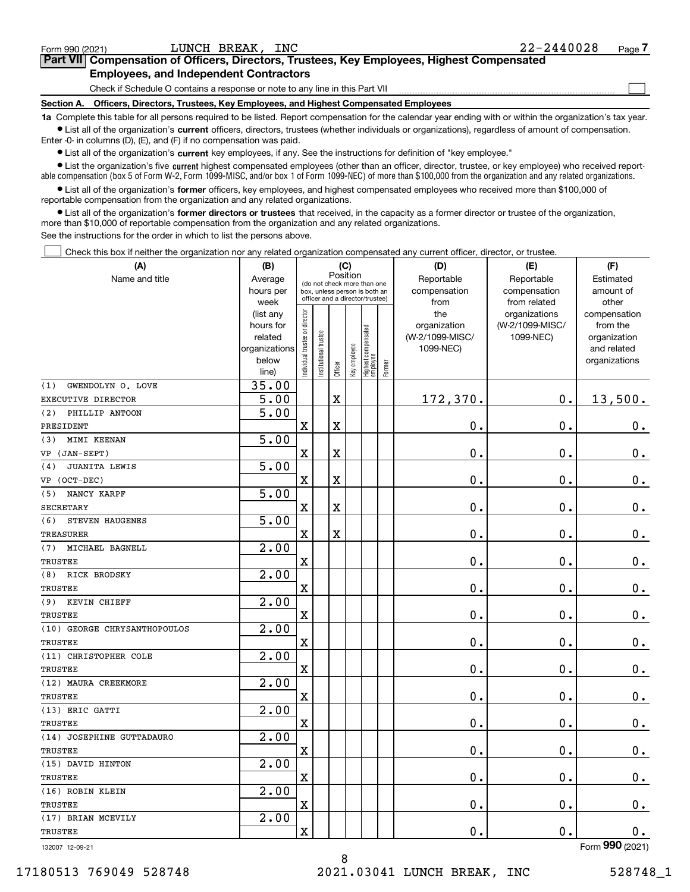| Form 990 (2021)   | LUNCH BREAK, INC                                                                                                                                           | 22-2440028 | Page |
|-------------------|------------------------------------------------------------------------------------------------------------------------------------------------------------|------------|------|
|                   | Part VII Compensation of Officers, Directors, Trustees, Key Employees, Highest Compensated                                                                 |            |      |
|                   | <b>Employees, and Independent Contractors</b>                                                                                                              |            |      |
|                   | Check if Schedule O contains a response or note to any line in this Part VII                                                                               |            |      |
| <b>Section A.</b> | Officers, Directors, Trustees, Key Employees, and Highest Compensated Employees                                                                            |            |      |
|                   | 1a Complete this table for all persons required to be listed. Report compensation for the calendar year ending with or within the organization's tax year. |            |      |

**•** List all of the organization's current officers, directors, trustees (whether individuals or organizations), regardless of amount of compensation. Enter -0- in columns (D), (E), and (F) if no compensation was paid.

 $\bullet$  List all of the organization's  $\sf current$  key employees, if any. See the instructions for definition of "key employee."

**•** List the organization's five current highest compensated employees (other than an officer, director, trustee, or key employee) who received reportable compensation (box 5 of Form W-2, Form 1099-MISC, and/or box 1 of Form 1099-NEC) of more than \$100,000 from the organization and any related organizations.

**•** List all of the organization's former officers, key employees, and highest compensated employees who received more than \$100,000 of reportable compensation from the organization and any related organizations.

**former directors or trustees**  ¥ List all of the organization's that received, in the capacity as a former director or trustee of the organization, more than \$10,000 of reportable compensation from the organization and any related organizations.

See the instructions for the order in which to list the persons above.

Check this box if neither the organization nor any related organization compensated any current officer, director, or trustee.  $\mathcal{L}^{\text{max}}$ 

| Position<br>Name and title<br>Reportable<br>Average<br>Reportable<br>Estimated<br>(do not check more than one<br>compensation<br>hours per<br>compensation<br>amount of<br>box, unless person is both an<br>officer and a director/trustee)<br>from related<br>other<br>week<br>from<br>Individual trustee or director<br>the<br>(list any<br>organizations<br>compensation<br>(W-2/1099-MISC/<br>hours for<br>organization<br>from the<br>Highest compensated<br>employee<br>Institutional trustee<br>(W-2/1099-MISC/<br>1099-NEC)<br>related<br>organization<br>Key employee<br>1099-NEC)<br>organizations<br>and related<br>below<br>organizations<br>Former<br>Officer<br>line)<br>35.00<br>GWENDOLYN O. LOVE<br>(1)<br>0.<br>5.00<br>$\mathbf X$<br>172,370.<br>13,500.<br>EXECUTIVE DIRECTOR<br>5.00<br>(2)<br>PHILLIP ANTOON<br>$\overline{\textbf{X}}$<br>0.<br>$\mathbf X$<br>0.<br>$\mathbf 0$ .<br>PRESIDENT<br>5.00<br>MIMI KEENAN<br>(3)<br>$\mathbf 0$ .<br>$\mathbf 0$ .<br>$\mathbf x$<br>$\overline{\mathbf{X}}$<br>$0$ .<br>VP (JAN-SEPT)<br>$\overline{5.00}$<br>JUANITA LEWIS<br>(4)<br>0.<br>0.<br>$\mathbf 0$ .<br>$\mathbf X$<br>$\overline{\textbf{X}}$<br>VP (OCT-DEC)<br>5.00<br>NANCY KARPF<br>(5)<br>0.<br>$0_{.}$<br>$\mathbf X$<br>$\overline{\textbf{X}}$<br>0.<br><b>SECRETARY</b><br>5.00<br>STEVEN HAUGENES<br>(6)<br>$\overline{\mathbf{X}}$<br>$\overline{\text{X}}$<br>0.<br>$\mathbf 0$ .<br>$0$ .<br><b>TREASURER</b><br>2.00<br>MICHAEL BAGNELL<br>(7)<br>$\mathbf X$<br>0.<br>$\mathbf 0$ .<br>$0_{.}$<br>TRUSTEE<br>2.00<br>RICK BRODSKY<br>(8)<br>$\overline{\mathbf{X}}$<br>$\mathbf 0$ .<br>$\mathbf 0$ .<br>$0_{.}$<br>TRUSTEE<br>2.00<br>KEVIN CHIEFF<br>(9)<br>$\mathbf x$<br>$\mathbf 0$ .<br>$0_{.}$<br>0.<br>TRUSTEE<br>2.00<br>(10) GEORGE CHRYSANTHOPOULOS<br>$\mathbf 0$ .<br>$\mathbf x$<br>0.<br>$\mathbf 0$ .<br>TRUSTEE<br>2.00<br>(11) CHRISTOPHER COLE<br>$\mathbf X$<br>0.<br>$\mathbf 0$ .<br>$\mathbf 0$ .<br><b>TRUSTEE</b><br>2.00<br>(12) MAURA CREEKMORE<br>$\mathbf x$<br>0.<br>$\mathbf 0$ .<br>$\mathbf 0$ .<br><b>TRUSTEE</b><br>2.00<br>(13) ERIC GATTI<br>0.<br>$\mathbf 0$ .<br>$0$ .<br>$\mathbf X$<br>TRUSTEE<br>2.00<br>(14) JOSEPHINE GUTTADAURO<br>$\mathbf x$<br>0.<br>$\mathbf 0$ .<br>$0$ .<br>TRUSTEE<br>2.00<br>(15) DAVID HINTON<br>$\mathbf 0$ .<br>$\mathbf X$<br>0.<br>$\mathbf 0$ .<br>TRUSTEE<br>2.00<br>(16) ROBIN KLEIN<br>0.<br>0.<br>$0$ .<br>$\mathbf X$<br><b>TRUSTEE</b><br>2.00<br>(17) BRIAN MCEVILY<br>$\overline{\textbf{X}}$<br>0.<br>0.<br>0.<br>TRUSTEE<br>$\overline{\phantom{a}}$ | (A) | (B) | (C) |  |  |  |  | (D) | (E) | (F) |  |  |
|---------------------------------------------------------------------------------------------------------------------------------------------------------------------------------------------------------------------------------------------------------------------------------------------------------------------------------------------------------------------------------------------------------------------------------------------------------------------------------------------------------------------------------------------------------------------------------------------------------------------------------------------------------------------------------------------------------------------------------------------------------------------------------------------------------------------------------------------------------------------------------------------------------------------------------------------------------------------------------------------------------------------------------------------------------------------------------------------------------------------------------------------------------------------------------------------------------------------------------------------------------------------------------------------------------------------------------------------------------------------------------------------------------------------------------------------------------------------------------------------------------------------------------------------------------------------------------------------------------------------------------------------------------------------------------------------------------------------------------------------------------------------------------------------------------------------------------------------------------------------------------------------------------------------------------------------------------------------------------------------------------------------------------------------------------------------------------------------------------------------------------------------------------------------------------------------------------------------------------------------------------------------------------------------------------------------------------------------------------------------------------------------------------------------------------------------------------------------------------------------------------------------------------------------------------------------------------------------|-----|-----|-----|--|--|--|--|-----|-----|-----|--|--|
|                                                                                                                                                                                                                                                                                                                                                                                                                                                                                                                                                                                                                                                                                                                                                                                                                                                                                                                                                                                                                                                                                                                                                                                                                                                                                                                                                                                                                                                                                                                                                                                                                                                                                                                                                                                                                                                                                                                                                                                                                                                                                                                                                                                                                                                                                                                                                                                                                                                                                                                                                                                             |     |     |     |  |  |  |  |     |     |     |  |  |
|                                                                                                                                                                                                                                                                                                                                                                                                                                                                                                                                                                                                                                                                                                                                                                                                                                                                                                                                                                                                                                                                                                                                                                                                                                                                                                                                                                                                                                                                                                                                                                                                                                                                                                                                                                                                                                                                                                                                                                                                                                                                                                                                                                                                                                                                                                                                                                                                                                                                                                                                                                                             |     |     |     |  |  |  |  |     |     |     |  |  |
|                                                                                                                                                                                                                                                                                                                                                                                                                                                                                                                                                                                                                                                                                                                                                                                                                                                                                                                                                                                                                                                                                                                                                                                                                                                                                                                                                                                                                                                                                                                                                                                                                                                                                                                                                                                                                                                                                                                                                                                                                                                                                                                                                                                                                                                                                                                                                                                                                                                                                                                                                                                             |     |     |     |  |  |  |  |     |     |     |  |  |
|                                                                                                                                                                                                                                                                                                                                                                                                                                                                                                                                                                                                                                                                                                                                                                                                                                                                                                                                                                                                                                                                                                                                                                                                                                                                                                                                                                                                                                                                                                                                                                                                                                                                                                                                                                                                                                                                                                                                                                                                                                                                                                                                                                                                                                                                                                                                                                                                                                                                                                                                                                                             |     |     |     |  |  |  |  |     |     |     |  |  |
|                                                                                                                                                                                                                                                                                                                                                                                                                                                                                                                                                                                                                                                                                                                                                                                                                                                                                                                                                                                                                                                                                                                                                                                                                                                                                                                                                                                                                                                                                                                                                                                                                                                                                                                                                                                                                                                                                                                                                                                                                                                                                                                                                                                                                                                                                                                                                                                                                                                                                                                                                                                             |     |     |     |  |  |  |  |     |     |     |  |  |
|                                                                                                                                                                                                                                                                                                                                                                                                                                                                                                                                                                                                                                                                                                                                                                                                                                                                                                                                                                                                                                                                                                                                                                                                                                                                                                                                                                                                                                                                                                                                                                                                                                                                                                                                                                                                                                                                                                                                                                                                                                                                                                                                                                                                                                                                                                                                                                                                                                                                                                                                                                                             |     |     |     |  |  |  |  |     |     |     |  |  |
|                                                                                                                                                                                                                                                                                                                                                                                                                                                                                                                                                                                                                                                                                                                                                                                                                                                                                                                                                                                                                                                                                                                                                                                                                                                                                                                                                                                                                                                                                                                                                                                                                                                                                                                                                                                                                                                                                                                                                                                                                                                                                                                                                                                                                                                                                                                                                                                                                                                                                                                                                                                             |     |     |     |  |  |  |  |     |     |     |  |  |
|                                                                                                                                                                                                                                                                                                                                                                                                                                                                                                                                                                                                                                                                                                                                                                                                                                                                                                                                                                                                                                                                                                                                                                                                                                                                                                                                                                                                                                                                                                                                                                                                                                                                                                                                                                                                                                                                                                                                                                                                                                                                                                                                                                                                                                                                                                                                                                                                                                                                                                                                                                                             |     |     |     |  |  |  |  |     |     |     |  |  |
|                                                                                                                                                                                                                                                                                                                                                                                                                                                                                                                                                                                                                                                                                                                                                                                                                                                                                                                                                                                                                                                                                                                                                                                                                                                                                                                                                                                                                                                                                                                                                                                                                                                                                                                                                                                                                                                                                                                                                                                                                                                                                                                                                                                                                                                                                                                                                                                                                                                                                                                                                                                             |     |     |     |  |  |  |  |     |     |     |  |  |
|                                                                                                                                                                                                                                                                                                                                                                                                                                                                                                                                                                                                                                                                                                                                                                                                                                                                                                                                                                                                                                                                                                                                                                                                                                                                                                                                                                                                                                                                                                                                                                                                                                                                                                                                                                                                                                                                                                                                                                                                                                                                                                                                                                                                                                                                                                                                                                                                                                                                                                                                                                                             |     |     |     |  |  |  |  |     |     |     |  |  |
|                                                                                                                                                                                                                                                                                                                                                                                                                                                                                                                                                                                                                                                                                                                                                                                                                                                                                                                                                                                                                                                                                                                                                                                                                                                                                                                                                                                                                                                                                                                                                                                                                                                                                                                                                                                                                                                                                                                                                                                                                                                                                                                                                                                                                                                                                                                                                                                                                                                                                                                                                                                             |     |     |     |  |  |  |  |     |     |     |  |  |
|                                                                                                                                                                                                                                                                                                                                                                                                                                                                                                                                                                                                                                                                                                                                                                                                                                                                                                                                                                                                                                                                                                                                                                                                                                                                                                                                                                                                                                                                                                                                                                                                                                                                                                                                                                                                                                                                                                                                                                                                                                                                                                                                                                                                                                                                                                                                                                                                                                                                                                                                                                                             |     |     |     |  |  |  |  |     |     |     |  |  |
|                                                                                                                                                                                                                                                                                                                                                                                                                                                                                                                                                                                                                                                                                                                                                                                                                                                                                                                                                                                                                                                                                                                                                                                                                                                                                                                                                                                                                                                                                                                                                                                                                                                                                                                                                                                                                                                                                                                                                                                                                                                                                                                                                                                                                                                                                                                                                                                                                                                                                                                                                                                             |     |     |     |  |  |  |  |     |     |     |  |  |
|                                                                                                                                                                                                                                                                                                                                                                                                                                                                                                                                                                                                                                                                                                                                                                                                                                                                                                                                                                                                                                                                                                                                                                                                                                                                                                                                                                                                                                                                                                                                                                                                                                                                                                                                                                                                                                                                                                                                                                                                                                                                                                                                                                                                                                                                                                                                                                                                                                                                                                                                                                                             |     |     |     |  |  |  |  |     |     |     |  |  |
|                                                                                                                                                                                                                                                                                                                                                                                                                                                                                                                                                                                                                                                                                                                                                                                                                                                                                                                                                                                                                                                                                                                                                                                                                                                                                                                                                                                                                                                                                                                                                                                                                                                                                                                                                                                                                                                                                                                                                                                                                                                                                                                                                                                                                                                                                                                                                                                                                                                                                                                                                                                             |     |     |     |  |  |  |  |     |     |     |  |  |
|                                                                                                                                                                                                                                                                                                                                                                                                                                                                                                                                                                                                                                                                                                                                                                                                                                                                                                                                                                                                                                                                                                                                                                                                                                                                                                                                                                                                                                                                                                                                                                                                                                                                                                                                                                                                                                                                                                                                                                                                                                                                                                                                                                                                                                                                                                                                                                                                                                                                                                                                                                                             |     |     |     |  |  |  |  |     |     |     |  |  |
|                                                                                                                                                                                                                                                                                                                                                                                                                                                                                                                                                                                                                                                                                                                                                                                                                                                                                                                                                                                                                                                                                                                                                                                                                                                                                                                                                                                                                                                                                                                                                                                                                                                                                                                                                                                                                                                                                                                                                                                                                                                                                                                                                                                                                                                                                                                                                                                                                                                                                                                                                                                             |     |     |     |  |  |  |  |     |     |     |  |  |
|                                                                                                                                                                                                                                                                                                                                                                                                                                                                                                                                                                                                                                                                                                                                                                                                                                                                                                                                                                                                                                                                                                                                                                                                                                                                                                                                                                                                                                                                                                                                                                                                                                                                                                                                                                                                                                                                                                                                                                                                                                                                                                                                                                                                                                                                                                                                                                                                                                                                                                                                                                                             |     |     |     |  |  |  |  |     |     |     |  |  |
|                                                                                                                                                                                                                                                                                                                                                                                                                                                                                                                                                                                                                                                                                                                                                                                                                                                                                                                                                                                                                                                                                                                                                                                                                                                                                                                                                                                                                                                                                                                                                                                                                                                                                                                                                                                                                                                                                                                                                                                                                                                                                                                                                                                                                                                                                                                                                                                                                                                                                                                                                                                             |     |     |     |  |  |  |  |     |     |     |  |  |
|                                                                                                                                                                                                                                                                                                                                                                                                                                                                                                                                                                                                                                                                                                                                                                                                                                                                                                                                                                                                                                                                                                                                                                                                                                                                                                                                                                                                                                                                                                                                                                                                                                                                                                                                                                                                                                                                                                                                                                                                                                                                                                                                                                                                                                                                                                                                                                                                                                                                                                                                                                                             |     |     |     |  |  |  |  |     |     |     |  |  |
|                                                                                                                                                                                                                                                                                                                                                                                                                                                                                                                                                                                                                                                                                                                                                                                                                                                                                                                                                                                                                                                                                                                                                                                                                                                                                                                                                                                                                                                                                                                                                                                                                                                                                                                                                                                                                                                                                                                                                                                                                                                                                                                                                                                                                                                                                                                                                                                                                                                                                                                                                                                             |     |     |     |  |  |  |  |     |     |     |  |  |
|                                                                                                                                                                                                                                                                                                                                                                                                                                                                                                                                                                                                                                                                                                                                                                                                                                                                                                                                                                                                                                                                                                                                                                                                                                                                                                                                                                                                                                                                                                                                                                                                                                                                                                                                                                                                                                                                                                                                                                                                                                                                                                                                                                                                                                                                                                                                                                                                                                                                                                                                                                                             |     |     |     |  |  |  |  |     |     |     |  |  |
|                                                                                                                                                                                                                                                                                                                                                                                                                                                                                                                                                                                                                                                                                                                                                                                                                                                                                                                                                                                                                                                                                                                                                                                                                                                                                                                                                                                                                                                                                                                                                                                                                                                                                                                                                                                                                                                                                                                                                                                                                                                                                                                                                                                                                                                                                                                                                                                                                                                                                                                                                                                             |     |     |     |  |  |  |  |     |     |     |  |  |
|                                                                                                                                                                                                                                                                                                                                                                                                                                                                                                                                                                                                                                                                                                                                                                                                                                                                                                                                                                                                                                                                                                                                                                                                                                                                                                                                                                                                                                                                                                                                                                                                                                                                                                                                                                                                                                                                                                                                                                                                                                                                                                                                                                                                                                                                                                                                                                                                                                                                                                                                                                                             |     |     |     |  |  |  |  |     |     |     |  |  |
|                                                                                                                                                                                                                                                                                                                                                                                                                                                                                                                                                                                                                                                                                                                                                                                                                                                                                                                                                                                                                                                                                                                                                                                                                                                                                                                                                                                                                                                                                                                                                                                                                                                                                                                                                                                                                                                                                                                                                                                                                                                                                                                                                                                                                                                                                                                                                                                                                                                                                                                                                                                             |     |     |     |  |  |  |  |     |     |     |  |  |
|                                                                                                                                                                                                                                                                                                                                                                                                                                                                                                                                                                                                                                                                                                                                                                                                                                                                                                                                                                                                                                                                                                                                                                                                                                                                                                                                                                                                                                                                                                                                                                                                                                                                                                                                                                                                                                                                                                                                                                                                                                                                                                                                                                                                                                                                                                                                                                                                                                                                                                                                                                                             |     |     |     |  |  |  |  |     |     |     |  |  |
|                                                                                                                                                                                                                                                                                                                                                                                                                                                                                                                                                                                                                                                                                                                                                                                                                                                                                                                                                                                                                                                                                                                                                                                                                                                                                                                                                                                                                                                                                                                                                                                                                                                                                                                                                                                                                                                                                                                                                                                                                                                                                                                                                                                                                                                                                                                                                                                                                                                                                                                                                                                             |     |     |     |  |  |  |  |     |     |     |  |  |
|                                                                                                                                                                                                                                                                                                                                                                                                                                                                                                                                                                                                                                                                                                                                                                                                                                                                                                                                                                                                                                                                                                                                                                                                                                                                                                                                                                                                                                                                                                                                                                                                                                                                                                                                                                                                                                                                                                                                                                                                                                                                                                                                                                                                                                                                                                                                                                                                                                                                                                                                                                                             |     |     |     |  |  |  |  |     |     |     |  |  |
|                                                                                                                                                                                                                                                                                                                                                                                                                                                                                                                                                                                                                                                                                                                                                                                                                                                                                                                                                                                                                                                                                                                                                                                                                                                                                                                                                                                                                                                                                                                                                                                                                                                                                                                                                                                                                                                                                                                                                                                                                                                                                                                                                                                                                                                                                                                                                                                                                                                                                                                                                                                             |     |     |     |  |  |  |  |     |     |     |  |  |
|                                                                                                                                                                                                                                                                                                                                                                                                                                                                                                                                                                                                                                                                                                                                                                                                                                                                                                                                                                                                                                                                                                                                                                                                                                                                                                                                                                                                                                                                                                                                                                                                                                                                                                                                                                                                                                                                                                                                                                                                                                                                                                                                                                                                                                                                                                                                                                                                                                                                                                                                                                                             |     |     |     |  |  |  |  |     |     |     |  |  |
|                                                                                                                                                                                                                                                                                                                                                                                                                                                                                                                                                                                                                                                                                                                                                                                                                                                                                                                                                                                                                                                                                                                                                                                                                                                                                                                                                                                                                                                                                                                                                                                                                                                                                                                                                                                                                                                                                                                                                                                                                                                                                                                                                                                                                                                                                                                                                                                                                                                                                                                                                                                             |     |     |     |  |  |  |  |     |     |     |  |  |
|                                                                                                                                                                                                                                                                                                                                                                                                                                                                                                                                                                                                                                                                                                                                                                                                                                                                                                                                                                                                                                                                                                                                                                                                                                                                                                                                                                                                                                                                                                                                                                                                                                                                                                                                                                                                                                                                                                                                                                                                                                                                                                                                                                                                                                                                                                                                                                                                                                                                                                                                                                                             |     |     |     |  |  |  |  |     |     |     |  |  |
|                                                                                                                                                                                                                                                                                                                                                                                                                                                                                                                                                                                                                                                                                                                                                                                                                                                                                                                                                                                                                                                                                                                                                                                                                                                                                                                                                                                                                                                                                                                                                                                                                                                                                                                                                                                                                                                                                                                                                                                                                                                                                                                                                                                                                                                                                                                                                                                                                                                                                                                                                                                             |     |     |     |  |  |  |  |     |     |     |  |  |
|                                                                                                                                                                                                                                                                                                                                                                                                                                                                                                                                                                                                                                                                                                                                                                                                                                                                                                                                                                                                                                                                                                                                                                                                                                                                                                                                                                                                                                                                                                                                                                                                                                                                                                                                                                                                                                                                                                                                                                                                                                                                                                                                                                                                                                                                                                                                                                                                                                                                                                                                                                                             |     |     |     |  |  |  |  |     |     |     |  |  |
|                                                                                                                                                                                                                                                                                                                                                                                                                                                                                                                                                                                                                                                                                                                                                                                                                                                                                                                                                                                                                                                                                                                                                                                                                                                                                                                                                                                                                                                                                                                                                                                                                                                                                                                                                                                                                                                                                                                                                                                                                                                                                                                                                                                                                                                                                                                                                                                                                                                                                                                                                                                             |     |     |     |  |  |  |  |     |     |     |  |  |
|                                                                                                                                                                                                                                                                                                                                                                                                                                                                                                                                                                                                                                                                                                                                                                                                                                                                                                                                                                                                                                                                                                                                                                                                                                                                                                                                                                                                                                                                                                                                                                                                                                                                                                                                                                                                                                                                                                                                                                                                                                                                                                                                                                                                                                                                                                                                                                                                                                                                                                                                                                                             |     |     |     |  |  |  |  |     |     |     |  |  |
|                                                                                                                                                                                                                                                                                                                                                                                                                                                                                                                                                                                                                                                                                                                                                                                                                                                                                                                                                                                                                                                                                                                                                                                                                                                                                                                                                                                                                                                                                                                                                                                                                                                                                                                                                                                                                                                                                                                                                                                                                                                                                                                                                                                                                                                                                                                                                                                                                                                                                                                                                                                             |     |     |     |  |  |  |  |     |     |     |  |  |
|                                                                                                                                                                                                                                                                                                                                                                                                                                                                                                                                                                                                                                                                                                                                                                                                                                                                                                                                                                                                                                                                                                                                                                                                                                                                                                                                                                                                                                                                                                                                                                                                                                                                                                                                                                                                                                                                                                                                                                                                                                                                                                                                                                                                                                                                                                                                                                                                                                                                                                                                                                                             |     |     |     |  |  |  |  |     |     |     |  |  |
|                                                                                                                                                                                                                                                                                                                                                                                                                                                                                                                                                                                                                                                                                                                                                                                                                                                                                                                                                                                                                                                                                                                                                                                                                                                                                                                                                                                                                                                                                                                                                                                                                                                                                                                                                                                                                                                                                                                                                                                                                                                                                                                                                                                                                                                                                                                                                                                                                                                                                                                                                                                             |     |     |     |  |  |  |  |     |     |     |  |  |
|                                                                                                                                                                                                                                                                                                                                                                                                                                                                                                                                                                                                                                                                                                                                                                                                                                                                                                                                                                                                                                                                                                                                                                                                                                                                                                                                                                                                                                                                                                                                                                                                                                                                                                                                                                                                                                                                                                                                                                                                                                                                                                                                                                                                                                                                                                                                                                                                                                                                                                                                                                                             |     |     |     |  |  |  |  |     |     |     |  |  |
|                                                                                                                                                                                                                                                                                                                                                                                                                                                                                                                                                                                                                                                                                                                                                                                                                                                                                                                                                                                                                                                                                                                                                                                                                                                                                                                                                                                                                                                                                                                                                                                                                                                                                                                                                                                                                                                                                                                                                                                                                                                                                                                                                                                                                                                                                                                                                                                                                                                                                                                                                                                             |     |     |     |  |  |  |  |     |     |     |  |  |
|                                                                                                                                                                                                                                                                                                                                                                                                                                                                                                                                                                                                                                                                                                                                                                                                                                                                                                                                                                                                                                                                                                                                                                                                                                                                                                                                                                                                                                                                                                                                                                                                                                                                                                                                                                                                                                                                                                                                                                                                                                                                                                                                                                                                                                                                                                                                                                                                                                                                                                                                                                                             |     |     |     |  |  |  |  |     |     |     |  |  |

8

132007 12-09-21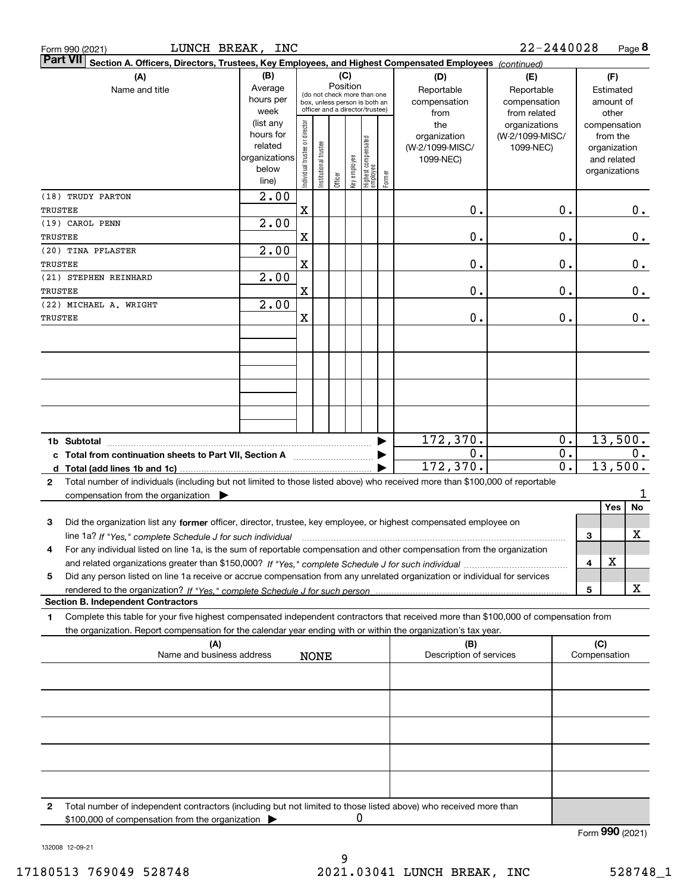| LUNCH BREAK, INC<br>Form 990 (2021)                                                                                                                                                                      |                                                                      |                                |                       |         |                                                                                                                    |                                 |        |                                                     | 22-2440028                                        |                  |   |                                                                          | Page 8  |
|----------------------------------------------------------------------------------------------------------------------------------------------------------------------------------------------------------|----------------------------------------------------------------------|--------------------------------|-----------------------|---------|--------------------------------------------------------------------------------------------------------------------|---------------------------------|--------|-----------------------------------------------------|---------------------------------------------------|------------------|---|--------------------------------------------------------------------------|---------|
| <b>Part VII</b><br>Section A. Officers, Directors, Trustees, Key Employees, and Highest Compensated Employees (continued)                                                                                |                                                                      |                                |                       |         |                                                                                                                    |                                 |        |                                                     |                                                   |                  |   |                                                                          |         |
| (A)<br>Name and title                                                                                                                                                                                    | (B)<br>Average<br>hours per<br>week                                  |                                |                       |         | (C)<br>Position<br>(do not check more than one<br>box, unless person is both an<br>officer and a director/trustee) |                                 |        | (D)<br>Reportable<br>compensation<br>from           | (E)<br>Reportable<br>compensation<br>from related |                  |   | (F)<br>Estimated<br>amount of<br>other                                   |         |
|                                                                                                                                                                                                          | (list any<br>hours for<br>related<br>organizations<br>below<br>line) | Individual trustee or director | Institutional trustee | Officer | key employee                                                                                                       | Highest compensated<br>employee | Former | the<br>organization<br>(W-2/1099-MISC/<br>1099-NEC) | organizations<br>(W-2/1099-MISC/<br>1099-NEC)     |                  |   | compensation<br>from the<br>organization<br>and related<br>organizations |         |
| (18) TRUDY PARTON<br>TRUSTEE                                                                                                                                                                             | 2.00                                                                 | X                              |                       |         |                                                                                                                    |                                 |        | 0.                                                  |                                                   | $\mathbf 0$ .    |   |                                                                          | $0$ .   |
| (19) CAROL PENN                                                                                                                                                                                          | 2.00                                                                 |                                |                       |         |                                                                                                                    |                                 |        |                                                     |                                                   |                  |   |                                                                          |         |
| TRUSTEE<br>(20) TINA PFLASTER                                                                                                                                                                            | 2.00                                                                 | X                              |                       |         |                                                                                                                    |                                 |        | 0.                                                  |                                                   | 0.               |   |                                                                          | 0.      |
| TRUSTEE                                                                                                                                                                                                  |                                                                      | X                              |                       |         |                                                                                                                    |                                 |        | 0.                                                  |                                                   | 0.               |   |                                                                          | 0.      |
| (21) STEPHEN REINHARD<br>TRUSTEE                                                                                                                                                                         | 2.00                                                                 | $\mathbf X$                    |                       |         |                                                                                                                    |                                 |        | 0.                                                  |                                                   | 0.               |   |                                                                          | $0$ .   |
| (22) MICHAEL A. WRIGHT<br>TRUSTEE                                                                                                                                                                        | 2.00                                                                 | X                              |                       |         |                                                                                                                    |                                 |        | 0.                                                  |                                                   | 0.               |   |                                                                          | 0.      |
|                                                                                                                                                                                                          |                                                                      |                                |                       |         |                                                                                                                    |                                 |        |                                                     |                                                   |                  |   |                                                                          |         |
|                                                                                                                                                                                                          |                                                                      |                                |                       |         |                                                                                                                    |                                 |        |                                                     |                                                   |                  |   |                                                                          |         |
| 1b Subtotal                                                                                                                                                                                              |                                                                      |                                |                       |         |                                                                                                                    |                                 |        | 172,370.                                            |                                                   | 0.               |   |                                                                          | 13,500. |
| c Total from continuation sheets to Part VII, Section A manufactured and response to Total from extension                                                                                                |                                                                      |                                |                       |         |                                                                                                                    |                                 |        | $0$ .                                               |                                                   | $\overline{0}$ . |   |                                                                          | 0.      |
|                                                                                                                                                                                                          |                                                                      |                                |                       |         |                                                                                                                    |                                 |        | 172, 370.                                           |                                                   | $\overline{0}$ . |   |                                                                          | 13,500. |
| Total number of individuals (including but not limited to those listed above) who received more than \$100,000 of reportable<br>$\mathbf{2}$<br>compensation from the organization $\blacktriangleright$ |                                                                      |                                |                       |         |                                                                                                                    |                                 |        |                                                     |                                                   |                  |   |                                                                          | 1       |
| Did the organization list any former officer, director, trustee, key employee, or highest compensated employee on<br>3                                                                                   |                                                                      |                                |                       |         |                                                                                                                    |                                 |        |                                                     |                                                   |                  |   | Yes                                                                      | No      |
| line 1a? If "Yes," complete Schedule J for such individual manufactured contained and the Ves," complete Schedule J for such individual                                                                  |                                                                      |                                |                       |         |                                                                                                                    |                                 |        |                                                     |                                                   |                  | 3 |                                                                          | х       |
| For any individual listed on line 1a, is the sum of reportable compensation and other compensation from the organization<br>4                                                                            |                                                                      |                                |                       |         |                                                                                                                    |                                 |        |                                                     |                                                   |                  | 4 | X                                                                        |         |
| Did any person listed on line 1a receive or accrue compensation from any unrelated organization or individual for services<br>5                                                                          |                                                                      |                                |                       |         |                                                                                                                    |                                 |        |                                                     |                                                   |                  |   |                                                                          |         |
| <b>Section B. Independent Contractors</b>                                                                                                                                                                |                                                                      |                                |                       |         |                                                                                                                    |                                 |        |                                                     |                                                   |                  | 5 |                                                                          | X       |
| Complete this table for your five highest compensated independent contractors that received more than \$100,000 of compensation from<br>1                                                                |                                                                      |                                |                       |         |                                                                                                                    |                                 |        |                                                     |                                                   |                  |   |                                                                          |         |
| the organization. Report compensation for the calendar year ending with or within the organization's tax year.<br>(A)                                                                                    |                                                                      |                                |                       |         |                                                                                                                    |                                 |        | (B)                                                 |                                                   |                  |   | (C)                                                                      |         |
| Name and business address                                                                                                                                                                                |                                                                      |                                | <b>NONE</b>           |         |                                                                                                                    |                                 |        | Description of services                             |                                                   |                  |   | Compensation                                                             |         |
|                                                                                                                                                                                                          |                                                                      |                                |                       |         |                                                                                                                    |                                 |        |                                                     |                                                   |                  |   |                                                                          |         |
|                                                                                                                                                                                                          |                                                                      |                                |                       |         |                                                                                                                    |                                 |        |                                                     |                                                   |                  |   |                                                                          |         |
|                                                                                                                                                                                                          |                                                                      |                                |                       |         |                                                                                                                    |                                 |        |                                                     |                                                   |                  |   |                                                                          |         |
|                                                                                                                                                                                                          |                                                                      |                                |                       |         |                                                                                                                    |                                 |        |                                                     |                                                   |                  |   |                                                                          |         |
|                                                                                                                                                                                                          |                                                                      |                                |                       |         |                                                                                                                    |                                 |        |                                                     |                                                   |                  |   |                                                                          |         |
| 2<br>Total number of independent contractors (including but not limited to those listed above) who received more than<br>\$100,000 of compensation from the organization                                 |                                                                      |                                |                       |         | 0                                                                                                                  |                                 |        |                                                     |                                                   |                  |   |                                                                          |         |

132008 12-09-21

Form (2021) **990**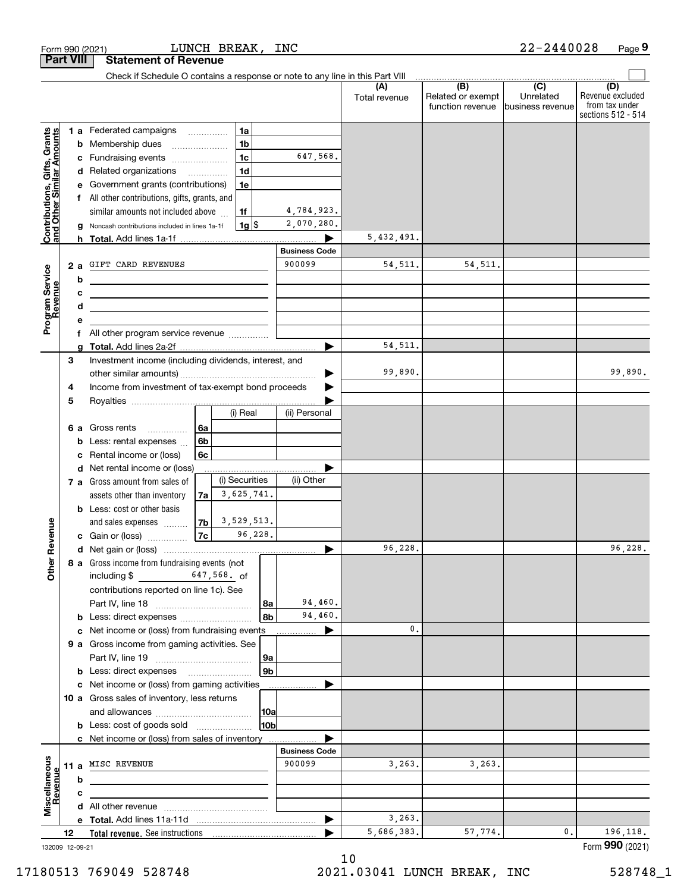| <b>Part VIII</b><br>Contributions, Gifts, Grants<br>and Other Similar Amounts |    | <b>Statement of Revenue</b><br>Check if Schedule O contains a response or note to any line in this Part VIII |                             |                |                |                      |                       |                                              |                                                 |                                                                 |
|-------------------------------------------------------------------------------|----|--------------------------------------------------------------------------------------------------------------|-----------------------------|----------------|----------------|----------------------|-----------------------|----------------------------------------------|-------------------------------------------------|-----------------------------------------------------------------|
|                                                                               |    |                                                                                                              |                             |                |                |                      |                       |                                              |                                                 |                                                                 |
|                                                                               |    |                                                                                                              |                             |                |                |                      |                       |                                              |                                                 |                                                                 |
|                                                                               |    |                                                                                                              |                             |                |                |                      | (A)<br>Total revenue  | (B)<br>Related or exempt<br>function revenue | $\overline{C}$<br>Unrelated<br>business revenue | (D)<br>Revenue excluded<br>from tax under<br>sections 512 - 514 |
|                                                                               |    | 1 a Federated campaigns                                                                                      |                             | <b>1a</b>      |                |                      |                       |                                              |                                                 |                                                                 |
|                                                                               |    | Membership dues<br>b                                                                                         |                             | 1 <sub>b</sub> |                |                      |                       |                                              |                                                 |                                                                 |
|                                                                               |    | Fundraising events<br>с                                                                                      |                             | 1 <sub>c</sub> |                | 647,568.             |                       |                                              |                                                 |                                                                 |
|                                                                               |    | d Related organizations                                                                                      | $\overline{\phantom{a}}$    | 1 <sub>d</sub> |                |                      |                       |                                              |                                                 |                                                                 |
|                                                                               |    | e Government grants (contributions)                                                                          |                             | 1e             |                |                      |                       |                                              |                                                 |                                                                 |
|                                                                               |    | f All other contributions, gifts, grants, and                                                                |                             |                |                |                      |                       |                                              |                                                 |                                                                 |
|                                                                               |    | similar amounts not included above                                                                           |                             | 1f             |                | 4,784,923.           |                       |                                              |                                                 |                                                                 |
|                                                                               |    | Noncash contributions included in lines 1a-1f<br>g                                                           |                             | $1g$ \$        |                | 2,070,280.           |                       |                                              |                                                 |                                                                 |
|                                                                               |    |                                                                                                              |                             |                |                | <b>Business Code</b> | 5,432,491.            |                                              |                                                 |                                                                 |
|                                                                               |    |                                                                                                              | GIFT CARD REVENUES          |                |                | 900099               | 54, 511.              | 54, 511.                                     |                                                 |                                                                 |
| Program Service                                                               | 2а | b                                                                                                            |                             |                |                |                      |                       |                                              |                                                 |                                                                 |
|                                                                               |    | c                                                                                                            |                             |                |                |                      |                       |                                              |                                                 |                                                                 |
| Revenue                                                                       |    | d                                                                                                            |                             |                |                |                      |                       |                                              |                                                 |                                                                 |
|                                                                               |    |                                                                                                              |                             |                |                |                      |                       |                                              |                                                 |                                                                 |
|                                                                               |    |                                                                                                              |                             |                |                |                      |                       |                                              |                                                 |                                                                 |
|                                                                               |    |                                                                                                              |                             |                |                |                      | 54, 511.              |                                              |                                                 |                                                                 |
|                                                                               | 3  | Investment income (including dividends, interest, and                                                        |                             |                |                |                      |                       |                                              |                                                 |                                                                 |
|                                                                               |    |                                                                                                              |                             |                |                |                      | 99,890.               |                                              |                                                 | 99,890.                                                         |
|                                                                               | 4  | Income from investment of tax-exempt bond proceeds                                                           |                             |                |                |                      |                       |                                              |                                                 |                                                                 |
|                                                                               | 5  |                                                                                                              |                             |                |                |                      |                       |                                              |                                                 |                                                                 |
|                                                                               |    |                                                                                                              |                             | (i) Real       |                | (ii) Personal        |                       |                                              |                                                 |                                                                 |
|                                                                               |    | 6 a Gross rents<br>$\overline{\phantom{a}}$                                                                  | <b>6a</b><br>6 <sub>b</sub> |                |                |                      |                       |                                              |                                                 |                                                                 |
|                                                                               |    | Less: rental expenses<br>Rental income or (loss)<br>с                                                        | 6c                          |                |                |                      |                       |                                              |                                                 |                                                                 |
|                                                                               |    | d Net rental income or (loss)                                                                                |                             |                |                |                      |                       |                                              |                                                 |                                                                 |
|                                                                               |    | 7 a Gross amount from sales of                                                                               |                             | (i) Securities |                | (ii) Other           |                       |                                              |                                                 |                                                                 |
|                                                                               |    | assets other than inventory                                                                                  | 7a                          | 3,625,741.     |                |                      |                       |                                              |                                                 |                                                                 |
|                                                                               |    | <b>b</b> Less: cost or other basis                                                                           |                             |                |                |                      |                       |                                              |                                                 |                                                                 |
|                                                                               |    | and sales expenses                                                                                           | 7 <sub>b</sub>              | 3,529,513.     |                |                      |                       |                                              |                                                 |                                                                 |
| evenue                                                                        |    | c Gain or (loss)                                                                                             | 7c                          | 96,228.        |                |                      |                       |                                              |                                                 |                                                                 |
| č                                                                             |    |                                                                                                              |                             |                |                |                      | 96,228.               |                                              |                                                 | 96,228.                                                         |
| Other                                                                         |    | 8 a Gross income from fundraising events (not                                                                |                             |                |                |                      |                       |                                              |                                                 |                                                                 |
|                                                                               |    | $647,568$ , of<br>including \$                                                                               |                             |                |                |                      |                       |                                              |                                                 |                                                                 |
|                                                                               |    | contributions reported on line 1c). See                                                                      |                             |                |                |                      |                       |                                              |                                                 |                                                                 |
|                                                                               |    |                                                                                                              |                             |                | 8a             | 94,460.<br>94,460.   |                       |                                              |                                                 |                                                                 |
|                                                                               |    | Less: direct expenses<br>b                                                                                   |                             |                | 8b             |                      | 0.                    |                                              |                                                 |                                                                 |
|                                                                               |    | Net income or (loss) from fundraising events<br>с<br>9 a Gross income from gaming activities. See            |                             |                |                |                      |                       |                                              |                                                 |                                                                 |
|                                                                               |    |                                                                                                              |                             |                | 9а             |                      |                       |                                              |                                                 |                                                                 |
|                                                                               |    |                                                                                                              |                             |                | 9 <sub>b</sub> |                      |                       |                                              |                                                 |                                                                 |
|                                                                               |    | c Net income or (loss) from gaming activities                                                                |                             |                |                |                      |                       |                                              |                                                 |                                                                 |
|                                                                               |    | 10 a Gross sales of inventory, less returns                                                                  |                             |                |                |                      |                       |                                              |                                                 |                                                                 |
|                                                                               |    |                                                                                                              |                             |                | 10a            |                      |                       |                                              |                                                 |                                                                 |
|                                                                               |    | <b>b</b> Less: cost of goods sold                                                                            |                             |                | 10b            |                      |                       |                                              |                                                 |                                                                 |
|                                                                               |    | <b>c</b> Net income or (loss) from sales of inventory                                                        |                             |                |                |                      |                       |                                              |                                                 |                                                                 |
|                                                                               |    |                                                                                                              |                             |                |                | <b>Business Code</b> |                       |                                              |                                                 |                                                                 |
| Miscellaneous<br>Revenue                                                      |    | 11 a MISC REVENUE                                                                                            |                             |                |                | 900099               | 3,263.                | 3, 263.                                      |                                                 |                                                                 |
|                                                                               |    | b                                                                                                            |                             |                |                |                      |                       |                                              |                                                 |                                                                 |
|                                                                               |    | c                                                                                                            |                             |                |                |                      |                       |                                              |                                                 |                                                                 |
|                                                                               |    |                                                                                                              |                             |                |                |                      |                       |                                              |                                                 |                                                                 |
|                                                                               |    |                                                                                                              |                             |                |                | ▶                    | 3, 263.<br>5,686,383. |                                              | $\mathbf{0}$ .                                  |                                                                 |
| 132009 12-09-21                                                               | 12 |                                                                                                              |                             |                |                |                      |                       | 57,774.                                      |                                                 | 196,118.<br>Form 990 (2021)                                     |

10 17180513 769049 528748 2021.03041 LUNCH BREAK, INC 528748\_1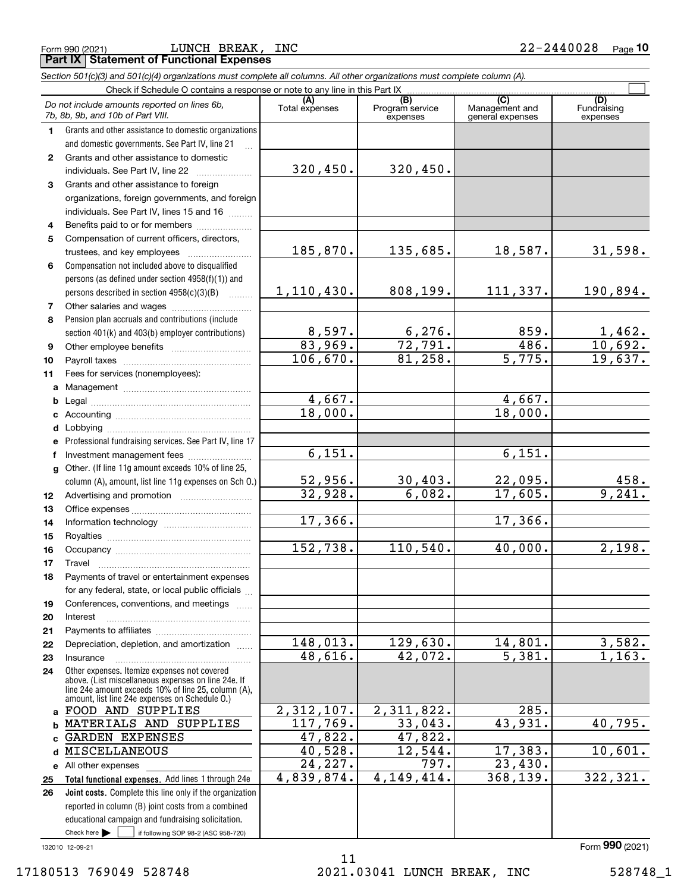|              | Section 501(c)(3) and 501(c)(4) organizations must complete all columns. All other organizations must complete column (A).                                                                                                                                          |                       |                                    |                                           |                                |
|--------------|---------------------------------------------------------------------------------------------------------------------------------------------------------------------------------------------------------------------------------------------------------------------|-----------------------|------------------------------------|-------------------------------------------|--------------------------------|
|              | Check if Schedule O contains a response or note to any line in this Part IX                                                                                                                                                                                         |                       |                                    |                                           |                                |
|              | Do not include amounts reported on lines 6b,<br>7b, 8b, 9b, and 10b of Part VIII.                                                                                                                                                                                   | (A)<br>Total expenses | (B)<br>Program service<br>expenses | (C)<br>Management and<br>general expenses | (D)<br>Fundraising<br>expenses |
| 1.           | Grants and other assistance to domestic organizations                                                                                                                                                                                                               |                       |                                    |                                           |                                |
|              | and domestic governments. See Part IV, line 21                                                                                                                                                                                                                      |                       |                                    |                                           |                                |
| $\mathbf{2}$ | Grants and other assistance to domestic                                                                                                                                                                                                                             |                       |                                    |                                           |                                |
|              | individuals. See Part IV, line 22<br>and a complete the complete state of the state of the state of the state of the state of the state of the state of the state of the state of the state of the state of the state of the state of the state of the state of the | 320, 450.             | 320,450.                           |                                           |                                |
| 3            | Grants and other assistance to foreign                                                                                                                                                                                                                              |                       |                                    |                                           |                                |
|              | organizations, foreign governments, and foreign                                                                                                                                                                                                                     |                       |                                    |                                           |                                |
|              | individuals. See Part IV, lines 15 and 16                                                                                                                                                                                                                           |                       |                                    |                                           |                                |
| 4            | Benefits paid to or for members                                                                                                                                                                                                                                     |                       |                                    |                                           |                                |
| 5            | Compensation of current officers, directors,                                                                                                                                                                                                                        |                       |                                    |                                           |                                |
|              |                                                                                                                                                                                                                                                                     | 185,870.              | 135,685.                           | 18,587.                                   | 31,598.                        |
| 6            | Compensation not included above to disqualified                                                                                                                                                                                                                     |                       |                                    |                                           |                                |
|              | persons (as defined under section 4958(f)(1)) and                                                                                                                                                                                                                   |                       |                                    |                                           |                                |
|              | persons described in section 4958(c)(3)(B)                                                                                                                                                                                                                          | 1,110,430.            | 808,199.                           | 111,337.                                  | 190,894.                       |
| 7            |                                                                                                                                                                                                                                                                     |                       |                                    |                                           |                                |
| 8            | Pension plan accruals and contributions (include                                                                                                                                                                                                                    |                       |                                    |                                           |                                |
|              | section 401(k) and 403(b) employer contributions)                                                                                                                                                                                                                   | 8,597.                | $\frac{6,276.72}{72,791.}$         | 859.                                      | 1,462.                         |
| 9            |                                                                                                                                                                                                                                                                     | $\frac{1}{83,969}$ .  |                                    | 486.                                      | 10,692.                        |
| 10           |                                                                                                                                                                                                                                                                     | 106,670.              | 81,258.                            | $\overline{5,775}$ .                      | 19,637.                        |
| 11           | Fees for services (nonemployees):                                                                                                                                                                                                                                   |                       |                                    |                                           |                                |
| a            |                                                                                                                                                                                                                                                                     |                       |                                    |                                           |                                |
| b            |                                                                                                                                                                                                                                                                     | 4,667.                |                                    | 4,667.                                    |                                |
| c            |                                                                                                                                                                                                                                                                     | 18,000.               |                                    | 18,000.                                   |                                |
| d            |                                                                                                                                                                                                                                                                     |                       |                                    |                                           |                                |
|              | Professional fundraising services. See Part IV, line 17                                                                                                                                                                                                             |                       |                                    |                                           |                                |
|              | Investment management fees                                                                                                                                                                                                                                          | 6,151.                |                                    | 6,151.                                    |                                |
| g            | Other. (If line 11g amount exceeds 10% of line 25,                                                                                                                                                                                                                  |                       |                                    |                                           |                                |
|              | column (A), amount, list line 11g expenses on Sch O.)                                                                                                                                                                                                               | 52,956.               | <u>30,403.</u>                     | $\frac{22,095.}{17,605.}$                 | 458.                           |
| 12           |                                                                                                                                                                                                                                                                     | 32,928.               | 6,082.                             |                                           | 9,241.                         |
| 13           |                                                                                                                                                                                                                                                                     |                       |                                    |                                           |                                |
| 14           |                                                                                                                                                                                                                                                                     | 17,366.               |                                    | 17,366.                                   |                                |
| 15           |                                                                                                                                                                                                                                                                     |                       |                                    |                                           |                                |
| 16           |                                                                                                                                                                                                                                                                     | 152,738.              | 110, 540.                          | 40,000.                                   | 2,198.                         |
| 17           |                                                                                                                                                                                                                                                                     |                       |                                    |                                           |                                |
| 18           | Payments of travel or entertainment expenses                                                                                                                                                                                                                        |                       |                                    |                                           |                                |
|              | for any federal, state, or local public officials                                                                                                                                                                                                                   |                       |                                    |                                           |                                |
| 19           | Conferences, conventions, and meetings                                                                                                                                                                                                                              |                       |                                    |                                           |                                |
| 20           | Interest                                                                                                                                                                                                                                                            |                       |                                    |                                           |                                |
| 21           |                                                                                                                                                                                                                                                                     |                       |                                    |                                           |                                |
| 22           | Depreciation, depletion, and amortization                                                                                                                                                                                                                           | 148,013.              | 129,630.                           | 14,801.                                   | 3,582.                         |
| 23           | Insurance                                                                                                                                                                                                                                                           | 48,616.               | 42,072.                            | $\overline{5,381}$ .                      | 1, 163.                        |
| 24           | Other expenses. Itemize expenses not covered<br>above. (List miscellaneous expenses on line 24e. If<br>line 24e amount exceeds 10% of line 25, column (A),<br>amount, list line 24e expenses on Schedule O.)                                                        |                       |                                    |                                           |                                |
| a            | FOOD AND SUPPLIES                                                                                                                                                                                                                                                   | 2,312,107.            | 2,311,822.                         | 285.                                      |                                |
|              | MATERIALS AND SUPPLIES                                                                                                                                                                                                                                              | 117,769.              | 33,043.                            | 43,931.                                   | 40,795.                        |
|              | <b>GARDEN EXPENSES</b>                                                                                                                                                                                                                                              | 47,822.               | 47,822.                            |                                           |                                |
| d            | MISCELLANEOUS                                                                                                                                                                                                                                                       | 40,528.               | 12,544.                            | 17,383.                                   | 10,601.                        |
|              | e All other expenses                                                                                                                                                                                                                                                | 24,227.               | 797.                               | 23,430.                                   |                                |
| 25           | Total functional expenses. Add lines 1 through 24e                                                                                                                                                                                                                  | 4,839,874.            | 4, 149, 414.                       | 368,139.                                  | 322, 321.                      |
| 26           | Joint costs. Complete this line only if the organization                                                                                                                                                                                                            |                       |                                    |                                           |                                |
|              | reported in column (B) joint costs from a combined                                                                                                                                                                                                                  |                       |                                    |                                           |                                |
|              | educational campaign and fundraising solicitation.                                                                                                                                                                                                                  |                       |                                    |                                           |                                |
|              | Check here $\blacktriangleright$<br>if following SOP 98-2 (ASC 958-720)                                                                                                                                                                                             |                       |                                    |                                           |                                |

132010 12-09-21

11 17180513 769049 528748 2021.03041 LUNCH BREAK, INC 528748\_1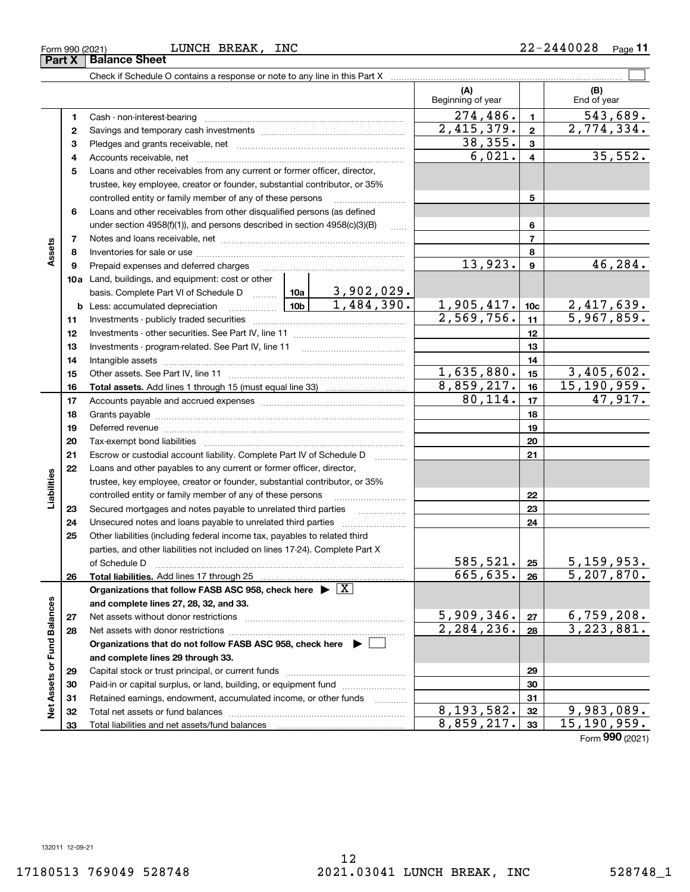|                             | Part X   | LUNCH BREAK, INC<br>Form 990 (2021)<br><b>Balance Sheet</b>                                                                                                                                                                    |                       |            |                            |              | $22 - 2440028$                            | Page 11  |
|-----------------------------|----------|--------------------------------------------------------------------------------------------------------------------------------------------------------------------------------------------------------------------------------|-----------------------|------------|----------------------------|--------------|-------------------------------------------|----------|
|                             |          |                                                                                                                                                                                                                                |                       |            |                            |              |                                           |          |
|                             |          |                                                                                                                                                                                                                                |                       |            | (A)<br>Beginning of year   |              | (B)<br>End of year                        |          |
|                             | 1        |                                                                                                                                                                                                                                |                       |            | 274,486.                   | $\mathbf{1}$ |                                           | 543,689. |
|                             | 2        |                                                                                                                                                                                                                                |                       |            | 2,415,379.                 | $\mathbf{2}$ | 2,774,334.                                |          |
|                             | 3        |                                                                                                                                                                                                                                |                       |            | 38,355.                    | 3            |                                           |          |
|                             | 4        |                                                                                                                                                                                                                                |                       |            | 6,021.                     | 4            |                                           | 35,552.  |
|                             | 5        | Loans and other receivables from any current or former officer, director,                                                                                                                                                      |                       |            |                            |              |                                           |          |
|                             |          | trustee, key employee, creator or founder, substantial contributor, or 35%                                                                                                                                                     |                       |            |                            |              |                                           |          |
|                             |          | controlled entity or family member of any of these persons <i>manufology</i> controlled                                                                                                                                        |                       |            |                            | 5            |                                           |          |
|                             | 6        | Loans and other receivables from other disqualified persons (as defined                                                                                                                                                        |                       |            |                            |              |                                           |          |
|                             |          | under section $4958(f)(1)$ , and persons described in section $4958(c)(3)(B)$                                                                                                                                                  |                       | $\sim$     |                            | 6            |                                           |          |
| Assets                      | 7        |                                                                                                                                                                                                                                |                       |            |                            | 7            |                                           |          |
|                             | 8        |                                                                                                                                                                                                                                |                       |            |                            | 8            |                                           |          |
|                             | 9        | Prepaid expenses and deferred charges [11] [11] [11] [12] [12] [12] [12] [13] [13] [13] [13] [13] [13] [13] [1                                                                                                                 |                       |            | 13,923.                    | 9            |                                           | 46,284.  |
|                             |          | <b>10a</b> Land, buildings, and equipment: cost or other                                                                                                                                                                       |                       |            |                            |              |                                           |          |
|                             |          | basis. Complete Part VI of Schedule D $\frac{10a}{3}$ , 902, 029.                                                                                                                                                              | 10 <sub>b</sub>       | 1,484,390. |                            |              |                                           |          |
|                             |          |                                                                                                                                                                                                                                | 1,905,417.            | 10c        | 2,417,639.                 |              |                                           |          |
|                             | 11       |                                                                                                                                                                                                                                | 2,569,756.            | 11         | $\overline{5,967},859.$    |              |                                           |          |
|                             | 12       |                                                                                                                                                                                                                                |                       |            | 12                         |              |                                           |          |
|                             | 13       |                                                                                                                                                                                                                                |                       |            | 13                         |              |                                           |          |
|                             | 14       |                                                                                                                                                                                                                                |                       |            | 14                         |              |                                           |          |
|                             | 15       |                                                                                                                                                                                                                                |                       | 1,635,880. | 15                         | 3,405,602.   |                                           |          |
|                             | 16       |                                                                                                                                                                                                                                | 8,859,217.<br>80,114. | 16         | 15,190,959.                | 47,917.      |                                           |          |
|                             | 17       |                                                                                                                                                                                                                                |                       |            | 17                         |              |                                           |          |
|                             | 18<br>19 |                                                                                                                                                                                                                                |                       |            |                            | 18<br>19     |                                           |          |
|                             | 20       | Deferred revenue manual contracts and contracts are contracted and contract and contract are contracted and contract are contracted and contract are contracted and contract are contracted and contract are contracted and co |                       |            |                            | 20           |                                           |          |
|                             | 21       | Escrow or custodial account liability. Complete Part IV of Schedule D                                                                                                                                                          |                       |            |                            | 21           |                                           |          |
|                             | 22       | Loans and other payables to any current or former officer, director,                                                                                                                                                           |                       |            |                            |              |                                           |          |
|                             |          | trustee, key employee, creator or founder, substantial contributor, or 35%                                                                                                                                                     |                       |            |                            |              |                                           |          |
| Liabilities                 |          | controlled entity or family member of any of these persons                                                                                                                                                                     |                       |            |                            | 22           |                                           |          |
|                             | 23       | Secured mortgages and notes payable to unrelated third parties                                                                                                                                                                 |                       |            |                            | 23           |                                           |          |
|                             | 24       |                                                                                                                                                                                                                                |                       |            |                            | 24           |                                           |          |
|                             | 25       | Other liabilities (including federal income tax, payables to related third                                                                                                                                                     |                       |            |                            |              |                                           |          |
|                             |          | parties, and other liabilities not included on lines 17-24). Complete Part X                                                                                                                                                   |                       |            |                            |              |                                           |          |
|                             |          | of Schedule D                                                                                                                                                                                                                  |                       |            | 585,521.                   | 25           | <u>5,159,953.</u>                         |          |
|                             | 26       | Total liabilities. Add lines 17 through 25                                                                                                                                                                                     |                       |            | 665,635.                   | 26           | $\overline{5,207},870.$                   |          |
|                             |          | Organizations that follow FASB ASC 958, check here $\blacktriangleright \boxed{X}$                                                                                                                                             |                       |            |                            |              |                                           |          |
|                             |          | and complete lines 27, 28, 32, and 33.                                                                                                                                                                                         |                       |            |                            |              |                                           |          |
|                             | 27       |                                                                                                                                                                                                                                |                       | 5,909,346. | 27                         | 6,759,208.   |                                           |          |
|                             | 28       | Net assets with donor restrictions [100] [2010] Net assets with donor restrictions [100] [2010] [2010] [2010] [                                                                                                                |                       |            | 2,284,236.                 | 28           | $\overline{3,223,881.}$                   |          |
|                             |          | Organizations that do not follow FASB ASC 958, check here $\blacktriangleright$                                                                                                                                                |                       |            |                            |              |                                           |          |
| Net Assets or Fund Balances |          | and complete lines 29 through 33.                                                                                                                                                                                              |                       |            |                            |              |                                           |          |
|                             | 29       |                                                                                                                                                                                                                                |                       |            |                            | 29           |                                           |          |
|                             | 30       | Paid-in or capital surplus, or land, building, or equipment fund                                                                                                                                                               |                       |            |                            | 30           |                                           |          |
|                             | 31       | Retained earnings, endowment, accumulated income, or other funds                                                                                                                                                               |                       |            |                            | 31           |                                           |          |
|                             | 32       |                                                                                                                                                                                                                                |                       |            | 8, 193, 582.<br>8,859,217. | 32<br>33     | 9,983,089.<br>$\overline{15}$ , 190, 959. |          |
|                             | 33       |                                                                                                                                                                                                                                |                       |            |                            |              |                                           |          |

Form (2021) **990**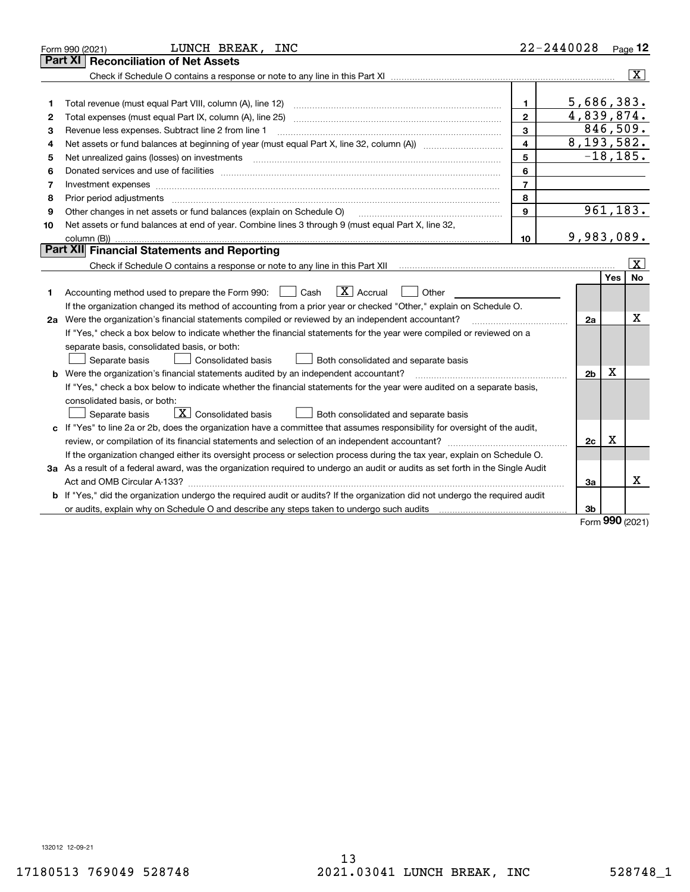|    | LUNCH BREAK, INC<br>Form 990 (2021)                                                                                                                                                                                            | 22-2440028     |                |     | Page 12                 |
|----|--------------------------------------------------------------------------------------------------------------------------------------------------------------------------------------------------------------------------------|----------------|----------------|-----|-------------------------|
|    | <b>Reconciliation of Net Assets</b><br>Part XI                                                                                                                                                                                 |                |                |     |                         |
|    |                                                                                                                                                                                                                                |                |                |     | $ \mathbf{X} $          |
|    |                                                                                                                                                                                                                                |                |                |     |                         |
| 1  | Total revenue (must equal Part VIII, column (A), line 12)                                                                                                                                                                      | $\mathbf{1}$   | 5,686,383.     |     |                         |
| 2  | Total expenses (must equal Part IX, column (A), line 25)                                                                                                                                                                       | $\mathbf{2}$   | 4,839,874.     |     |                         |
| 3  | Revenue less expenses. Subtract line 2 from line 1                                                                                                                                                                             | 3              |                |     | 846,509.                |
| 4  |                                                                                                                                                                                                                                | 4              | 8, 193, 582.   |     |                         |
| 5  | Net unrealized gains (losses) on investments                                                                                                                                                                                   | 5              |                |     | $-18, 185.$             |
| 6  | Donated services and use of facilities [111] matter contracts and the service of facilities [11] matter contracts and use of facilities [11] matter contracts and the service of facilities [11] matter contracts and the serv | 6              |                |     |                         |
| 7  |                                                                                                                                                                                                                                | $\overline{7}$ |                |     |                         |
| 8  | Prior period adjustments                                                                                                                                                                                                       | 8              |                |     |                         |
| 9  | Other changes in net assets or fund balances (explain on Schedule O)                                                                                                                                                           | $\mathbf{q}$   |                |     | 961, 183.               |
| 10 | Net assets or fund balances at end of year. Combine lines 3 through 9 (must equal Part X, line 32,                                                                                                                             |                |                |     |                         |
|    |                                                                                                                                                                                                                                | 10             | 9,983,089.     |     |                         |
|    | Part XII Financial Statements and Reporting                                                                                                                                                                                    |                |                |     |                         |
|    |                                                                                                                                                                                                                                |                |                |     | $\overline{\mathbf{X}}$ |
|    |                                                                                                                                                                                                                                |                |                | Yes | No                      |
| 1. | $ X $ Accrual<br>Accounting method used to prepare the Form 990: <u>I</u> Cash<br>Other                                                                                                                                        |                |                |     |                         |
|    | If the organization changed its method of accounting from a prior year or checked "Other," explain on Schedule O.                                                                                                              |                |                |     |                         |
|    | 2a Were the organization's financial statements compiled or reviewed by an independent accountant?                                                                                                                             |                | 2a             |     | x                       |
|    | If "Yes," check a box below to indicate whether the financial statements for the year were compiled or reviewed on a                                                                                                           |                |                |     |                         |
|    | separate basis, consolidated basis, or both:                                                                                                                                                                                   |                |                |     |                         |
|    | Separate basis<br><b>Consolidated basis</b><br>Both consolidated and separate basis                                                                                                                                            |                |                |     |                         |
|    | <b>b</b> Were the organization's financial statements audited by an independent accountant?                                                                                                                                    |                | 2 <sub>b</sub> | X   |                         |
|    | If "Yes," check a box below to indicate whether the financial statements for the year were audited on a separate basis,                                                                                                        |                |                |     |                         |
|    | consolidated basis, or both:                                                                                                                                                                                                   |                |                |     |                         |
|    | $\mathbf{X}$ Consolidated basis<br>Both consolidated and separate basis<br>Separate basis                                                                                                                                      |                |                |     |                         |
|    | c If "Yes" to line 2a or 2b, does the organization have a committee that assumes responsibility for oversight of the audit,                                                                                                    |                |                |     |                         |
|    | review, or compilation of its financial statements and selection of an independent accountant?                                                                                                                                 |                | 2c             | x   |                         |
|    | If the organization changed either its oversight process or selection process during the tax year, explain on Schedule O.                                                                                                      |                |                |     |                         |
|    | 3a As a result of a federal award, was the organization required to undergo an audit or audits as set forth in the Single Audit                                                                                                |                |                |     |                         |
|    |                                                                                                                                                                                                                                |                | 3a             |     | х                       |
|    | b If "Yes," did the organization undergo the required audit or audits? If the organization did not undergo the required audit                                                                                                  |                |                |     |                         |
|    | or audits, explain why on Schedule O and describe any steps taken to undergo such audits matures and the contex-                                                                                                               |                | 3b             | nnn |                         |

Form (2021) **990**

132012 12-09-21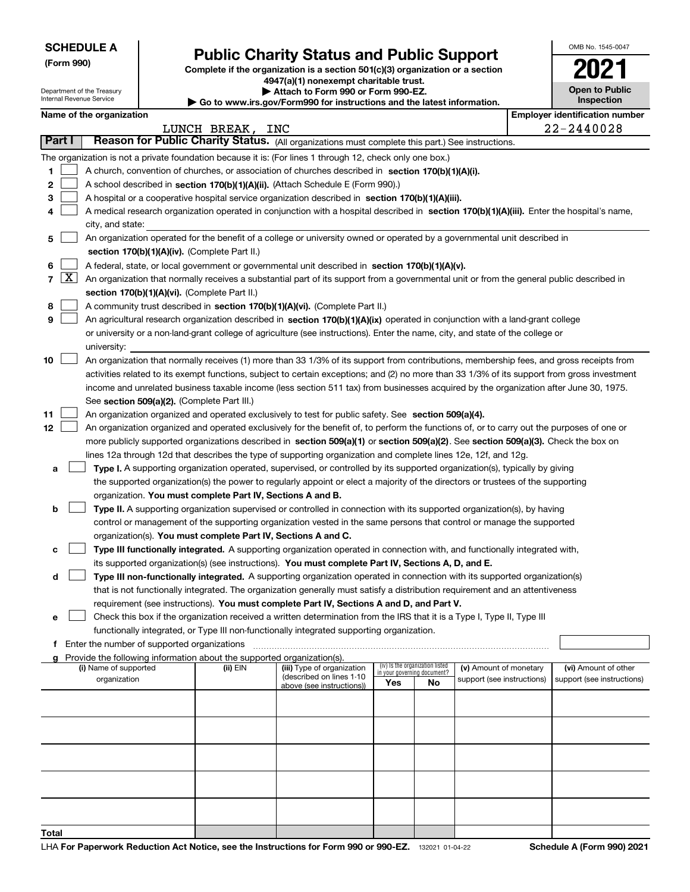Department of the Treasury Internal Revenue Service

**(Form 990)**

# **Public Charity Status and Public Support**

**Complete if the organization is a section 501(c)(3) organization or a section 4947(a)(1) nonexempt charitable trust.**

**| Attach to Form 990 or Form 990-EZ.** 

**| Go to www.irs.gov/Form990 for instructions and the latest information.**

| OMB No 1545-0047      |
|-----------------------|
| 202                   |
| <b>Open to Public</b> |

**Inspection**

| er identification numb |  |
|------------------------|--|

|  |  | Name of the organization |
|--|--|--------------------------|
|--|--|--------------------------|

|                | <b>Employer identification number</b><br>Name of the organization |                                                                                                                                                                                                                                                                 |                                                                                                                         |                            |                                    |                                 |                            |  |                            |  |
|----------------|-------------------------------------------------------------------|-----------------------------------------------------------------------------------------------------------------------------------------------------------------------------------------------------------------------------------------------------------------|-------------------------------------------------------------------------------------------------------------------------|----------------------------|------------------------------------|---------------------------------|----------------------------|--|----------------------------|--|
| Part I         |                                                                   |                                                                                                                                                                                                                                                                 | LUNCH BREAK,<br>INC<br>Reason for Public Charity Status. (All organizations must complete this part.) See instructions. |                            |                                    |                                 |                            |  | 22-2440028                 |  |
|                |                                                                   |                                                                                                                                                                                                                                                                 |                                                                                                                         |                            |                                    |                                 |                            |  |                            |  |
|                |                                                                   | The organization is not a private foundation because it is: (For lines 1 through 12, check only one box.)                                                                                                                                                       |                                                                                                                         |                            |                                    |                                 |                            |  |                            |  |
| 1.             |                                                                   | A church, convention of churches, or association of churches described in section 170(b)(1)(A)(i).                                                                                                                                                              |                                                                                                                         |                            |                                    |                                 |                            |  |                            |  |
| 2              |                                                                   | A school described in section 170(b)(1)(A)(ii). (Attach Schedule E (Form 990).)                                                                                                                                                                                 |                                                                                                                         |                            |                                    |                                 |                            |  |                            |  |
| з              |                                                                   | A hospital or a cooperative hospital service organization described in section 170(b)(1)(A)(iii).                                                                                                                                                               |                                                                                                                         |                            |                                    |                                 |                            |  |                            |  |
| 4              |                                                                   | A medical research organization operated in conjunction with a hospital described in section 170(b)(1)(A)(iii). Enter the hospital's name,                                                                                                                      |                                                                                                                         |                            |                                    |                                 |                            |  |                            |  |
|                |                                                                   | city, and state:                                                                                                                                                                                                                                                |                                                                                                                         |                            |                                    |                                 |                            |  |                            |  |
| 5              |                                                                   | An organization operated for the benefit of a college or university owned or operated by a governmental unit described in                                                                                                                                       |                                                                                                                         |                            |                                    |                                 |                            |  |                            |  |
|                |                                                                   | section 170(b)(1)(A)(iv). (Complete Part II.)                                                                                                                                                                                                                   |                                                                                                                         |                            |                                    |                                 |                            |  |                            |  |
| 6              |                                                                   | A federal, state, or local government or governmental unit described in section 170(b)(1)(A)(v).<br>$X$ An organization that normally receives a substantial part of its support from a governmental unit or from the general public described in               |                                                                                                                         |                            |                                    |                                 |                            |  |                            |  |
| $\overline{7}$ |                                                                   |                                                                                                                                                                                                                                                                 |                                                                                                                         |                            |                                    |                                 |                            |  |                            |  |
|                |                                                                   | section 170(b)(1)(A)(vi). (Complete Part II.)                                                                                                                                                                                                                   |                                                                                                                         |                            |                                    |                                 |                            |  |                            |  |
| 8<br>9         |                                                                   | A community trust described in section 170(b)(1)(A)(vi). (Complete Part II.)                                                                                                                                                                                    |                                                                                                                         |                            |                                    |                                 |                            |  |                            |  |
|                |                                                                   | An agricultural research organization described in section 170(b)(1)(A)(ix) operated in conjunction with a land-grant college<br>or university or a non-land-grant college of agriculture (see instructions). Enter the name, city, and state of the college or |                                                                                                                         |                            |                                    |                                 |                            |  |                            |  |
|                |                                                                   | university:                                                                                                                                                                                                                                                     |                                                                                                                         |                            |                                    |                                 |                            |  |                            |  |
| 10             |                                                                   | An organization that normally receives (1) more than 33 1/3% of its support from contributions, membership fees, and gross receipts from                                                                                                                        |                                                                                                                         |                            |                                    |                                 |                            |  |                            |  |
|                |                                                                   | activities related to its exempt functions, subject to certain exceptions; and (2) no more than 33 1/3% of its support from gross investment                                                                                                                    |                                                                                                                         |                            |                                    |                                 |                            |  |                            |  |
|                |                                                                   | income and unrelated business taxable income (less section 511 tax) from businesses acquired by the organization after June 30, 1975.                                                                                                                           |                                                                                                                         |                            |                                    |                                 |                            |  |                            |  |
|                |                                                                   | See section 509(a)(2). (Complete Part III.)                                                                                                                                                                                                                     |                                                                                                                         |                            |                                    |                                 |                            |  |                            |  |
| 11             |                                                                   | An organization organized and operated exclusively to test for public safety. See section 509(a)(4).                                                                                                                                                            |                                                                                                                         |                            |                                    |                                 |                            |  |                            |  |
| 12             |                                                                   | An organization organized and operated exclusively for the benefit of, to perform the functions of, or to carry out the purposes of one or                                                                                                                      |                                                                                                                         |                            |                                    |                                 |                            |  |                            |  |
|                |                                                                   | more publicly supported organizations described in section $509(a)(1)$ or section $509(a)(2)$ . See section $509(a)(3)$ . Check the box on                                                                                                                      |                                                                                                                         |                            |                                    |                                 |                            |  |                            |  |
|                |                                                                   | lines 12a through 12d that describes the type of supporting organization and complete lines 12e, 12f, and 12g.                                                                                                                                                  |                                                                                                                         |                            |                                    |                                 |                            |  |                            |  |
| а              |                                                                   | Type I. A supporting organization operated, supervised, or controlled by its supported organization(s), typically by giving                                                                                                                                     |                                                                                                                         |                            |                                    |                                 |                            |  |                            |  |
|                |                                                                   | the supported organization(s) the power to regularly appoint or elect a majority of the directors or trustees of the supporting                                                                                                                                 |                                                                                                                         |                            |                                    |                                 |                            |  |                            |  |
|                |                                                                   | organization. You must complete Part IV, Sections A and B.                                                                                                                                                                                                      |                                                                                                                         |                            |                                    |                                 |                            |  |                            |  |
| b              |                                                                   | Type II. A supporting organization supervised or controlled in connection with its supported organization(s), by having                                                                                                                                         |                                                                                                                         |                            |                                    |                                 |                            |  |                            |  |
|                |                                                                   | control or management of the supporting organization vested in the same persons that control or manage the supported                                                                                                                                            |                                                                                                                         |                            |                                    |                                 |                            |  |                            |  |
|                |                                                                   | organization(s). You must complete Part IV, Sections A and C.                                                                                                                                                                                                   |                                                                                                                         |                            |                                    |                                 |                            |  |                            |  |
| с              |                                                                   | Type III functionally integrated. A supporting organization operated in connection with, and functionally integrated with,                                                                                                                                      |                                                                                                                         |                            |                                    |                                 |                            |  |                            |  |
|                |                                                                   | its supported organization(s) (see instructions). You must complete Part IV, Sections A, D, and E.                                                                                                                                                              |                                                                                                                         |                            |                                    |                                 |                            |  |                            |  |
| d              |                                                                   | Type III non-functionally integrated. A supporting organization operated in connection with its supported organization(s)                                                                                                                                       |                                                                                                                         |                            |                                    |                                 |                            |  |                            |  |
|                |                                                                   | that is not functionally integrated. The organization generally must satisfy a distribution requirement and an attentiveness                                                                                                                                    |                                                                                                                         |                            |                                    |                                 |                            |  |                            |  |
|                |                                                                   | requirement (see instructions). You must complete Part IV, Sections A and D, and Part V.                                                                                                                                                                        |                                                                                                                         |                            |                                    |                                 |                            |  |                            |  |
|                |                                                                   | Check this box if the organization received a written determination from the IRS that it is a Type I, Type II, Type III                                                                                                                                         |                                                                                                                         |                            |                                    |                                 |                            |  |                            |  |
|                |                                                                   | functionally integrated, or Type III non-functionally integrated supporting organization.                                                                                                                                                                       |                                                                                                                         |                            |                                    |                                 |                            |  |                            |  |
| f              |                                                                   | Enter the number of supported organizations                                                                                                                                                                                                                     |                                                                                                                         |                            |                                    |                                 |                            |  |                            |  |
|                |                                                                   | Provide the following information about the supported organization(s).<br>(i) Name of supported                                                                                                                                                                 | (ii) EIN                                                                                                                | (iii) Type of organization |                                    | (iv) Is the organization listed | (v) Amount of monetary     |  | (vi) Amount of other       |  |
|                |                                                                   | organization                                                                                                                                                                                                                                                    |                                                                                                                         | (described on lines 1-10   | in your governing document?<br>Yes | No                              | support (see instructions) |  | support (see instructions) |  |
|                |                                                                   |                                                                                                                                                                                                                                                                 |                                                                                                                         | above (see instructions))  |                                    |                                 |                            |  |                            |  |
|                |                                                                   |                                                                                                                                                                                                                                                                 |                                                                                                                         |                            |                                    |                                 |                            |  |                            |  |
|                |                                                                   |                                                                                                                                                                                                                                                                 |                                                                                                                         |                            |                                    |                                 |                            |  |                            |  |
|                |                                                                   |                                                                                                                                                                                                                                                                 |                                                                                                                         |                            |                                    |                                 |                            |  |                            |  |
|                |                                                                   |                                                                                                                                                                                                                                                                 |                                                                                                                         |                            |                                    |                                 |                            |  |                            |  |
|                |                                                                   |                                                                                                                                                                                                                                                                 |                                                                                                                         |                            |                                    |                                 |                            |  |                            |  |
|                |                                                                   |                                                                                                                                                                                                                                                                 |                                                                                                                         |                            |                                    |                                 |                            |  |                            |  |
|                |                                                                   |                                                                                                                                                                                                                                                                 |                                                                                                                         |                            |                                    |                                 |                            |  |                            |  |
|                |                                                                   |                                                                                                                                                                                                                                                                 |                                                                                                                         |                            |                                    |                                 |                            |  |                            |  |
|                |                                                                   |                                                                                                                                                                                                                                                                 |                                                                                                                         |                            |                                    |                                 |                            |  |                            |  |
| Total          |                                                                   |                                                                                                                                                                                                                                                                 |                                                                                                                         |                            |                                    |                                 |                            |  |                            |  |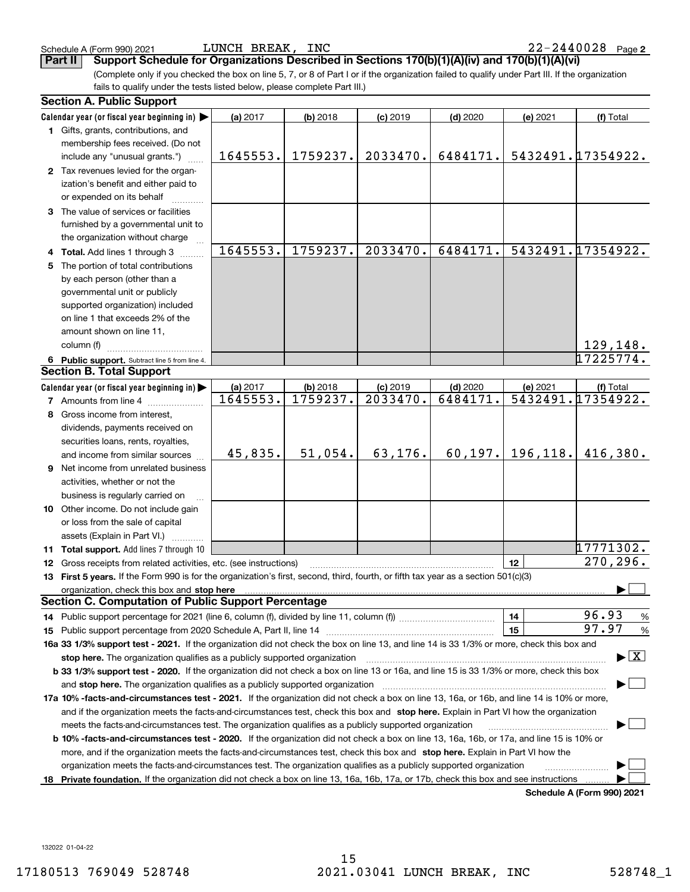Schedule A (Form 990) 2021 LUNCH BREAK, INC LUNCH BREAK,

**2**

(Complete only if you checked the box on line 5, 7, or 8 of Part I or if the organization failed to qualify under Part III. If the organization fails to qualify under the tests listed below, please complete Part III.) **Part II Support Schedule for Organizations Described in Sections 170(b)(1)(A)(iv) and 170(b)(1)(A)(vi)**

| <b>Section A. Public Support</b>                                                                                                                                                                                                                                                                                |          |            |            |            |           |                   |
|-----------------------------------------------------------------------------------------------------------------------------------------------------------------------------------------------------------------------------------------------------------------------------------------------------------------|----------|------------|------------|------------|-----------|-------------------|
| Calendar year (or fiscal year beginning in) $\blacktriangleright$                                                                                                                                                                                                                                               | (a) 2017 | (b) 2018   | $(c)$ 2019 | $(d)$ 2020 | (e) 2021  | (f) Total         |
| 1 Gifts, grants, contributions, and                                                                                                                                                                                                                                                                             |          |            |            |            |           |                   |
| membership fees received. (Do not                                                                                                                                                                                                                                                                               |          |            |            |            |           |                   |
| include any "unusual grants.")                                                                                                                                                                                                                                                                                  | 1645553. | 1759237.   | 2033470.   | 6484171.   |           | 5432491.17354922. |
| 2 Tax revenues levied for the organ-                                                                                                                                                                                                                                                                            |          |            |            |            |           |                   |
| ization's benefit and either paid to                                                                                                                                                                                                                                                                            |          |            |            |            |           |                   |
| or expended on its behalf                                                                                                                                                                                                                                                                                       |          |            |            |            |           |                   |
| 3 The value of services or facilities                                                                                                                                                                                                                                                                           |          |            |            |            |           |                   |
| furnished by a governmental unit to                                                                                                                                                                                                                                                                             |          |            |            |            |           |                   |
| the organization without charge                                                                                                                                                                                                                                                                                 |          |            |            |            |           |                   |
| 4 Total. Add lines 1 through 3                                                                                                                                                                                                                                                                                  | 1645553. | 1759237.   | 2033470.   | 6484171.   |           | 5432491.17354922. |
| 5 The portion of total contributions                                                                                                                                                                                                                                                                            |          |            |            |            |           |                   |
| by each person (other than a                                                                                                                                                                                                                                                                                    |          |            |            |            |           |                   |
| governmental unit or publicly                                                                                                                                                                                                                                                                                   |          |            |            |            |           |                   |
| supported organization) included                                                                                                                                                                                                                                                                                |          |            |            |            |           |                   |
| on line 1 that exceeds 2% of the                                                                                                                                                                                                                                                                                |          |            |            |            |           |                   |
| amount shown on line 11,                                                                                                                                                                                                                                                                                        |          |            |            |            |           |                   |
| column (f)                                                                                                                                                                                                                                                                                                      |          |            |            |            |           | 129,148.          |
| 6 Public support. Subtract line 5 from line 4.                                                                                                                                                                                                                                                                  |          |            |            |            |           | 17225774.         |
| <b>Section B. Total Support</b>                                                                                                                                                                                                                                                                                 |          |            |            |            |           |                   |
| Calendar year (or fiscal year beginning in) $\blacktriangleright$                                                                                                                                                                                                                                               | (a) 2017 | $(b)$ 2018 | $(c)$ 2019 | $(d)$ 2020 | (e) 2021  | (f) Total         |
| 7 Amounts from line 4<br>and a complete and a complete the                                                                                                                                                                                                                                                      | 1645553. | 1759237.   | 2033470.   | 6484171.   |           | 5432491.17354922. |
| 8 Gross income from interest,                                                                                                                                                                                                                                                                                   |          |            |            |            |           |                   |
| dividends, payments received on                                                                                                                                                                                                                                                                                 |          |            |            |            |           |                   |
| securities loans, rents, royalties,                                                                                                                                                                                                                                                                             |          |            |            |            |           |                   |
| and income from similar sources                                                                                                                                                                                                                                                                                 | 45,835.  | 51,054.    | 63,176.    | 60, 197.   | 196, 118. | 416,380.          |
| <b>9</b> Net income from unrelated business                                                                                                                                                                                                                                                                     |          |            |            |            |           |                   |
| activities, whether or not the                                                                                                                                                                                                                                                                                  |          |            |            |            |           |                   |
| business is regularly carried on                                                                                                                                                                                                                                                                                |          |            |            |            |           |                   |
| 10 Other income. Do not include gain                                                                                                                                                                                                                                                                            |          |            |            |            |           |                   |
| or loss from the sale of capital                                                                                                                                                                                                                                                                                |          |            |            |            |           |                   |
| assets (Explain in Part VI.)                                                                                                                                                                                                                                                                                    |          |            |            |            |           | 17771302.         |
| 11 Total support. Add lines 7 through 10                                                                                                                                                                                                                                                                        |          |            |            |            | 12        | 270, 296.         |
| 12 Gross receipts from related activities, etc. (see instructions)<br>13 First 5 years. If the Form 990 is for the organization's first, second, third, fourth, or fifth tax year as a section 501(c)(3)                                                                                                        |          |            |            |            |           |                   |
|                                                                                                                                                                                                                                                                                                                 |          |            |            |            |           | ▶                 |
| <b>Section C. Computation of Public Support Percentage</b>                                                                                                                                                                                                                                                      |          |            |            |            |           |                   |
|                                                                                                                                                                                                                                                                                                                 |          |            |            |            | 14        | 96.93<br>%        |
|                                                                                                                                                                                                                                                                                                                 |          |            |            |            | 15        | 97.97<br>$\%$     |
|                                                                                                                                                                                                                                                                                                                 |          |            |            |            |           |                   |
| 16a 33 1/3% support test - 2021. If the organization did not check the box on line 13, and line 14 is 33 1/3% or more, check this box and<br>$\blacktriangleright$ $\boxed{\text{X}}$<br>stop here. The organization qualifies as a publicly supported organization manufaction manufacture or the organization |          |            |            |            |           |                   |
| b 33 1/3% support test - 2020. If the organization did not check a box on line 13 or 16a, and line 15 is 33 1/3% or more, check this box                                                                                                                                                                        |          |            |            |            |           |                   |
|                                                                                                                                                                                                                                                                                                                 |          |            |            |            |           |                   |
| 17a 10% -facts-and-circumstances test - 2021. If the organization did not check a box on line 13, 16a, or 16b, and line 14 is 10% or more,                                                                                                                                                                      |          |            |            |            |           |                   |
| and if the organization meets the facts-and-circumstances test, check this box and stop here. Explain in Part VI how the organization                                                                                                                                                                           |          |            |            |            |           |                   |
| meets the facts-and-circumstances test. The organization qualifies as a publicly supported organization                                                                                                                                                                                                         |          |            |            |            |           |                   |
| <b>b 10% -facts-and-circumstances test - 2020.</b> If the organization did not check a box on line 13, 16a, 16b, or 17a, and line 15 is 10% or                                                                                                                                                                  |          |            |            |            |           |                   |
| more, and if the organization meets the facts-and-circumstances test, check this box and stop here. Explain in Part VI how the                                                                                                                                                                                  |          |            |            |            |           |                   |
| organization meets the facts-and-circumstances test. The organization qualifies as a publicly supported organization                                                                                                                                                                                            |          |            |            |            |           |                   |
| 18 Private foundation. If the organization did not check a box on line 13, 16a, 16b, 17a, or 17b, check this box and see instructions                                                                                                                                                                           |          |            |            |            |           |                   |

**Schedule A (Form 990) 2021**

132022 01-04-22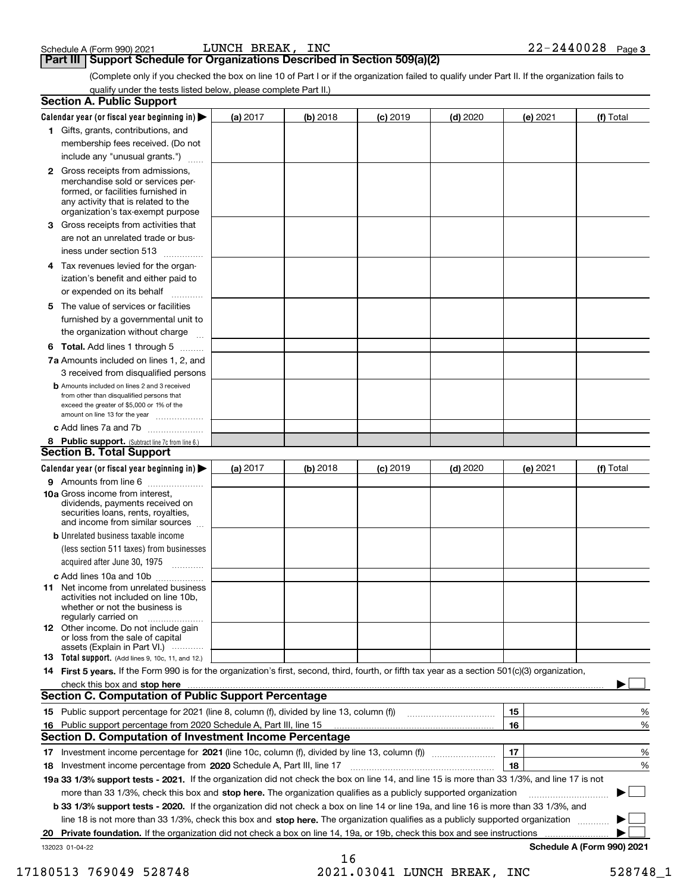**Part III Support Schedule for Organizations Described in Section 509(a)(2)** 

(Complete only if you checked the box on line 10 of Part I or if the organization failed to qualify under Part II. If the organization fails to qualify under the tests listed below, please complete Part II.)

|    | <b>Section A. Public Support</b>                                                                                                                                                                |          |          |                 |            |          |                            |
|----|-------------------------------------------------------------------------------------------------------------------------------------------------------------------------------------------------|----------|----------|-----------------|------------|----------|----------------------------|
|    | Calendar year (or fiscal year beginning in) $\blacktriangleright$                                                                                                                               | (a) 2017 | (b) 2018 | <b>(c)</b> 2019 | $(d)$ 2020 | (e) 2021 | (f) Total                  |
|    | 1 Gifts, grants, contributions, and                                                                                                                                                             |          |          |                 |            |          |                            |
|    | membership fees received. (Do not                                                                                                                                                               |          |          |                 |            |          |                            |
|    | include any "unusual grants.")                                                                                                                                                                  |          |          |                 |            |          |                            |
|    | <b>2</b> Gross receipts from admissions,<br>merchandise sold or services per-<br>formed, or facilities furnished in<br>any activity that is related to the<br>organization's tax-exempt purpose |          |          |                 |            |          |                            |
|    | 3 Gross receipts from activities that                                                                                                                                                           |          |          |                 |            |          |                            |
|    | are not an unrelated trade or bus-                                                                                                                                                              |          |          |                 |            |          |                            |
|    | iness under section 513                                                                                                                                                                         |          |          |                 |            |          |                            |
|    | 4 Tax revenues levied for the organ-                                                                                                                                                            |          |          |                 |            |          |                            |
|    | ization's benefit and either paid to<br>or expended on its behalf<br>.                                                                                                                          |          |          |                 |            |          |                            |
|    | 5 The value of services or facilities                                                                                                                                                           |          |          |                 |            |          |                            |
|    | furnished by a governmental unit to                                                                                                                                                             |          |          |                 |            |          |                            |
|    | the organization without charge                                                                                                                                                                 |          |          |                 |            |          |                            |
|    | <b>6 Total.</b> Add lines 1 through 5 $\dots$                                                                                                                                                   |          |          |                 |            |          |                            |
|    | 7a Amounts included on lines 1, 2, and<br>3 received from disqualified persons                                                                                                                  |          |          |                 |            |          |                            |
|    | <b>b</b> Amounts included on lines 2 and 3 received<br>from other than disqualified persons that<br>exceed the greater of \$5,000 or 1% of the<br>amount on line 13 for the year                |          |          |                 |            |          |                            |
|    | c Add lines 7a and 7b                                                                                                                                                                           |          |          |                 |            |          |                            |
|    | 8 Public support. (Subtract line 7c from line 6.)<br><b>Section B. Total Support</b>                                                                                                            |          |          |                 |            |          |                            |
|    | Calendar year (or fiscal year beginning in)                                                                                                                                                     | (a) 2017 | (b) 2018 | <b>(c)</b> 2019 | $(d)$ 2020 | (e) 2021 | (f) Total                  |
|    | 9 Amounts from line 6                                                                                                                                                                           |          |          |                 |            |          |                            |
|    | 10a Gross income from interest,<br>dividends, payments received on<br>securities loans, rents, royalties,<br>and income from similar sources                                                    |          |          |                 |            |          |                            |
|    | <b>b</b> Unrelated business taxable income                                                                                                                                                      |          |          |                 |            |          |                            |
|    | (less section 511 taxes) from businesses<br>acquired after June 30, 1975 [10001]                                                                                                                |          |          |                 |            |          |                            |
|    | c Add lines 10a and 10b                                                                                                                                                                         |          |          |                 |            |          |                            |
|    | 11 Net income from unrelated business<br>activities not included on line 10b,<br>whether or not the business is<br>regularly carried on                                                         |          |          |                 |            |          |                            |
|    | 12 Other income. Do not include gain<br>or loss from the sale of capital<br>assets (Explain in Part VI.)                                                                                        |          |          |                 |            |          |                            |
|    | 13 Total support. (Add lines 9, 10c, 11, and 12.)                                                                                                                                               |          |          |                 |            |          |                            |
|    | 14 First 5 years. If the Form 990 is for the organization's first, second, third, fourth, or fifth tax year as a section 501(c)(3) organization,                                                |          |          |                 |            |          |                            |
|    | check this box and stop here <b>manufacture and contained and stop here</b> check this box and stop here <b>manufacture</b>                                                                     |          |          |                 |            |          |                            |
|    | <b>Section C. Computation of Public Support Percentage</b>                                                                                                                                      |          |          |                 |            |          |                            |
|    |                                                                                                                                                                                                 |          |          |                 |            | 15       | %                          |
| 16 | Public support percentage from 2020 Schedule A, Part III, line 15                                                                                                                               |          |          |                 |            | 16       | %                          |
|    | <b>Section D. Computation of Investment Income Percentage</b>                                                                                                                                   |          |          |                 |            |          |                            |
|    | 17 Investment income percentage for 2021 (line 10c, column (f), divided by line 13, column (f))                                                                                                 |          |          |                 |            | 17       | %                          |
|    | 18 Investment income percentage from 2020 Schedule A, Part III, line 17                                                                                                                         |          |          |                 |            | 18       | %                          |
|    | 19a 33 1/3% support tests - 2021. If the organization did not check the box on line 14, and line 15 is more than 33 1/3%, and line 17 is not                                                    |          |          |                 |            |          |                            |
|    | more than 33 1/3%, check this box and stop here. The organization qualifies as a publicly supported organization                                                                                |          |          |                 |            |          |                            |
|    | b 33 1/3% support tests - 2020. If the organization did not check a box on line 14 or line 19a, and line 16 is more than 33 1/3%, and                                                           |          |          |                 |            |          |                            |
|    | line 18 is not more than 33 1/3%, check this box and stop here. The organization qualifies as a publicly supported organization                                                                 |          |          |                 |            |          |                            |
| 20 | Private foundation. If the organization did not check a box on line 14, 19a, or 19b, check this box and see instructions                                                                        |          |          |                 |            |          |                            |
|    | 132023 01-04-22                                                                                                                                                                                 |          |          |                 |            |          | Schedule A (Form 990) 2021 |
|    |                                                                                                                                                                                                 |          | 16       |                 |            |          |                            |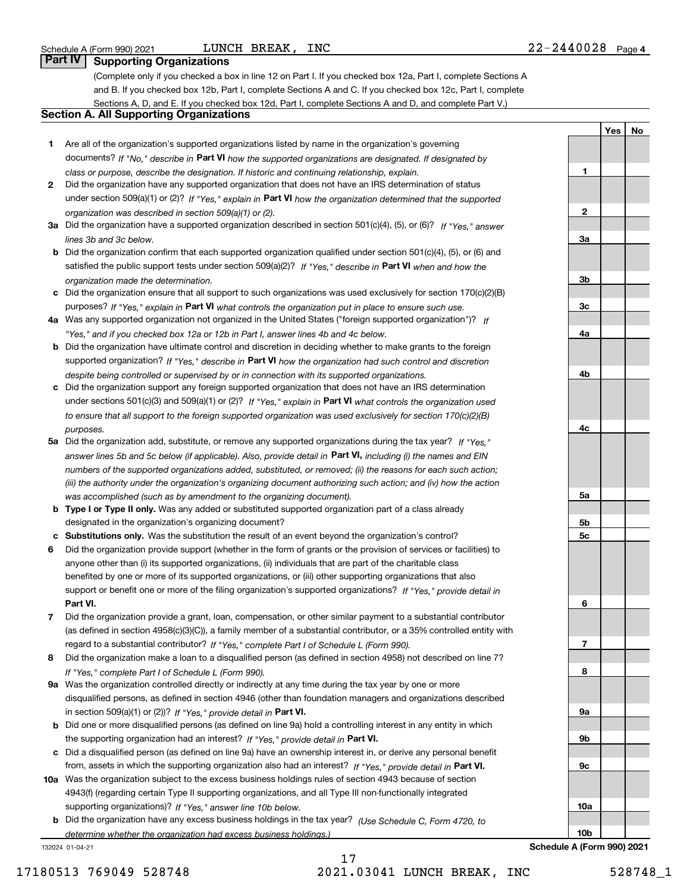| LUNCH BREAK, | INC | $22 - 2440028$ | Page 4 |
|--------------|-----|----------------|--------|
|--------------|-----|----------------|--------|

**1**

**2**

**3a**

**3b**

**3c**

**4a**

**4b**

**4c**

**5a**

**5b5c**

**6**

**7**

**8**

**9a**

**9b**

**9c**

**10a**

**10b**

**YesNo**

## **Part IV Supporting Organizations**

(Complete only if you checked a box in line 12 on Part I. If you checked box 12a, Part I, complete Sections A and B. If you checked box 12b, Part I, complete Sections A and C. If you checked box 12c, Part I, complete Sections A, D, and E. If you checked box 12d, Part I, complete Sections A and D, and complete Part V.)

### **Section A. All Supporting Organizations**

- **1** Are all of the organization's supported organizations listed by name in the organization's governing documents? If "No," describe in **Part VI** how the supported organizations are designated. If designated by *class or purpose, describe the designation. If historic and continuing relationship, explain.*
- **2** Did the organization have any supported organization that does not have an IRS determination of status under section 509(a)(1) or (2)? If "Yes," explain in Part VI how the organization determined that the supported *organization was described in section 509(a)(1) or (2).*
- **3a** Did the organization have a supported organization described in section 501(c)(4), (5), or (6)? If "Yes," answer *lines 3b and 3c below.*
- **b** Did the organization confirm that each supported organization qualified under section 501(c)(4), (5), or (6) and satisfied the public support tests under section 509(a)(2)? If "Yes," describe in **Part VI** when and how the *organization made the determination.*
- **c**Did the organization ensure that all support to such organizations was used exclusively for section 170(c)(2)(B) purposes? If "Yes," explain in **Part VI** what controls the organization put in place to ensure such use.
- **4a***If* Was any supported organization not organized in the United States ("foreign supported organization")? *"Yes," and if you checked box 12a or 12b in Part I, answer lines 4b and 4c below.*
- **b** Did the organization have ultimate control and discretion in deciding whether to make grants to the foreign supported organization? If "Yes," describe in **Part VI** how the organization had such control and discretion *despite being controlled or supervised by or in connection with its supported organizations.*
- **c** Did the organization support any foreign supported organization that does not have an IRS determination under sections 501(c)(3) and 509(a)(1) or (2)? If "Yes," explain in **Part VI** what controls the organization used *to ensure that all support to the foreign supported organization was used exclusively for section 170(c)(2)(B) purposes.*
- **5a** Did the organization add, substitute, or remove any supported organizations during the tax year? If "Yes," answer lines 5b and 5c below (if applicable). Also, provide detail in **Part VI,** including (i) the names and EIN *numbers of the supported organizations added, substituted, or removed; (ii) the reasons for each such action; (iii) the authority under the organization's organizing document authorizing such action; and (iv) how the action was accomplished (such as by amendment to the organizing document).*
- **b** Type I or Type II only. Was any added or substituted supported organization part of a class already designated in the organization's organizing document?
- **cSubstitutions only.**  Was the substitution the result of an event beyond the organization's control?
- **6** Did the organization provide support (whether in the form of grants or the provision of services or facilities) to **Part VI.** *If "Yes," provide detail in* support or benefit one or more of the filing organization's supported organizations? anyone other than (i) its supported organizations, (ii) individuals that are part of the charitable class benefited by one or more of its supported organizations, or (iii) other supporting organizations that also
- **7**Did the organization provide a grant, loan, compensation, or other similar payment to a substantial contributor *If "Yes," complete Part I of Schedule L (Form 990).* regard to a substantial contributor? (as defined in section 4958(c)(3)(C)), a family member of a substantial contributor, or a 35% controlled entity with
- **8** Did the organization make a loan to a disqualified person (as defined in section 4958) not described on line 7? *If "Yes," complete Part I of Schedule L (Form 990).*
- **9a** Was the organization controlled directly or indirectly at any time during the tax year by one or more in section 509(a)(1) or (2))? If "Yes," *provide detail in* <code>Part VI.</code> disqualified persons, as defined in section 4946 (other than foundation managers and organizations described
- **b**the supporting organization had an interest? If "Yes," provide detail in P**art VI**. Did one or more disqualified persons (as defined on line 9a) hold a controlling interest in any entity in which
- **c**Did a disqualified person (as defined on line 9a) have an ownership interest in, or derive any personal benefit from, assets in which the supporting organization also had an interest? If "Yes," provide detail in P**art VI.**
- **10a** Was the organization subject to the excess business holdings rules of section 4943 because of section supporting organizations)? If "Yes," answer line 10b below. 4943(f) (regarding certain Type II supporting organizations, and all Type III non-functionally integrated
- **b** Did the organization have any excess business holdings in the tax year? (Use Schedule C, Form 4720, to *determine whether the organization had excess business holdings.)*

132024 01-04-21



### 17 17180513 769049 528748 2021.03041 LUNCH BREAK, INC 528748\_1

# **Schedule A (Form 990) 2021**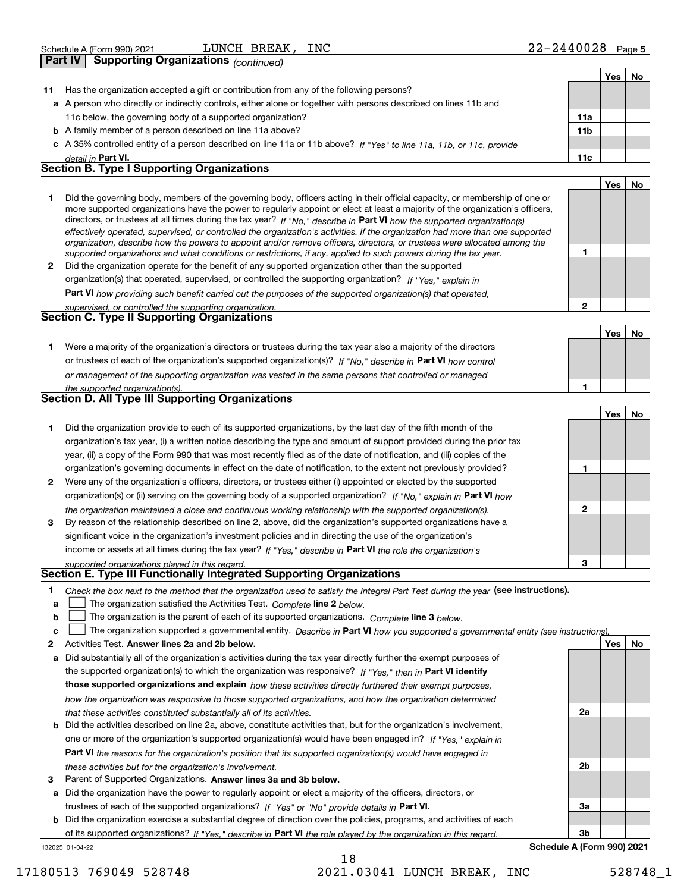| Schedule<br>, 990) 2021<br>$\cdot$ (Form | INC<br><b>BREAK</b><br><b>TINIOU</b><br>⊿UNCH | ם ר<br>- 71<br>Page 5 |
|------------------------------------------|-----------------------------------------------|-----------------------|
|                                          |                                               |                       |

|              | Supporting Organizations (continued)<br>Part IV                                                                                                                                                                                                                                                                                                                                                                                                                                                                                                                                                                                                      |                 |            |           |
|--------------|------------------------------------------------------------------------------------------------------------------------------------------------------------------------------------------------------------------------------------------------------------------------------------------------------------------------------------------------------------------------------------------------------------------------------------------------------------------------------------------------------------------------------------------------------------------------------------------------------------------------------------------------------|-----------------|------------|-----------|
|              |                                                                                                                                                                                                                                                                                                                                                                                                                                                                                                                                                                                                                                                      |                 | Yes        | <b>No</b> |
| 11           | Has the organization accepted a gift or contribution from any of the following persons?                                                                                                                                                                                                                                                                                                                                                                                                                                                                                                                                                              |                 |            |           |
|              | a A person who directly or indirectly controls, either alone or together with persons described on lines 11b and                                                                                                                                                                                                                                                                                                                                                                                                                                                                                                                                     |                 |            |           |
|              | 11c below, the governing body of a supported organization?                                                                                                                                                                                                                                                                                                                                                                                                                                                                                                                                                                                           | 11a             |            |           |
|              | <b>b</b> A family member of a person described on line 11a above?                                                                                                                                                                                                                                                                                                                                                                                                                                                                                                                                                                                    | 11 <sub>b</sub> |            |           |
|              | c A 35% controlled entity of a person described on line 11a or 11b above? If "Yes" to line 11a, 11b, or 11c, provide                                                                                                                                                                                                                                                                                                                                                                                                                                                                                                                                 |                 |            |           |
|              | detail in Part VI.                                                                                                                                                                                                                                                                                                                                                                                                                                                                                                                                                                                                                                   | 11c             |            |           |
|              | <b>Section B. Type I Supporting Organizations</b>                                                                                                                                                                                                                                                                                                                                                                                                                                                                                                                                                                                                    |                 |            |           |
|              |                                                                                                                                                                                                                                                                                                                                                                                                                                                                                                                                                                                                                                                      |                 | <b>Yes</b> | No        |
| 1            | Did the governing body, members of the governing body, officers acting in their official capacity, or membership of one or<br>more supported organizations have the power to regularly appoint or elect at least a majority of the organization's officers,<br>directors, or trustees at all times during the tax year? If "No," describe in Part VI how the supported organization(s)<br>effectively operated, supervised, or controlled the organization's activities. If the organization had more than one supported<br>organization, describe how the powers to appoint and/or remove officers, directors, or trustees were allocated among the |                 |            |           |
|              | supported organizations and what conditions or restrictions, if any, applied to such powers during the tax year.                                                                                                                                                                                                                                                                                                                                                                                                                                                                                                                                     | 1               |            |           |
| $\mathbf{2}$ | Did the organization operate for the benefit of any supported organization other than the supported                                                                                                                                                                                                                                                                                                                                                                                                                                                                                                                                                  |                 |            |           |
|              | organization(s) that operated, supervised, or controlled the supporting organization? If "Yes," explain in                                                                                                                                                                                                                                                                                                                                                                                                                                                                                                                                           |                 |            |           |
|              | <b>Part VI</b> how providing such benefit carried out the purposes of the supported organization(s) that operated,                                                                                                                                                                                                                                                                                                                                                                                                                                                                                                                                   |                 |            |           |
|              | supervised, or controlled the supporting organization.                                                                                                                                                                                                                                                                                                                                                                                                                                                                                                                                                                                               | $\mathbf{2}$    |            |           |
|              | Section C. Type II Supporting Organizations                                                                                                                                                                                                                                                                                                                                                                                                                                                                                                                                                                                                          |                 |            |           |
|              |                                                                                                                                                                                                                                                                                                                                                                                                                                                                                                                                                                                                                                                      |                 | <b>Yes</b> | <b>No</b> |
| 1            | Were a majority of the organization's directors or trustees during the tax year also a majority of the directors                                                                                                                                                                                                                                                                                                                                                                                                                                                                                                                                     |                 |            |           |
|              | or trustees of each of the organization's supported organization(s)? If "No," describe in Part VI how control                                                                                                                                                                                                                                                                                                                                                                                                                                                                                                                                        |                 |            |           |
|              | or management of the supporting organization was vested in the same persons that controlled or managed                                                                                                                                                                                                                                                                                                                                                                                                                                                                                                                                               |                 |            |           |
|              | the supported organization(s).                                                                                                                                                                                                                                                                                                                                                                                                                                                                                                                                                                                                                       |                 |            |           |
|              | Section D. All Type III Supporting Organizations                                                                                                                                                                                                                                                                                                                                                                                                                                                                                                                                                                                                     |                 |            |           |
|              |                                                                                                                                                                                                                                                                                                                                                                                                                                                                                                                                                                                                                                                      |                 | Yes        | No        |
| 1            | Did the organization provide to each of its supported organizations, by the last day of the fifth month of the                                                                                                                                                                                                                                                                                                                                                                                                                                                                                                                                       |                 |            |           |
|              | organization's tax year, (i) a written notice describing the type and amount of support provided during the prior tax                                                                                                                                                                                                                                                                                                                                                                                                                                                                                                                                |                 |            |           |
|              | ing til andere af the Fause 000 that und med usereth. Glad as af the data af matification had (ii) and to af the                                                                                                                                                                                                                                                                                                                                                                                                                                                                                                                                     |                 |            |           |

|              | organization's tax year, (i) a written notice describing the type and amount of support provided during the prior tax  |  |  |
|--------------|------------------------------------------------------------------------------------------------------------------------|--|--|
|              | year, (ii) a copy of the Form 990 that was most recently filed as of the date of notification, and (iii) copies of the |  |  |
|              | organization's governing documents in effect on the date of notification, to the extent not previously provided?       |  |  |
| $\mathbf{2}$ | Were any of the organization's officers, directors, or trustees either (i) appointed or elected by the supported       |  |  |
|              | organization(s) or (ii) serving on the governing body of a supported organization? If "No," explain in Part VI how     |  |  |
|              | the organization maintained a close and continuous working relationship with the supported organization(s).            |  |  |
| 3            | By reason of the relationship described on line 2, above, did the organization's supported organizations have a        |  |  |
|              | significant voice in the organization's investment policies and in directing the use of the organization's             |  |  |
|              | income or assets at all times during the tax year? If "Yes," describe in Part VI the role the organization's           |  |  |

*supported organizations played in this regard.*

## **Section E. Type III Functionally Integrated Supporting Organizations**

| Check the box next to the method that the organization used to satisfy the Integral Part Test during the year (see instructions). |  |
|-----------------------------------------------------------------------------------------------------------------------------------|--|
|                                                                                                                                   |  |

**a**The organization satisfied the Activities Test. *Complete* line 2 below.  $\mathcal{L}^{\text{max}}$ 

|  |  | <b>b</b> $\Box$ The organization is the parent of each of its supported organizations. Complete line 3 below. |  |
|--|--|---------------------------------------------------------------------------------------------------------------|--|
|--|--|---------------------------------------------------------------------------------------------------------------|--|

|  | The organization supported a governmental entity. Describe in Part VI how you supported a governmental entity (see instructions). |  |
|--|-----------------------------------------------------------------------------------------------------------------------------------|--|
|  |                                                                                                                                   |  |

18

- **2Answer lines 2a and 2b below. Yes No** Activities Test.
- **a** Did substantially all of the organization's activities during the tax year directly further the exempt purposes of the supported organization(s) to which the organization was responsive? If "Yes," then in **Part VI identify those supported organizations and explain**  *how these activities directly furthered their exempt purposes, how the organization was responsive to those supported organizations, and how the organization determined that these activities constituted substantially all of its activities.*
- **b** Did the activities described on line 2a, above, constitute activities that, but for the organization's involvement, **Part VI**  *the reasons for the organization's position that its supported organization(s) would have engaged in* one or more of the organization's supported organization(s) would have been engaged in? If "Yes," e*xplain in these activities but for the organization's involvement.*
- **3**Parent of Supported Organizations. Answer lines 3a and 3b below.

**a** Did the organization have the power to regularly appoint or elect a majority of the officers, directors, or trustees of each of the supported organizations? If "Yes" or "No" provide details in **Part VI.** 

132025 01-04-22 **b** Did the organization exercise a substantial degree of direction over the policies, programs, and activities of each of its supported organizations? If "Yes," describe in Part VI the role played by the organization in this regard.

**3bSchedule A (Form 990) 2021**

**3**

**2a**

**2b**

**3a**

17180513 769049 528748 2021.03041 LUNCH BREAK, INC 528748\_1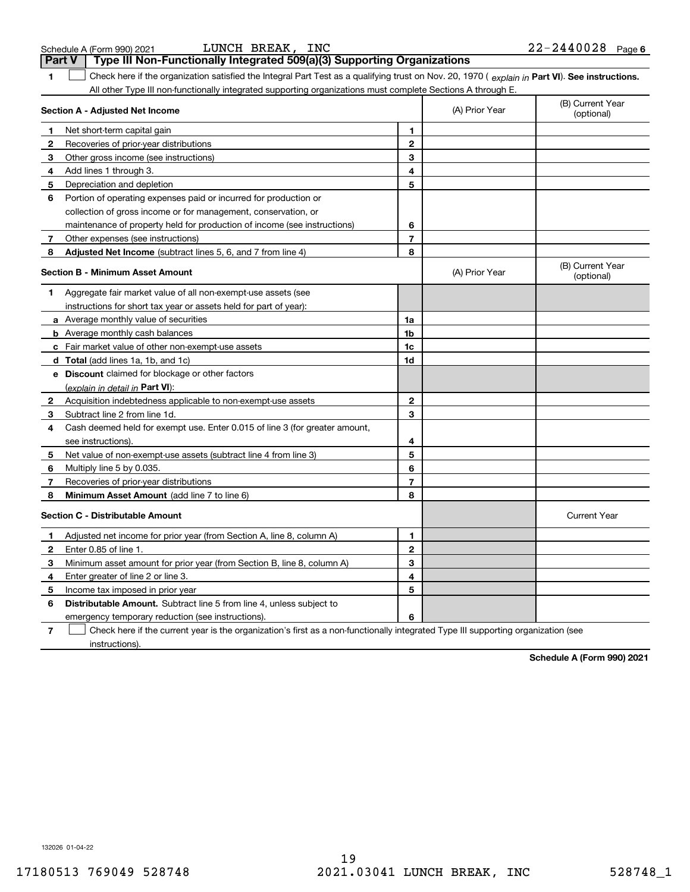|                | Section A - Adjusted Net Income                                                                                                                     |                | (A) Prior Year | (B) Current Year<br>(optional) |
|----------------|-----------------------------------------------------------------------------------------------------------------------------------------------------|----------------|----------------|--------------------------------|
| $\mathbf{1}$   | Net short-term capital gain                                                                                                                         | 1              |                |                                |
| 2              | Recoveries of prior-year distributions                                                                                                              | $\mathbf{2}$   |                |                                |
| 3              | Other gross income (see instructions)                                                                                                               | 3              |                |                                |
| 4              | Add lines 1 through 3.                                                                                                                              | 4              |                |                                |
| 5              | Depreciation and depletion                                                                                                                          | 5              |                |                                |
| 6              | Portion of operating expenses paid or incurred for production or                                                                                    |                |                |                                |
|                | collection of gross income or for management, conservation, or                                                                                      |                |                |                                |
|                | maintenance of property held for production of income (see instructions)                                                                            | 6              |                |                                |
| $\overline{7}$ | Other expenses (see instructions)                                                                                                                   | $\overline{7}$ |                |                                |
| 8              | <b>Adjusted Net Income</b> (subtract lines 5, 6, and 7 from line 4)                                                                                 | 8              |                |                                |
|                | Section B - Minimum Asset Amount                                                                                                                    |                | (A) Prior Year | (B) Current Year<br>(optional) |
| 1              | Aggregate fair market value of all non-exempt-use assets (see                                                                                       |                |                |                                |
|                | instructions for short tax year or assets held for part of year):                                                                                   |                |                |                                |
|                | a Average monthly value of securities                                                                                                               | 1a             |                |                                |
|                | <b>b</b> Average monthly cash balances                                                                                                              | 1b             |                |                                |
|                | c Fair market value of other non-exempt-use assets                                                                                                  | 1c             |                |                                |
|                | d Total (add lines 1a, 1b, and 1c)                                                                                                                  | 1d             |                |                                |
|                | e Discount claimed for blockage or other factors                                                                                                    |                |                |                                |
|                | (explain in detail in Part VI):                                                                                                                     |                |                |                                |
| 2              | Acquisition indebtedness applicable to non-exempt-use assets                                                                                        | $\mathbf{2}$   |                |                                |
| з              | Subtract line 2 from line 1d.                                                                                                                       | 3              |                |                                |
| 4              | Cash deemed held for exempt use. Enter 0.015 of line 3 (for greater amount,                                                                         |                |                |                                |
|                | see instructions).                                                                                                                                  | 4              |                |                                |
| 5              | Net value of non-exempt-use assets (subtract line 4 from line 3)                                                                                    | 5              |                |                                |
| 6              | Multiply line 5 by 0.035.                                                                                                                           | 6              |                |                                |
| 7              | Recoveries of prior-year distributions                                                                                                              | $\overline{7}$ |                |                                |
| 8              | <b>Minimum Asset Amount</b> (add line 7 to line 6)                                                                                                  | 8              |                |                                |
|                | <b>Section C - Distributable Amount</b>                                                                                                             |                |                | <b>Current Year</b>            |
| $\mathbf{1}$   | Adjusted net income for prior year (from Section A, line 8, column A)                                                                               | 1              |                |                                |
| $\mathbf{2}$   | Enter 0.85 of line 1.                                                                                                                               | $\mathbf{2}$   |                |                                |
| 3              | Minimum asset amount for prior year (from Section B, line 8, column A)                                                                              | 3              |                |                                |
| 4              | Enter greater of line 2 or line 3.                                                                                                                  | 4              |                |                                |
| 5              | Income tax imposed in prior year                                                                                                                    | 5              |                |                                |
| 6              | <b>Distributable Amount.</b> Subtract line 5 from line 4, unless subject to                                                                         |                |                |                                |
|                | emergency temporary reduction (see instructions).                                                                                                   | 6              |                |                                |
| $\overline{7}$ | Check here if the current year is the organization's first as a non-functionally integrated Type III supporting organization (see<br>instructions). |                |                |                                |

Schedule A (Form 990) 2021 Page LUNCH BREAK, INC 22-2440028 **Part V Type III Non-Functionally Integrated 509(a)(3) Supporting Organizations** 

1 **1** Check here if the organization satisfied the Integral Part Test as a qualifying trust on Nov. 20, 1970 (explain in Part VI). See instructions.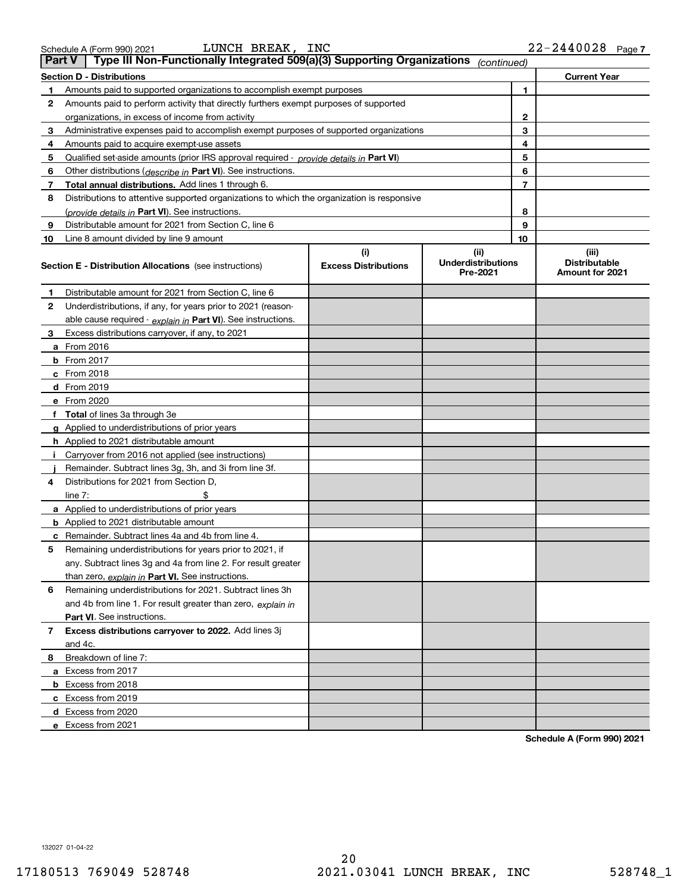**e**Excess from 2021

Schedule A (Form 990) 2021 LUNCH BREAK, LNC Z Z – Z 4 4 U U Z 8 Page

LUNCH BREAK, INC 22-2440028

| Part V       | Type III Non-Functionally Integrated 509(a)(3) Supporting Organizations                    |                                    | (continued)                                   |              |                                                         |
|--------------|--------------------------------------------------------------------------------------------|------------------------------------|-----------------------------------------------|--------------|---------------------------------------------------------|
|              | <b>Section D - Distributions</b>                                                           |                                    |                                               |              | <b>Current Year</b>                                     |
| 1            | Amounts paid to supported organizations to accomplish exempt purposes                      |                                    |                                               | 1            |                                                         |
| 2            | Amounts paid to perform activity that directly furthers exempt purposes of supported       |                                    |                                               |              |                                                         |
|              | organizations, in excess of income from activity                                           |                                    |                                               | $\mathbf{2}$ |                                                         |
| 3            | Administrative expenses paid to accomplish exempt purposes of supported organizations      |                                    |                                               | 3            |                                                         |
| 4            | Amounts paid to acquire exempt-use assets                                                  |                                    |                                               | 4            |                                                         |
| 5            | Qualified set-aside amounts (prior IRS approval required - provide details in Part VI)     |                                    |                                               | 5            |                                                         |
| 6            | Other distributions ( <i>describe in</i> Part VI). See instructions.                       |                                    |                                               | 6            |                                                         |
| 7            | Total annual distributions. Add lines 1 through 6.                                         |                                    |                                               | 7            |                                                         |
| 8            | Distributions to attentive supported organizations to which the organization is responsive |                                    |                                               |              |                                                         |
|              | (provide details in Part VI). See instructions.                                            |                                    |                                               | 8            |                                                         |
| 9            | Distributable amount for 2021 from Section C, line 6                                       |                                    |                                               | 9            |                                                         |
| 10           | Line 8 amount divided by line 9 amount                                                     |                                    |                                               | 10           |                                                         |
|              | <b>Section E - Distribution Allocations</b> (see instructions)                             | (i)<br><b>Excess Distributions</b> | (ii)<br><b>Underdistributions</b><br>Pre-2021 |              | (iii)<br><b>Distributable</b><br><b>Amount for 2021</b> |
| 1.           | Distributable amount for 2021 from Section C, line 6                                       |                                    |                                               |              |                                                         |
| 2            | Underdistributions, if any, for years prior to 2021 (reason-                               |                                    |                                               |              |                                                         |
|              | able cause required - explain in Part VI). See instructions.                               |                                    |                                               |              |                                                         |
| 3            | Excess distributions carryover, if any, to 2021                                            |                                    |                                               |              |                                                         |
|              | a From 2016                                                                                |                                    |                                               |              |                                                         |
|              | <b>b</b> From 2017                                                                         |                                    |                                               |              |                                                         |
|              | c From 2018                                                                                |                                    |                                               |              |                                                         |
|              | d From 2019                                                                                |                                    |                                               |              |                                                         |
|              | e From 2020                                                                                |                                    |                                               |              |                                                         |
| f            | <b>Total</b> of lines 3a through 3e                                                        |                                    |                                               |              |                                                         |
|              | g Applied to underdistributions of prior years                                             |                                    |                                               |              |                                                         |
|              | <b>h</b> Applied to 2021 distributable amount                                              |                                    |                                               |              |                                                         |
| $\mathbf{I}$ | Carryover from 2016 not applied (see instructions)                                         |                                    |                                               |              |                                                         |
|              | Remainder. Subtract lines 3g, 3h, and 3i from line 3f.                                     |                                    |                                               |              |                                                         |
| 4            | Distributions for 2021 from Section D,                                                     |                                    |                                               |              |                                                         |
|              | line $7:$                                                                                  |                                    |                                               |              |                                                         |
|              | a Applied to underdistributions of prior years                                             |                                    |                                               |              |                                                         |
|              | <b>b</b> Applied to 2021 distributable amount                                              |                                    |                                               |              |                                                         |
|              | c Remainder. Subtract lines 4a and 4b from line 4.                                         |                                    |                                               |              |                                                         |
| 5            | Remaining underdistributions for years prior to 2021, if                                   |                                    |                                               |              |                                                         |
|              | any. Subtract lines 3g and 4a from line 2. For result greater                              |                                    |                                               |              |                                                         |
|              | than zero, explain in Part VI. See instructions.                                           |                                    |                                               |              |                                                         |
| 6            | Remaining underdistributions for 2021. Subtract lines 3h                                   |                                    |                                               |              |                                                         |
|              | and 4b from line 1. For result greater than zero, explain in                               |                                    |                                               |              |                                                         |
|              | Part VI. See instructions.                                                                 |                                    |                                               |              |                                                         |
| 7            | Excess distributions carryover to 2022. Add lines 3j                                       |                                    |                                               |              |                                                         |
|              | and 4c.                                                                                    |                                    |                                               |              |                                                         |
| 8            | Breakdown of line 7:                                                                       |                                    |                                               |              |                                                         |
|              | a Excess from 2017                                                                         |                                    |                                               |              |                                                         |
|              | b Excess from 2018                                                                         |                                    |                                               |              |                                                         |
|              | c Excess from 2019                                                                         |                                    |                                               |              |                                                         |
|              | d Excess from 2020                                                                         |                                    |                                               |              |                                                         |

**Schedule A (Form 990) 2021**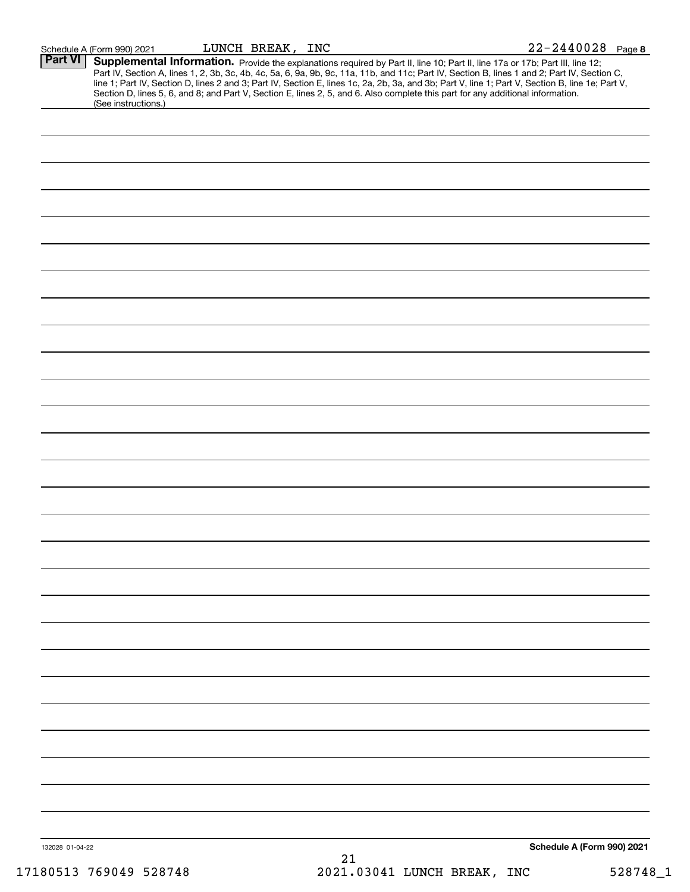| (See instructions.) | Part IV, Section A, lines 1, 2, 3b, 3c, 4b, 4c, 5a, 6, 9a, 9b, 9c, 11a, 11b, and 11c; Part IV, Section B, lines 1 and 2; Part IV, Section C,<br>line 1; Part IV, Section D, lines 2 and 3; Part IV, Section E, lines 1c, 2a, 2b,<br>Section D, lines 5, 6, and 8; and Part V, Section E, lines 2, 5, and 6. Also complete this part for any additional information. |
|---------------------|---------------------------------------------------------------------------------------------------------------------------------------------------------------------------------------------------------------------------------------------------------------------------------------------------------------------------------------------------------------------|
|                     |                                                                                                                                                                                                                                                                                                                                                                     |
|                     |                                                                                                                                                                                                                                                                                                                                                                     |
|                     |                                                                                                                                                                                                                                                                                                                                                                     |
|                     |                                                                                                                                                                                                                                                                                                                                                                     |
|                     |                                                                                                                                                                                                                                                                                                                                                                     |
|                     |                                                                                                                                                                                                                                                                                                                                                                     |
|                     |                                                                                                                                                                                                                                                                                                                                                                     |
|                     |                                                                                                                                                                                                                                                                                                                                                                     |
|                     |                                                                                                                                                                                                                                                                                                                                                                     |
|                     |                                                                                                                                                                                                                                                                                                                                                                     |
|                     |                                                                                                                                                                                                                                                                                                                                                                     |
|                     |                                                                                                                                                                                                                                                                                                                                                                     |
|                     |                                                                                                                                                                                                                                                                                                                                                                     |
|                     |                                                                                                                                                                                                                                                                                                                                                                     |
|                     |                                                                                                                                                                                                                                                                                                                                                                     |
|                     |                                                                                                                                                                                                                                                                                                                                                                     |
|                     |                                                                                                                                                                                                                                                                                                                                                                     |
|                     |                                                                                                                                                                                                                                                                                                                                                                     |
|                     |                                                                                                                                                                                                                                                                                                                                                                     |
|                     |                                                                                                                                                                                                                                                                                                                                                                     |
|                     |                                                                                                                                                                                                                                                                                                                                                                     |
|                     |                                                                                                                                                                                                                                                                                                                                                                     |
|                     |                                                                                                                                                                                                                                                                                                                                                                     |
|                     |                                                                                                                                                                                                                                                                                                                                                                     |
|                     |                                                                                                                                                                                                                                                                                                                                                                     |
|                     |                                                                                                                                                                                                                                                                                                                                                                     |
|                     |                                                                                                                                                                                                                                                                                                                                                                     |
|                     |                                                                                                                                                                                                                                                                                                                                                                     |
|                     |                                                                                                                                                                                                                                                                                                                                                                     |
|                     |                                                                                                                                                                                                                                                                                                                                                                     |
|                     |                                                                                                                                                                                                                                                                                                                                                                     |
|                     |                                                                                                                                                                                                                                                                                                                                                                     |
|                     |                                                                                                                                                                                                                                                                                                                                                                     |
|                     |                                                                                                                                                                                                                                                                                                                                                                     |
|                     |                                                                                                                                                                                                                                                                                                                                                                     |
|                     |                                                                                                                                                                                                                                                                                                                                                                     |
| 132028 01-04-22     | Schedule A (Form 990) 2021                                                                                                                                                                                                                                                                                                                                          |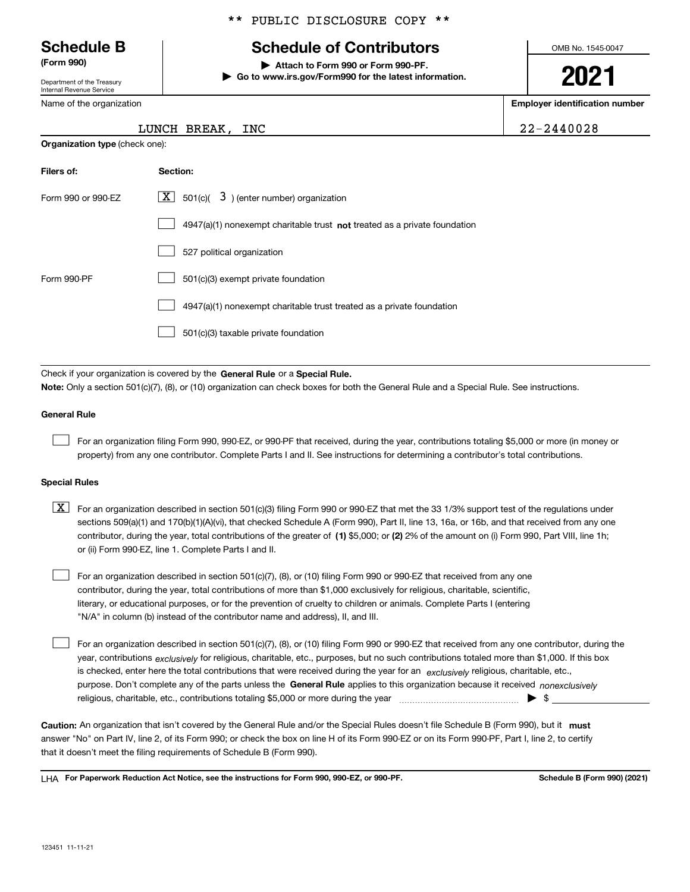Department of the Treasury Internal Revenue Service

Name of the organization

**Organization type** (check one):

### \*\* PUBLIC DISCLOSURE COPY \*\*

# **Schedule B Schedule of Contributors**

**(Form 990) | Attach to Form 990 or Form 990-PF. | Go to www.irs.gov/Form990 for the latest information.** OMB No. 1545-0047

# **2021**

**Employer identification number**

LUNCH BREAK, INC 22-2440028

| LUNCH BREAK, | IN <sub>0</sub> |
|--------------|-----------------|

| Filers of:         | Section:                                                                    |
|--------------------|-----------------------------------------------------------------------------|
| Form 990 or 990-EZ | $\boxed{\text{X}}$ 501(c)( 3) (enter number) organization                   |
|                    | $4947(a)(1)$ nonexempt charitable trust not treated as a private foundation |
|                    | 527 political organization                                                  |
| Form 990-PF        | 501(c)(3) exempt private foundation                                         |
|                    | 4947(a)(1) nonexempt charitable trust treated as a private foundation       |
|                    | 501(c)(3) taxable private foundation                                        |

Check if your organization is covered by the **General Rule** or a **Special Rule. Note:**  Only a section 501(c)(7), (8), or (10) organization can check boxes for both the General Rule and a Special Rule. See instructions.

### **General Rule**

 $\mathcal{L}^{\text{max}}$ 

For an organization filing Form 990, 990-EZ, or 990-PF that received, during the year, contributions totaling \$5,000 or more (in money or property) from any one contributor. Complete Parts I and II. See instructions for determining a contributor's total contributions.

### **Special Rules**

contributor, during the year, total contributions of the greater of (1**)** \$5,000; or (2) 2% of the amount on (i) Form 990, Part VIII, line 1h;  $\boxed{\textbf{X}}$  For an organization described in section 501(c)(3) filing Form 990 or 990-EZ that met the 33 1/3% support test of the regulations under sections 509(a)(1) and 170(b)(1)(A)(vi), that checked Schedule A (Form 990), Part II, line 13, 16a, or 16b, and that received from any one or (ii) Form 990-EZ, line 1. Complete Parts I and II.

For an organization described in section 501(c)(7), (8), or (10) filing Form 990 or 990-EZ that received from any one contributor, during the year, total contributions of more than \$1,000 exclusively for religious, charitable, scientific, literary, or educational purposes, or for the prevention of cruelty to children or animals. Complete Parts I (entering "N/A" in column (b) instead of the contributor name and address), II, and III.  $\mathcal{L}^{\text{max}}$ 

purpose. Don't complete any of the parts unless the **General Rule** applies to this organization because it received *nonexclusively* year, contributions <sub>exclusively</sub> for religious, charitable, etc., purposes, but no such contributions totaled more than \$1,000. If this box is checked, enter here the total contributions that were received during the year for an  $\;$ exclusively religious, charitable, etc., For an organization described in section 501(c)(7), (8), or (10) filing Form 990 or 990-EZ that received from any one contributor, during the religious, charitable, etc., contributions totaling \$5,000 or more during the year  $\Box$ — $\Box$   $\Box$  $\mathcal{L}^{\text{max}}$ 

Caution: An organization that isn't covered by the General Rule and/or the Special Rules doesn't file Schedule B (Form 990), but it **must** answer "No" on Part IV, line 2, of its Form 990; or check the box on line H of its Form 990-EZ or on its Form 990-PF, Part I, line 2, to certify that it doesn't meet the filing requirements of Schedule B (Form 990).

LHA For Paperwork Reduction Act Notice, see the instructions for Form 990, 990-EZ, or 990-PF. **In the act and Schedule B** (Form 990) (2021)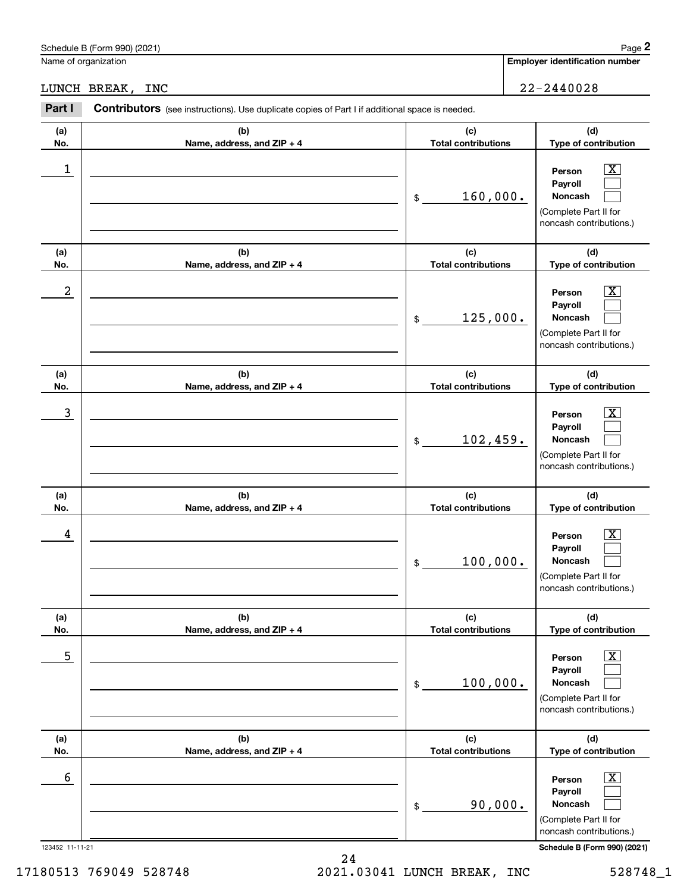|                      | Schedule B (Form 990) (2021)                                                                   |                                   | Page 2                                                                                                                                           |
|----------------------|------------------------------------------------------------------------------------------------|-----------------------------------|--------------------------------------------------------------------------------------------------------------------------------------------------|
| Name of organization |                                                                                                |                                   | <b>Employer identification number</b>                                                                                                            |
|                      | LUNCH BREAK, INC                                                                               |                                   | 22-2440028                                                                                                                                       |
| Part I               | Contributors (see instructions). Use duplicate copies of Part I if additional space is needed. |                                   |                                                                                                                                                  |
| (a)<br>No.           | (b)<br>Name, address, and ZIP + 4                                                              | (c)<br><b>Total contributions</b> | (d)<br>Type of contribution                                                                                                                      |
| 1                    |                                                                                                | 160,000.<br>\$                    | $\overline{\mathbf{X}}$<br>Person<br>Payroll<br>Noncash<br>(Complete Part II for<br>noncash contributions.)                                      |
| (a)<br>No.           | (b)<br>Name, address, and ZIP + 4                                                              | (c)<br><b>Total contributions</b> | (d)<br>Type of contribution                                                                                                                      |
| 2                    |                                                                                                | 125,000.<br>\$                    | $\overline{\mathbf{X}}$<br>Person<br>Payroll<br>Noncash<br>(Complete Part II for<br>noncash contributions.)                                      |
| (a)<br>No.           | (b)<br>Name, address, and ZIP + 4                                                              | (c)<br><b>Total contributions</b> | (d)<br>Type of contribution                                                                                                                      |
| 3                    |                                                                                                | 102,459.<br>\$                    | $\overline{\mathbf{X}}$<br>Person<br>Payroll<br>Noncash<br>(Complete Part II for<br>noncash contributions.)                                      |
| (a)<br>No.           | (b)<br>Name, address, and ZIP + 4                                                              | (c)<br><b>Total contributions</b> | (d)<br>Type of contribution                                                                                                                      |
| 4                    |                                                                                                | 100,000.<br>\$                    | $\overline{\text{X}}$<br>Person<br>Payroll<br>Noncash<br>(Complete Part II for<br>noncash contributions.)                                        |
| (a)<br>No.           | (b)<br>Name, address, and ZIP + 4                                                              | (c)<br><b>Total contributions</b> | (d)<br>Type of contribution                                                                                                                      |
| 5                    |                                                                                                | 100,000.<br>\$                    | $\overline{\text{X}}$<br>Person<br>Payroll<br><b>Noncash</b><br>(Complete Part II for<br>noncash contributions.)                                 |
| (a)<br>No.           | (b)<br>Name, address, and ZIP + 4                                                              | (c)<br><b>Total contributions</b> | (d)<br>Type of contribution                                                                                                                      |
| 6<br>123452 11-11-21 |                                                                                                | 90,000.<br>\$                     | $\overline{\text{X}}$<br>Person<br>Payroll<br><b>Noncash</b><br>(Complete Part II for<br>noncash contributions.)<br>Schedule B (Form 990) (2021) |

### Schedule B (Form 990) (2021) Page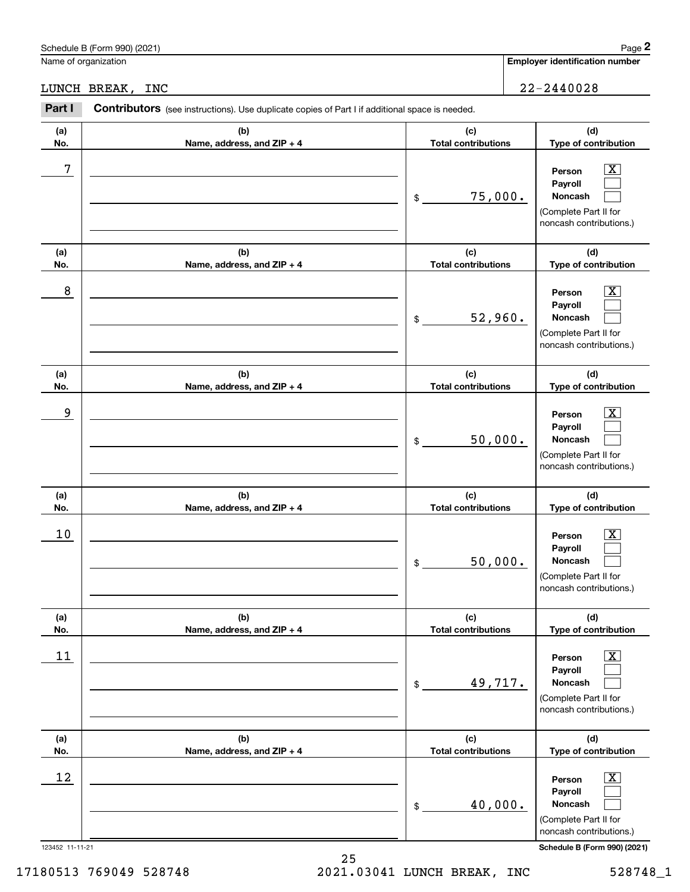|                       | Schedule B (Form 990) (2021)                                                                   |                                                    | Page 2                                                                                                                                      |
|-----------------------|------------------------------------------------------------------------------------------------|----------------------------------------------------|---------------------------------------------------------------------------------------------------------------------------------------------|
| Name of organization  |                                                                                                |                                                    | <b>Employer identification number</b>                                                                                                       |
|                       | LUNCH BREAK, INC                                                                               |                                                    | 22-2440028                                                                                                                                  |
| Part I                | Contributors (see instructions). Use duplicate copies of Part I if additional space is needed. |                                                    |                                                                                                                                             |
| (a)<br>No.            | (b)<br>Name, address, and ZIP + 4                                                              | (c)<br><b>Total contributions</b>                  | (d)<br>Type of contribution                                                                                                                 |
| 7                     |                                                                                                | 75,000.<br>$\mathfrak{S}$                          | $\overline{\mathbf{X}}$<br>Person<br>Payroll<br>Noncash<br>(Complete Part II for<br>noncash contributions.)                                 |
| (a)<br>No.            | (b)<br>Name, address, and ZIP + 4                                                              | (c)<br><b>Total contributions</b>                  | (d)<br>Type of contribution                                                                                                                 |
| 8                     |                                                                                                | 52,960.<br>$\mathfrak{S}$                          | $\overline{\mathbf{X}}$<br>Person<br>Payroll<br>Noncash<br>(Complete Part II for<br>noncash contributions.)                                 |
| (a)                   | (b)                                                                                            | (c)                                                | (d)                                                                                                                                         |
| No.<br>9              | Name, address, and ZIP + 4                                                                     | <b>Total contributions</b><br>50,000.<br>\$        | Type of contribution<br>$\overline{\mathbf{X}}$<br>Person<br>Payroll<br>Noncash<br>(Complete Part II for<br>noncash contributions.)         |
| (a)<br>No.<br>10      | (b)<br>Name, address, and ZIP + 4                                                              | (c)<br><b>Total contributions</b><br>50,000.<br>\$ | (d)<br>Type of contribution<br>$\overline{\text{X}}$<br>Person<br>Payroll<br>Noncash<br>(Complete Part II for                               |
| (a)<br>No.<br>11      | (b)<br>Name, address, and ZIP + 4                                                              | (c)<br><b>Total contributions</b>                  | noncash contributions.)<br>(d)<br>Type of contribution<br>$\overline{\mathbf{X}}$<br>Person                                                 |
|                       |                                                                                                | 49,717.<br>\$                                      | Payroll<br>Noncash<br>(Complete Part II for<br>noncash contributions.)                                                                      |
| (a)<br>No.            | (b)<br>Name, address, and ZIP + 4                                                              | (c)<br><b>Total contributions</b>                  | (d)<br>Type of contribution                                                                                                                 |
| 12<br>123452 11-11-21 |                                                                                                | 40,000.<br>\$                                      | $\overline{\mathbf{X}}$<br>Person<br>Payroll<br>Noncash<br>(Complete Part II for<br>noncash contributions.)<br>Schedule B (Form 990) (2021) |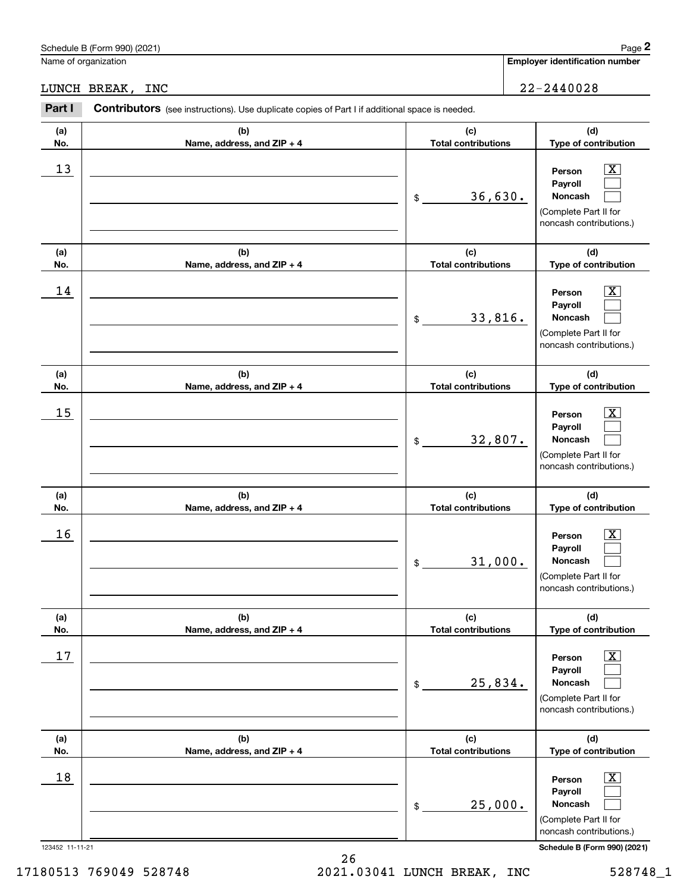|                 | Schedule B (Form 990) (2021)                                                                   |                                   | Page 2                                                                                                        |
|-----------------|------------------------------------------------------------------------------------------------|-----------------------------------|---------------------------------------------------------------------------------------------------------------|
|                 | Name of organization                                                                           |                                   | <b>Employer identification number</b>                                                                         |
|                 | LUNCH BREAK, INC                                                                               |                                   | 22-2440028                                                                                                    |
| Part I          | Contributors (see instructions). Use duplicate copies of Part I if additional space is needed. |                                   |                                                                                                               |
| (a)<br>No.      | (b)<br>Name, address, and ZIP + 4                                                              | (c)<br><b>Total contributions</b> | (d)<br>Type of contribution                                                                                   |
| 13              |                                                                                                | 36,630.<br>\$                     | $\boxed{\text{X}}$<br>Person<br>Payroll<br>Noncash<br>(Complete Part II for<br>noncash contributions.)        |
| (a)<br>No.      | (b)<br>Name, address, and ZIP + 4                                                              | (c)<br><b>Total contributions</b> | (d)<br>Type of contribution                                                                                   |
| 14              |                                                                                                | 33,816.<br>\$                     | $\vert$ X<br>Person<br>Payroll<br>Noncash<br>(Complete Part II for<br>noncash contributions.)                 |
| (a)<br>No.      | (b)<br>Name, address, and ZIP + 4                                                              | (c)<br><b>Total contributions</b> | (d)<br>Type of contribution                                                                                   |
| 15              |                                                                                                | 32,807.<br>\$                     | $\mathbf{X}$<br>Person<br>Payroll<br>Noncash<br>(Complete Part II for<br>noncash contributions.)              |
| (a)<br>No.      | (b)<br>Name, address, and ZIP + 4                                                              | (c)<br><b>Total contributions</b> | (d)<br>Type of contribution                                                                                   |
| 16              |                                                                                                | 31,000.<br>\$                     | $\vert$ X<br>Person<br>Payroll<br>Noncash<br>(Complete Part II for<br>noncash contributions.)                 |
| (a)<br>No.      | (b)<br>Name, address, and ZIP + 4                                                              | (c)<br><b>Total contributions</b> | (d)<br>Type of contribution                                                                                   |
| 17              |                                                                                                | 25,834.<br>\$                     | $\boxed{\text{X}}$<br>Person<br>Payroll<br><b>Noncash</b><br>(Complete Part II for<br>noncash contributions.) |
| (a)<br>No.      | (b)<br>Name, address, and ZIP + 4                                                              | (c)<br><b>Total contributions</b> | (d)<br>Type of contribution                                                                                   |
| 18              |                                                                                                | 25,000.<br>\$                     | $\boxed{\text{X}}$<br>Person<br>Payroll<br>Noncash<br>(Complete Part II for<br>noncash contributions.)        |
| 123452 11-11-21 |                                                                                                |                                   | Schedule B (Form 990) (2021)                                                                                  |

## Schedule B (Form 990) (2021) Page 2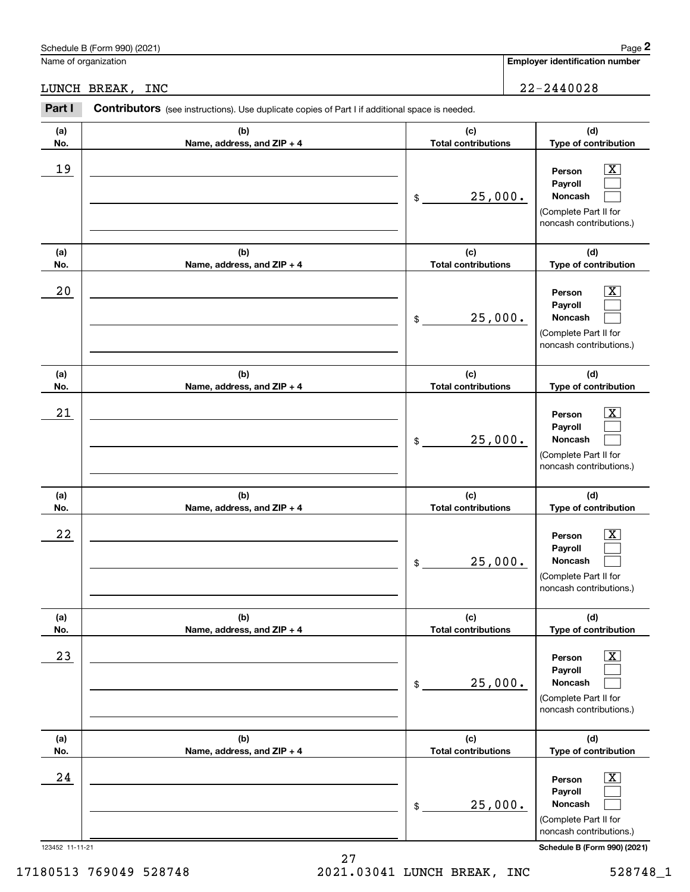|                       | Schedule B (Form 990) (2021)                                                                   |                                             | Page 2                                                                                                                                               |
|-----------------------|------------------------------------------------------------------------------------------------|---------------------------------------------|------------------------------------------------------------------------------------------------------------------------------------------------------|
| Name of organization  |                                                                                                |                                             | <b>Employer identification number</b>                                                                                                                |
|                       | LUNCH BREAK, INC                                                                               |                                             | 22-2440028                                                                                                                                           |
| Part I                | Contributors (see instructions). Use duplicate copies of Part I if additional space is needed. |                                             |                                                                                                                                                      |
| (a)<br>No.            | (b)<br>Name, address, and ZIP + 4                                                              | (c)<br><b>Total contributions</b>           | (d)<br>Type of contribution                                                                                                                          |
| 19                    |                                                                                                | 25,000.<br>\$                               | $\boxed{\text{X}}$<br>Person<br>Payroll<br><b>Noncash</b><br>(Complete Part II for<br>noncash contributions.)                                        |
| (a)<br>No.            | (b)<br>Name, address, and ZIP + 4                                                              | (c)<br><b>Total contributions</b>           | (d)<br>Type of contribution                                                                                                                          |
| 20                    |                                                                                                | 25,000.<br>\$                               | $\overline{\mathbf{x}}$<br>Person<br>Payroll<br>Noncash<br>(Complete Part II for<br>noncash contributions.)                                          |
| (a)<br>No.            | (b)<br>Name, address, and ZIP + 4                                                              | (c)<br><b>Total contributions</b>           | (d)<br>Type of contribution                                                                                                                          |
| 21                    |                                                                                                | 25,000.<br>\$                               | $\boxed{\text{X}}$<br>Person<br>Payroll<br>Noncash<br>(Complete Part II for<br>noncash contributions.)                                               |
| (a)<br>No.            | (b)<br>Name, address, and ZIP + 4                                                              | (c)<br><b>Total contributions</b>           | (d)<br>Type of contribution                                                                                                                          |
| 22                    |                                                                                                | 25,000.<br>\$                               | $\boxed{\text{X}}$<br>Person<br>Payroll<br>Noncash<br>(Complete Part II for<br>noncash contributions.)                                               |
| (a)                   | (b)                                                                                            | (c)                                         | (d)                                                                                                                                                  |
| No.<br>23             | Name, address, and ZIP + 4                                                                     | <b>Total contributions</b><br>25,000.<br>\$ | Type of contribution<br>$\boxed{\text{X}}$<br>Person<br>Payroll<br><b>Noncash</b><br>(Complete Part II for<br>noncash contributions.)                |
| (a)<br>No.            | (b)<br>Name, address, and ZIP + 4                                                              | (c)<br><b>Total contributions</b>           | (d)<br>Type of contribution                                                                                                                          |
| 24<br>123452 11-11-21 |                                                                                                | 25,000.<br>\$                               | $\boxed{\text{X}}$<br>Person<br>Payroll<br><b>Noncash</b><br>(Complete Part II for<br>noncash contributions.)<br><b>Schedule B (Form 990) (2021)</b> |

27 17180513 769049 528748 2021.03041 LUNCH BREAK, INC 528748\_1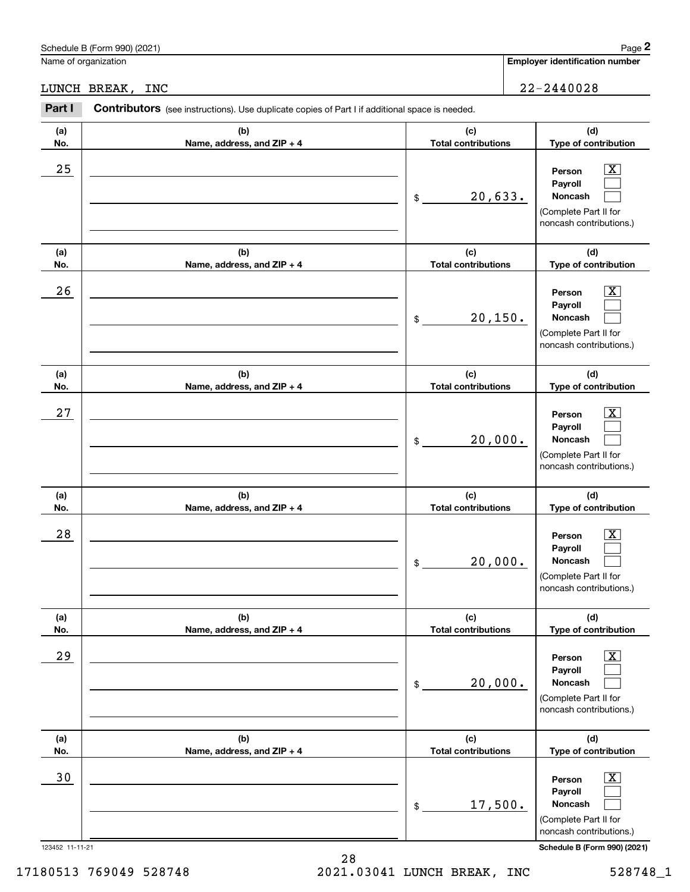|                       | Schedule B (Form 990) (2021)                                                                   |                                   | Page 2                                                                                                                                    |
|-----------------------|------------------------------------------------------------------------------------------------|-----------------------------------|-------------------------------------------------------------------------------------------------------------------------------------------|
| Name of organization  |                                                                                                |                                   | <b>Employer identification number</b>                                                                                                     |
|                       | LUNCH BREAK,<br>INC                                                                            |                                   | 22-2440028                                                                                                                                |
| Part I                | Contributors (see instructions). Use duplicate copies of Part I if additional space is needed. |                                   |                                                                                                                                           |
| (a)<br>No.            | (b)<br>Name, address, and ZIP + 4                                                              | (c)<br><b>Total contributions</b> | (d)<br>Type of contribution                                                                                                               |
| 25                    |                                                                                                | 20,633.<br>\$                     | $\overline{\text{X}}$<br>Person<br>Payroll<br>Noncash<br>(Complete Part II for<br>noncash contributions.)                                 |
| (a)<br>No.            | (b)<br>Name, address, and ZIP + 4                                                              | (c)<br><b>Total contributions</b> | (d)<br>Type of contribution                                                                                                               |
| 26                    |                                                                                                | 20,150.<br>\$                     | $\overline{\text{X}}$<br>Person<br>Payroll<br>Noncash<br>(Complete Part II for<br>noncash contributions.)                                 |
| (a)<br>No.            | (b)<br>Name, address, and ZIP + 4                                                              | (c)<br><b>Total contributions</b> | (d)<br>Type of contribution                                                                                                               |
| 27                    |                                                                                                | 20,000.<br>\$                     | $\overline{\text{X}}$<br>Person<br>Payroll<br>Noncash<br>(Complete Part II for<br>noncash contributions.)                                 |
| (a)<br>No.            | (b)<br>Name, address, and ZIP + 4                                                              | (c)<br><b>Total contributions</b> | (d)<br>Type of contribution                                                                                                               |
| 28                    |                                                                                                | 20,000.<br>\$                     | $\overline{\text{X}}$<br>Person<br>Payroll<br>Noncash<br>(Complete Part II for<br>noncash contributions.)                                 |
| (a)<br>No.            | (b)<br>Name, address, and ZIP + 4                                                              | (c)<br><b>Total contributions</b> | (d)<br>Type of contribution                                                                                                               |
| 29                    |                                                                                                | 20,000.<br>\$                     | $\overline{\text{X}}$<br>Person<br>Payroll<br>Noncash<br>(Complete Part II for<br>noncash contributions.)                                 |
| (a)<br>No.            | (b)<br>Name, address, and ZIP + 4                                                              | (c)<br><b>Total contributions</b> | (d)<br>Type of contribution                                                                                                               |
| 30<br>123452 11-11-21 |                                                                                                | 17,500.<br>\$                     | $\overline{\text{X}}$<br>Person<br>Payroll<br>Noncash<br>(Complete Part II for<br>noncash contributions.)<br>Schedule B (Form 990) (2021) |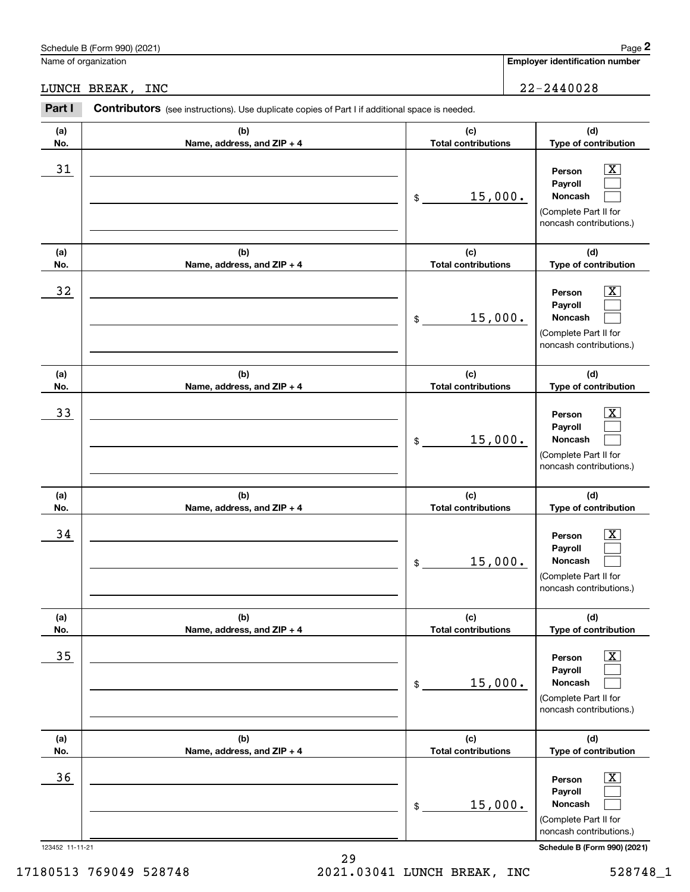|                       | Schedule B (Form 990) (2021)                                                                   |                                   | Page 2                                                                                                                                 |
|-----------------------|------------------------------------------------------------------------------------------------|-----------------------------------|----------------------------------------------------------------------------------------------------------------------------------------|
| Name of organization  |                                                                                                |                                   | <b>Employer identification number</b>                                                                                                  |
|                       | LUNCH BREAK,<br><b>INC</b>                                                                     |                                   | 22-2440028                                                                                                                             |
| Part I                | Contributors (see instructions). Use duplicate copies of Part I if additional space is needed. |                                   |                                                                                                                                        |
| (a)<br>No.            | (b)<br>Name, address, and ZIP + 4                                                              | (c)<br><b>Total contributions</b> | (d)<br>Type of contribution                                                                                                            |
| 31                    |                                                                                                | 15,000.<br>\$                     | $\mathbf{X}$<br>Person<br>Payroll<br>Noncash<br>(Complete Part II for<br>noncash contributions.)                                       |
| (a)<br>No.            | (b)<br>Name, address, and ZIP + 4                                                              | (c)<br><b>Total contributions</b> | (d)<br>Type of contribution                                                                                                            |
| 32                    |                                                                                                | 15,000.<br>\$                     | $\mathbf{X}$<br>Person<br>Payroll<br>Noncash<br>(Complete Part II for<br>noncash contributions.)                                       |
| (a)<br>No.            | (b)<br>Name, address, and ZIP + 4                                                              | (c)<br><b>Total contributions</b> | (d)<br>Type of contribution                                                                                                            |
| 33                    |                                                                                                | 15,000.<br>\$                     | $\mathbf{X}$<br>Person<br>Payroll<br>Noncash<br>(Complete Part II for<br>noncash contributions.)                                       |
| (a)<br>No.            | (b)<br>Name, address, and ZIP + 4                                                              | (c)<br><b>Total contributions</b> | (d)<br>Type of contribution                                                                                                            |
| 34                    |                                                                                                | 15,000.<br>\$                     | $\mathbf{X}$<br>Person<br>Payroll<br>Noncash<br>(Complete Part II for<br>noncash contributions.)                                       |
| (a)<br>No.            | (b)<br>Name, address, and ZIP + 4                                                              | (c)<br><b>Total contributions</b> | (d)<br>Type of contribution                                                                                                            |
| 35                    |                                                                                                | 15,000.<br>\$                     | $\boxed{\text{X}}$<br>Person<br>Payroll<br><b>Noncash</b><br>(Complete Part II for<br>noncash contributions.)                          |
| (a)<br>No.            | (b)<br>Name, address, and ZIP + 4                                                              | (c)<br><b>Total contributions</b> | (d)<br>Type of contribution                                                                                                            |
| 36<br>123452 11-11-21 |                                                                                                | 15,000.<br>\$                     | $\boxed{\text{X}}$<br>Person<br>Payroll<br>Noncash<br>(Complete Part II for<br>noncash contributions.)<br>Schedule B (Form 990) (2021) |

Schedule B (Form 990) (2021) Page 2

29 17180513 769049 528748 2021.03041 LUNCH BREAK, INC 528748\_1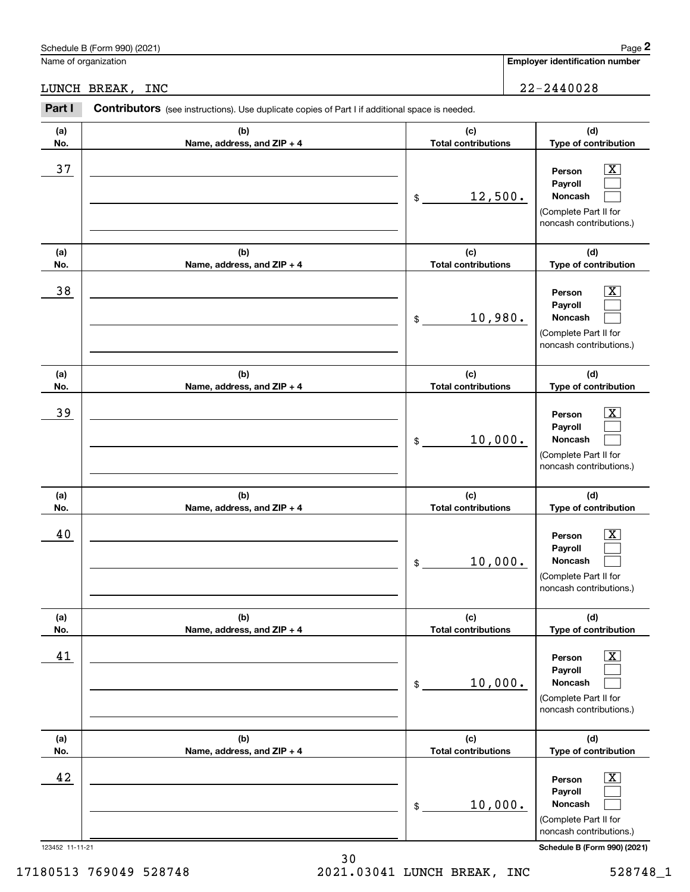|                      | Schedule B (Form 990) (2021)                                                                   |                                   | Page 2                                                                                                                                        |
|----------------------|------------------------------------------------------------------------------------------------|-----------------------------------|-----------------------------------------------------------------------------------------------------------------------------------------------|
| Name of organization |                                                                                                |                                   | <b>Employer identification number</b>                                                                                                         |
|                      | LUNCH BREAK,<br><b>INC</b>                                                                     |                                   | 22-2440028                                                                                                                                    |
| Part I               | Contributors (see instructions). Use duplicate copies of Part I if additional space is needed. |                                   |                                                                                                                                               |
| (a)<br>No.           | (b)<br>Name, address, and ZIP + 4                                                              | (c)<br><b>Total contributions</b> | (d)<br>Type of contribution                                                                                                                   |
| 37                   |                                                                                                | 12,500.<br>\$                     | $\boxed{\text{X}}$<br>Person<br>Payroll<br>Noncash<br>(Complete Part II for<br>noncash contributions.)                                        |
| (a)<br>No.           | (b)<br>Name, address, and ZIP + 4                                                              | (c)<br><b>Total contributions</b> | (d)<br>Type of contribution                                                                                                                   |
| 38                   |                                                                                                | 10,980.<br>\$                     | $\mathbf{X}$<br>Person<br>Payroll<br>Noncash<br>(Complete Part II for<br>noncash contributions.)                                              |
| (a)<br>No.           | (b)<br>Name, address, and ZIP + 4                                                              | (c)<br><b>Total contributions</b> | (d)<br>Type of contribution                                                                                                                   |
| 39                   |                                                                                                | 10,000.<br>\$                     | $\mathbf{X}$<br>Person<br>Payroll<br>Noncash<br>(Complete Part II for<br>noncash contributions.)                                              |
| (a)<br>No.           | (b)<br>Name, address, and ZIP + 4                                                              | (c)<br><b>Total contributions</b> | (d)<br>Type of contribution                                                                                                                   |
| 40                   |                                                                                                | 10,000.<br>\$                     | $\lfloor x \rfloor$<br>Person<br>Payroll<br><b>Noncash</b><br>(Complete Part II for<br>noncash contributions.)                                |
| (a)<br>No.           | (b)<br>Name, address, and ZIP + 4                                                              | (c)<br><b>Total contributions</b> | (d)<br>Type of contribution                                                                                                                   |
| 41                   |                                                                                                | 10,000.<br>\$                     | $\boxed{\text{X}}$<br>Person<br>Payroll<br><b>Noncash</b><br>(Complete Part II for<br>noncash contributions.)                                 |
| (a)<br>No.           | (b)<br>Name, address, and ZIP + 4                                                              | (c)<br><b>Total contributions</b> | (d)<br>Type of contribution                                                                                                                   |
| 42                   | 123452 11-11-21                                                                                | 10,000.<br>\$                     | $\boxed{\text{X}}$<br>Person<br>Payroll<br><b>Noncash</b><br>(Complete Part II for<br>noncash contributions.)<br>Schedule B (Form 990) (2021) |

30 17180513 769049 528748 2021.03041 LUNCH BREAK, INC 528748\_1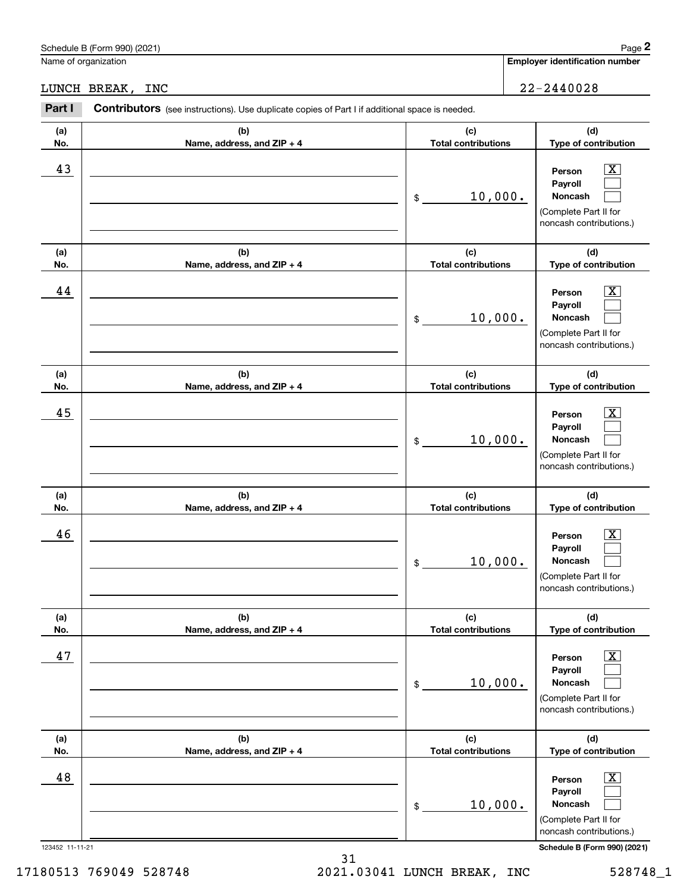|                 | Schedule B (Form 990) (2021)                                                                   |                                   | Page 2                                                                                                 |
|-----------------|------------------------------------------------------------------------------------------------|-----------------------------------|--------------------------------------------------------------------------------------------------------|
|                 | Name of organization                                                                           |                                   | <b>Employer identification number</b>                                                                  |
|                 | LUNCH BREAK, INC                                                                               |                                   | 22-2440028                                                                                             |
| Part I          | Contributors (see instructions). Use duplicate copies of Part I if additional space is needed. |                                   |                                                                                                        |
| (a)<br>No.      | (b)<br>Name, address, and ZIP + 4                                                              | (c)<br><b>Total contributions</b> | (d)<br>Type of contribution                                                                            |
| 43              |                                                                                                | 10,000.<br>\$                     | $\boxed{\text{X}}$<br>Person<br>Payroll<br>Noncash<br>(Complete Part II for<br>noncash contributions.) |
| (a)<br>No.      | (b)<br>Name, address, and ZIP + 4                                                              | (c)<br><b>Total contributions</b> | (d)<br>Type of contribution                                                                            |
| 44              |                                                                                                | 10,000.<br>\$                     | $\boxed{\text{X}}$<br>Person<br>Payroll<br>Noncash<br>(Complete Part II for<br>noncash contributions.) |
| (a)<br>No.      | (b)<br>Name, address, and ZIP + 4                                                              | (c)<br><b>Total contributions</b> | (d)<br>Type of contribution                                                                            |
| 45              |                                                                                                | 10,000.<br>\$                     | $\mathbf{X}$<br>Person<br>Payroll<br>Noncash<br>(Complete Part II for<br>noncash contributions.)       |
| (a)<br>No.      | (b)<br>Name, address, and ZIP + 4                                                              | (c)<br><b>Total contributions</b> | (d)<br>Type of contribution                                                                            |
| 46              |                                                                                                | 10,000.<br>\$                     | $\vert$ X<br>Person<br>Payroll<br>Noncash<br>(Complete Part II for<br>noncash contributions.)          |
| (a)<br>No.      | (b)<br>Name, address, and ZIP + 4                                                              | (c)<br><b>Total contributions</b> | (d)<br>Type of contribution                                                                            |
| 47              |                                                                                                | 10,000.<br>\$                     | $\boxed{\text{X}}$<br>Person<br>Payroll<br>Noncash<br>(Complete Part II for<br>noncash contributions.) |
| (a)<br>No.      | (b)<br>Name, address, and ZIP + 4                                                              | (c)<br><b>Total contributions</b> | (d)<br>Type of contribution                                                                            |
| 48              |                                                                                                | 10,000.<br>\$                     | $\boxed{\text{X}}$<br>Person<br>Payroll<br>Noncash<br>(Complete Part II for<br>noncash contributions.) |
| 123452 11-11-21 |                                                                                                |                                   | Schedule B (Form 990) (2021)                                                                           |

### Name of organization

Schedule B (Form 990) (2021) Page 2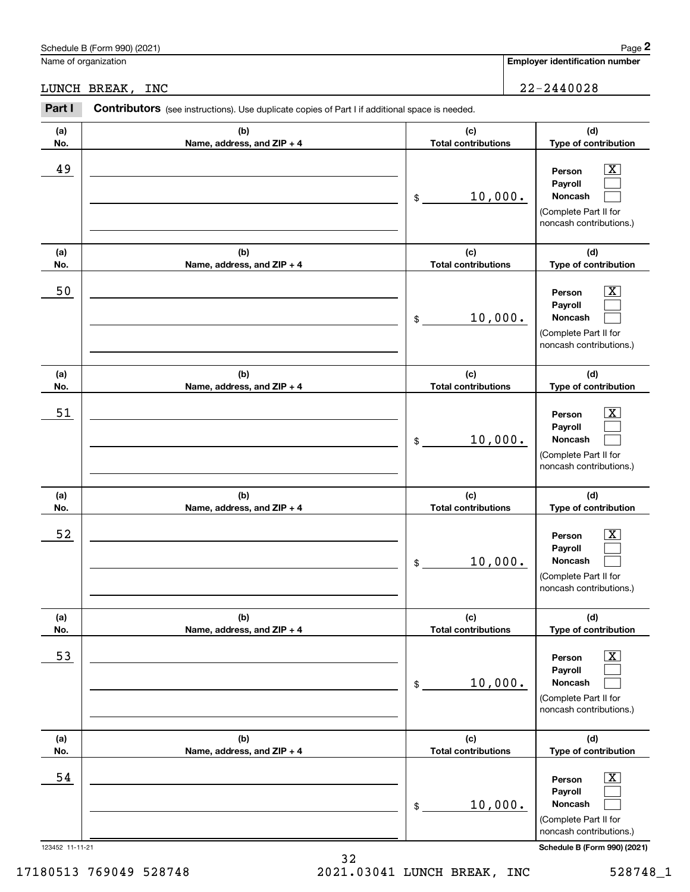|                      | Schedule B (Form 990) (2021)                                                                   |                                   | Page 2                                                                                                                                        |
|----------------------|------------------------------------------------------------------------------------------------|-----------------------------------|-----------------------------------------------------------------------------------------------------------------------------------------------|
| Name of organization |                                                                                                |                                   | <b>Employer identification number</b>                                                                                                         |
|                      | LUNCH BREAK,<br><b>INC</b>                                                                     |                                   | 22-2440028                                                                                                                                    |
| Part I               | Contributors (see instructions). Use duplicate copies of Part I if additional space is needed. |                                   |                                                                                                                                               |
| (a)<br>No.           | (b)<br>Name, address, and ZIP + 4                                                              | (c)<br><b>Total contributions</b> | (d)<br>Type of contribution                                                                                                                   |
| 49                   |                                                                                                | 10,000.<br>\$                     | $\mathbf{X}$<br>Person<br>Payroll<br>Noncash<br>(Complete Part II for<br>noncash contributions.)                                              |
| (a)<br>No.           | (b)<br>Name, address, and ZIP + 4                                                              | (c)<br><b>Total contributions</b> | (d)<br>Type of contribution                                                                                                                   |
| 50                   |                                                                                                | 10,000.<br>\$                     | $\mathbf{X}$<br>Person<br>Payroll<br>Noncash<br>(Complete Part II for<br>noncash contributions.)                                              |
| (a)<br>No.           | (b)<br>Name, address, and ZIP + 4                                                              | (c)<br><b>Total contributions</b> | (d)<br>Type of contribution                                                                                                                   |
| 51                   |                                                                                                | 10,000.<br>\$                     | $\mathbf{X}$<br>Person<br>Payroll<br>Noncash<br>(Complete Part II for<br>noncash contributions.)                                              |
| (a)<br>No.           | (b)<br>Name, address, and ZIP + 4                                                              | (c)<br><b>Total contributions</b> | (d)<br>Type of contribution                                                                                                                   |
| 52                   |                                                                                                | 10,000.<br>\$                     | $\lfloor x \rfloor$<br>Person<br>Payroll<br>Noncash<br>(Complete Part II for<br>noncash contributions.)                                       |
| (a)<br>No.           | (b)<br>Name, address, and ZIP + 4                                                              | (c)<br><b>Total contributions</b> | (d)<br>Type of contribution                                                                                                                   |
| 53                   |                                                                                                | 10,000.<br>\$                     | $\boxed{\text{X}}$<br>Person<br>Payroll<br>Noncash<br>(Complete Part II for<br>noncash contributions.)                                        |
| (a)<br>No.           | (b)<br>Name, address, and ZIP + 4                                                              | (c)<br><b>Total contributions</b> | (d)<br>Type of contribution                                                                                                                   |
| 54                   |                                                                                                | 10,000.<br>\$                     | $\boxed{\text{X}}$<br>Person<br>Payroll<br><b>Noncash</b><br>(Complete Part II for<br>noncash contributions.)<br>Schedule B (Form 990) (2021) |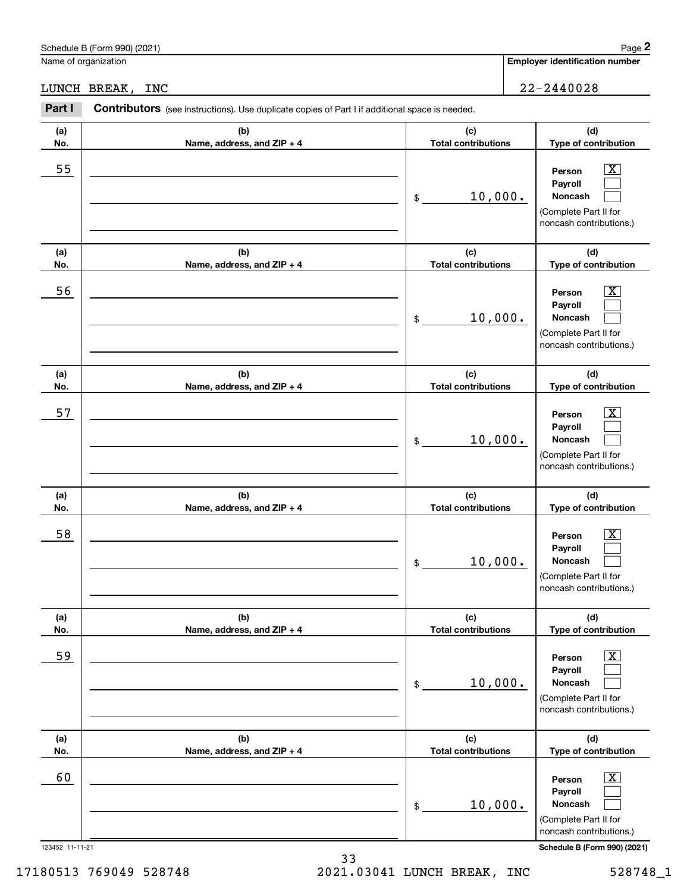|                       | Schedule B (Form 990) (2021)                                                                   |                                   | Page 2                                                                                                                                 |
|-----------------------|------------------------------------------------------------------------------------------------|-----------------------------------|----------------------------------------------------------------------------------------------------------------------------------------|
| Name of organization  |                                                                                                |                                   | <b>Employer identification number</b>                                                                                                  |
|                       | LUNCH BREAK,<br><b>INC</b>                                                                     |                                   | 22-2440028                                                                                                                             |
| Part I                | Contributors (see instructions). Use duplicate copies of Part I if additional space is needed. |                                   |                                                                                                                                        |
| (a)<br>No.            | (b)<br>Name, address, and ZIP + 4                                                              | (c)<br><b>Total contributions</b> | (d)<br>Type of contribution                                                                                                            |
| 55                    |                                                                                                | 10,000.<br>\$                     | $\mathbf{X}$<br>Person<br>Payroll<br>Noncash<br>(Complete Part II for<br>noncash contributions.)                                       |
| (a)<br>No.            | (b)<br>Name, address, and ZIP + 4                                                              | (c)<br><b>Total contributions</b> | (d)<br>Type of contribution                                                                                                            |
| 56                    |                                                                                                | 10,000.<br>\$                     | $\mathbf{X}$<br>Person<br>Payroll<br>Noncash<br>(Complete Part II for<br>noncash contributions.)                                       |
| (a)<br>No.            | (b)<br>Name, address, and ZIP + 4                                                              | (c)<br><b>Total contributions</b> | (d)<br>Type of contribution                                                                                                            |
| 57                    |                                                                                                | 10,000.<br>\$                     | $\mathbf{X}$<br>Person<br>Payroll<br>Noncash<br>(Complete Part II for<br>noncash contributions.)                                       |
| (a)<br>No.            | (b)<br>Name, address, and ZIP + 4                                                              | (c)<br><b>Total contributions</b> | (d)<br>Type of contribution                                                                                                            |
| 58                    |                                                                                                | 10,000.<br>\$                     | $\mathbf{X}$<br>Person<br>Payroll<br>Noncash<br>(Complete Part II for<br>noncash contributions.)                                       |
| (a)<br>No.            | (b)<br>Name, address, and ZIP + 4                                                              | (c)<br><b>Total contributions</b> | (d)<br>Type of contribution                                                                                                            |
| 59                    |                                                                                                | 10,000.<br>\$                     | $\boxed{\text{X}}$<br>Person<br>Payroll<br>Noncash<br>(Complete Part II for<br>noncash contributions.)                                 |
| (a)<br>No.            | (b)<br>Name, address, and ZIP + 4                                                              | (c)<br><b>Total contributions</b> | (d)<br>Type of contribution                                                                                                            |
| 60<br>123452 11-11-21 |                                                                                                | 10,000.<br>\$                     | $\boxed{\text{X}}$<br>Person<br>Payroll<br>Noncash<br>(Complete Part II for<br>noncash contributions.)<br>Schedule B (Form 990) (2021) |

## Schedule B (Form 990) (2021) Page 2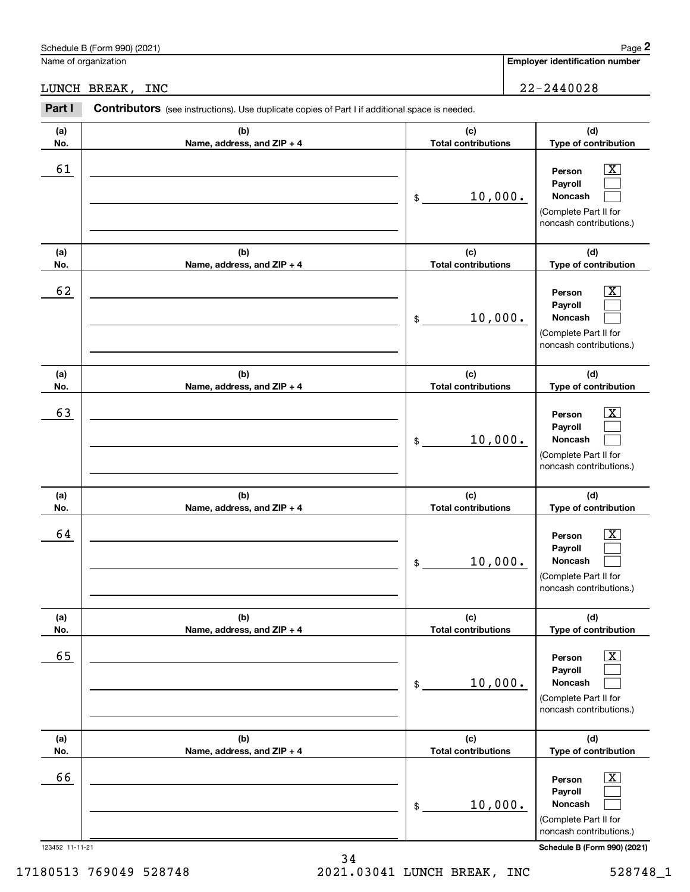|                 | Schedule B (Form 990) (2021)                                                                   |                                   | Page 2                                                                                                  |
|-----------------|------------------------------------------------------------------------------------------------|-----------------------------------|---------------------------------------------------------------------------------------------------------|
|                 | Name of organization                                                                           |                                   | <b>Employer identification number</b>                                                                   |
|                 | LUNCH BREAK,<br><b>INC</b>                                                                     |                                   | 22-2440028                                                                                              |
| Part I          | Contributors (see instructions). Use duplicate copies of Part I if additional space is needed. |                                   |                                                                                                         |
| (a)<br>No.      | (b)<br>Name, address, and ZIP + 4                                                              | (c)<br><b>Total contributions</b> | (d)<br>Type of contribution                                                                             |
| 61              |                                                                                                | 10,000.<br>\$                     | $\mathbf{X}$<br>Person<br>Payroll<br>Noncash<br>(Complete Part II for<br>noncash contributions.)        |
| (a)<br>No.      | (b)<br>Name, address, and ZIP + 4                                                              | (c)<br><b>Total contributions</b> | (d)<br>Type of contribution                                                                             |
| 62              |                                                                                                | 10,000.<br>\$                     | $\mathbf{X}$<br>Person<br>Payroll<br>Noncash<br>(Complete Part II for<br>noncash contributions.)        |
| (a)<br>No.      | (b)<br>Name, address, and ZIP + 4                                                              | (c)<br><b>Total contributions</b> | (d)<br>Type of contribution                                                                             |
| 63              |                                                                                                | 10,000.<br>\$                     | $\mathbf{X}$<br>Person<br>Payroll<br>Noncash<br>(Complete Part II for<br>noncash contributions.)        |
| (a)<br>No.      | (b)<br>Name, address, and ZIP + 4                                                              | (c)<br><b>Total contributions</b> | (d)<br>Type of contribution                                                                             |
| 64              |                                                                                                | 10,000.<br>\$                     | $\lfloor x \rfloor$<br>Person<br>Payroll<br>Noncash<br>(Complete Part II for<br>noncash contributions.) |
| (a)<br>No.      | (b)<br>Name, address, and ZIP + 4                                                              | (c)<br><b>Total contributions</b> | (d)<br>Type of contribution                                                                             |
| 65              |                                                                                                | 10,000.<br>\$                     | $\boxed{\text{X}}$<br>Person<br>Payroll<br>Noncash<br>(Complete Part II for<br>noncash contributions.)  |
| (a)<br>No.      | (b)<br>Name, address, and ZIP + 4                                                              | (c)<br><b>Total contributions</b> | (d)<br>Type of contribution                                                                             |
| 66              |                                                                                                | 10,000.<br>\$                     | $\boxed{\text{X}}$<br>Person<br>Payroll<br>Noncash<br>(Complete Part II for<br>noncash contributions.)  |
| 123452 11-11-21 | 34                                                                                             |                                   | <b>Schedule B (Form 990) (2021)</b>                                                                     |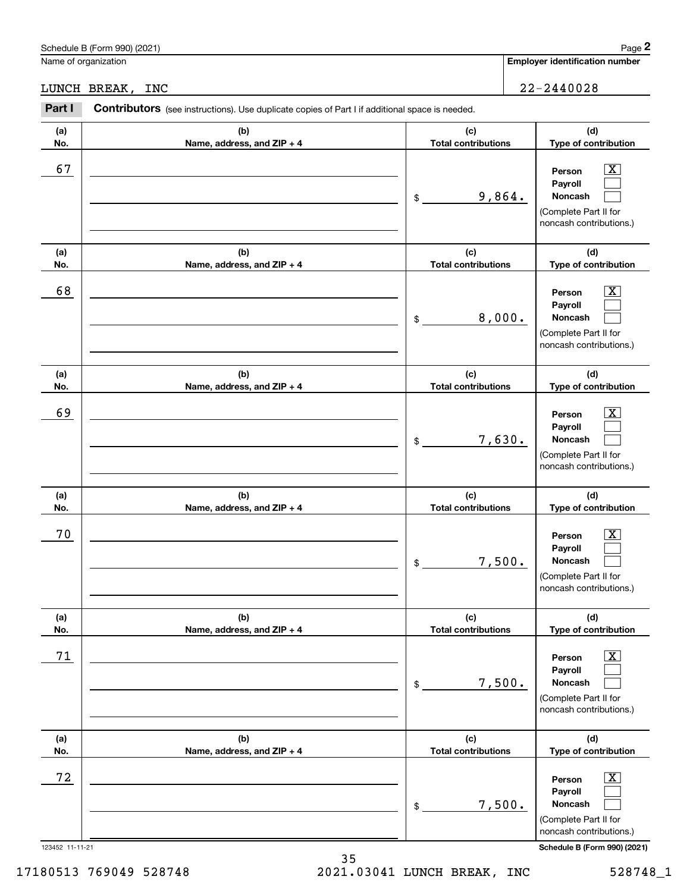| Name of organization | Schedule B (Form 990) (2021)                                                                   |                                   | Page 2<br><b>Employer identification number</b>                                                             |
|----------------------|------------------------------------------------------------------------------------------------|-----------------------------------|-------------------------------------------------------------------------------------------------------------|
|                      |                                                                                                |                                   |                                                                                                             |
|                      | LUNCH BREAK, INC                                                                               |                                   | 22-2440028                                                                                                  |
| Part I               | Contributors (see instructions). Use duplicate copies of Part I if additional space is needed. |                                   |                                                                                                             |
| (a)<br>No.           | (b)<br>Name, address, and ZIP + 4                                                              | (c)<br><b>Total contributions</b> | (d)<br>Type of contribution                                                                                 |
| 67                   |                                                                                                | 9,864.<br>\$                      | $\overline{\text{X}}$<br>Person<br>Payroll<br>Noncash<br>(Complete Part II for<br>noncash contributions.)   |
| (a)<br>No.           | (b)<br>Name, address, and ZIP + 4                                                              | (c)<br><b>Total contributions</b> | (d)<br>Type of contribution                                                                                 |
| 68                   |                                                                                                | 8,000.<br>\$                      | $\overline{\texttt{X}}$<br>Person<br>Payroll<br>Noncash<br>(Complete Part II for<br>noncash contributions.) |
| (a)<br>No.           | (b)<br>Name, address, and ZIP + 4                                                              | (c)<br><b>Total contributions</b> | (d)<br>Type of contribution                                                                                 |
| 69                   |                                                                                                | 7,630.<br>\$                      | $\overline{\texttt{X}}$<br>Person<br>Payroll<br>Noncash<br>(Complete Part II for<br>noncash contributions.) |
| (a)<br>No.           | (b)<br>Name, address, and ZIP + 4                                                              | (c)<br><b>Total contributions</b> | (d)<br>Type of contribution                                                                                 |
| 70                   |                                                                                                | 7,500.<br>\$                      | $\overline{\mathbf{X}}$<br>Person<br>Payroll<br>Noncash<br>(Complete Part II for<br>noncash contributions.) |
| (a)<br>No.           | (b)<br>Name, address, and ZIP + 4                                                              | (c)<br><b>Total contributions</b> | (d)<br>Type of contribution                                                                                 |
| 71                   |                                                                                                | 7,500.<br>\$                      | $\overline{\text{X}}$<br>Person<br>Payroll<br>Noncash<br>(Complete Part II for<br>noncash contributions.)   |
| (a)<br>No.           | (b)<br>Name, address, and ZIP + 4                                                              | (c)<br><b>Total contributions</b> | (d)<br>Type of contribution                                                                                 |
| 72                   |                                                                                                | 7,500.<br>\$                      | $\overline{\text{X}}$<br>Person<br>Payroll<br>Noncash<br>(Complete Part II for<br>noncash contributions.)   |

Schedule B (Form 990) (2021) Page 2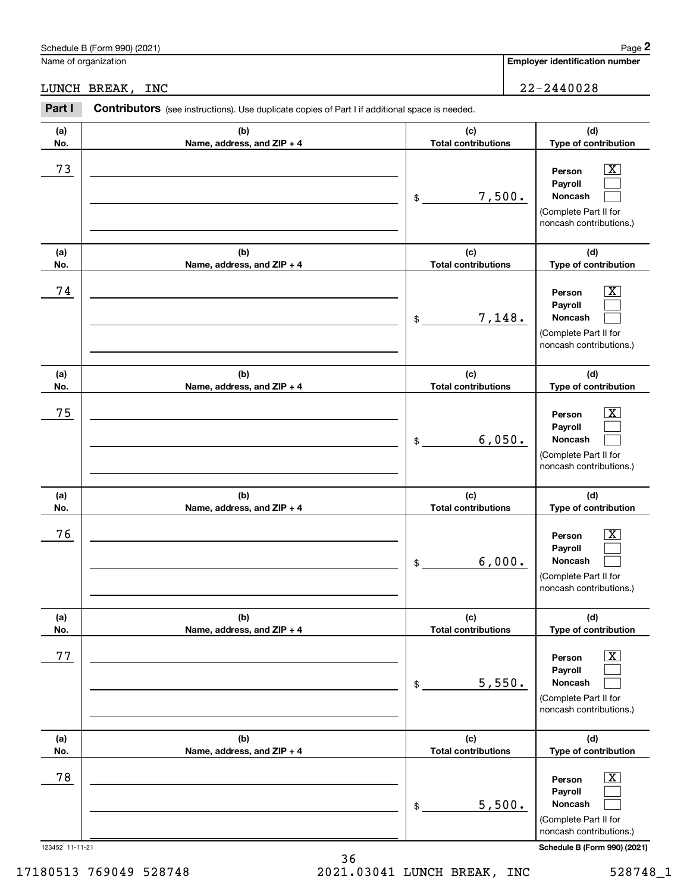|                       | Schedule B (Form 990) (2021)                                                                   |                                       | Page 2                                                                                                                                 |
|-----------------------|------------------------------------------------------------------------------------------------|---------------------------------------|----------------------------------------------------------------------------------------------------------------------------------------|
| Name of organization  |                                                                                                | <b>Employer identification number</b> |                                                                                                                                        |
|                       | LUNCH BREAK,<br><b>INC</b>                                                                     |                                       | 22-2440028                                                                                                                             |
| Part I                | Contributors (see instructions). Use duplicate copies of Part I if additional space is needed. |                                       |                                                                                                                                        |
| (a)<br>No.            | (b)<br>Name, address, and ZIP + 4                                                              | (c)<br><b>Total contributions</b>     | (d)<br>Type of contribution                                                                                                            |
| 73                    |                                                                                                | 7,500.<br>\$                          | $\boxed{\text{X}}$<br>Person<br>Payroll<br>Noncash<br>(Complete Part II for<br>noncash contributions.)                                 |
| (a)<br>No.            | (b)<br>Name, address, and ZIP + 4                                                              | (c)<br><b>Total contributions</b>     | (d)<br>Type of contribution                                                                                                            |
| 74                    |                                                                                                | 7,148.<br>\$                          | $\mathbf{X}$<br>Person<br>Payroll<br>Noncash<br>(Complete Part II for<br>noncash contributions.)                                       |
| (a)<br>No.            | (b)<br>Name, address, and ZIP + 4                                                              | (c)<br><b>Total contributions</b>     | (d)<br>Type of contribution                                                                                                            |
| 75                    |                                                                                                | 6,050.<br>\$                          | $\mathbf{X}$<br>Person<br>Payroll<br>Noncash<br>(Complete Part II for<br>noncash contributions.)                                       |
| (a)<br>No.            | (b)<br>Name, address, and ZIP + 4                                                              | (c)<br><b>Total contributions</b>     | (d)<br>Type of contribution                                                                                                            |
| 76                    |                                                                                                | 6,000.<br>\$                          | $\mathbf{X}$<br>Person<br>Payroll<br>Noncash<br>(Complete Part II for<br>noncash contributions.)                                       |
| (a)<br>No.            | (b)<br>Name, address, and ZIP + 4                                                              | (c)<br><b>Total contributions</b>     | (d)<br>Type of contribution                                                                                                            |
| 77                    |                                                                                                | 5,550.<br>\$                          | $\boxed{\text{X}}$<br>Person<br>Payroll<br><b>Noncash</b><br>(Complete Part II for<br>noncash contributions.)                          |
| (a)<br>No.            | (b)<br>Name, address, and ZIP + 4                                                              | (c)<br><b>Total contributions</b>     | (d)<br>Type of contribution                                                                                                            |
| 78<br>123452 11-11-21 |                                                                                                | 5,500.<br>\$                          | $\boxed{\text{X}}$<br>Person<br>Payroll<br>Noncash<br>(Complete Part II for<br>noncash contributions.)<br>Schedule B (Form 990) (2021) |

36

17180513 769049 528748 2021.03041 LUNCH BREAK, INC 528748\_1

Schedule B (Form 990) (2021) Page 2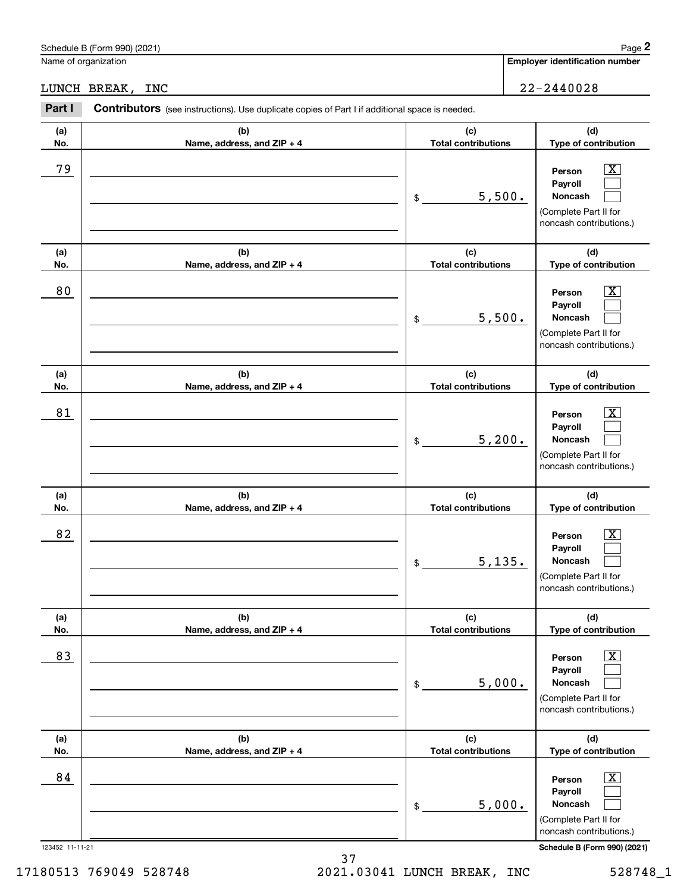|                      | Schedule B (Form 990) (2021)                                                                   |                                   | Page 2                                                                                                      |  |  |
|----------------------|------------------------------------------------------------------------------------------------|-----------------------------------|-------------------------------------------------------------------------------------------------------------|--|--|
| Name of organization |                                                                                                |                                   | <b>Employer identification number</b>                                                                       |  |  |
|                      | LUNCH BREAK,<br><b>INC</b>                                                                     |                                   | 22-2440028                                                                                                  |  |  |
| Part I               | Contributors (see instructions). Use duplicate copies of Part I if additional space is needed. |                                   |                                                                                                             |  |  |
| (a)<br>No.           | (b)<br>Name, address, and ZIP + 4                                                              | (c)<br><b>Total contributions</b> | (d)<br>Type of contribution                                                                                 |  |  |
| 79                   |                                                                                                | 5,500.<br>\$                      | $\overline{\mathbf{X}}$<br>Person<br>Payroll<br>Noncash<br>(Complete Part II for<br>noncash contributions.) |  |  |
| (a)<br>No.           | (b)<br>Name, address, and ZIP + 4                                                              | (c)<br><b>Total contributions</b> | (d)<br>Type of contribution                                                                                 |  |  |
| 80                   |                                                                                                | 5,500.<br>\$                      | $\overline{\text{X}}$<br>Person<br>Payroll<br>Noncash<br>(Complete Part II for<br>noncash contributions.)   |  |  |
| (a)<br>No.           | (b)<br>Name, address, and ZIP + 4                                                              | (c)<br><b>Total contributions</b> | (d)<br>Type of contribution                                                                                 |  |  |
| 81                   |                                                                                                | 5,200.<br>\$                      | $\overline{\text{X}}$<br>Person<br>Payroll<br>Noncash<br>(Complete Part II for<br>noncash contributions.)   |  |  |
| (a)<br>No.           | (b)<br>Name, address, and ZIP + 4                                                              | (c)<br><b>Total contributions</b> | (d)<br>Type of contribution                                                                                 |  |  |
| 82                   |                                                                                                | 5,135.<br>\$                      | $\overline{\text{X}}$<br>Person<br>Payroll<br>Noncash<br>(Complete Part II for<br>noncash contributions.)   |  |  |
| (a)<br>No.           | (b)<br>Name, address, and ZIP + 4                                                              | (c)<br><b>Total contributions</b> | (d)<br>Type of contribution                                                                                 |  |  |
| 83                   |                                                                                                | 5,000.<br>\$                      | $\overline{\mathbf{X}}$<br>Person<br>Payroll<br>Noncash<br>(Complete Part II for<br>noncash contributions.) |  |  |
| (a)<br>No.           | (b)<br>Name, address, and ZIP + 4                                                              | (c)<br><b>Total contributions</b> | (d)<br>Type of contribution                                                                                 |  |  |
| 84                   |                                                                                                | 5,000.<br>\$                      | $\overline{\mathbf{X}}$<br>Person<br>Payroll<br>Noncash<br>(Complete Part II for<br>noncash contributions.) |  |  |
| 123452 11-11-21      |                                                                                                |                                   | Schedule B (Form 990) (2021)                                                                                |  |  |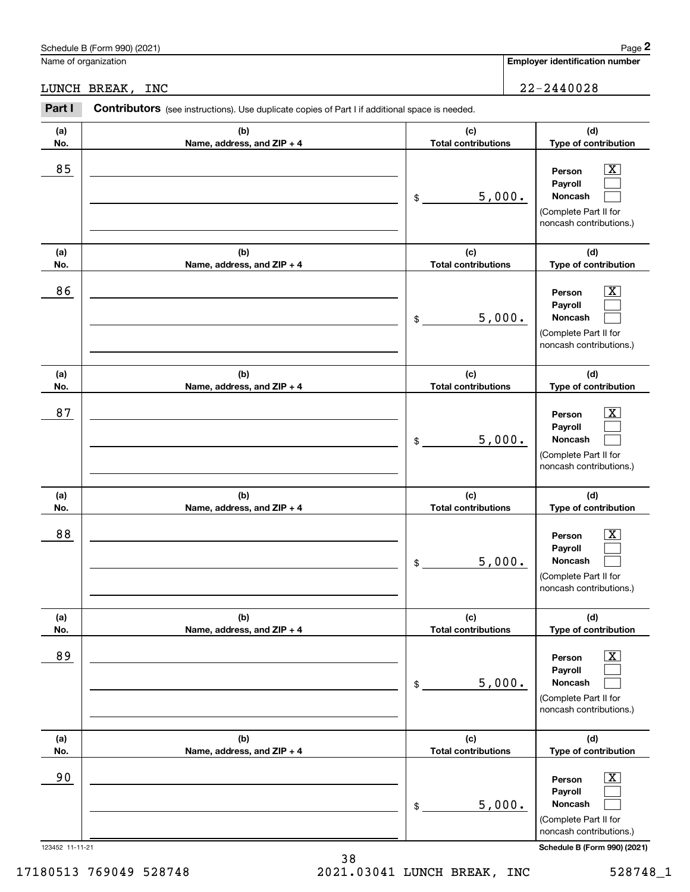|                       | Schedule B (Form 990) (2021)                                                                   |                                   | Page 2                                                                                                                                    |
|-----------------------|------------------------------------------------------------------------------------------------|-----------------------------------|-------------------------------------------------------------------------------------------------------------------------------------------|
| Name of organization  |                                                                                                |                                   | <b>Employer identification number</b>                                                                                                     |
|                       | LUNCH BREAK, INC                                                                               |                                   | 22-2440028                                                                                                                                |
| Part I                | Contributors (see instructions). Use duplicate copies of Part I if additional space is needed. |                                   |                                                                                                                                           |
| (a)<br>No.            | (b)<br>Name, address, and ZIP + 4                                                              | (c)<br><b>Total contributions</b> | (d)<br>Type of contribution                                                                                                               |
| 85                    |                                                                                                | 5,000.<br>\$                      | $\overline{\text{X}}$<br>Person<br>Payroll<br>Noncash<br>(Complete Part II for<br>noncash contributions.)                                 |
| (a)<br>No.            | (b)<br>Name, address, and ZIP + 4                                                              | (c)<br><b>Total contributions</b> | (d)<br>Type of contribution                                                                                                               |
| 86                    |                                                                                                | 5,000.<br>\$                      | $\overline{\texttt{X}}$<br>Person<br>Payroll<br>Noncash<br>(Complete Part II for<br>noncash contributions.)                               |
| (a)<br>No.            | (b)<br>Name, address, and ZIP + 4                                                              | (c)<br><b>Total contributions</b> | (d)<br>Type of contribution                                                                                                               |
| 87                    |                                                                                                | 5,000.<br>\$                      | $\overline{\texttt{X}}$<br>Person<br>Payroll<br>Noncash<br>(Complete Part II for<br>noncash contributions.)                               |
| (a)<br>No.            | (b)<br>Name, address, and ZIP + 4                                                              | (c)<br><b>Total contributions</b> | (d)<br>Type of contribution                                                                                                               |
| 88                    |                                                                                                | 5,000.<br>\$                      | $\overline{\mathbf{X}}$<br>Person<br>Payroll<br>Noncash<br>(Complete Part II for<br>noncash contributions.)                               |
| (a)<br>No.            | (b)<br>Name, address, and ZIP + 4                                                              | (c)<br><b>Total contributions</b> | (d)<br>Type of contribution                                                                                                               |
| 89                    |                                                                                                | 5,000.<br>\$                      | $\overline{\text{X}}$<br>Person<br>Payroll<br>Noncash<br>(Complete Part II for<br>noncash contributions.)                                 |
| (a)<br>No.            | (b)<br>Name, address, and ZIP + 4                                                              | (c)<br><b>Total contributions</b> | (d)<br>Type of contribution                                                                                                               |
| 90<br>123452 11-11-21 |                                                                                                | 5,000.<br>\$                      | $\overline{\text{X}}$<br>Person<br>Payroll<br>Noncash<br>(Complete Part II for<br>noncash contributions.)<br>Schedule B (Form 990) (2021) |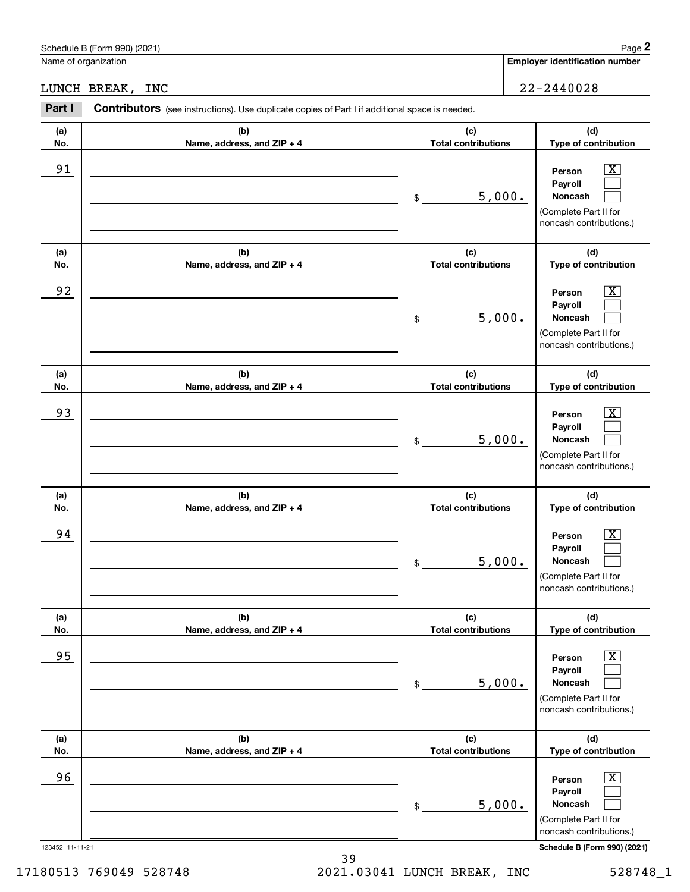|                 | Schedule B (Form 990) (2021)                                                                   |                                   | Page 2                                                                                                             |
|-----------------|------------------------------------------------------------------------------------------------|-----------------------------------|--------------------------------------------------------------------------------------------------------------------|
|                 | Name of organization                                                                           |                                   | <b>Employer identification number</b>                                                                              |
|                 | LUNCH BREAK,<br><b>INC</b>                                                                     |                                   | 22-2440028                                                                                                         |
| Part I          | Contributors (see instructions). Use duplicate copies of Part I if additional space is needed. |                                   |                                                                                                                    |
| (a)<br>No.      | (b)<br>Name, address, and ZIP + 4                                                              | (c)<br><b>Total contributions</b> | (d)<br>Type of contribution                                                                                        |
| 91              |                                                                                                | 5,000.<br>\$                      | $\overline{\text{X}}$<br>Person<br>Payroll<br><b>Noncash</b><br>(Complete Part II for<br>noncash contributions.)   |
| (a)<br>No.      | (b)<br>Name, address, and ZIP + 4                                                              | (c)<br><b>Total contributions</b> | (d)<br>Type of contribution                                                                                        |
| 92              |                                                                                                | 5,000.<br>\$                      | $\overline{\texttt{X}}$<br>Person<br>Payroll<br><b>Noncash</b><br>(Complete Part II for<br>noncash contributions.) |
| (a)<br>No.      | (b)<br>Name, address, and ZIP + 4                                                              | (c)<br><b>Total contributions</b> | (d)<br>Type of contribution                                                                                        |
| 93              |                                                                                                | 5,000.<br>\$                      | $\overline{\text{X}}$<br>Person<br>Payroll<br><b>Noncash</b><br>(Complete Part II for<br>noncash contributions.)   |
| (a)<br>No.      | (b)<br>Name, address, and ZIP + 4                                                              | (c)<br><b>Total contributions</b> | (d)<br>Type of contribution                                                                                        |
| 94              |                                                                                                | 5,000.<br>\$                      | $\overline{\mathbf{X}}$<br>Person<br>Payroll<br>Noncash<br>(Complete Part II for<br>noncash contributions.)        |
| (a)<br>No.      | (b)<br>Name, address, and ZIP + 4                                                              | (c)<br><b>Total contributions</b> | (d)<br>Type of contribution                                                                                        |
| 95              |                                                                                                | 5,000.<br>\$                      | $\boxed{\text{X}}$<br>Person<br>Payroll<br><b>Noncash</b><br>(Complete Part II for<br>noncash contributions.)      |
| (a)<br>No.      | (b)<br>Name, address, and ZIP + 4                                                              | (c)<br><b>Total contributions</b> | (d)<br>Type of contribution                                                                                        |
| 96              |                                                                                                | 5,000.<br>\$                      | $\boxed{\text{X}}$<br>Person<br>Payroll<br><b>Noncash</b><br>(Complete Part II for<br>noncash contributions.)      |
| 123452 11-11-21 |                                                                                                |                                   | Schedule B (Form 990) (2021)                                                                                       |

# Name of organization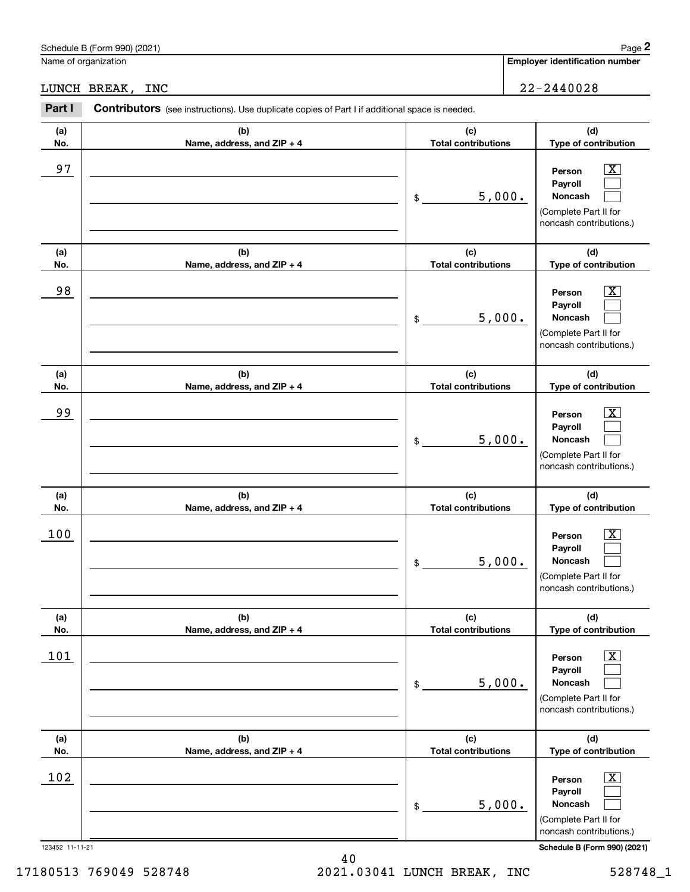|                 | Schedule B (Form 990) (2021)                                                                   |                                   | Page 2                                                                                                             |
|-----------------|------------------------------------------------------------------------------------------------|-----------------------------------|--------------------------------------------------------------------------------------------------------------------|
|                 | Name of organization                                                                           |                                   | <b>Employer identification number</b>                                                                              |
|                 | LUNCH BREAK,<br><b>INC</b>                                                                     |                                   | 22-2440028                                                                                                         |
| Part I          | Contributors (see instructions). Use duplicate copies of Part I if additional space is needed. |                                   |                                                                                                                    |
| (a)<br>No.      | (b)<br>Name, address, and ZIP + 4                                                              | (c)<br><b>Total contributions</b> | (d)<br>Type of contribution                                                                                        |
| 97              |                                                                                                | 5,000.<br>\$                      | $\overline{\text{X}}$<br>Person<br>Payroll<br><b>Noncash</b><br>(Complete Part II for<br>noncash contributions.)   |
| (a)<br>No.      | (b)<br>Name, address, and ZIP + 4                                                              | (c)<br><b>Total contributions</b> | (d)<br>Type of contribution                                                                                        |
| 98              |                                                                                                | 5,000.<br>\$                      | $\overline{\texttt{X}}$<br>Person<br>Payroll<br><b>Noncash</b><br>(Complete Part II for<br>noncash contributions.) |
| (a)<br>No.      | (b)<br>Name, address, and ZIP + 4                                                              | (c)<br><b>Total contributions</b> | (d)<br>Type of contribution                                                                                        |
| 99              |                                                                                                | 5,000.<br>\$                      | $\overline{\text{X}}$<br>Person<br>Payroll<br><b>Noncash</b><br>(Complete Part II for<br>noncash contributions.)   |
| (a)<br>No.      | (b)<br>Name, address, and ZIP + 4                                                              | (c)<br><b>Total contributions</b> | (d)<br>Type of contribution                                                                                        |
| 100             |                                                                                                | 5,000.<br>\$                      | $\overline{\mathbf{X}}$<br>Person<br>Payroll<br>Noncash<br>(Complete Part II for<br>noncash contributions.)        |
| (a)<br>No.      | (b)<br>Name, address, and ZIP + 4                                                              | (c)<br><b>Total contributions</b> | (d)<br>Type of contribution                                                                                        |
| 101             |                                                                                                | 5,000.<br>\$                      | $\boxed{\text{X}}$<br>Person<br>Payroll<br><b>Noncash</b><br>(Complete Part II for<br>noncash contributions.)      |
| (a)<br>No.      | (b)<br>Name, address, and ZIP + 4                                                              | (c)<br><b>Total contributions</b> | (d)<br>Type of contribution                                                                                        |
| 102             |                                                                                                | 5,000.<br>\$                      | $\boxed{\text{X}}$<br>Person<br>Payroll<br><b>Noncash</b><br>(Complete Part II for<br>noncash contributions.)      |
| 123452 11-11-21 |                                                                                                |                                   | Schedule B (Form 990) (2021)                                                                                       |

40 17180513 769049 528748 2021.03041 LUNCH BREAK, INC 528748\_1

Schedule B (Form 990) (2021) Page 2 Name of organization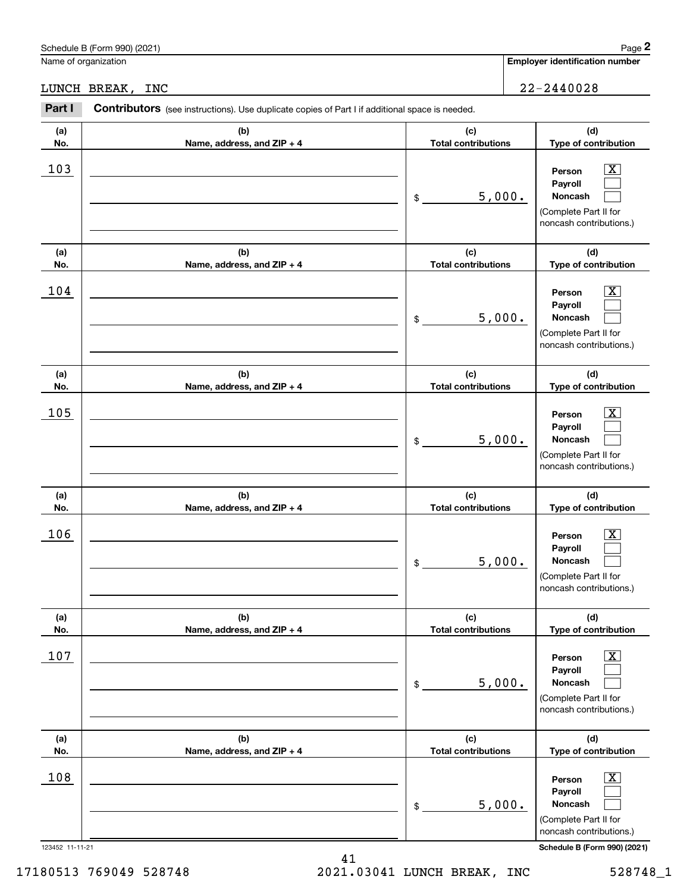|                      | Schedule B (Form 990) (2021)                                                                   |                                   | Page 2                                                                                                      |
|----------------------|------------------------------------------------------------------------------------------------|-----------------------------------|-------------------------------------------------------------------------------------------------------------|
| Name of organization |                                                                                                |                                   | <b>Employer identification number</b>                                                                       |
|                      | LUNCH BREAK,<br>INC                                                                            |                                   | 22-2440028                                                                                                  |
| Part I               | Contributors (see instructions). Use duplicate copies of Part I if additional space is needed. |                                   |                                                                                                             |
| (a)<br>No.           | (b)<br>Name, address, and ZIP + 4                                                              | (c)<br><b>Total contributions</b> | (d)<br>Type of contribution                                                                                 |
| 103                  |                                                                                                | 5,000.<br>\$                      | $\overline{\mathbf{X}}$<br>Person<br>Payroll<br>Noncash<br>(Complete Part II for<br>noncash contributions.) |
| (a)<br>No.           | (b)<br>Name, address, and ZIP + 4                                                              | (c)<br><b>Total contributions</b> | (d)<br>Type of contribution                                                                                 |
| 104                  |                                                                                                | 5,000.<br>\$                      | $\overline{\text{X}}$<br>Person<br>Payroll<br>Noncash<br>(Complete Part II for<br>noncash contributions.)   |
| (a)<br>No.           | (b)<br>Name, address, and ZIP + 4                                                              | (c)<br><b>Total contributions</b> | (d)<br>Type of contribution                                                                                 |
| 105                  |                                                                                                | 5,000.<br>\$                      | $\mathbf{X}$<br>Person<br>Payroll<br>Noncash<br>(Complete Part II for<br>noncash contributions.)            |
| (a)<br>No.           | (b)<br>Name, address, and ZIP + 4                                                              | (c)<br><b>Total contributions</b> | (d)<br>Type of contribution                                                                                 |
| 106                  |                                                                                                | 5,000.<br>\$                      | $\mathbf{X}$<br>Person<br>Payroll<br>Noncash<br>(Complete Part II for<br>noncash contributions.)            |
| (a)<br>No.           | (b)<br>Name, address, and ZIP + 4                                                              | (c)<br><b>Total contributions</b> | (d)<br>Type of contribution                                                                                 |
| 107                  |                                                                                                | 5,000.<br>\$                      | $\overline{\mathbf{X}}$<br>Person<br>Payroll<br>Noncash<br>(Complete Part II for<br>noncash contributions.) |
| (a)<br>No.           | (b)<br>Name, address, and ZIP + 4                                                              | (c)<br><b>Total contributions</b> | (d)<br>Type of contribution                                                                                 |
| 108                  |                                                                                                | 5,000.<br>\$                      | $\overline{\mathbf{X}}$<br>Person<br>Payroll<br>Noncash<br>(Complete Part II for<br>noncash contributions.) |
| 123452 11-11-21      |                                                                                                |                                   | Schedule B (Form 990) (2021)                                                                                |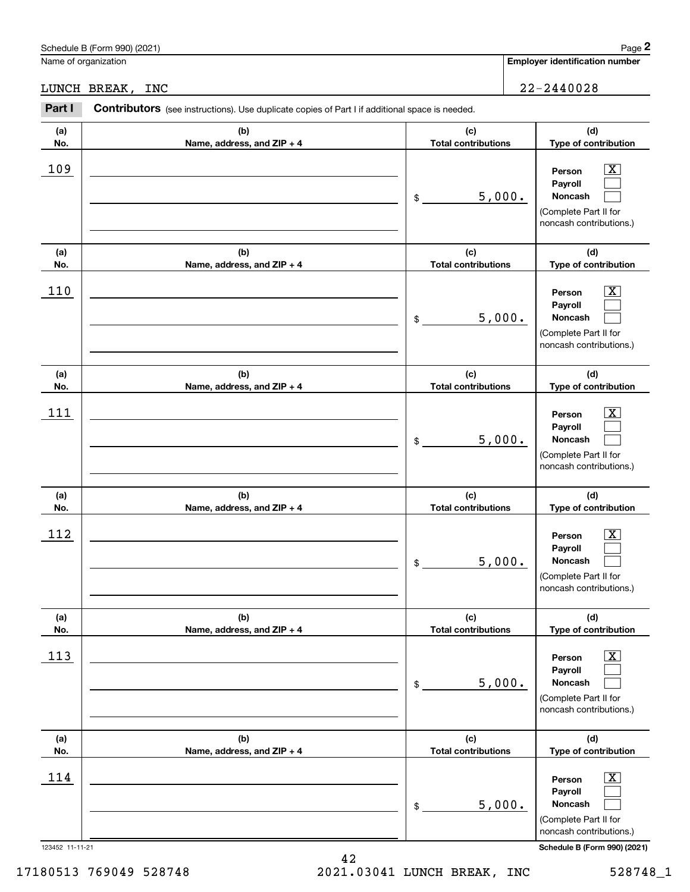|                        | Schedule B (Form 990) (2021)                                                                   |                                   | Page 2                                                                                                                                      |
|------------------------|------------------------------------------------------------------------------------------------|-----------------------------------|---------------------------------------------------------------------------------------------------------------------------------------------|
| Name of organization   |                                                                                                |                                   | <b>Employer identification number</b>                                                                                                       |
|                        | LUNCH BREAK,<br>INC                                                                            |                                   | 22-2440028                                                                                                                                  |
| Part I                 | Contributors (see instructions). Use duplicate copies of Part I if additional space is needed. |                                   |                                                                                                                                             |
| (a)<br>No.             | (b)<br>Name, address, and ZIP + 4                                                              | (c)<br><b>Total contributions</b> | (d)<br>Type of contribution                                                                                                                 |
| 109                    |                                                                                                | 5,000.<br>\$                      | $\overline{\mathbf{X}}$<br>Person<br>Payroll<br>Noncash<br>(Complete Part II for<br>noncash contributions.)                                 |
| (a)<br>No.             | (b)<br>Name, address, and ZIP + 4                                                              | (c)<br><b>Total contributions</b> | (d)<br>Type of contribution                                                                                                                 |
| 110                    |                                                                                                | 5,000.<br>\$                      | $\overline{\mathbf{X}}$<br>Person<br>Payroll<br>Noncash<br>(Complete Part II for<br>noncash contributions.)                                 |
| (a)<br>No.             | (b)<br>Name, address, and ZIP + 4                                                              | (c)<br><b>Total contributions</b> | (d)<br>Type of contribution                                                                                                                 |
| 111                    |                                                                                                | 5,000.<br>\$                      | $\overline{\mathbf{X}}$<br>Person<br>Payroll<br>Noncash<br>(Complete Part II for<br>noncash contributions.)                                 |
| (a)<br>No.             | (b)<br>Name, address, and ZIP + 4                                                              | (c)<br><b>Total contributions</b> | (d)<br>Type of contribution                                                                                                                 |
| 112                    |                                                                                                | 5,000.<br>\$                      | $\mathbf{X}$<br>Person<br>Payroll<br>Noncash<br>(Complete Part II for<br>noncash contributions.)                                            |
| (a)<br>No.             | (b)<br>Name, address, and ZIP + 4                                                              | (c)<br><b>Total contributions</b> | (d)<br>Type of contribution                                                                                                                 |
| 113                    |                                                                                                | 5,000.<br>\$                      | $\overline{\mathbf{X}}$<br>Person<br>Payroll<br>Noncash<br>(Complete Part II for<br>noncash contributions.)                                 |
| (a)<br>No.             | (b)<br>Name, address, and ZIP + 4                                                              | (c)<br><b>Total contributions</b> | (d)<br>Type of contribution                                                                                                                 |
| 114<br>123452 11-11-21 |                                                                                                | 5,000.<br>\$                      | $\overline{\mathbf{x}}$<br>Person<br>Payroll<br>Noncash<br>(Complete Part II for<br>noncash contributions.)<br>Schedule B (Form 990) (2021) |

# Schedule B (Form 990) (2021) Page 2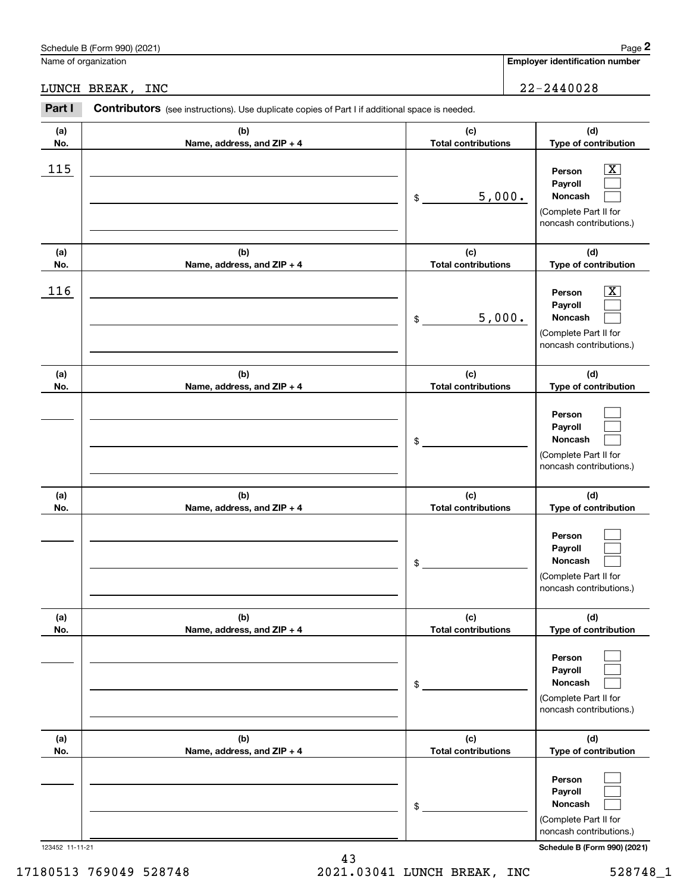|            | Schedule B (Form 990) (2021)                                                                   |                                   | Page 2                                                                                                      |
|------------|------------------------------------------------------------------------------------------------|-----------------------------------|-------------------------------------------------------------------------------------------------------------|
|            | Name of organization                                                                           |                                   | <b>Employer identification number</b>                                                                       |
|            | LUNCH BREAK,<br>INC                                                                            |                                   | 22-2440028                                                                                                  |
| Part I     | Contributors (see instructions). Use duplicate copies of Part I if additional space is needed. |                                   |                                                                                                             |
| (a)<br>No. | (b)<br>Name, address, and ZIP + 4                                                              | (c)<br><b>Total contributions</b> | (d)<br>Type of contribution                                                                                 |
| 115        |                                                                                                | 5,000.<br>\$                      | $\overline{\texttt{X}}$<br>Person<br>Payroll<br>Noncash<br>(Complete Part II for<br>noncash contributions.) |
| (a)<br>No. | (b)<br>Name, address, and ZIP + 4                                                              | (c)<br><b>Total contributions</b> | (d)<br>Type of contribution                                                                                 |
| 116        |                                                                                                | 5,000.<br>\$                      | $\overline{\texttt{X}}$<br>Person<br>Payroll<br>Noncash<br>(Complete Part II for<br>noncash contributions.) |
| (a)<br>No. | (b)<br>Name, address, and ZIP + 4                                                              | (c)<br><b>Total contributions</b> | (d)<br>Type of contribution                                                                                 |
|            |                                                                                                | \$                                | Person<br>Payroll<br>Noncash<br>(Complete Part II for<br>noncash contributions.)                            |
| (a)<br>No. | (b)<br>Name, address, and ZIP + 4                                                              | (c)<br><b>Total contributions</b> | (d)<br>Type of contribution                                                                                 |
|            |                                                                                                | \$                                | Person<br>Payroll<br>Noncash<br>(Complete Part II for<br>noncash contributions.)                            |
| (a)<br>No. | (b)<br>Name, address, and ZIP + 4                                                              | (c)<br><b>Total contributions</b> | (d)<br>Type of contribution                                                                                 |
|            |                                                                                                | \$                                | Person<br>Payroll<br>Noncash<br>(Complete Part II for<br>noncash contributions.)                            |
| (a)<br>No. | (b)<br>Name, address, and ZIP + 4                                                              | (c)<br><b>Total contributions</b> | (d)<br>Type of contribution                                                                                 |
|            |                                                                                                | \$                                | Person<br>Payroll<br>Noncash<br>(Complete Part II for<br>noncash contributions.)                            |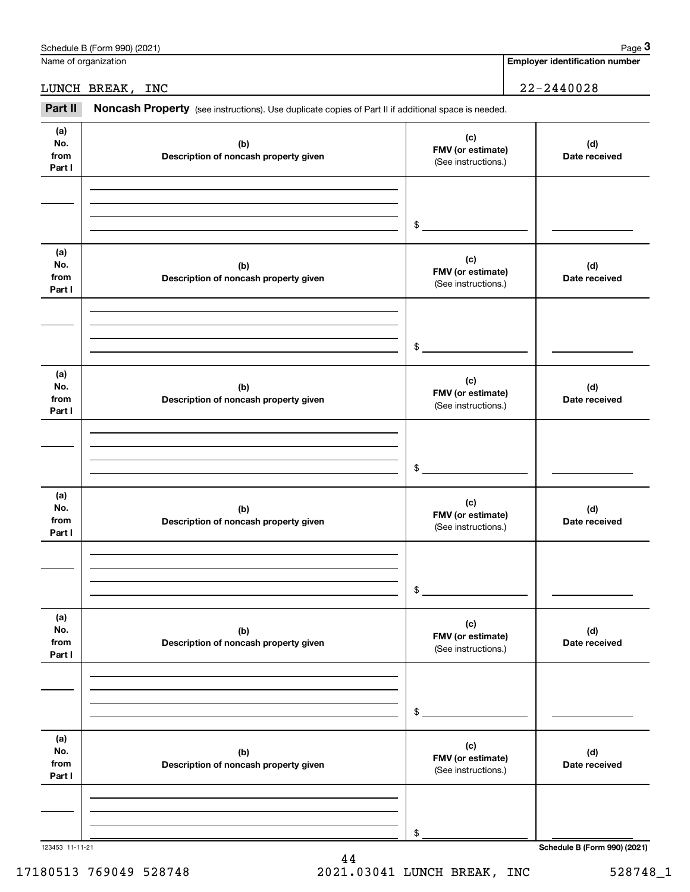|                              | Schedule B (Form 990) (2021)                                                                        |                                                 | Page 3                                |
|------------------------------|-----------------------------------------------------------------------------------------------------|-------------------------------------------------|---------------------------------------|
|                              | Name of organization                                                                                |                                                 | <b>Employer identification number</b> |
|                              | LUNCH BREAK, INC                                                                                    |                                                 | $22 - 2440028$                        |
| Part II                      | Noncash Property (see instructions). Use duplicate copies of Part II if additional space is needed. |                                                 |                                       |
| (a)<br>No.<br>from<br>Part I | (b)<br>Description of noncash property given                                                        | (c)<br>FMV (or estimate)<br>(See instructions.) | (d)<br>Date received                  |
|                              |                                                                                                     | \$                                              |                                       |
| (a)<br>No.<br>from<br>Part I | (b)<br>Description of noncash property given                                                        | (c)<br>FMV (or estimate)<br>(See instructions.) | (d)<br>Date received                  |
|                              |                                                                                                     | \$                                              |                                       |
| (a)<br>No.<br>from<br>Part I | (b)<br>Description of noncash property given                                                        | (c)<br>FMV (or estimate)<br>(See instructions.) | (d)<br>Date received                  |
|                              |                                                                                                     | \$                                              |                                       |
| (a)<br>No.<br>from<br>Part I | (b)<br>Description of noncash property given                                                        | (c)<br>FMV (or estimate)<br>(See instructions.) | (d)<br>Date received                  |
|                              |                                                                                                     | \$                                              |                                       |
| (a)<br>No.<br>from<br>Part I | (b)<br>Description of noncash property given                                                        | (c)<br>FMV (or estimate)<br>(See instructions.) | (d)<br>Date received                  |
|                              |                                                                                                     | \$                                              |                                       |
| (a)<br>No.<br>from<br>Part I | (b)<br>Description of noncash property given                                                        | (c)<br>FMV (or estimate)<br>(See instructions.) | (d)<br>Date received                  |
|                              |                                                                                                     | \$                                              |                                       |
| 123453 11-11-21              |                                                                                                     |                                                 | Schedule B (Form 990) (2021)          |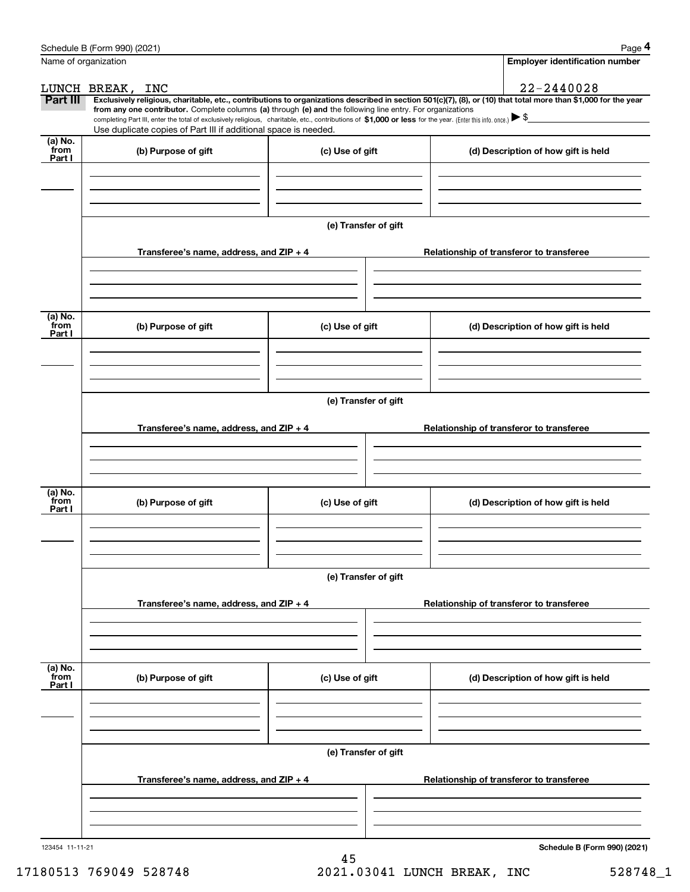|                           | Schedule B (Form 990) (2021)                                                                                                                                                                                                                                                 |                      | Page 4                                   |
|---------------------------|------------------------------------------------------------------------------------------------------------------------------------------------------------------------------------------------------------------------------------------------------------------------------|----------------------|------------------------------------------|
|                           | Name of organization                                                                                                                                                                                                                                                         |                      | <b>Employer identification number</b>    |
|                           | LUNCH BREAK, INC                                                                                                                                                                                                                                                             |                      | 22-2440028                               |
| Part III                  | Exclusively religious, charitable, etc., contributions to organizations described in section 501(c)(7), (8), or (10) that total more than \$1,000 for the year<br>from any one contributor. Complete columns (a) through (e) and the following line entry. For organizations |                      |                                          |
|                           | completing Part III, enter the total of exclusively religious, charitable, etc., contributions of \$1,000 or less for the year. (Enter this info. once.) $\blacktriangleright$ \$                                                                                            |                      |                                          |
| (a) No.                   | Use duplicate copies of Part III if additional space is needed.                                                                                                                                                                                                              |                      |                                          |
| from<br>Part I            | (b) Purpose of gift                                                                                                                                                                                                                                                          | (c) Use of gift      | (d) Description of how gift is held      |
|                           |                                                                                                                                                                                                                                                                              |                      |                                          |
|                           |                                                                                                                                                                                                                                                                              |                      |                                          |
|                           |                                                                                                                                                                                                                                                                              |                      |                                          |
|                           |                                                                                                                                                                                                                                                                              | (e) Transfer of gift |                                          |
|                           |                                                                                                                                                                                                                                                                              |                      |                                          |
|                           | Transferee's name, address, and ZIP + 4                                                                                                                                                                                                                                      |                      | Relationship of transferor to transferee |
|                           |                                                                                                                                                                                                                                                                              |                      |                                          |
|                           |                                                                                                                                                                                                                                                                              |                      |                                          |
| (a) No.                   |                                                                                                                                                                                                                                                                              |                      |                                          |
| from<br>Part I            | (b) Purpose of gift                                                                                                                                                                                                                                                          | (c) Use of gift      | (d) Description of how gift is held      |
|                           |                                                                                                                                                                                                                                                                              |                      |                                          |
|                           |                                                                                                                                                                                                                                                                              |                      |                                          |
|                           |                                                                                                                                                                                                                                                                              |                      |                                          |
|                           |                                                                                                                                                                                                                                                                              | (e) Transfer of gift |                                          |
|                           | Transferee's name, address, and ZIP + 4                                                                                                                                                                                                                                      |                      | Relationship of transferor to transferee |
|                           |                                                                                                                                                                                                                                                                              |                      |                                          |
|                           |                                                                                                                                                                                                                                                                              |                      |                                          |
|                           |                                                                                                                                                                                                                                                                              |                      |                                          |
| (a) No.<br>from           | (b) Purpose of gift                                                                                                                                                                                                                                                          | (c) Use of gift      | (d) Description of how gift is held      |
| Part I                    |                                                                                                                                                                                                                                                                              |                      |                                          |
|                           |                                                                                                                                                                                                                                                                              |                      |                                          |
|                           |                                                                                                                                                                                                                                                                              |                      |                                          |
|                           |                                                                                                                                                                                                                                                                              | (e) Transfer of gift |                                          |
|                           |                                                                                                                                                                                                                                                                              |                      |                                          |
|                           | Transferee's name, address, and ZIP + 4                                                                                                                                                                                                                                      |                      | Relationship of transferor to transferee |
|                           |                                                                                                                                                                                                                                                                              |                      |                                          |
|                           |                                                                                                                                                                                                                                                                              |                      |                                          |
|                           |                                                                                                                                                                                                                                                                              |                      |                                          |
| (a) No.<br>from<br>Part I | (b) Purpose of gift                                                                                                                                                                                                                                                          | (c) Use of gift      | (d) Description of how gift is held      |
|                           |                                                                                                                                                                                                                                                                              |                      |                                          |
|                           |                                                                                                                                                                                                                                                                              |                      |                                          |
|                           |                                                                                                                                                                                                                                                                              |                      |                                          |
|                           |                                                                                                                                                                                                                                                                              | (e) Transfer of gift |                                          |
|                           |                                                                                                                                                                                                                                                                              |                      |                                          |
|                           | Transferee's name, address, and ZIP + 4                                                                                                                                                                                                                                      |                      | Relationship of transferor to transferee |
|                           |                                                                                                                                                                                                                                                                              |                      |                                          |
|                           |                                                                                                                                                                                                                                                                              |                      |                                          |
| 123454 11-11-21           |                                                                                                                                                                                                                                                                              |                      | Schedule B (Form 990) (2021)             |
|                           |                                                                                                                                                                                                                                                                              |                      |                                          |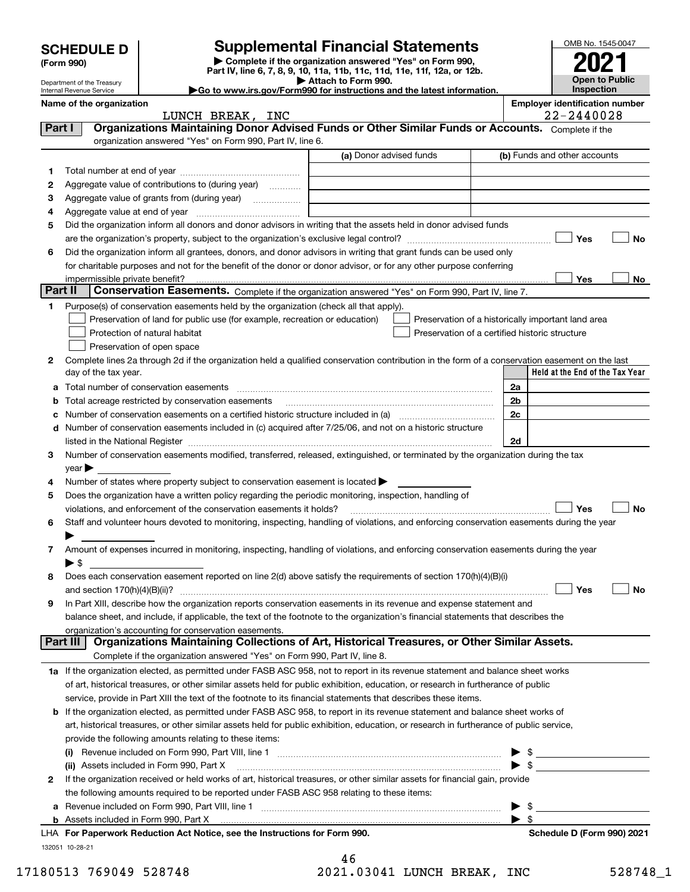|         | <b>SCHEDULE D</b>              |                                                                                                        | <b>Supplemental Financial Statements</b>                                                                                                                                                                                       |                          | OMB No. 1545-0047                                   |
|---------|--------------------------------|--------------------------------------------------------------------------------------------------------|--------------------------------------------------------------------------------------------------------------------------------------------------------------------------------------------------------------------------------|--------------------------|-----------------------------------------------------|
|         | (Form 990)                     |                                                                                                        | Complete if the organization answered "Yes" on Form 990,                                                                                                                                                                       |                          |                                                     |
|         | Department of the Treasury     |                                                                                                        | Part IV, line 6, 7, 8, 9, 10, 11a, 11b, 11c, 11d, 11e, 11f, 12a, or 12b.<br>Attach to Form 990.                                                                                                                                |                          | <b>Open to Public</b>                               |
|         | Internal Revenue Service       |                                                                                                        | Go to www.irs.gov/Form990 for instructions and the latest information.                                                                                                                                                         |                          | Inspection                                          |
|         | Name of the organization       | LUNCH BREAK, INC                                                                                       |                                                                                                                                                                                                                                |                          | <b>Employer identification number</b><br>22-2440028 |
| Part I  |                                |                                                                                                        | Organizations Maintaining Donor Advised Funds or Other Similar Funds or Accounts. Complete if the                                                                                                                              |                          |                                                     |
|         |                                | organization answered "Yes" on Form 990, Part IV, line 6.                                              |                                                                                                                                                                                                                                |                          |                                                     |
|         |                                |                                                                                                        | (a) Donor advised funds                                                                                                                                                                                                        |                          | (b) Funds and other accounts                        |
| 1       |                                |                                                                                                        |                                                                                                                                                                                                                                |                          |                                                     |
| 2       |                                | Aggregate value of contributions to (during year)                                                      |                                                                                                                                                                                                                                |                          |                                                     |
| з       |                                |                                                                                                        |                                                                                                                                                                                                                                |                          |                                                     |
| 4<br>5  |                                |                                                                                                        | Did the organization inform all donors and donor advisors in writing that the assets held in donor advised funds                                                                                                               |                          |                                                     |
|         |                                |                                                                                                        |                                                                                                                                                                                                                                |                          | Yes<br><b>No</b>                                    |
| 6       |                                |                                                                                                        | Did the organization inform all grantees, donors, and donor advisors in writing that grant funds can be used only                                                                                                              |                          |                                                     |
|         |                                |                                                                                                        | for charitable purposes and not for the benefit of the donor or donor advisor, or for any other purpose conferring                                                                                                             |                          |                                                     |
|         | impermissible private benefit? |                                                                                                        |                                                                                                                                                                                                                                |                          | Yes<br>No                                           |
| Part II |                                |                                                                                                        | Conservation Easements. Complete if the organization answered "Yes" on Form 990, Part IV, line 7.                                                                                                                              |                          |                                                     |
| 1       |                                | Purpose(s) of conservation easements held by the organization (check all that apply).                  |                                                                                                                                                                                                                                |                          |                                                     |
|         |                                | Preservation of land for public use (for example, recreation or education)                             |                                                                                                                                                                                                                                |                          | Preservation of a historically important land area  |
|         |                                | Protection of natural habitat                                                                          | Preservation of a certified historic structure                                                                                                                                                                                 |                          |                                                     |
|         |                                | Preservation of open space                                                                             |                                                                                                                                                                                                                                |                          |                                                     |
| 2       | day of the tax year.           |                                                                                                        | Complete lines 2a through 2d if the organization held a qualified conservation contribution in the form of a conservation easement on the last                                                                                 |                          | Held at the End of the Tax Year                     |
|         |                                |                                                                                                        |                                                                                                                                                                                                                                | 2a                       |                                                     |
| b       |                                | Total acreage restricted by conservation easements                                                     |                                                                                                                                                                                                                                | 2 <sub>b</sub>           |                                                     |
|         |                                |                                                                                                        | Number of conservation easements on a certified historic structure included in (a) manufacture included in (a)                                                                                                                 | 2c                       |                                                     |
|         |                                |                                                                                                        | d Number of conservation easements included in (c) acquired after 7/25/06, and not on a historic structure                                                                                                                     |                          |                                                     |
|         |                                |                                                                                                        | listed in the National Register [111] [12] The Mational Register [11] Mathematic Mathematic Mathematic Mathematic Mathematic Mathematic Mathematic Mathematic Mathematic Mathematic Mathematic Mathematic Mathematic Mathemati | 2d                       |                                                     |
| з       |                                |                                                                                                        | Number of conservation easements modified, transferred, released, extinguished, or terminated by the organization during the tax                                                                                               |                          |                                                     |
|         | $year \blacktriangleright$     |                                                                                                        |                                                                                                                                                                                                                                |                          |                                                     |
| 4       |                                | Number of states where property subject to conservation easement is located $\blacktriangleright$      |                                                                                                                                                                                                                                |                          |                                                     |
| 5       |                                | Does the organization have a written policy regarding the periodic monitoring, inspection, handling of |                                                                                                                                                                                                                                |                          |                                                     |
| 6       |                                | violations, and enforcement of the conservation easements it holds?                                    | Staff and volunteer hours devoted to monitoring, inspecting, handling of violations, and enforcing conservation easements during the year                                                                                      |                          | Yes<br><b>No</b>                                    |
|         |                                |                                                                                                        |                                                                                                                                                                                                                                |                          |                                                     |
| 7       |                                |                                                                                                        | Amount of expenses incurred in monitoring, inspecting, handling of violations, and enforcing conservation easements during the year                                                                                            |                          |                                                     |
|         | $\blacktriangleright$ \$       |                                                                                                        |                                                                                                                                                                                                                                |                          |                                                     |
| 8       |                                |                                                                                                        | Does each conservation easement reported on line 2(d) above satisfy the requirements of section 170(h)(4)(B)(i)                                                                                                                |                          |                                                     |
|         |                                |                                                                                                        |                                                                                                                                                                                                                                |                          | Yes<br>No                                           |
| 9       |                                |                                                                                                        | In Part XIII, describe how the organization reports conservation easements in its revenue and expense statement and                                                                                                            |                          |                                                     |
|         |                                |                                                                                                        | balance sheet, and include, if applicable, the text of the footnote to the organization's financial statements that describes the                                                                                              |                          |                                                     |
|         | Part III                       | organization's accounting for conservation easements.                                                  | Organizations Maintaining Collections of Art, Historical Treasures, or Other Similar Assets.                                                                                                                                   |                          |                                                     |
|         |                                | Complete if the organization answered "Yes" on Form 990, Part IV, line 8.                              |                                                                                                                                                                                                                                |                          |                                                     |
|         |                                |                                                                                                        | 1a If the organization elected, as permitted under FASB ASC 958, not to report in its revenue statement and balance sheet works                                                                                                |                          |                                                     |
|         |                                |                                                                                                        | of art, historical treasures, or other similar assets held for public exhibition, education, or research in furtherance of public                                                                                              |                          |                                                     |
|         |                                |                                                                                                        | service, provide in Part XIII the text of the footnote to its financial statements that describes these items.                                                                                                                 |                          |                                                     |
|         |                                |                                                                                                        | <b>b</b> If the organization elected, as permitted under FASB ASC 958, to report in its revenue statement and balance sheet works of                                                                                           |                          |                                                     |
|         |                                |                                                                                                        | art, historical treasures, or other similar assets held for public exhibition, education, or research in furtherance of public service,                                                                                        |                          |                                                     |
|         |                                | provide the following amounts relating to these items:                                                 |                                                                                                                                                                                                                                |                          |                                                     |
|         |                                |                                                                                                        |                                                                                                                                                                                                                                |                          | $\triangleright$ \$                                 |
|         |                                | (ii) Assets included in Form 990, Part X                                                               |                                                                                                                                                                                                                                |                          | $\bullet$ \$                                        |
| 2       |                                |                                                                                                        | If the organization received or held works of art, historical treasures, or other similar assets for financial gain, provide                                                                                                   |                          |                                                     |
|         |                                | the following amounts required to be reported under FASB ASC 958 relating to these items:              | a Revenue included on Form 990, Part VIII, line 1 [2000] [2000] [2000] [2000] [2000] [2000] [2000] [2000] [2000                                                                                                                |                          | \$                                                  |
|         |                                |                                                                                                        |                                                                                                                                                                                                                                | $\blacktriangleright$ \$ |                                                     |
|         |                                | LHA For Paperwork Reduction Act Notice, see the Instructions for Form 990.                             |                                                                                                                                                                                                                                |                          | Schedule D (Form 990) 2021                          |

132051 10-28-21

| 17180513 769049 528748 | 2021.03041 LUNCH BREAK, INC | 528748 1 |
|------------------------|-----------------------------|----------|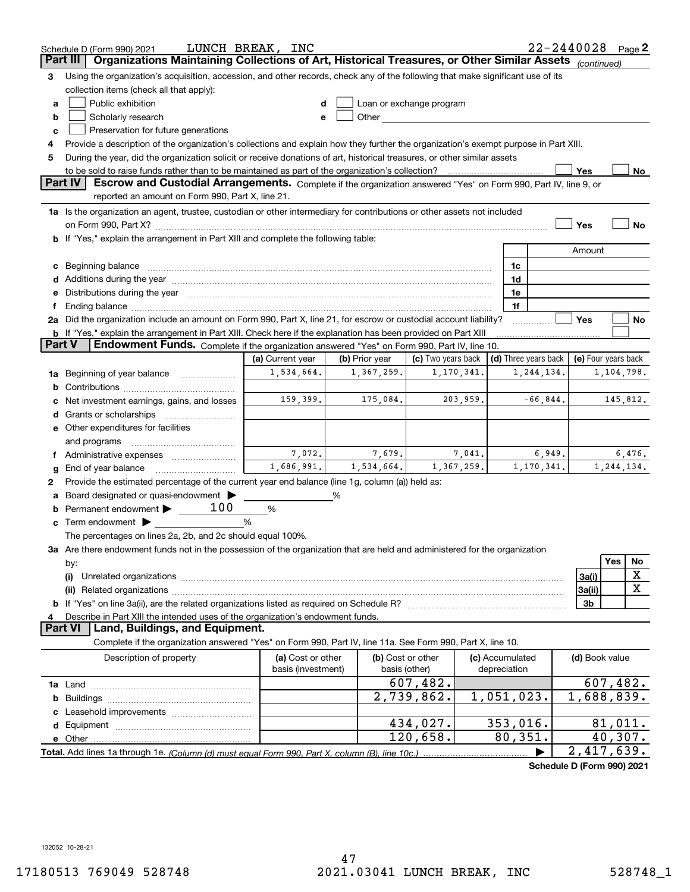|        | Schedule D (Form 990) 2021                                                                                                                                                                                                                  | LUNCH BREAK, INC   |                |                                                                                                                                                                                                                                 |            |                      |            | $22 - 2440028$ Page 2    |            |             |
|--------|---------------------------------------------------------------------------------------------------------------------------------------------------------------------------------------------------------------------------------------------|--------------------|----------------|---------------------------------------------------------------------------------------------------------------------------------------------------------------------------------------------------------------------------------|------------|----------------------|------------|--------------------------|------------|-------------|
|        | Organizations Maintaining Collections of Art, Historical Treasures, or Other Similar Assets (continued)<br>Part III                                                                                                                         |                    |                |                                                                                                                                                                                                                                 |            |                      |            |                          |            |             |
| з      | Using the organization's acquisition, accession, and other records, check any of the following that make significant use of its                                                                                                             |                    |                |                                                                                                                                                                                                                                 |            |                      |            |                          |            |             |
|        | collection items (check all that apply):                                                                                                                                                                                                    |                    |                |                                                                                                                                                                                                                                 |            |                      |            |                          |            |             |
| a      | Public exhibition                                                                                                                                                                                                                           |                    |                | Loan or exchange program                                                                                                                                                                                                        |            |                      |            |                          |            |             |
| b      | Scholarly research                                                                                                                                                                                                                          |                    |                | Other and the contract of the contract of the contract of the contract of the contract of the contract of the contract of the contract of the contract of the contract of the contract of the contract of the contract of the c |            |                      |            |                          |            |             |
| c      | Preservation for future generations                                                                                                                                                                                                         |                    |                |                                                                                                                                                                                                                                 |            |                      |            |                          |            |             |
| 4      | Provide a description of the organization's collections and explain how they further the organization's exempt purpose in Part XIII.                                                                                                        |                    |                |                                                                                                                                                                                                                                 |            |                      |            |                          |            |             |
| 5      | During the year, did the organization solicit or receive donations of art, historical treasures, or other similar assets                                                                                                                    |                    |                |                                                                                                                                                                                                                                 |            |                      |            |                          |            |             |
|        | to be sold to raise funds rather than to be maintained as part of the organization's collection?                                                                                                                                            |                    |                |                                                                                                                                                                                                                                 |            |                      |            | Yes                      |            | No          |
|        | Part IV<br>Escrow and Custodial Arrangements. Complete if the organization answered "Yes" on Form 990, Part IV, line 9, or                                                                                                                  |                    |                |                                                                                                                                                                                                                                 |            |                      |            |                          |            |             |
|        | reported an amount on Form 990, Part X, line 21.                                                                                                                                                                                            |                    |                |                                                                                                                                                                                                                                 |            |                      |            |                          |            |             |
|        | 1a Is the organization an agent, trustee, custodian or other intermediary for contributions or other assets not included                                                                                                                    |                    |                |                                                                                                                                                                                                                                 |            |                      |            |                          |            |             |
|        |                                                                                                                                                                                                                                             |                    |                |                                                                                                                                                                                                                                 |            |                      |            | Yes                      |            | No          |
|        | b If "Yes," explain the arrangement in Part XIII and complete the following table:                                                                                                                                                          |                    |                |                                                                                                                                                                                                                                 |            |                      |            |                          |            |             |
|        |                                                                                                                                                                                                                                             |                    |                |                                                                                                                                                                                                                                 |            |                      |            | Amount                   |            |             |
| c      | Beginning balance measurements and the contract measurement of the contract measurement of the contract measurement                                                                                                                         |                    |                |                                                                                                                                                                                                                                 |            | 1c                   |            |                          |            |             |
|        |                                                                                                                                                                                                                                             |                    |                |                                                                                                                                                                                                                                 |            | 1d                   |            |                          |            |             |
|        | e Distributions during the year manufactured and continuum and contained and the year manufactured and contained and the year manufactured and contained and contained and contained and contained and contained and contained              |                    |                |                                                                                                                                                                                                                                 |            | 1e                   |            |                          |            |             |
| Ť.     | Ending balance measurements are all the contract of the contract of the contract of the contract of the contract of the contract of the contract of the contract of the contract of the contract of the contract of the contra              |                    |                |                                                                                                                                                                                                                                 |            | 1f                   |            |                          |            |             |
|        | 2a Did the organization include an amount on Form 990, Part X, line 21, for escrow or custodial account liability?<br><b>b</b> If "Yes," explain the arrangement in Part XIII. Check here if the explanation has been provided on Part XIII |                    |                |                                                                                                                                                                                                                                 |            |                      |            | Yes                      |            | No          |
| Part V | Endowment Funds. Complete if the organization answered "Yes" on Form 990, Part IV, line 10.                                                                                                                                                 |                    |                |                                                                                                                                                                                                                                 |            |                      |            |                          |            |             |
|        |                                                                                                                                                                                                                                             | (a) Current year   | (b) Prior year | (c) Two years back                                                                                                                                                                                                              |            | (d) Three years back |            | (e) Four years back      |            |             |
| 1a     | Beginning of year balance                                                                                                                                                                                                                   | 1,534,664.         | 1,367,259.     | 1,170,341.                                                                                                                                                                                                                      |            |                      | 1,244,134. |                          | 1,104,798. |             |
|        |                                                                                                                                                                                                                                             |                    |                |                                                                                                                                                                                                                                 |            |                      |            |                          |            |             |
|        | Net investment earnings, gains, and losses                                                                                                                                                                                                  | 159,399.           | 175,084.       |                                                                                                                                                                                                                                 | 203,959.   |                      | $-66,844.$ |                          | 145,812.   |             |
|        |                                                                                                                                                                                                                                             |                    |                |                                                                                                                                                                                                                                 |            |                      |            |                          |            |             |
|        | e Other expenditures for facilities                                                                                                                                                                                                         |                    |                |                                                                                                                                                                                                                                 |            |                      |            |                          |            |             |
|        | and programs                                                                                                                                                                                                                                |                    |                |                                                                                                                                                                                                                                 |            |                      |            |                          |            |             |
|        |                                                                                                                                                                                                                                             | 7,072.             | 7,679.         |                                                                                                                                                                                                                                 | 7,041.     |                      | 6,949.     |                          |            | 6,476.      |
| g      | End of year balance                                                                                                                                                                                                                         | 1,686,991.         | 1,534,664.     |                                                                                                                                                                                                                                 | 1,367,259. |                      | 1,170,341. |                          | 1,244,134. |             |
| 2      | Provide the estimated percentage of the current year end balance (line 1g, column (a)) held as:                                                                                                                                             |                    |                |                                                                                                                                                                                                                                 |            |                      |            |                          |            |             |
| а      | Board designated or quasi-endowment                                                                                                                                                                                                         |                    | %              |                                                                                                                                                                                                                                 |            |                      |            |                          |            |             |
|        | Permanent endowment $\blacktriangleright$ ______100                                                                                                                                                                                         | %                  |                |                                                                                                                                                                                                                                 |            |                      |            |                          |            |             |
|        | $\mathsf{c}$ Term endowment $\blacktriangleright$                                                                                                                                                                                           | %                  |                |                                                                                                                                                                                                                                 |            |                      |            |                          |            |             |
|        | The percentages on lines 2a, 2b, and 2c should equal 100%.                                                                                                                                                                                  |                    |                |                                                                                                                                                                                                                                 |            |                      |            |                          |            |             |
|        | 3a Are there endowment funds not in the possession of the organization that are held and administered for the organization                                                                                                                  |                    |                |                                                                                                                                                                                                                                 |            |                      |            |                          |            |             |
|        | by:                                                                                                                                                                                                                                         |                    |                |                                                                                                                                                                                                                                 |            |                      |            |                          | Yes        | No          |
|        | (i)                                                                                                                                                                                                                                         |                    |                |                                                                                                                                                                                                                                 |            |                      |            | 3a(i)                    |            | X           |
|        |                                                                                                                                                                                                                                             |                    |                |                                                                                                                                                                                                                                 |            |                      |            | 3a(ii)                   |            | $\mathbf X$ |
|        |                                                                                                                                                                                                                                             |                    |                |                                                                                                                                                                                                                                 |            |                      |            | 3b                       |            |             |
| 4      | Describe in Part XIII the intended uses of the organization's endowment funds.                                                                                                                                                              |                    |                |                                                                                                                                                                                                                                 |            |                      |            |                          |            |             |
|        | Land, Buildings, and Equipment.<br>Part VI                                                                                                                                                                                                  |                    |                |                                                                                                                                                                                                                                 |            |                      |            |                          |            |             |
|        | Complete if the organization answered "Yes" on Form 990, Part IV, line 11a. See Form 990, Part X, line 10.                                                                                                                                  |                    |                |                                                                                                                                                                                                                                 |            |                      |            |                          |            |             |
|        | Description of property                                                                                                                                                                                                                     | (a) Cost or other  |                | (b) Cost or other                                                                                                                                                                                                               |            | (c) Accumulated      |            | (d) Book value           |            |             |
|        |                                                                                                                                                                                                                                             | basis (investment) |                | basis (other)                                                                                                                                                                                                                   |            | depreciation         |            |                          |            |             |
|        |                                                                                                                                                                                                                                             |                    |                | 607,482.                                                                                                                                                                                                                        |            |                      |            | 607,482.                 |            |             |
| b      |                                                                                                                                                                                                                                             |                    |                | 2,739,862.                                                                                                                                                                                                                      |            | 1,051,023.           |            | $\overline{1,688,839}$ . |            |             |
|        |                                                                                                                                                                                                                                             |                    |                |                                                                                                                                                                                                                                 |            |                      |            |                          |            |             |
|        |                                                                                                                                                                                                                                             |                    |                | 434,027.                                                                                                                                                                                                                        |            | 353,016.             |            |                          | 81,011.    |             |
|        |                                                                                                                                                                                                                                             |                    |                | 120,658.                                                                                                                                                                                                                        |            | 80, 351.             |            |                          | 40,307.    |             |
|        | Total. Add lines 1a through 1e. (Column (d) must equal Form 990. Part X, column (B), line 10c.)                                                                                                                                             |                    |                |                                                                                                                                                                                                                                 |            |                      |            | 2,417,639.               |            |             |

**Schedule D (Form 990) 2021**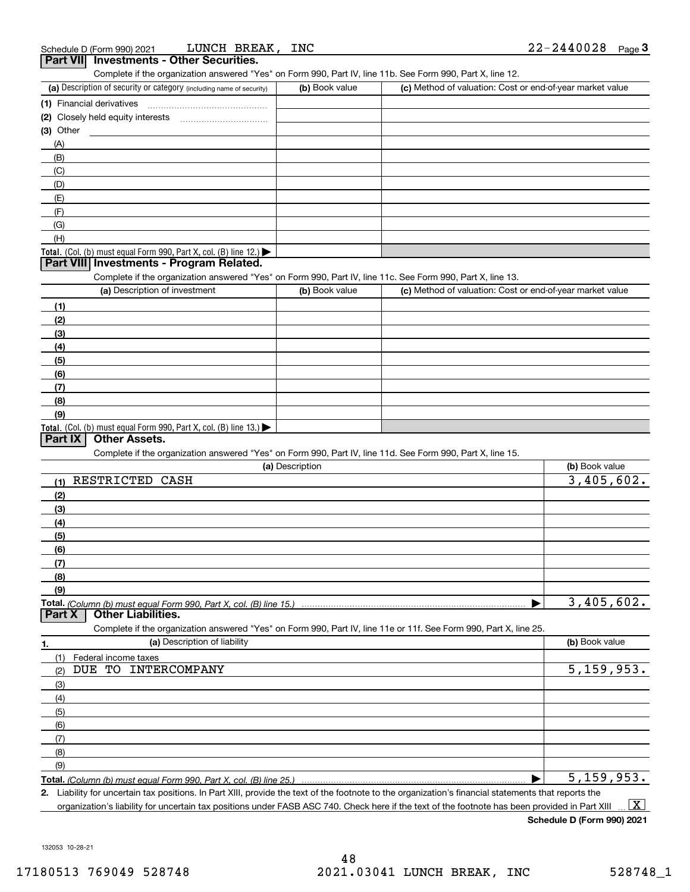| Schedule D (Form 990) 2021                      | LUNCH BREAK, | INC | $22 - 2440028$ | Page |
|-------------------------------------------------|--------------|-----|----------------|------|
| <b>Part VII</b> Investments - Other Securities. |              |     |                |      |

|                                                                                                                                                                                                                   | (b) Book value  | (c) Method of valuation: Cost or end-of-year market value |                            |
|-------------------------------------------------------------------------------------------------------------------------------------------------------------------------------------------------------------------|-----------------|-----------------------------------------------------------|----------------------------|
| (1) Financial derivatives                                                                                                                                                                                         |                 |                                                           |                            |
| (2) Closely held equity interests                                                                                                                                                                                 |                 |                                                           |                            |
| (3) Other                                                                                                                                                                                                         |                 |                                                           |                            |
| (A)                                                                                                                                                                                                               |                 |                                                           |                            |
| (B)                                                                                                                                                                                                               |                 |                                                           |                            |
| (C)                                                                                                                                                                                                               |                 |                                                           |                            |
| (D)                                                                                                                                                                                                               |                 |                                                           |                            |
| (E)                                                                                                                                                                                                               |                 |                                                           |                            |
| (F)                                                                                                                                                                                                               |                 |                                                           |                            |
| (G)                                                                                                                                                                                                               |                 |                                                           |                            |
|                                                                                                                                                                                                                   |                 |                                                           |                            |
| (H)                                                                                                                                                                                                               |                 |                                                           |                            |
| Total. (Col. (b) must equal Form 990, Part X, col. (B) line 12.)<br>Part VIII Investments - Program Related.                                                                                                      |                 |                                                           |                            |
|                                                                                                                                                                                                                   |                 |                                                           |                            |
| Complete if the organization answered "Yes" on Form 990, Part IV, line 11c. See Form 990, Part X, line 13.                                                                                                        |                 |                                                           |                            |
| (a) Description of investment                                                                                                                                                                                     | (b) Book value  | (c) Method of valuation: Cost or end-of-year market value |                            |
| (1)                                                                                                                                                                                                               |                 |                                                           |                            |
| (2)                                                                                                                                                                                                               |                 |                                                           |                            |
| (3)                                                                                                                                                                                                               |                 |                                                           |                            |
| (4)                                                                                                                                                                                                               |                 |                                                           |                            |
| (5)                                                                                                                                                                                                               |                 |                                                           |                            |
| (6)                                                                                                                                                                                                               |                 |                                                           |                            |
| (7)                                                                                                                                                                                                               |                 |                                                           |                            |
| (8)                                                                                                                                                                                                               |                 |                                                           |                            |
| (9)                                                                                                                                                                                                               |                 |                                                           |                            |
| Total. (Col. (b) must equal Form 990, Part X, col. (B) line 13.)<br><b>Other Assets.</b><br>Part IX<br>Complete if the organization answered "Yes" on Form 990, Part IV, line 11d. See Form 990, Part X, line 15. |                 |                                                           |                            |
|                                                                                                                                                                                                                   |                 |                                                           |                            |
|                                                                                                                                                                                                                   | (a) Description |                                                           | (b) Book value             |
| (1) RESTRICTED CASH                                                                                                                                                                                               |                 |                                                           |                            |
| (2)                                                                                                                                                                                                               |                 |                                                           |                            |
| (3)                                                                                                                                                                                                               |                 |                                                           |                            |
| (4)                                                                                                                                                                                                               |                 |                                                           |                            |
| (5)                                                                                                                                                                                                               |                 |                                                           |                            |
| (6)                                                                                                                                                                                                               |                 |                                                           | 3,405,602.                 |
| (7)                                                                                                                                                                                                               |                 |                                                           |                            |
| (8)                                                                                                                                                                                                               |                 |                                                           |                            |
|                                                                                                                                                                                                                   |                 |                                                           |                            |
| (9)                                                                                                                                                                                                               |                 |                                                           |                            |
| <b>Other Liabilities.</b><br>Part X                                                                                                                                                                               |                 |                                                           |                            |
|                                                                                                                                                                                                                   |                 |                                                           |                            |
| Complete if the organization answered "Yes" on Form 990, Part IV, line 11e or 11f. See Form 990, Part X, line 25.                                                                                                 |                 |                                                           |                            |
| (a) Description of liability                                                                                                                                                                                      |                 |                                                           | (b) Book value             |
| (1)<br>Federal income taxes                                                                                                                                                                                       |                 |                                                           |                            |
| DUE TO INTERCOMPANY<br>(2)                                                                                                                                                                                        |                 |                                                           |                            |
| (3)                                                                                                                                                                                                               |                 |                                                           |                            |
| (4)                                                                                                                                                                                                               |                 |                                                           |                            |
| (5)                                                                                                                                                                                                               |                 |                                                           |                            |
| (6)                                                                                                                                                                                                               |                 |                                                           |                            |
| (7)                                                                                                                                                                                                               |                 |                                                           |                            |
| 1.<br>(8)                                                                                                                                                                                                         |                 |                                                           | 3,405,602.<br>5, 159, 953. |

**2.** Liability for uncertain tax positions. In Part XIII, provide the text of the footnote to the organization's financial statements that reports the organization's liability for uncertain tax positions under FASB ASC 740. Check here if the text of the footnote has been provided in Part XIII  $\boxed{\text{X}}$ 

**Schedule D (Form 990) 2021**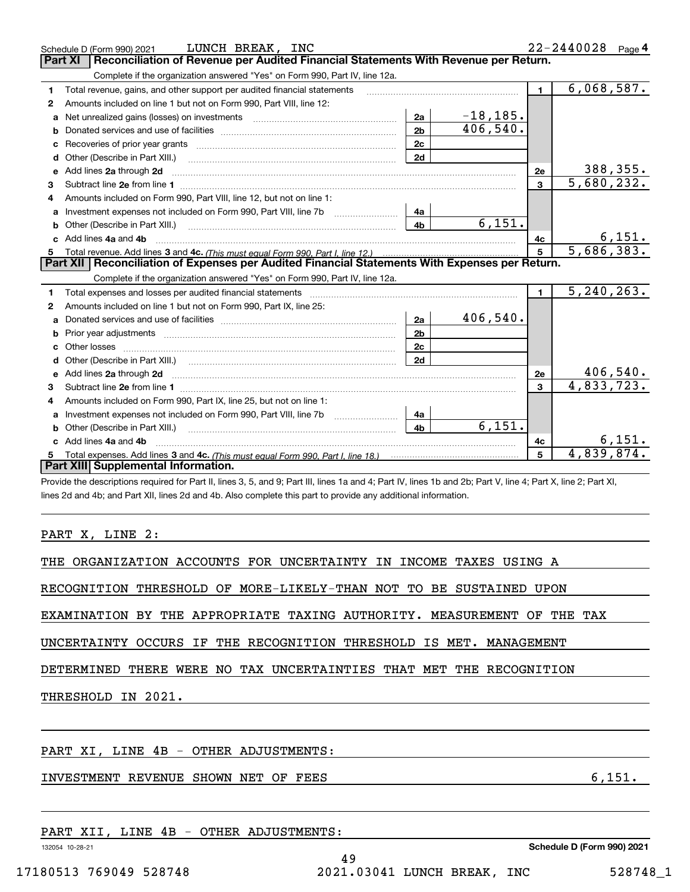|    | LUNCH BREAK, INC<br>Schedule D (Form 990) 2021                                                                                                                                                                                |                |                                                                                                                 |                         | $22 - 2440028$ Page 4   |
|----|-------------------------------------------------------------------------------------------------------------------------------------------------------------------------------------------------------------------------------|----------------|-----------------------------------------------------------------------------------------------------------------|-------------------------|-------------------------|
|    | Reconciliation of Revenue per Audited Financial Statements With Revenue per Return.<br><b>Part XI</b>                                                                                                                         |                |                                                                                                                 |                         |                         |
|    | Complete if the organization answered "Yes" on Form 990, Part IV, line 12a.                                                                                                                                                   |                |                                                                                                                 |                         |                         |
| 1  | Total revenue, gains, and other support per audited financial statements                                                                                                                                                      |                | and a series of the contract of the contract of the contract of the contract of the contract of the contract of | $\blacksquare$          | 6,068,587.              |
| 2  | Amounts included on line 1 but not on Form 990, Part VIII, line 12:                                                                                                                                                           |                |                                                                                                                 |                         |                         |
| a  | Net unrealized gains (losses) on investments [11] matter contracts and the unrealized gains (losses) on investments                                                                                                           | 2a             | $-18, 185.$                                                                                                     |                         |                         |
| b  |                                                                                                                                                                                                                               | 2 <sub>b</sub> | 406,540.                                                                                                        |                         |                         |
| с  |                                                                                                                                                                                                                               | 2c             |                                                                                                                 |                         |                         |
| d  |                                                                                                                                                                                                                               | 2d             |                                                                                                                 |                         |                         |
|    | e Add lines 2a through 2d                                                                                                                                                                                                     |                |                                                                                                                 | 2e                      | 388, 355.               |
| 3  |                                                                                                                                                                                                                               |                |                                                                                                                 | $\overline{\mathbf{3}}$ | $\overline{5,680,232.}$ |
| 4  | Amounts included on Form 990, Part VIII, line 12, but not on line 1:                                                                                                                                                          |                |                                                                                                                 |                         |                         |
| a  | Investment expenses not included on Form 990, Part VIII, line 7b                                                                                                                                                              | 4a             |                                                                                                                 |                         |                         |
| b  | Other (Describe in Part XIII.) [100] [100] [100] [100] [100] [100] [100] [100] [100] [100] [100] [100] [100] [                                                                                                                | 4 <sub>b</sub> | 6,151.                                                                                                          |                         |                         |
|    | Add lines 4a and 4b                                                                                                                                                                                                           |                |                                                                                                                 | 4с                      | 6,151.                  |
| 5  |                                                                                                                                                                                                                               |                |                                                                                                                 | 5                       | 5,686,383.              |
|    | Part XII   Reconciliation of Expenses per Audited Financial Statements With Expenses per Return.                                                                                                                              |                |                                                                                                                 |                         |                         |
|    | Complete if the organization answered "Yes" on Form 990, Part IV, line 12a.                                                                                                                                                   |                |                                                                                                                 |                         |                         |
| 1. | Total expenses and losses per audited financial statements [11, 11] manuscription control expenses and losses per audited financial statements [11] manuscription of the statements [11] manuscription of the statements [11] |                |                                                                                                                 | $\blacksquare$          | 5, 240, 263.            |
| 2  | Amounts included on line 1 but not on Form 990, Part IX, line 25:                                                                                                                                                             |                |                                                                                                                 |                         |                         |
| a  | Donated services and use of facilities <b>EXAMPLE 2008</b>                                                                                                                                                                    | 2a             | 406,540.                                                                                                        |                         |                         |
| b  |                                                                                                                                                                                                                               |                |                                                                                                                 |                         |                         |
|    |                                                                                                                                                                                                                               | 2 <sub>b</sub> |                                                                                                                 |                         |                         |
| c. | Other losses                                                                                                                                                                                                                  | 2c             |                                                                                                                 |                         |                         |
| d  |                                                                                                                                                                                                                               | $\vert$ 2d     |                                                                                                                 |                         |                         |
|    |                                                                                                                                                                                                                               |                |                                                                                                                 | 2e                      | 406,540.                |
| 3  |                                                                                                                                                                                                                               |                |                                                                                                                 | 3                       | 4,833,723.              |
| 4  | Amounts included on Form 990, Part IX, line 25, but not on line 1:                                                                                                                                                            |                |                                                                                                                 |                         |                         |
| a  | Investment expenses not included on Form 990, Part VIII, line 7b [11, 111, 111, 111]                                                                                                                                          | 4a             |                                                                                                                 |                         |                         |
| b  |                                                                                                                                                                                                                               | 4 <sub>h</sub> | 6,151.                                                                                                          |                         |                         |
|    | c Add lines 4a and 4b                                                                                                                                                                                                         |                |                                                                                                                 | 4c                      | 6,151.                  |
| 5  |                                                                                                                                                                                                                               |                |                                                                                                                 | 5                       | 4,839,874.              |
|    | Part XIII Supplemental Information.                                                                                                                                                                                           |                |                                                                                                                 |                         |                         |
|    | Provide the descriptions required for Part II, lines 3, 5, and 9; Part III, lines 1a and 4; Part IV, lines 1b and 2b; Part V, line 4; Part X, line 2; Part XI,                                                                |                |                                                                                                                 |                         |                         |

PART X, LINE 2:

THE ORGANIZATION ACCOUNTS FOR UNCERTAINTY IN INCOME TAXES USING A

RECOGNITION THRESHOLD OF MORE-LIKELY-THAN NOT TO BE SUSTAINED UPON

EXAMINATION BY THE APPROPRIATE TAXING AUTHORITY. MEASUREMENT OF THE TAX

UNCERTAINTY OCCURS IF THE RECOGNITION THRESHOLD IS MET. MANAGEMENT

DETERMINED THERE WERE NO TAX UNCERTAINTIES THAT MET THE RECOGNITION

THRESHOLD IN 2021.

### PART XI, LINE 4B - OTHER ADJUSTMENTS:

INVESTMENT REVENUE SHOWN NET OF FEES **151.** (6,151.

# PART XII, LINE 4B - OTHER ADJUSTMENTS:

132054 10-28-21

17180513 769049 528748 2021.03041 LUNCH BREAK, INC 528748\_1

49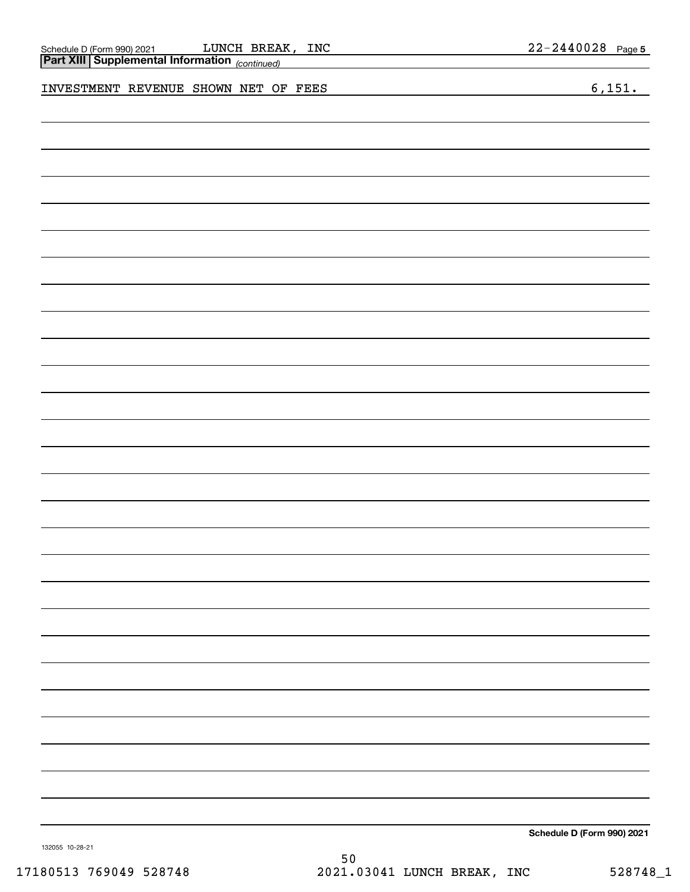| LUNCH BREAK, INC                      | $22 - 2440028$ Page 5      |
|---------------------------------------|----------------------------|
| Schedule D (Form 990) 2021 LUNCH BREA |                            |
| INVESTMENT REVENUE SHOWN NET OF FEES  | 6,151.                     |
|                                       |                            |
|                                       |                            |
|                                       |                            |
|                                       |                            |
|                                       |                            |
|                                       |                            |
|                                       |                            |
|                                       |                            |
|                                       |                            |
|                                       |                            |
|                                       |                            |
|                                       |                            |
|                                       |                            |
|                                       |                            |
|                                       |                            |
|                                       |                            |
|                                       |                            |
|                                       |                            |
|                                       |                            |
|                                       |                            |
|                                       |                            |
|                                       |                            |
|                                       |                            |
|                                       |                            |
|                                       |                            |
|                                       |                            |
|                                       |                            |
|                                       |                            |
|                                       |                            |
|                                       |                            |
|                                       |                            |
|                                       |                            |
|                                       |                            |
|                                       |                            |
|                                       |                            |
|                                       |                            |
|                                       |                            |
|                                       |                            |
|                                       |                            |
|                                       |                            |
|                                       |                            |
|                                       |                            |
|                                       | Schedule D (Form 990) 2021 |
|                                       |                            |

132055 10-28-21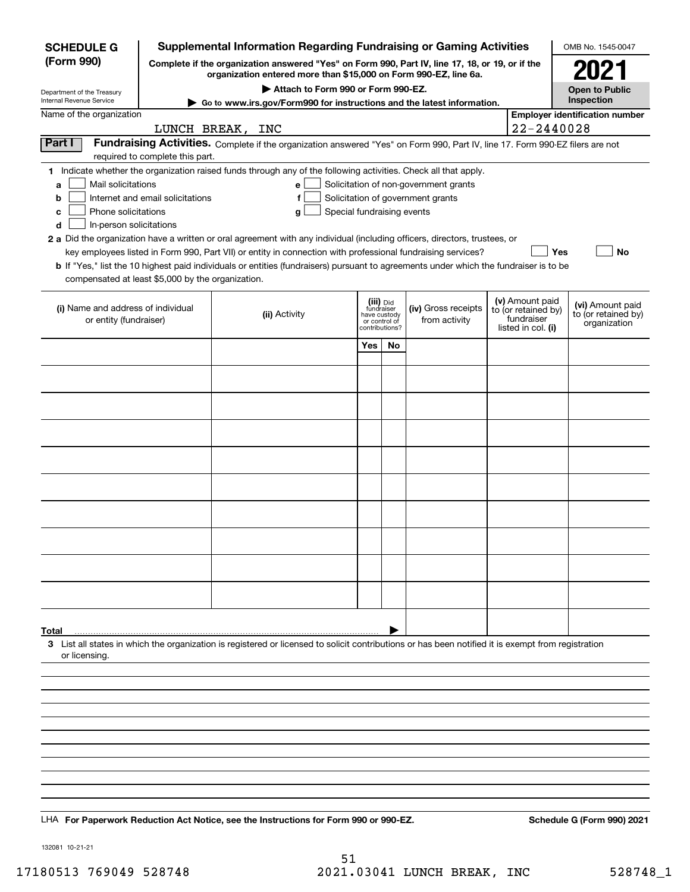| <b>SCHEDULE G</b>                                                                                                                             |                                  | <b>Supplemental Information Regarding Fundraising or Gaming Activities</b>                                                                                                                                                                                                                                                                                                                                                                                                                                                                         |                                                                            |    |                                                                            |                                                                            | OMB No. 1545-0047                                       |
|-----------------------------------------------------------------------------------------------------------------------------------------------|----------------------------------|----------------------------------------------------------------------------------------------------------------------------------------------------------------------------------------------------------------------------------------------------------------------------------------------------------------------------------------------------------------------------------------------------------------------------------------------------------------------------------------------------------------------------------------------------|----------------------------------------------------------------------------|----|----------------------------------------------------------------------------|----------------------------------------------------------------------------|---------------------------------------------------------|
| (Form 990)                                                                                                                                    |                                  | Complete if the organization answered "Yes" on Form 990, Part IV, line 17, 18, or 19, or if the<br>organization entered more than \$15,000 on Form 990-EZ, line 6a.                                                                                                                                                                                                                                                                                                                                                                                |                                                                            |    |                                                                            |                                                                            | 2021                                                    |
| Department of the Treasury                                                                                                                    |                                  | Attach to Form 990 or Form 990-EZ.                                                                                                                                                                                                                                                                                                                                                                                                                                                                                                                 |                                                                            |    |                                                                            |                                                                            | <b>Open to Public</b><br>Inspection                     |
| Internal Revenue Service<br>Name of the organization                                                                                          |                                  | ► Go to www.irs.gov/Form990 for instructions and the latest information.                                                                                                                                                                                                                                                                                                                                                                                                                                                                           |                                                                            |    |                                                                            |                                                                            | <b>Employer identification number</b>                   |
|                                                                                                                                               |                                  | LUNCH BREAK, INC                                                                                                                                                                                                                                                                                                                                                                                                                                                                                                                                   |                                                                            |    |                                                                            | 22-2440028                                                                 |                                                         |
| Part I                                                                                                                                        | required to complete this part.  | Fundraising Activities. Complete if the organization answered "Yes" on Form 990, Part IV, line 17. Form 990-EZ filers are not                                                                                                                                                                                                                                                                                                                                                                                                                      |                                                                            |    |                                                                            |                                                                            |                                                         |
| Mail solicitations<br>a<br>b<br>Phone solicitations<br>с<br>In-person solicitations<br>d<br>compensated at least \$5,000 by the organization. | Internet and email solicitations | 1 Indicate whether the organization raised funds through any of the following activities. Check all that apply.<br>е<br>f<br>Special fundraising events<br>g<br>2 a Did the organization have a written or oral agreement with any individual (including officers, directors, trustees, or<br>key employees listed in Form 990, Part VII) or entity in connection with professional fundraising services?<br>b If "Yes," list the 10 highest paid individuals or entities (fundraisers) pursuant to agreements under which the fundraiser is to be |                                                                            |    | Solicitation of non-government grants<br>Solicitation of government grants | Yes                                                                        | No                                                      |
| (i) Name and address of individual<br>or entity (fundraiser)                                                                                  |                                  | (ii) Activity                                                                                                                                                                                                                                                                                                                                                                                                                                                                                                                                      | (iii) Did<br>fundraiser<br>have custody<br>or control of<br>contributions? |    | (iv) Gross receipts<br>from activity                                       | (v) Amount paid<br>to (or retained by)<br>fundraiser<br>listed in col. (i) | (vi) Amount paid<br>to (or retained by)<br>organization |
|                                                                                                                                               |                                  |                                                                                                                                                                                                                                                                                                                                                                                                                                                                                                                                                    | Yes                                                                        | No |                                                                            |                                                                            |                                                         |
|                                                                                                                                               |                                  |                                                                                                                                                                                                                                                                                                                                                                                                                                                                                                                                                    |                                                                            |    |                                                                            |                                                                            |                                                         |
|                                                                                                                                               |                                  |                                                                                                                                                                                                                                                                                                                                                                                                                                                                                                                                                    |                                                                            |    |                                                                            |                                                                            |                                                         |
|                                                                                                                                               |                                  |                                                                                                                                                                                                                                                                                                                                                                                                                                                                                                                                                    |                                                                            |    |                                                                            |                                                                            |                                                         |
|                                                                                                                                               |                                  |                                                                                                                                                                                                                                                                                                                                                                                                                                                                                                                                                    |                                                                            |    |                                                                            |                                                                            |                                                         |
|                                                                                                                                               |                                  |                                                                                                                                                                                                                                                                                                                                                                                                                                                                                                                                                    |                                                                            |    |                                                                            |                                                                            |                                                         |
|                                                                                                                                               |                                  |                                                                                                                                                                                                                                                                                                                                                                                                                                                                                                                                                    |                                                                            |    |                                                                            |                                                                            |                                                         |
|                                                                                                                                               |                                  |                                                                                                                                                                                                                                                                                                                                                                                                                                                                                                                                                    |                                                                            |    |                                                                            |                                                                            |                                                         |
|                                                                                                                                               |                                  |                                                                                                                                                                                                                                                                                                                                                                                                                                                                                                                                                    |                                                                            |    |                                                                            |                                                                            |                                                         |
|                                                                                                                                               |                                  |                                                                                                                                                                                                                                                                                                                                                                                                                                                                                                                                                    |                                                                            |    |                                                                            |                                                                            |                                                         |
|                                                                                                                                               |                                  |                                                                                                                                                                                                                                                                                                                                                                                                                                                                                                                                                    |                                                                            |    |                                                                            |                                                                            |                                                         |
| Total<br>or licensing.                                                                                                                        |                                  | 3 List all states in which the organization is registered or licensed to solicit contributions or has been notified it is exempt from registration                                                                                                                                                                                                                                                                                                                                                                                                 |                                                                            |    |                                                                            |                                                                            |                                                         |
|                                                                                                                                               |                                  |                                                                                                                                                                                                                                                                                                                                                                                                                                                                                                                                                    |                                                                            |    |                                                                            |                                                                            |                                                         |
|                                                                                                                                               |                                  |                                                                                                                                                                                                                                                                                                                                                                                                                                                                                                                                                    |                                                                            |    |                                                                            |                                                                            |                                                         |
|                                                                                                                                               |                                  |                                                                                                                                                                                                                                                                                                                                                                                                                                                                                                                                                    |                                                                            |    |                                                                            |                                                                            |                                                         |
|                                                                                                                                               |                                  |                                                                                                                                                                                                                                                                                                                                                                                                                                                                                                                                                    |                                                                            |    |                                                                            |                                                                            |                                                         |
|                                                                                                                                               |                                  |                                                                                                                                                                                                                                                                                                                                                                                                                                                                                                                                                    |                                                                            |    |                                                                            |                                                                            |                                                         |
|                                                                                                                                               |                                  |                                                                                                                                                                                                                                                                                                                                                                                                                                                                                                                                                    |                                                                            |    |                                                                            |                                                                            |                                                         |
|                                                                                                                                               |                                  |                                                                                                                                                                                                                                                                                                                                                                                                                                                                                                                                                    |                                                                            |    |                                                                            |                                                                            |                                                         |
|                                                                                                                                               |                                  | LHA For Paperwork Reduction Act Notice, see the Instructions for Form 990 or 990-EZ.                                                                                                                                                                                                                                                                                                                                                                                                                                                               |                                                                            |    |                                                                            |                                                                            | Schedule G (Form 990) 2021                              |

132081 10-21-21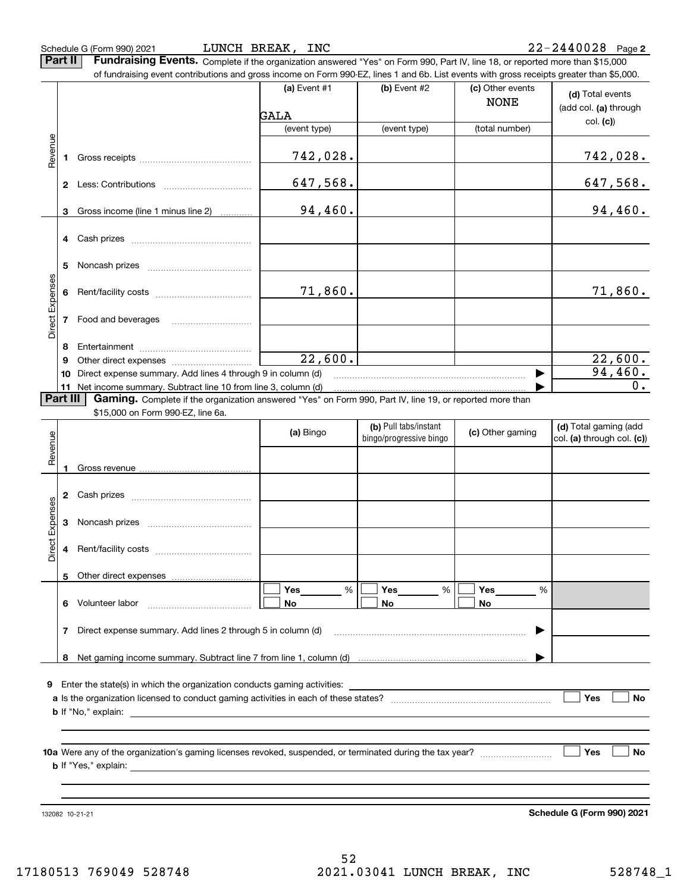Schedule G (Form 990) 2021  ${\rm LUNCH~BREAK}$ ,  ${\rm INC}$   $22\!-\!2440028$  Page

**2**

**Part II** | Fundraising Events. Complete if the organization answered "Yes" on Form 990, Part IV, line 18, or reported more than \$15,000

|                 |          | of fundraising event contributions and gross income on Form 990-EZ, lines 1 and 6b. List events with gross receipts greater than \$5,000.            |                       |                         |                                 |                                           |
|-----------------|----------|------------------------------------------------------------------------------------------------------------------------------------------------------|-----------------------|-------------------------|---------------------------------|-------------------------------------------|
|                 |          |                                                                                                                                                      | (a) Event #1          | (b) Event #2            | (c) Other events<br><b>NONE</b> | (d) Total events<br>(add col. (a) through |
|                 |          |                                                                                                                                                      | GALA                  |                         | (total number)                  | col. (c)                                  |
|                 |          |                                                                                                                                                      | (event type)          | (event type)            |                                 |                                           |
| Revenue         |          |                                                                                                                                                      | 742,028.              |                         |                                 | 742,028.                                  |
|                 |          |                                                                                                                                                      | 647,568.              |                         |                                 | 647,568.                                  |
|                 | 3        | Gross income (line 1 minus line 2)                                                                                                                   | 94,460.               |                         |                                 | 94,460.                                   |
|                 |          |                                                                                                                                                      |                       |                         |                                 |                                           |
|                 | 5        |                                                                                                                                                      |                       |                         |                                 |                                           |
|                 | 6        |                                                                                                                                                      | 71,860.               |                         |                                 | 71,860.                                   |
| Direct Expenses |          | 7 Food and beverages                                                                                                                                 |                       |                         |                                 |                                           |
|                 | 8        |                                                                                                                                                      |                       |                         |                                 |                                           |
|                 | 9        |                                                                                                                                                      | $\overline{22,600}$ . |                         |                                 | 22,600.                                   |
|                 |          | 10 Direct expense summary. Add lines 4 through 9 in column (d)                                                                                       |                       |                         |                                 | 94,460.                                   |
|                 | Part III | 11 Net income summary. Subtract line 10 from line 3, column (d)                                                                                      |                       |                         |                                 | 0.                                        |
|                 |          | <b>Gaming.</b> Complete if the organization answered "Yes" on Form 990, Part IV, line 19, or reported more than<br>\$15,000 on Form 990-EZ, line 6a. |                       |                         |                                 |                                           |
|                 |          |                                                                                                                                                      |                       | (b) Pull tabs/instant   |                                 | (d) Total gaming (add                     |
|                 |          |                                                                                                                                                      | (a) Bingo             | bingo/progressive bingo | (c) Other gaming                | col. (a) through col. (c))                |
| Revenue         |          |                                                                                                                                                      |                       |                         |                                 |                                           |
|                 | -1       |                                                                                                                                                      |                       |                         |                                 |                                           |
|                 |          |                                                                                                                                                      |                       |                         |                                 |                                           |
|                 |          |                                                                                                                                                      |                       |                         |                                 |                                           |
| Expenses        | 3        |                                                                                                                                                      |                       |                         |                                 |                                           |
| Direct          | 4        |                                                                                                                                                      |                       |                         |                                 |                                           |
|                 |          |                                                                                                                                                      |                       |                         |                                 |                                           |
|                 | 5        | Other direct expenses                                                                                                                                |                       |                         |                                 |                                           |
|                 |          | 6 Volunteer labor                                                                                                                                    | Yes<br>%<br>No        | Yes<br>%<br>No          | Yes<br>%<br>No                  |                                           |
|                 | 7        | Direct expense summary. Add lines 2 through 5 in column (d)                                                                                          |                       |                         |                                 |                                           |
|                 |          |                                                                                                                                                      |                       |                         |                                 |                                           |
|                 |          |                                                                                                                                                      |                       |                         |                                 |                                           |
|                 |          |                                                                                                                                                      |                       |                         |                                 |                                           |
|                 |          |                                                                                                                                                      |                       |                         |                                 | Yes<br>No                                 |
|                 |          |                                                                                                                                                      |                       |                         |                                 |                                           |
|                 |          |                                                                                                                                                      |                       |                         |                                 |                                           |
|                 |          |                                                                                                                                                      |                       |                         |                                 | <b>No</b><br>Yes                          |
|                 |          |                                                                                                                                                      |                       |                         |                                 |                                           |
|                 |          |                                                                                                                                                      |                       |                         |                                 |                                           |

132082 10-21-21

**Schedule G (Form 990) 2021**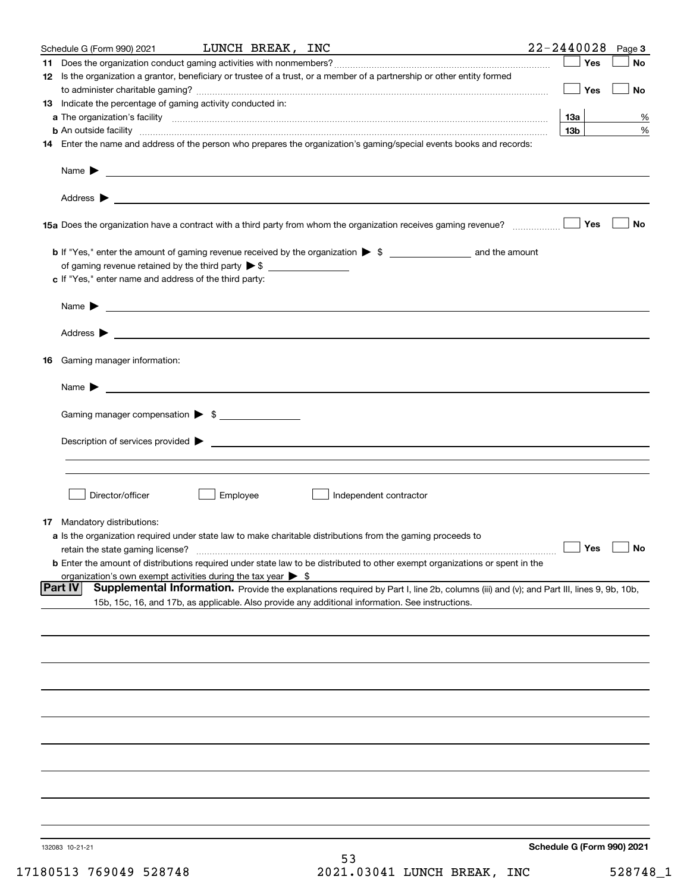| Schedule G (Form 990) 2021                                                   |          | LUNCH BREAK, INC |                                                                                                                                        | $22 - 2440028$ Page 3             |           |
|------------------------------------------------------------------------------|----------|------------------|----------------------------------------------------------------------------------------------------------------------------------------|-----------------------------------|-----------|
|                                                                              |          |                  |                                                                                                                                        | Yes                               | No        |
|                                                                              |          |                  | 12 Is the organization a grantor, beneficiary or trustee of a trust, or a member of a partnership or other entity formed               |                                   |           |
|                                                                              |          |                  |                                                                                                                                        | $\Box$ Yes                        | No        |
| 13 Indicate the percentage of gaming activity conducted in:                  |          |                  |                                                                                                                                        |                                   |           |
|                                                                              |          |                  |                                                                                                                                        | 13а                               | %         |
|                                                                              |          |                  | <b>b</b> An outside facility <i>www.communicality www.communicality.communicality www.communicality www.communicality.com</i>          | 13 <sub>b</sub>                   | %         |
|                                                                              |          |                  | 14 Enter the name and address of the person who prepares the organization's gaming/special events books and records:                   |                                   |           |
|                                                                              |          |                  |                                                                                                                                        |                                   |           |
|                                                                              |          |                  |                                                                                                                                        |                                   |           |
|                                                                              |          |                  |                                                                                                                                        |                                   |           |
|                                                                              |          |                  |                                                                                                                                        |                                   |           |
|                                                                              |          |                  |                                                                                                                                        |                                   |           |
|                                                                              |          |                  |                                                                                                                                        |                                   | <b>No</b> |
|                                                                              |          |                  |                                                                                                                                        |                                   |           |
|                                                                              |          |                  |                                                                                                                                        |                                   |           |
|                                                                              |          |                  |                                                                                                                                        |                                   |           |
| c If "Yes," enter name and address of the third party:                       |          |                  |                                                                                                                                        |                                   |           |
|                                                                              |          |                  |                                                                                                                                        |                                   |           |
|                                                                              |          |                  |                                                                                                                                        |                                   |           |
|                                                                              |          |                  |                                                                                                                                        |                                   |           |
|                                                                              |          |                  |                                                                                                                                        |                                   |           |
|                                                                              |          |                  |                                                                                                                                        |                                   |           |
| 16 Gaming manager information:                                               |          |                  |                                                                                                                                        |                                   |           |
|                                                                              |          |                  |                                                                                                                                        |                                   |           |
|                                                                              |          |                  |                                                                                                                                        |                                   |           |
|                                                                              |          |                  |                                                                                                                                        |                                   |           |
| Gaming manager compensation > \$                                             |          |                  |                                                                                                                                        |                                   |           |
|                                                                              |          |                  |                                                                                                                                        |                                   |           |
|                                                                              |          |                  |                                                                                                                                        |                                   |           |
|                                                                              |          |                  |                                                                                                                                        |                                   |           |
|                                                                              |          |                  |                                                                                                                                        |                                   |           |
| Director/officer                                                             | Employee |                  | Independent contractor                                                                                                                 |                                   |           |
|                                                                              |          |                  |                                                                                                                                        |                                   |           |
| 17 Mandatory distributions:                                                  |          |                  |                                                                                                                                        |                                   |           |
|                                                                              |          |                  | a Is the organization required under state law to make charitable distributions from the gaming proceeds to                            |                                   |           |
| retain the state gaming license?                                             |          |                  |                                                                                                                                        | $\Box$ Yes                        | $\Box$ No |
|                                                                              |          |                  | <b>b</b> Enter the amount of distributions required under state law to be distributed to other exempt organizations or spent in the    |                                   |           |
| organization's own exempt activities during the tax year $\triangleright$ \$ |          |                  |                                                                                                                                        |                                   |           |
| Part IV                                                                      |          |                  | Supplemental Information. Provide the explanations required by Part I, line 2b, columns (iii) and (v); and Part III, lines 9, 9b, 10b, |                                   |           |
|                                                                              |          |                  | 15b, 15c, 16, and 17b, as applicable. Also provide any additional information. See instructions.                                       |                                   |           |
|                                                                              |          |                  |                                                                                                                                        |                                   |           |
|                                                                              |          |                  |                                                                                                                                        |                                   |           |
|                                                                              |          |                  |                                                                                                                                        |                                   |           |
|                                                                              |          |                  |                                                                                                                                        |                                   |           |
|                                                                              |          |                  |                                                                                                                                        |                                   |           |
|                                                                              |          |                  |                                                                                                                                        |                                   |           |
|                                                                              |          |                  |                                                                                                                                        |                                   |           |
|                                                                              |          |                  |                                                                                                                                        |                                   |           |
|                                                                              |          |                  |                                                                                                                                        |                                   |           |
|                                                                              |          |                  |                                                                                                                                        |                                   |           |
|                                                                              |          |                  |                                                                                                                                        |                                   |           |
|                                                                              |          |                  |                                                                                                                                        |                                   |           |
|                                                                              |          |                  |                                                                                                                                        |                                   |           |
|                                                                              |          |                  |                                                                                                                                        |                                   |           |
|                                                                              |          |                  |                                                                                                                                        |                                   |           |
|                                                                              |          |                  |                                                                                                                                        |                                   |           |
| 132083 10-21-21                                                              |          |                  |                                                                                                                                        | <b>Schedule G (Form 990) 2021</b> |           |
|                                                                              |          |                  | 53                                                                                                                                     |                                   |           |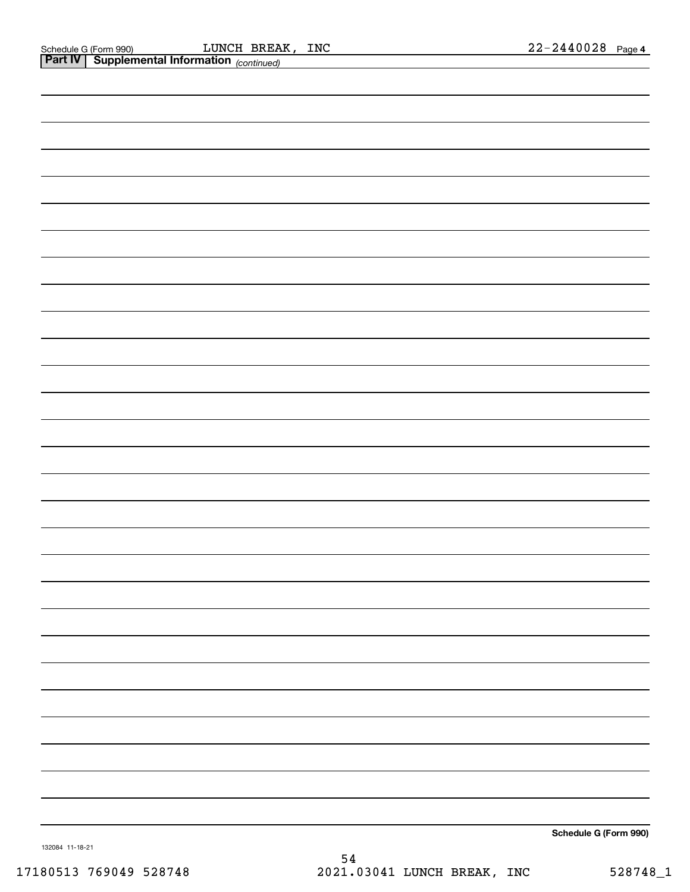| <b>Part IV Supplemental Information</b> (continued) |  |                       |
|-----------------------------------------------------|--|-----------------------|
|                                                     |  |                       |
|                                                     |  |                       |
|                                                     |  |                       |
|                                                     |  |                       |
|                                                     |  |                       |
|                                                     |  |                       |
|                                                     |  |                       |
|                                                     |  |                       |
|                                                     |  |                       |
|                                                     |  |                       |
|                                                     |  |                       |
|                                                     |  |                       |
|                                                     |  |                       |
|                                                     |  |                       |
|                                                     |  |                       |
|                                                     |  |                       |
|                                                     |  |                       |
|                                                     |  |                       |
|                                                     |  |                       |
|                                                     |  |                       |
|                                                     |  |                       |
|                                                     |  |                       |
|                                                     |  |                       |
|                                                     |  |                       |
|                                                     |  |                       |
|                                                     |  |                       |
|                                                     |  |                       |
|                                                     |  |                       |
|                                                     |  |                       |
|                                                     |  |                       |
|                                                     |  |                       |
|                                                     |  |                       |
|                                                     |  | Schedule G (Form 990) |

132084 11-18-21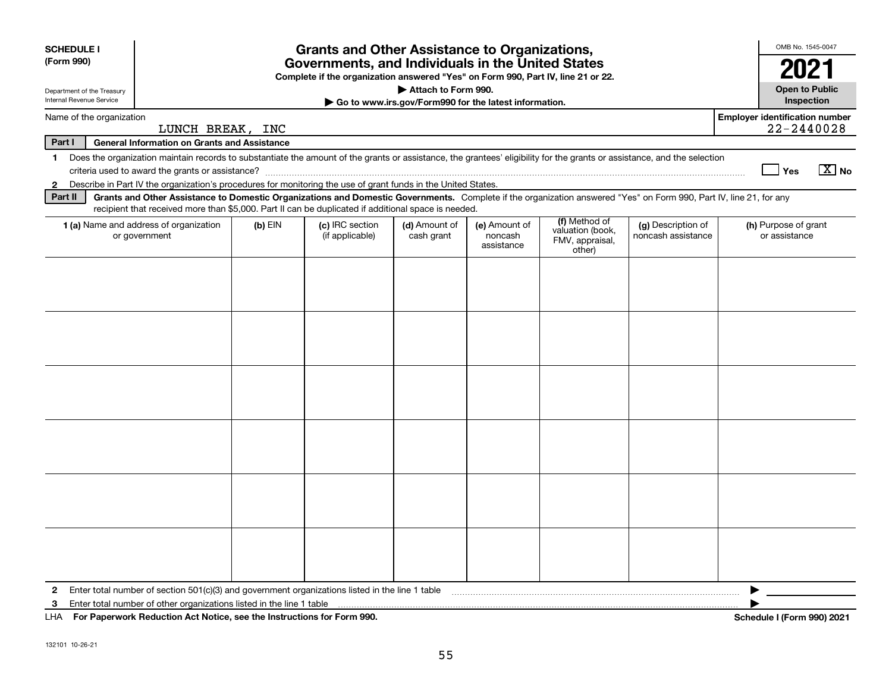| <b>SCHEDULE I</b>                                                          |                                                                                                                                                                                                                                                                           |           | <b>Grants and Other Assistance to Organizations,</b>                             |                             |                                                       |                                                                |                                          | OMB No. 1545-0047                                   |                |
|----------------------------------------------------------------------------|---------------------------------------------------------------------------------------------------------------------------------------------------------------------------------------------------------------------------------------------------------------------------|-----------|----------------------------------------------------------------------------------|-----------------------------|-------------------------------------------------------|----------------------------------------------------------------|------------------------------------------|-----------------------------------------------------|----------------|
| (Form 990)                                                                 |                                                                                                                                                                                                                                                                           |           | Governments, and Individuals in the United States                                |                             |                                                       |                                                                |                                          | 2021                                                |                |
| Department of the Treasury                                                 |                                                                                                                                                                                                                                                                           |           | Complete if the organization answered "Yes" on Form 990, Part IV, line 21 or 22. | Attach to Form 990.         |                                                       |                                                                |                                          | <b>Open to Public</b>                               |                |
| Internal Revenue Service                                                   |                                                                                                                                                                                                                                                                           |           |                                                                                  |                             | Go to www.irs.gov/Form990 for the latest information. |                                                                |                                          | Inspection                                          |                |
| Name of the organization                                                   | LUNCH BREAK, INC                                                                                                                                                                                                                                                          |           |                                                                                  |                             |                                                       |                                                                |                                          | <b>Employer identification number</b><br>22-2440028 |                |
| Part I                                                                     | <b>General Information on Grants and Assistance</b>                                                                                                                                                                                                                       |           |                                                                                  |                             |                                                       |                                                                |                                          |                                                     |                |
| $\mathbf 1$                                                                | Does the organization maintain records to substantiate the amount of the grants or assistance, the grantees' eligibility for the grants or assistance, and the selection                                                                                                  |           |                                                                                  |                             |                                                       |                                                                |                                          | Yes                                                 | $\boxed{X}$ No |
| $\mathbf{2}$                                                               | Describe in Part IV the organization's procedures for monitoring the use of grant funds in the United States.                                                                                                                                                             |           |                                                                                  |                             |                                                       |                                                                |                                          |                                                     |                |
| Part II                                                                    | Grants and Other Assistance to Domestic Organizations and Domestic Governments. Complete if the organization answered "Yes" on Form 990, Part IV, line 21, for any<br>recipient that received more than \$5,000. Part II can be duplicated if additional space is needed. |           |                                                                                  |                             |                                                       |                                                                |                                          |                                                     |                |
|                                                                            | 1 (a) Name and address of organization<br>or government                                                                                                                                                                                                                   | $(b)$ EIN | (c) IRC section<br>(if applicable)                                               | (d) Amount of<br>cash grant | (e) Amount of<br>noncash<br>assistance                | (f) Method of<br>valuation (book,<br>FMV, appraisal,<br>other) | (g) Description of<br>noncash assistance | (h) Purpose of grant<br>or assistance               |                |
|                                                                            |                                                                                                                                                                                                                                                                           |           |                                                                                  |                             |                                                       |                                                                |                                          |                                                     |                |
|                                                                            |                                                                                                                                                                                                                                                                           |           |                                                                                  |                             |                                                       |                                                                |                                          |                                                     |                |
|                                                                            |                                                                                                                                                                                                                                                                           |           |                                                                                  |                             |                                                       |                                                                |                                          |                                                     |                |
|                                                                            |                                                                                                                                                                                                                                                                           |           |                                                                                  |                             |                                                       |                                                                |                                          |                                                     |                |
|                                                                            |                                                                                                                                                                                                                                                                           |           |                                                                                  |                             |                                                       |                                                                |                                          |                                                     |                |
|                                                                            |                                                                                                                                                                                                                                                                           |           |                                                                                  |                             |                                                       |                                                                |                                          |                                                     |                |
|                                                                            |                                                                                                                                                                                                                                                                           |           |                                                                                  |                             |                                                       |                                                                |                                          |                                                     |                |
|                                                                            |                                                                                                                                                                                                                                                                           |           |                                                                                  |                             |                                                       |                                                                |                                          |                                                     |                |
|                                                                            |                                                                                                                                                                                                                                                                           |           |                                                                                  |                             |                                                       |                                                                |                                          |                                                     |                |
|                                                                            |                                                                                                                                                                                                                                                                           |           |                                                                                  |                             |                                                       |                                                                |                                          |                                                     |                |
|                                                                            |                                                                                                                                                                                                                                                                           |           |                                                                                  |                             |                                                       |                                                                |                                          |                                                     |                |
|                                                                            |                                                                                                                                                                                                                                                                           |           |                                                                                  |                             |                                                       |                                                                |                                          |                                                     |                |
| $\mathbf{2}$                                                               | Enter total number of section 501(c)(3) and government organizations listed in the line 1 table                                                                                                                                                                           |           |                                                                                  |                             |                                                       |                                                                |                                          |                                                     |                |
| 3                                                                          | Enter total number of other organizations listed in the line 1 table                                                                                                                                                                                                      |           |                                                                                  |                             |                                                       |                                                                |                                          |                                                     |                |
| LHA For Paperwork Reduction Act Notice, see the Instructions for Form 990. |                                                                                                                                                                                                                                                                           |           |                                                                                  |                             |                                                       |                                                                |                                          | Schedule I (Form 990) 2021                          |                |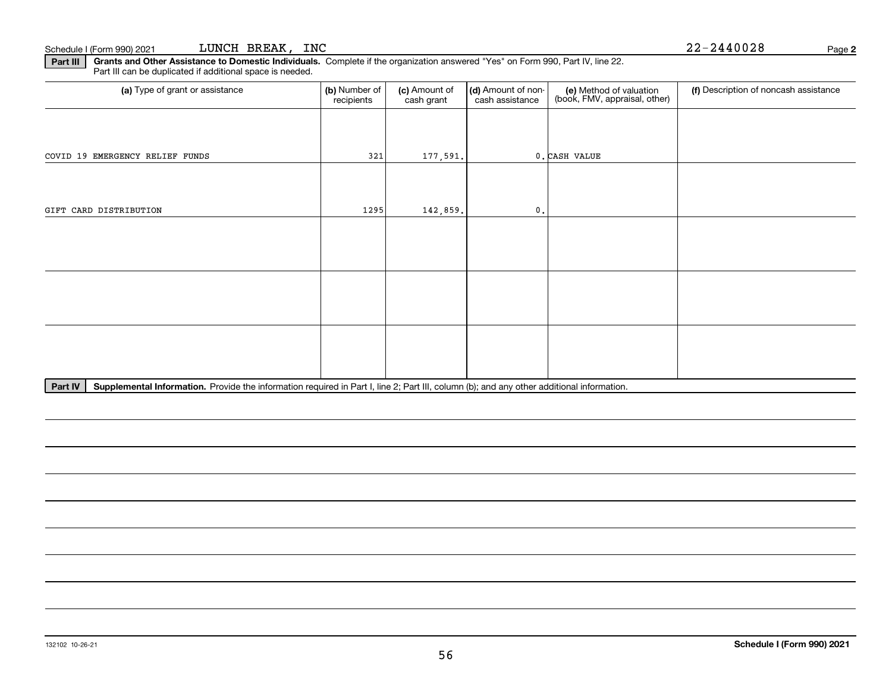**2**Schedule I (Form 990) 2021 LUNCH BREAK, INC 2 2-2440028 Page

**Part III Grants and Other Assistance to Domestic Individuals.**  Complete if the organization answered "Yes" on Form 990, Part IV, line 22. Part III can be duplicated if additional space is needed.

| (b) Number of<br>recipients | (c) Amount of<br>cash grant | (d) Amount of non-<br>cash assistance | (e) Method of valuation<br>(book, FMV, appraisal, other) | (f) Description of noncash assistance                                                                 |
|-----------------------------|-----------------------------|---------------------------------------|----------------------------------------------------------|-------------------------------------------------------------------------------------------------------|
|                             |                             |                                       |                                                          |                                                                                                       |
| 321                         |                             |                                       |                                                          |                                                                                                       |
|                             |                             |                                       |                                                          |                                                                                                       |
|                             |                             | $\mathbf{0}$ .                        |                                                          |                                                                                                       |
|                             |                             |                                       |                                                          |                                                                                                       |
|                             |                             |                                       |                                                          |                                                                                                       |
|                             |                             |                                       |                                                          |                                                                                                       |
|                             |                             |                                       |                                                          |                                                                                                       |
|                             |                             |                                       |                                                          |                                                                                                       |
|                             |                             |                                       |                                                          |                                                                                                       |
|                             |                             | 1295                                  | 177,591.<br>142,859.                                     | 0. CASH VALUE<br>الرابعين المستحيل والمتحدث والمستحوم والمحاولات المتحدث والمستحدث والمعاون والمستحدث |

Part IV | Supplemental Information. Provide the information required in Part I, line 2; Part III, column (b); and any other additional information.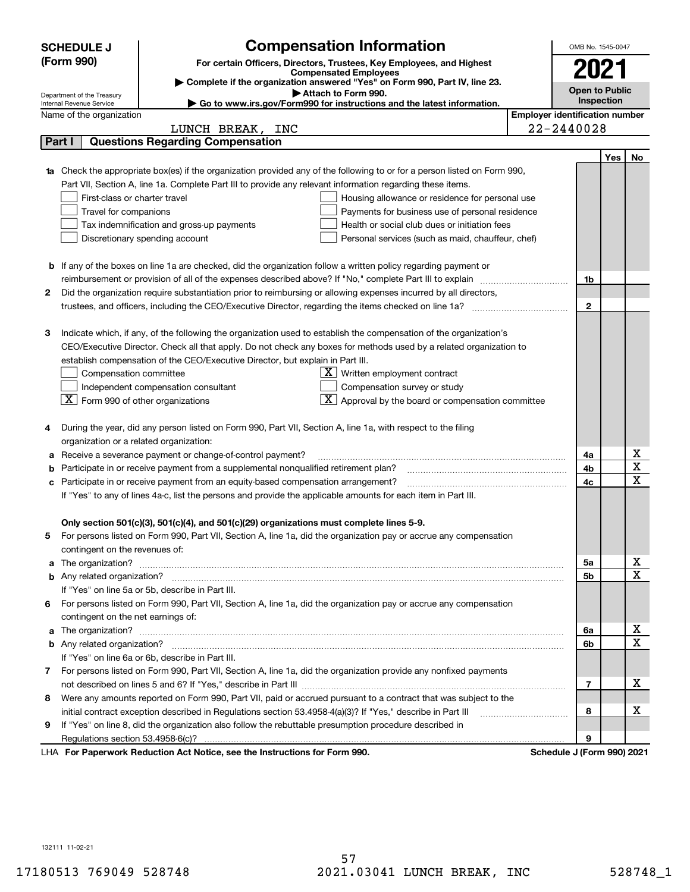|   | <b>SCHEDULE J</b>                                      | <b>Compensation Information</b>                                                                                                                                                                                                      |                                       | OMB No. 1545-0047          |     |                         |  |
|---|--------------------------------------------------------|--------------------------------------------------------------------------------------------------------------------------------------------------------------------------------------------------------------------------------------|---------------------------------------|----------------------------|-----|-------------------------|--|
|   | (Form 990)                                             | For certain Officers, Directors, Trustees, Key Employees, and Highest                                                                                                                                                                |                                       |                            |     |                         |  |
|   |                                                        | <b>Compensated Employees</b>                                                                                                                                                                                                         |                                       | 2021                       |     |                         |  |
|   |                                                        | Complete if the organization answered "Yes" on Form 990, Part IV, line 23.<br>Attach to Form 990.                                                                                                                                    |                                       | <b>Open to Public</b>      |     |                         |  |
|   | Department of the Treasury<br>Internal Revenue Service | Go to www.irs.gov/Form990 for instructions and the latest information.                                                                                                                                                               |                                       | Inspection                 |     |                         |  |
|   | Name of the organization                               |                                                                                                                                                                                                                                      | <b>Employer identification number</b> |                            |     |                         |  |
|   |                                                        | LUNCH BREAK,<br>INC                                                                                                                                                                                                                  |                                       | $22 - 2440028$             |     |                         |  |
|   | Part I                                                 | <b>Questions Regarding Compensation</b>                                                                                                                                                                                              |                                       |                            |     |                         |  |
|   |                                                        |                                                                                                                                                                                                                                      |                                       |                            | Yes | No                      |  |
|   |                                                        | Check the appropriate box(es) if the organization provided any of the following to or for a person listed on Form 990,                                                                                                               |                                       |                            |     |                         |  |
|   |                                                        | Part VII, Section A, line 1a. Complete Part III to provide any relevant information regarding these items.                                                                                                                           |                                       |                            |     |                         |  |
|   | First-class or charter travel                          | Housing allowance or residence for personal use                                                                                                                                                                                      |                                       |                            |     |                         |  |
|   | Travel for companions                                  | Payments for business use of personal residence                                                                                                                                                                                      |                                       |                            |     |                         |  |
|   |                                                        | Health or social club dues or initiation fees<br>Tax indemnification and gross-up payments                                                                                                                                           |                                       |                            |     |                         |  |
|   | Discretionary spending account                         | Personal services (such as maid, chauffeur, chef)                                                                                                                                                                                    |                                       |                            |     |                         |  |
|   |                                                        |                                                                                                                                                                                                                                      |                                       |                            |     |                         |  |
|   |                                                        | <b>b</b> If any of the boxes on line 1a are checked, did the organization follow a written policy regarding payment or                                                                                                               |                                       |                            |     |                         |  |
|   |                                                        |                                                                                                                                                                                                                                      |                                       | 1b                         |     |                         |  |
| 2 |                                                        | Did the organization require substantiation prior to reimbursing or allowing expenses incurred by all directors,                                                                                                                     |                                       |                            |     |                         |  |
|   |                                                        |                                                                                                                                                                                                                                      |                                       | $\mathbf{2}$               |     |                         |  |
|   |                                                        |                                                                                                                                                                                                                                      |                                       |                            |     |                         |  |
| З |                                                        | Indicate which, if any, of the following the organization used to establish the compensation of the organization's                                                                                                                   |                                       |                            |     |                         |  |
|   |                                                        | CEO/Executive Director. Check all that apply. Do not check any boxes for methods used by a related organization to                                                                                                                   |                                       |                            |     |                         |  |
|   |                                                        | establish compensation of the CEO/Executive Director, but explain in Part III.                                                                                                                                                       |                                       |                            |     |                         |  |
|   | Compensation committee                                 | $X$ Written employment contract                                                                                                                                                                                                      |                                       |                            |     |                         |  |
|   |                                                        | Compensation survey or study<br>Independent compensation consultant                                                                                                                                                                  |                                       |                            |     |                         |  |
|   | $X$ Form 990 of other organizations                    | $\boxed{\text{X}}$ Approval by the board or compensation committee                                                                                                                                                                   |                                       |                            |     |                         |  |
|   |                                                        |                                                                                                                                                                                                                                      |                                       |                            |     |                         |  |
| 4 |                                                        | During the year, did any person listed on Form 990, Part VII, Section A, line 1a, with respect to the filing                                                                                                                         |                                       |                            |     |                         |  |
|   | organization or a related organization:                | Receive a severance payment or change-of-control payment?                                                                                                                                                                            |                                       | 4a                         |     | Χ                       |  |
| а |                                                        | Participate in or receive payment from a supplemental nonqualified retirement plan?                                                                                                                                                  |                                       | 4b                         |     | $\overline{\textbf{X}}$ |  |
|   |                                                        | Participate in or receive payment from an equity-based compensation arrangement?                                                                                                                                                     |                                       | 4c                         |     | $\mathbf X$             |  |
|   |                                                        | If "Yes" to any of lines 4a-c, list the persons and provide the applicable amounts for each item in Part III.                                                                                                                        |                                       |                            |     |                         |  |
|   |                                                        |                                                                                                                                                                                                                                      |                                       |                            |     |                         |  |
|   |                                                        | Only section 501(c)(3), 501(c)(4), and 501(c)(29) organizations must complete lines 5-9.                                                                                                                                             |                                       |                            |     |                         |  |
|   |                                                        | For persons listed on Form 990, Part VII, Section A, line 1a, did the organization pay or accrue any compensation                                                                                                                    |                                       |                            |     |                         |  |
|   | contingent on the revenues of:                         |                                                                                                                                                                                                                                      |                                       |                            |     |                         |  |
| a |                                                        |                                                                                                                                                                                                                                      |                                       | 5a                         |     | x                       |  |
|   |                                                        |                                                                                                                                                                                                                                      |                                       | 5b                         |     | $\overline{\mathbf{x}}$ |  |
|   | If "Yes" on line 5a or 5b, describe in Part III.       |                                                                                                                                                                                                                                      |                                       |                            |     |                         |  |
|   |                                                        | 6 For persons listed on Form 990, Part VII, Section A, line 1a, did the organization pay or accrue any compensation                                                                                                                  |                                       |                            |     |                         |  |
|   | contingent on the net earnings of:                     |                                                                                                                                                                                                                                      |                                       |                            |     |                         |  |
| a |                                                        | The organization? <b>With the contract of the contract of the contract of the contract of the contract of the contract of the contract of the contract of the contract of the contract of the contract of the contract of the co</b> |                                       | 6a                         |     | х                       |  |
|   |                                                        |                                                                                                                                                                                                                                      |                                       | 6b                         |     | $\overline{\mathbf{x}}$ |  |
|   | If "Yes" on line 6a or 6b, describe in Part III.       |                                                                                                                                                                                                                                      |                                       |                            |     |                         |  |
|   |                                                        | 7 For persons listed on Form 990, Part VII, Section A, line 1a, did the organization provide any nonfixed payments                                                                                                                   |                                       |                            |     |                         |  |
|   |                                                        |                                                                                                                                                                                                                                      |                                       | 7                          |     | х                       |  |
| 8 |                                                        | Were any amounts reported on Form 990, Part VII, paid or accrued pursuant to a contract that was subject to the                                                                                                                      |                                       |                            |     |                         |  |
|   |                                                        | initial contract exception described in Regulations section 53.4958-4(a)(3)? If "Yes," describe in Part III                                                                                                                          |                                       | 8                          |     | х                       |  |
| 9 |                                                        | If "Yes" on line 8, did the organization also follow the rebuttable presumption procedure described in                                                                                                                               |                                       |                            |     |                         |  |
|   |                                                        |                                                                                                                                                                                                                                      |                                       | 9                          |     |                         |  |
|   |                                                        | LHA For Paperwork Reduction Act Notice, see the Instructions for Form 990.                                                                                                                                                           |                                       | Schedule J (Form 990) 2021 |     |                         |  |

132111 11-02-21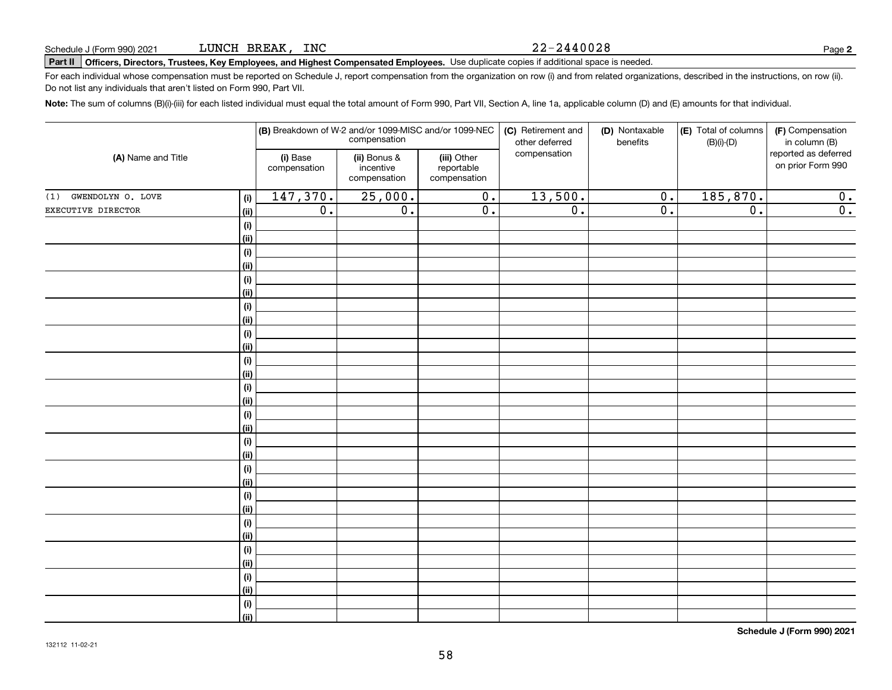#### 22-2440028

**2**

# **Part II Officers, Directors, Trustees, Key Employees, and Highest Compensated Employees.**  Schedule J (Form 990) 2021 Page Use duplicate copies if additional space is needed.

For each individual whose compensation must be reported on Schedule J, report compensation from the organization on row (i) and from related organizations, described in the instructions, on row (ii). Do not list any individuals that aren't listed on Form 990, Part VII.

**Note:**  The sum of columns (B)(i)-(iii) for each listed individual must equal the total amount of Form 990, Part VII, Section A, line 1a, applicable column (D) and (E) amounts for that individual.

|                       |                    |                          |                                           | (B) Breakdown of W-2 and/or 1099-MISC and/or 1099-NEC<br>compensation | (C) Retirement and<br>other deferred | (D) Nontaxable<br>benefits | (E) Total of columns<br>$(B)(i)-(D)$ | (F) Compensation<br>in column (B)         |
|-----------------------|--------------------|--------------------------|-------------------------------------------|-----------------------------------------------------------------------|--------------------------------------|----------------------------|--------------------------------------|-------------------------------------------|
| (A) Name and Title    |                    | (i) Base<br>compensation | (ii) Bonus &<br>incentive<br>compensation | (iii) Other<br>reportable<br>compensation                             | compensation                         |                            |                                      | reported as deferred<br>on prior Form 990 |
| (1) GWENDOLYN O. LOVE | (i)                | 147,370.                 | 25,000.                                   | $\overline{0}$ .                                                      | 13,500.                              | $\overline{0}$ .           | 185,870.                             | 0.                                        |
| EXECUTIVE DIRECTOR    | (ii)               | $\overline{0}$ .         | $\overline{0}$ .                          | $\overline{0}$ .                                                      | $\overline{0}$ .                     | $\overline{0}$ .           | $\overline{0}$ .                     | $\overline{\mathbf{0}}$ .                 |
|                       | $(\sf{i})$         |                          |                                           |                                                                       |                                      |                            |                                      |                                           |
|                       | (ii)               |                          |                                           |                                                                       |                                      |                            |                                      |                                           |
|                       | $(\sf{i})$         |                          |                                           |                                                                       |                                      |                            |                                      |                                           |
|                       | (ii)               |                          |                                           |                                                                       |                                      |                            |                                      |                                           |
|                       | $(\sf{i})$         |                          |                                           |                                                                       |                                      |                            |                                      |                                           |
|                       | (ii)               |                          |                                           |                                                                       |                                      |                            |                                      |                                           |
|                       | $(\sf{i})$         |                          |                                           |                                                                       |                                      |                            |                                      |                                           |
|                       | (ii)               |                          |                                           |                                                                       |                                      |                            |                                      |                                           |
|                       | $(\sf{i})$         |                          |                                           |                                                                       |                                      |                            |                                      |                                           |
|                       | (ii)               |                          |                                           |                                                                       |                                      |                            |                                      |                                           |
|                       | $(\sf{i})$         |                          |                                           |                                                                       |                                      |                            |                                      |                                           |
|                       | (ii)               |                          |                                           |                                                                       |                                      |                            |                                      |                                           |
|                       | $(\sf{i})$<br>(ii) |                          |                                           |                                                                       |                                      |                            |                                      |                                           |
|                       | $(\sf{i})$         |                          |                                           |                                                                       |                                      |                            |                                      |                                           |
|                       | (ii)               |                          |                                           |                                                                       |                                      |                            |                                      |                                           |
|                       | $(\sf{i})$         |                          |                                           |                                                                       |                                      |                            |                                      |                                           |
|                       | (ii)               |                          |                                           |                                                                       |                                      |                            |                                      |                                           |
|                       | $(\sf{i})$         |                          |                                           |                                                                       |                                      |                            |                                      |                                           |
|                       | (ii)               |                          |                                           |                                                                       |                                      |                            |                                      |                                           |
|                       | $(\sf{i})$         |                          |                                           |                                                                       |                                      |                            |                                      |                                           |
|                       | (ii)               |                          |                                           |                                                                       |                                      |                            |                                      |                                           |
|                       | $(\sf{i})$         |                          |                                           |                                                                       |                                      |                            |                                      |                                           |
|                       | (ii)               |                          |                                           |                                                                       |                                      |                            |                                      |                                           |
|                       | $(\sf{i})$         |                          |                                           |                                                                       |                                      |                            |                                      |                                           |
|                       | (ii)               |                          |                                           |                                                                       |                                      |                            |                                      |                                           |
|                       | $(\sf{i})$         |                          |                                           |                                                                       |                                      |                            |                                      |                                           |
|                       | (ii)               |                          |                                           |                                                                       |                                      |                            |                                      |                                           |
|                       | $(\sf{i})$         |                          |                                           |                                                                       |                                      |                            |                                      |                                           |
|                       | (ii)               |                          |                                           |                                                                       |                                      |                            |                                      |                                           |

**Schedule J (Form 990) 2021**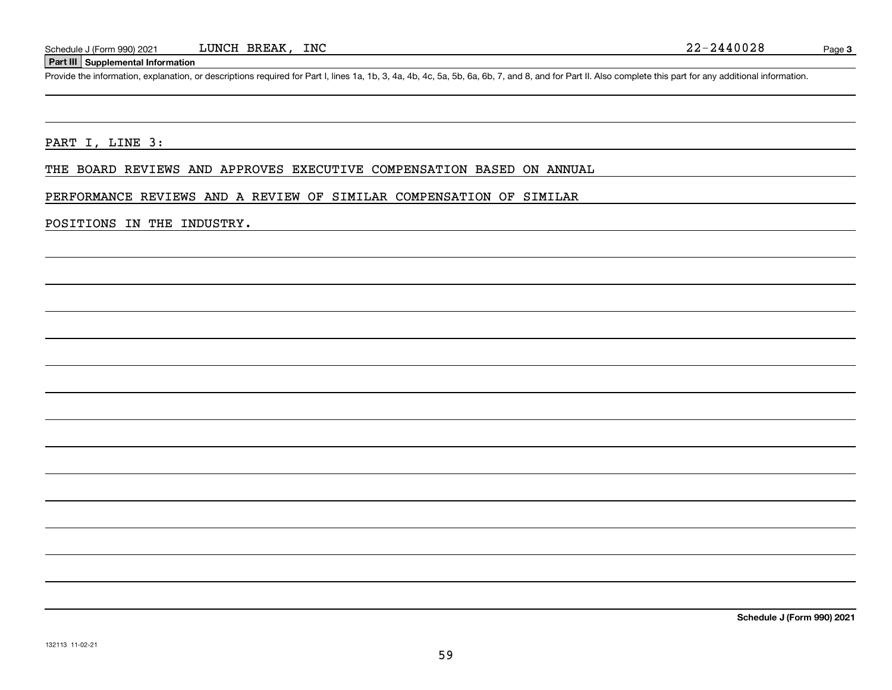#### **Part III Supplemental Information**

Schedule J (Form 990) 2021 LUNCH BREAK, INC<br>
Part III Supplemental Information<br>
Provide the information, explanation, or descriptions required for Part I, lines 1a, 1b, 3, 4a, 4b, 4c, 5a, 5b, 6a, 6b, 7, and 8, and for Part

### PART I, LINE 3:

THE BOARD REVIEWS AND APPROVES EXECUTIVE COMPENSATION BASED ON ANNUAL

### PERFORMANCE REVIEWS AND A REVIEW OF SIMILAR COMPENSATION OF SIMILAR

### POSITIONS IN THE INDUSTRY.

**Schedule J (Form 990) 2021**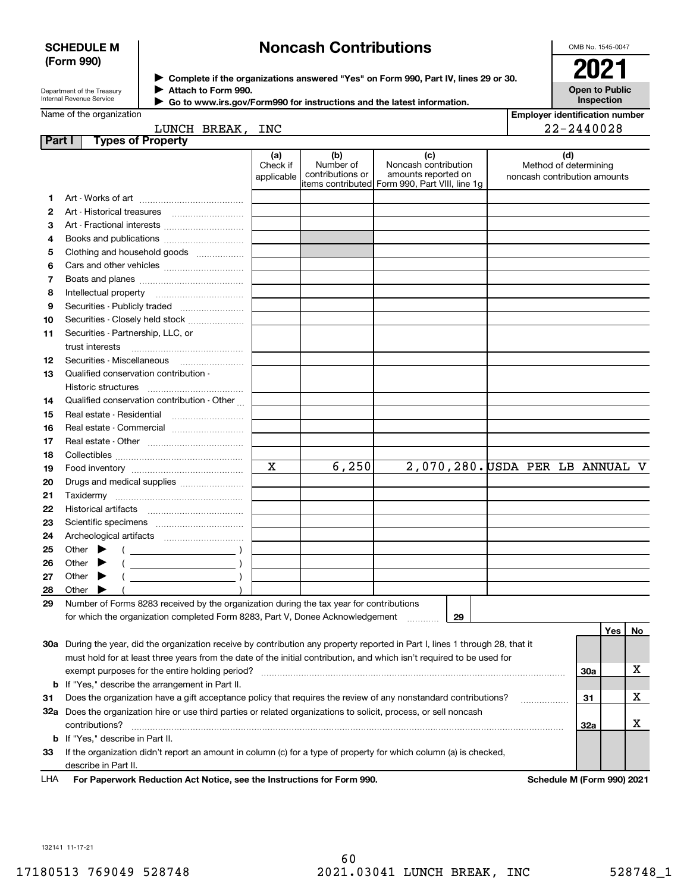# **SCHEDULE M (Form 990)**

# **Noncash Contributions**

OMB No. 1545-0047

| Department of the Treasury      |
|---------------------------------|
| <b>Internal Revenue Service</b> |

**Complete if the organizations answered "Yes" on Form 990, Part IV, lines 29 or 30.** <sup>J</sup>**2021 Attach to Form 990.** J

**Open to Public Inspection**

|  | Name of the organization |
|--|--------------------------|

 $\blacktriangleright$ 

| Go to www.irs.gov/Form990 for instructions and the latest information. |  |
|------------------------------------------------------------------------|--|
|                                                                        |  |

| Employer identification number |  |
|--------------------------------|--|
| $22 - 2440028$                 |  |

|    | LUNCH BREAK, | INC |  |
|----|--------------|-----|--|
| D. |              |     |  |

| <b>Part I</b> | <b>Types of Property</b>                                                                                                       |                               |                                      |                                                                                                      |                                                              |            |     |
|---------------|--------------------------------------------------------------------------------------------------------------------------------|-------------------------------|--------------------------------------|------------------------------------------------------------------------------------------------------|--------------------------------------------------------------|------------|-----|
|               |                                                                                                                                | (a)<br>Check if<br>applicable | (b)<br>Number of<br>contributions or | (c)<br>Noncash contribution<br>amounts reported on<br>items contributed Form 990, Part VIII, line 1g | (d)<br>Method of determining<br>noncash contribution amounts |            |     |
| 1             |                                                                                                                                |                               |                                      |                                                                                                      |                                                              |            |     |
| 2             | Art - Historical treasures                                                                                                     |                               |                                      |                                                                                                      |                                                              |            |     |
| з             |                                                                                                                                |                               |                                      |                                                                                                      |                                                              |            |     |
| 4             | Books and publications                                                                                                         |                               |                                      |                                                                                                      |                                                              |            |     |
| 5             | Clothing and household goods                                                                                                   |                               |                                      |                                                                                                      |                                                              |            |     |
| 6             |                                                                                                                                |                               |                                      |                                                                                                      |                                                              |            |     |
| 7             |                                                                                                                                |                               |                                      |                                                                                                      |                                                              |            |     |
| 8             | Intellectual property                                                                                                          |                               |                                      |                                                                                                      |                                                              |            |     |
| 9             | Securities - Publicly traded                                                                                                   |                               |                                      |                                                                                                      |                                                              |            |     |
| 10            | Securities - Closely held stock                                                                                                |                               |                                      |                                                                                                      |                                                              |            |     |
| 11            | Securities - Partnership, LLC, or                                                                                              |                               |                                      |                                                                                                      |                                                              |            |     |
|               | trust interests                                                                                                                |                               |                                      |                                                                                                      |                                                              |            |     |
| 12            | Securities - Miscellaneous                                                                                                     |                               |                                      |                                                                                                      |                                                              |            |     |
| 13            | Qualified conservation contribution -                                                                                          |                               |                                      |                                                                                                      |                                                              |            |     |
|               | Historic structures                                                                                                            |                               |                                      |                                                                                                      |                                                              |            |     |
| 14            | Qualified conservation contribution - Other                                                                                    |                               |                                      |                                                                                                      |                                                              |            |     |
| 15            | Real estate - Residential                                                                                                      |                               |                                      |                                                                                                      |                                                              |            |     |
| 16            | Real estate - Commercial                                                                                                       |                               |                                      |                                                                                                      |                                                              |            |     |
| 17            |                                                                                                                                |                               |                                      |                                                                                                      |                                                              |            |     |
|               |                                                                                                                                |                               |                                      |                                                                                                      |                                                              |            |     |
| 18            |                                                                                                                                | X                             | 6,250                                |                                                                                                      | 2,070,280. USDA PER LB ANNUAL V                              |            |     |
| 19            |                                                                                                                                |                               |                                      |                                                                                                      |                                                              |            |     |
| 20            | Drugs and medical supplies                                                                                                     |                               |                                      |                                                                                                      |                                                              |            |     |
| 21            |                                                                                                                                |                               |                                      |                                                                                                      |                                                              |            |     |
| 22            |                                                                                                                                |                               |                                      |                                                                                                      |                                                              |            |     |
| 23            |                                                                                                                                |                               |                                      |                                                                                                      |                                                              |            |     |
| 24            |                                                                                                                                |                               |                                      |                                                                                                      |                                                              |            |     |
| 25            | Other<br>$\overline{\phantom{a}}$                                                                                              |                               |                                      |                                                                                                      |                                                              |            |     |
| 26            | Other                                                                                                                          |                               |                                      |                                                                                                      |                                                              |            |     |
| 27            | Other                                                                                                                          |                               |                                      |                                                                                                      |                                                              |            |     |
| 28            | Other                                                                                                                          |                               |                                      |                                                                                                      |                                                              |            |     |
| 29            | Number of Forms 8283 received by the organization during the tax year for contributions                                        |                               |                                      |                                                                                                      |                                                              |            |     |
|               | for which the organization completed Form 8283, Part V, Donee Acknowledgement                                                  |                               |                                      | 29                                                                                                   |                                                              |            |     |
|               |                                                                                                                                |                               |                                      |                                                                                                      |                                                              | Yes        | No. |
|               | 30a During the year, did the organization receive by contribution any property reported in Part I, lines 1 through 28, that it |                               |                                      |                                                                                                      |                                                              |            |     |
|               | must hold for at least three years from the date of the initial contribution, and which isn't required to be used for          |                               |                                      |                                                                                                      |                                                              |            |     |
|               | exempt purposes for the entire holding period?                                                                                 |                               |                                      |                                                                                                      |                                                              | <b>30a</b> | х   |
|               | <b>b</b> If "Yes," describe the arrangement in Part II.                                                                        |                               |                                      |                                                                                                      |                                                              |            |     |
| 31            | Does the organization have a gift acceptance policy that requires the review of any nonstandard contributions?                 |                               |                                      |                                                                                                      |                                                              | 31         | х   |
|               | 32a Does the organization hire or use third parties or related organizations to solicit, process, or sell noncash              |                               |                                      |                                                                                                      |                                                              |            |     |
|               | contributions?                                                                                                                 |                               |                                      |                                                                                                      |                                                              | 32a        | x   |
|               | <b>b</b> If "Yes," describe in Part II.                                                                                        |                               |                                      |                                                                                                      |                                                              |            |     |
| 33            | If the organization didn't report an amount in column (c) for a type of property for which column (a) is checked,              |                               |                                      |                                                                                                      |                                                              |            |     |
|               | describe in Part II.                                                                                                           |                               |                                      |                                                                                                      |                                                              |            |     |

**For Paperwork Reduction Act Notice, see the Instructions for Form 990. Schedule M (Form 990) 2021** LHA

132141 11-17-21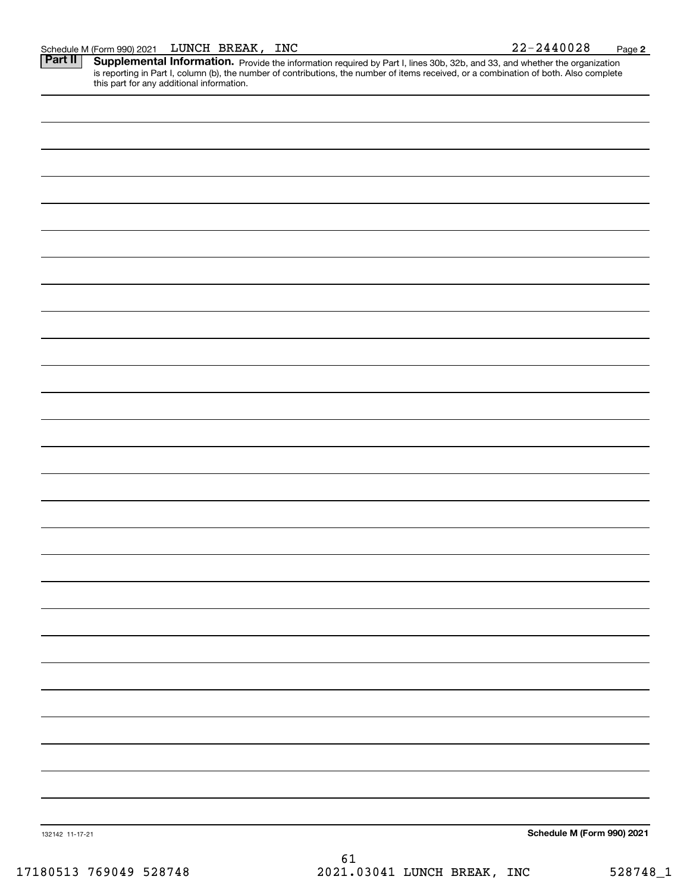**2**

Part II | Supplemental Information. Provide the information required by Part I, lines 30b, 32b, and 33, and whether the organization is reporting in Part I, column (b), the number of contributions, the number of items received, or a combination of both. Also complete this part for any additional information.

| 132142 11-17-21 | Schedule M (Form 990) 2021 |
|-----------------|----------------------------|

61 17180513 769049 528748 2021.03041 LUNCH BREAK, INC 528748\_1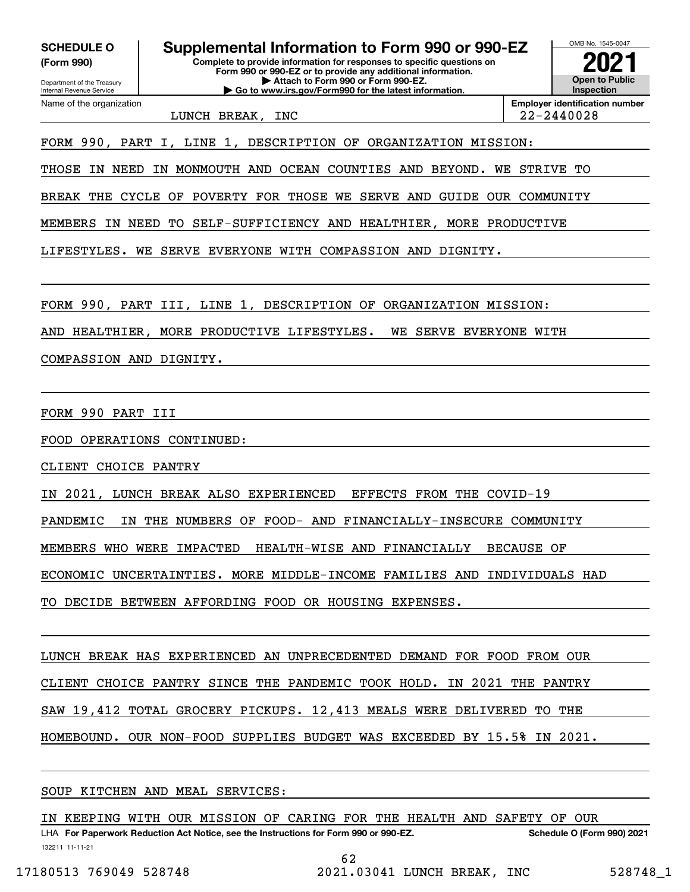**(Form 990)**

Department of the Treasury Internal Revenue Service

Name of the organization

**Complete to provide information for responses to specific questions on Form 990 or 990-EZ or to provide any additional information. | Attach to Form 990 or Form 990-EZ. | Go to www.irs.gov/Form990 for the latest information. SCHEDULE O Supplemental Information to Form 990 or 990-EZ**



LUNCH BREAK, INC  $\vert$  22-2440028

FORM 990, PART I, LINE 1, DESCRIPTION OF ORGANIZATION MISSION:

THOSE IN NEED IN MONMOUTH AND OCEAN COUNTIES AND BEYOND. WE STRIVE TO

BREAK THE CYCLE OF POVERTY FOR THOSE WE SERVE AND GUIDE OUR COMMUNITY

MEMBERS IN NEED TO SELF-SUFFICIENCY AND HEALTHIER, MORE PRODUCTIVE

LIFESTYLES. WE SERVE EVERYONE WITH COMPASSION AND DIGNITY.

FORM 990, PART III, LINE 1, DESCRIPTION OF ORGANIZATION MISSION:

AND HEALTHIER, MORE PRODUCTIVE LIFESTYLES. WE SERVE EVERYONE WITH

COMPASSION AND DIGNITY.

FORM 990 PART III

FOOD OPERATIONS CONTINUED:

CLIENT CHOICE PANTRY

IN 2021, LUNCH BREAK ALSO EXPERIENCED EFFECTS FROM THE COVID-19

PANDEMIC IN THE NUMBERS OF FOOD- AND FINANCIALLY-INSECURE COMMUNITY

MEMBERS WHO WERE IMPACTED HEALTH-WISE AND FINANCIALLY BECAUSE OF

ECONOMIC UNCERTAINTIES. MORE MIDDLE-INCOME FAMILIES AND INDIVIDUALS HAD

TO DECIDE BETWEEN AFFORDING FOOD OR HOUSING EXPENSES.

LUNCH BREAK HAS EXPERIENCED AN UNPRECEDENTED DEMAND FOR FOOD FROM OUR

CLIENT CHOICE PANTRY SINCE THE PANDEMIC TOOK HOLD. IN 2021 THE PANTRY

SAW 19,412 TOTAL GROCERY PICKUPS. 12,413 MEALS WERE DELIVERED TO THE

HOMEBOUND. OUR NON-FOOD SUPPLIES BUDGET WAS EXCEEDED BY 15.5% IN 2021.

SOUP KITCHEN AND MEAL SERVICES:

132211 11-11-21 LHA For Paperwork Reduction Act Notice, see the Instructions for Form 990 or 990-EZ. Schedule O (Form 990) 2021 IN KEEPING WITH OUR MISSION OF CARING FOR THE HEALTH AND SAFETY OF OUR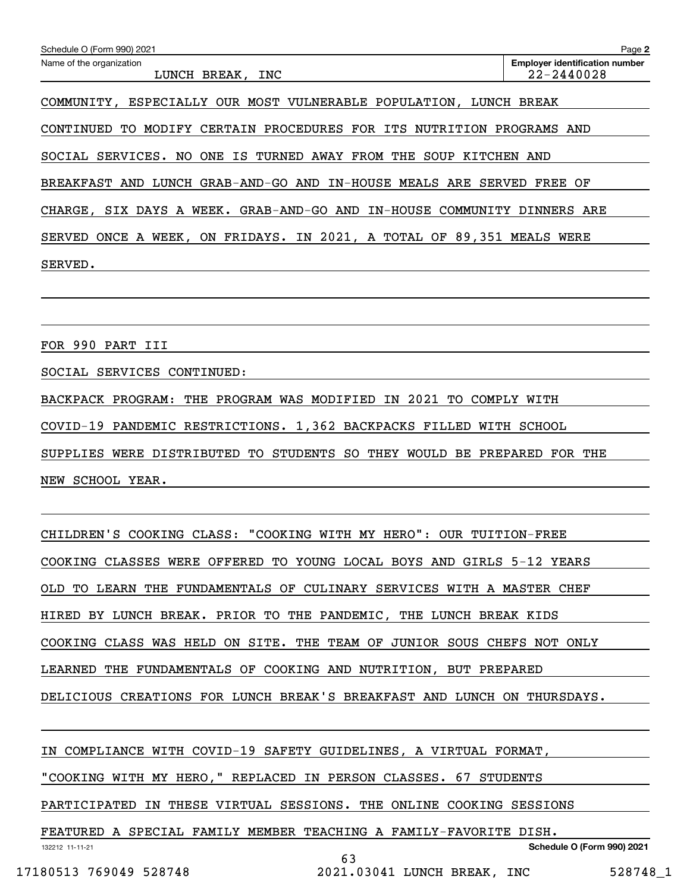| Schedule O (Form 990) 2021                                               | Page 2                                                  |
|--------------------------------------------------------------------------|---------------------------------------------------------|
| Name of the organization<br>LUNCH BREAK, INC                             | <b>Employer identification number</b><br>$22 - 2440028$ |
| COMMUNITY, ESPECIALLY OUR MOST VULNERABLE POPULATION, LUNCH BREAK        |                                                         |
| TO MODIFY CERTAIN PROCEDURES FOR ITS NUTRITION PROGRAMS AND<br>CONTINUED |                                                         |
| SOCIAL SERVICES. NO ONE IS TURNED AWAY FROM THE SOUP KITCHEN AND         |                                                         |
| BREAKFAST AND LUNCH GRAB-AND-GO AND IN-HOUSE MEALS ARE SERVED FREE OF    |                                                         |
| CHARGE, SIX DAYS A WEEK. GRAB-AND-GO AND<br>IN-HOUSE<br>COMMUNITY        | DINNERS ARE                                             |
| ONCE A WEEK, ON FRIDAYS. IN 2021, A TOTAL OF 89,351 MEALS WERE<br>SERVED |                                                         |
| SERVED.                                                                  |                                                         |

FOR 990 PART III

SOCIAL SERVICES CONTINUED:

BACKPACK PROGRAM: THE PROGRAM WAS MODIFIED IN 2021 TO COMPLY WITH

COVID-19 PANDEMIC RESTRICTIONS. 1,362 BACKPACKS FILLED WITH SCHOOL

SUPPLIES WERE DISTRIBUTED TO STUDENTS SO THEY WOULD BE PREPARED FOR THE

NEW SCHOOL YEAR.

CHILDREN'S COOKING CLASS: "COOKING WITH MY HERO": OUR TUITION-FREE COOKING CLASSES WERE OFFERED TO YOUNG LOCAL BOYS AND GIRLS 5-12 YEARS OLD TO LEARN THE FUNDAMENTALS OF CULINARY SERVICES WITH A MASTER CHEF HIRED BY LUNCH BREAK. PRIOR TO THE PANDEMIC, THE LUNCH BREAK KIDS COOKING CLASS WAS HELD ON SITE. THE TEAM OF JUNIOR SOUS CHEFS NOT ONLY LEARNED THE FUNDAMENTALS OF COOKING AND NUTRITION, BUT PREPARED DELICIOUS CREATIONS FOR LUNCH BREAK'S BREAKFAST AND LUNCH ON THURSDAYS.

132212 11-11-21 **Schedule O (Form 990) 2021** IN COMPLIANCE WITH COVID-19 SAFETY GUIDELINES, A VIRTUAL FORMAT, "COOKING WITH MY HERO," REPLACED IN PERSON CLASSES. 67 STUDENTS PARTICIPATED IN THESE VIRTUAL SESSIONS. THE ONLINE COOKING SESSIONS FEATURED A SPECIAL FAMILY MEMBER TEACHING A FAMILY-FAVORITE DISH. 63

17180513 769049 528748 2021.03041 LUNCH BREAK, INC 528748\_1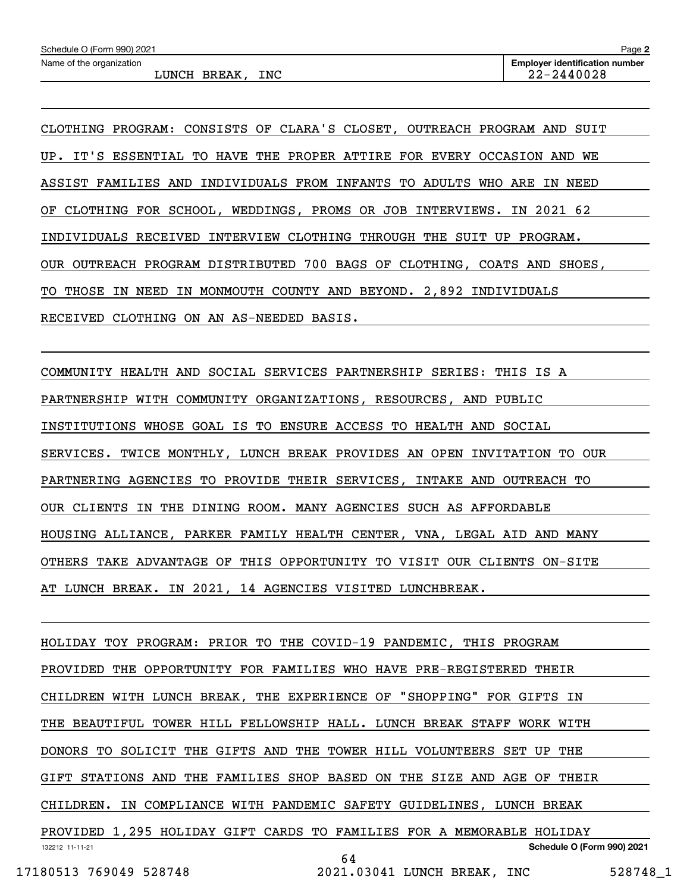CLOTHING PROGRAM: CONSISTS OF CLARA'S CLOSET, OUTREACH PROGRAM AND SUIT UP. IT'S ESSENTIAL TO HAVE THE PROPER ATTIRE FOR EVERY OCCASION AND WE ASSIST FAMILIES AND INDIVIDUALS FROM INFANTS TO ADULTS WHO ARE IN NEED OF CLOTHING FOR SCHOOL, WEDDINGS, PROMS OR JOB INTERVIEWS. IN 2021 62 INDIVIDUALS RECEIVED INTERVIEW CLOTHING THROUGH THE SUIT UP PROGRAM. OUR OUTREACH PROGRAM DISTRIBUTED 700 BAGS OF CLOTHING, COATS AND SHOES, TO THOSE IN NEED IN MONMOUTH COUNTY AND BEYOND. 2,892 INDIVIDUALS RECEIVED CLOTHING ON AN AS-NEEDED BASIS.

COMMUNITY HEALTH AND SOCIAL SERVICES PARTNERSHIP SERIES: THIS IS A PARTNERSHIP WITH COMMUNITY ORGANIZATIONS, RESOURCES, AND PUBLIC INSTITUTIONS WHOSE GOAL IS TO ENSURE ACCESS TO HEALTH AND SOCIAL SERVICES. TWICE MONTHLY, LUNCH BREAK PROVIDES AN OPEN INVITATION TO OUR PARTNERING AGENCIES TO PROVIDE THEIR SERVICES, INTAKE AND OUTREACH TO OUR CLIENTS IN THE DINING ROOM. MANY AGENCIES SUCH AS AFFORDABLE HOUSING ALLIANCE, PARKER FAMILY HEALTH CENTER, VNA, LEGAL AID AND MANY OTHERS TAKE ADVANTAGE OF THIS OPPORTUNITY TO VISIT OUR CLIENTS ON-SITE AT LUNCH BREAK. IN 2021, 14 AGENCIES VISITED LUNCHBREAK.

132212 11-11-21 **Schedule O (Form 990) 2021** HOLIDAY TOY PROGRAM: PRIOR TO THE COVID-19 PANDEMIC, THIS PROGRAM PROVIDED THE OPPORTUNITY FOR FAMILIES WHO HAVE PRE-REGISTERED THEIR CHILDREN WITH LUNCH BREAK, THE EXPERIENCE OF "SHOPPING" FOR GIFTS IN THE BEAUTIFUL TOWER HILL FELLOWSHIP HALL. LUNCH BREAK STAFF WORK WITH DONORS TO SOLICIT THE GIFTS AND THE TOWER HILL VOLUNTEERS SET UP THE GIFT STATIONS AND THE FAMILIES SHOP BASED ON THE SIZE AND AGE OF THEIR CHILDREN. IN COMPLIANCE WITH PANDEMIC SAFETY GUIDELINES, LUNCH BREAK PROVIDED 1,295 HOLIDAY GIFT CARDS TO FAMILIES FOR A MEMORABLE HOLIDAY 64

17180513 769049 528748 2021.03041 LUNCH BREAK, INC 528748\_1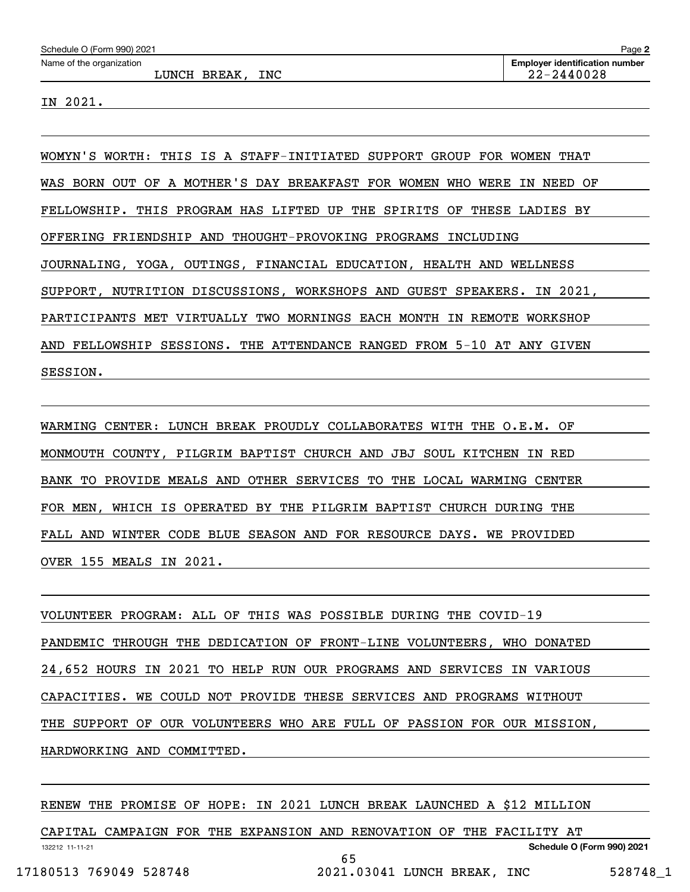LUNCH BREAK, INC 22-2440028

IN 2021.

WOMYN'S WORTH: THIS IS A STAFF-INITIATED SUPPORT GROUP FOR WOMEN THAT WAS BORN OUT OF A MOTHER'S DAY BREAKFAST FOR WOMEN WHO WERE IN NEED OF FELLOWSHIP. THIS PROGRAM HAS LIFTED UP THE SPIRITS OF THESE LADIES BY OFFERING FRIENDSHIP AND THOUGHT-PROVOKING PROGRAMS INCLUDING JOURNALING, YOGA, OUTINGS, FINANCIAL EDUCATION, HEALTH AND WELLNESS SUPPORT, NUTRITION DISCUSSIONS, WORKSHOPS AND GUEST SPEAKERS. IN 2021, PARTICIPANTS MET VIRTUALLY TWO MORNINGS EACH MONTH IN REMOTE WORKSHOP AND FELLOWSHIP SESSIONS. THE ATTENDANCE RANGED FROM 5-10 AT ANY GIVEN SESSION.

WARMING CENTER: LUNCH BREAK PROUDLY COLLABORATES WITH THE O.E.M. OF MONMOUTH COUNTY, PILGRIM BAPTIST CHURCH AND JBJ SOUL KITCHEN IN RED BANK TO PROVIDE MEALS AND OTHER SERVICES TO THE LOCAL WARMING CENTER FOR MEN, WHICH IS OPERATED BY THE PILGRIM BAPTIST CHURCH DURING THE FALL AND WINTER CODE BLUE SEASON AND FOR RESOURCE DAYS. WE PROVIDED OVER 155 MEALS IN 2021.

VOLUNTEER PROGRAM: ALL OF THIS WAS POSSIBLE DURING THE COVID-19 PANDEMIC THROUGH THE DEDICATION OF FRONT-LINE VOLUNTEERS, WHO DONATED 24,652 HOURS IN 2021 TO HELP RUN OUR PROGRAMS AND SERVICES IN VARIOUS CAPACITIES. WE COULD NOT PROVIDE THESE SERVICES AND PROGRAMS WITHOUT THE SUPPORT OF OUR VOLUNTEERS WHO ARE FULL OF PASSION FOR OUR MISSION, HARDWORKING AND COMMITTED.

RENEW THE PROMISE OF HOPE: IN 2021 LUNCH BREAK LAUNCHED A \$12 MILLION

132212 11-11-21 **Schedule O (Form 990) 2021** CAPITAL CAMPAIGN FOR THE EXPANSION AND RENOVATION OF THE FACILITY AT 65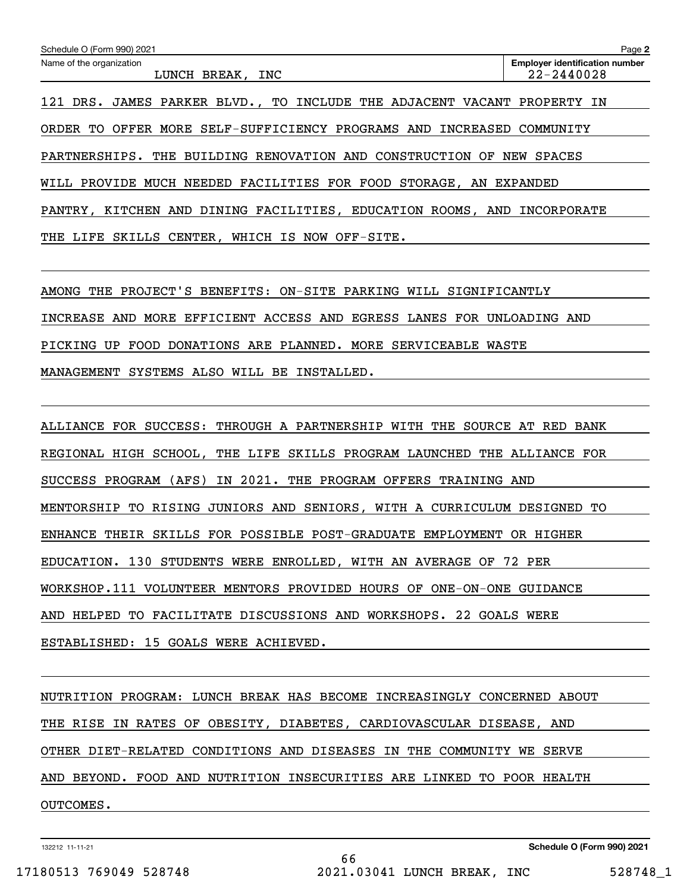| Schedule O (Form 990) 2021                                                 | Page 2                                                  |
|----------------------------------------------------------------------------|---------------------------------------------------------|
| Name of the organization<br>LUNCH BREAK, INC                               | <b>Employer identification number</b><br>$22 - 2440028$ |
| JAMES PARKER BLVD., TO INCLUDE THE ADJACENT VACANT PROPERTY IN<br>121 DRS. |                                                         |
| OFFER MORE SELF-SUFFICIENCY PROGRAMS AND INCREASED<br>ORDER TO             | COMMUNITY                                               |
| BUILDING RENOVATION AND CONSTRUCTION<br>PARTNERSHIPS.<br>THE<br>OF         | NEW<br><b>SPACES</b>                                    |
| WILL PROVIDE MUCH NEEDED FACILITIES FOR FOOD STORAGE. AN EXPANDED          |                                                         |
| KITCHEN AND DINING FACILITIES, EDUCATION ROOMS, AND INCORPORATE<br>PANTRY, |                                                         |
| SKILLS CENTER,<br>WHICH IS<br>NOW<br>OFF-SITE.<br>LIFE<br>THE              |                                                         |

AMONG THE PROJECT'S BENEFITS: ON-SITE PARKING WILL SIGNIFICANTLY INCREASE AND MORE EFFICIENT ACCESS AND EGRESS LANES FOR UNLOADING AND PICKING UP FOOD DONATIONS ARE PLANNED. MORE SERVICEABLE WASTE MANAGEMENT SYSTEMS ALSO WILL BE INSTALLED.

ALLIANCE FOR SUCCESS: THROUGH A PARTNERSHIP WITH THE SOURCE AT RED BANK REGIONAL HIGH SCHOOL, THE LIFE SKILLS PROGRAM LAUNCHED THE ALLIANCE FOR SUCCESS PROGRAM (AFS) IN 2021. THE PROGRAM OFFERS TRAINING AND MENTORSHIP TO RISING JUNIORS AND SENIORS, WITH A CURRICULUM DESIGNED TO ENHANCE THEIR SKILLS FOR POSSIBLE POST-GRADUATE EMPLOYMENT OR HIGHER EDUCATION. 130 STUDENTS WERE ENROLLED, WITH AN AVERAGE OF 72 PER WORKSHOP.111 VOLUNTEER MENTORS PROVIDED HOURS OF ONE-ON-ONE GUIDANCE AND HELPED TO FACILITATE DISCUSSIONS AND WORKSHOPS. 22 GOALS WERE ESTABLISHED: 15 GOALS WERE ACHIEVED.

NUTRITION PROGRAM: LUNCH BREAK HAS BECOME INCREASINGLY CONCERNED ABOUT THE RISE IN RATES OF OBESITY, DIABETES, CARDIOVASCULAR DISEASE, AND OTHER DIET-RELATED CONDITIONS AND DISEASES IN THE COMMUNITY WE SERVE AND BEYOND. FOOD AND NUTRITION INSECURITIES ARE LINKED TO POOR HEALTH OUTCOMES.

132212 11-11-21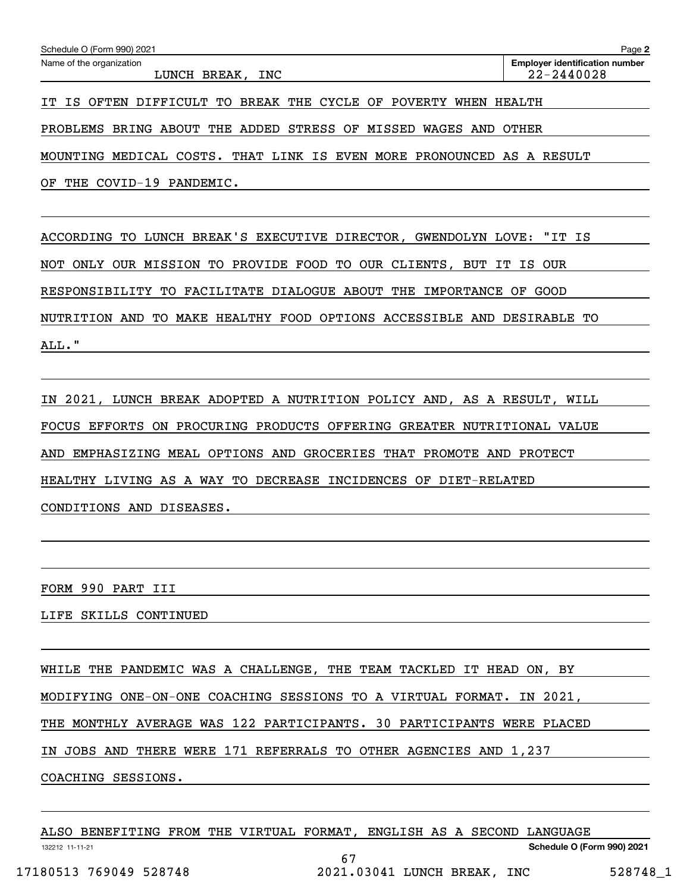| Schedule O (Form 990) 2021                                            | Page 2                                              |
|-----------------------------------------------------------------------|-----------------------------------------------------|
| Name of the organization<br>LUNCH BREAK, INC                          | <b>Employer identification number</b><br>22-2440028 |
| IS OFTEN DIFFICULT TO BREAK THE CYCLE OF POVERTY WHEN HEALTH<br>IT.   |                                                     |
| PROBLEMS BRING ABOUT THE ADDED STRESS OF MISSED WAGES AND OTHER       |                                                     |
| MOUNTING MEDICAL COSTS. THAT LINK IS EVEN MORE PRONOUNCED AS A RESULT |                                                     |

OF THE COVID-19 PANDEMIC.

ACCORDING TO LUNCH BREAK'S EXECUTIVE DIRECTOR, GWENDOLYN LOVE: "IT IS NOT ONLY OUR MISSION TO PROVIDE FOOD TO OUR CLIENTS, BUT IT IS OUR RESPONSIBILITY TO FACILITATE DIALOGUE ABOUT THE IMPORTANCE OF GOOD NUTRITION AND TO MAKE HEALTHY FOOD OPTIONS ACCESSIBLE AND DESIRABLE TO ALL."

IN 2021, LUNCH BREAK ADOPTED A NUTRITION POLICY AND, AS A RESULT, WILL FOCUS EFFORTS ON PROCURING PRODUCTS OFFERING GREATER NUTRITIONAL VALUE AND EMPHASIZING MEAL OPTIONS AND GROCERIES THAT PROMOTE AND PROTECT HEALTHY LIVING AS A WAY TO DECREASE INCIDENCES OF DIET-RELATED CONDITIONS AND DISEASES.

FORM 990 PART III

LIFE SKILLS CONTINUED

WHILE THE PANDEMIC WAS A CHALLENGE, THE TEAM TACKLED IT HEAD ON, BY MODIFYING ONE-ON-ONE COACHING SESSIONS TO A VIRTUAL FORMAT. IN 2021, THE MONTHLY AVERAGE WAS 122 PARTICIPANTS. 30 PARTICIPANTS WERE PLACED IN JOBS AND THERE WERE 171 REFERRALS TO OTHER AGENCIES AND 1,237 COACHING SESSIONS.

| ALSO BENEFITING FROM THE VIRTUAL FORMAT, ENGLISH AS A SECOND LANGUAGE |  |                             |  |                                   |  |
|-----------------------------------------------------------------------|--|-----------------------------|--|-----------------------------------|--|
| 132212 11-11-21                                                       |  |                             |  | <b>Schedule O (Form 990) 2021</b> |  |
|                                                                       |  | 67                          |  |                                   |  |
| 17180513 769049 528748                                                |  | 2021.03041 LUNCH BREAK, INC |  | 528748 1                          |  |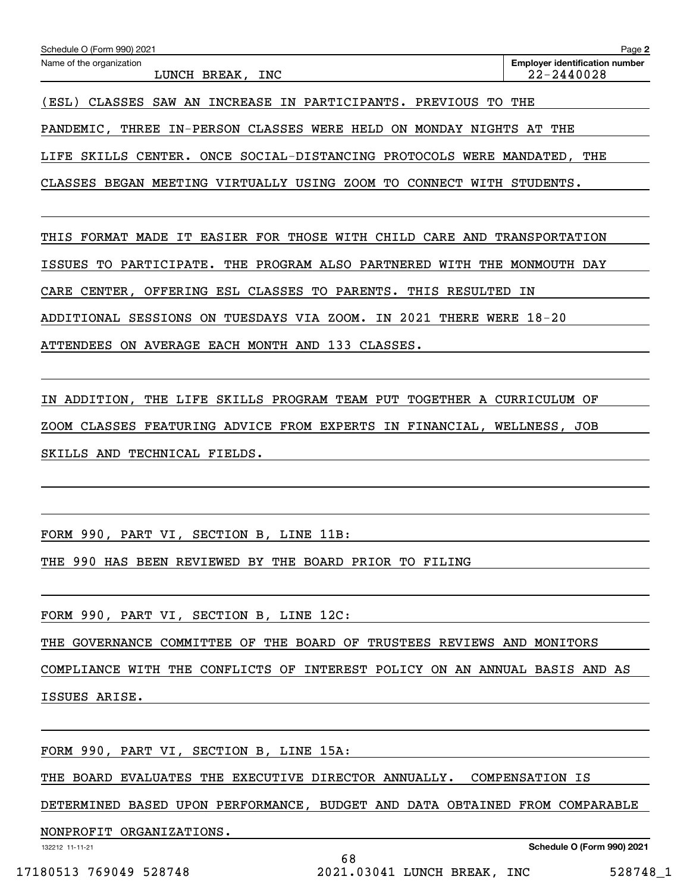PANDEMIC, THREE IN-PERSON CLASSES WERE HELD ON MONDAY NIGHTS AT THE

LIFE SKILLS CENTER. ONCE SOCIAL-DISTANCING PROTOCOLS WERE MANDATED, THE

CLASSES BEGAN MEETING VIRTUALLY USING ZOOM TO CONNECT WITH STUDENTS.

THIS FORMAT MADE IT EASIER FOR THOSE WITH CHILD CARE AND TRANSPORTATION

ISSUES TO PARTICIPATE. THE PROGRAM ALSO PARTNERED WITH THE MONMOUTH DAY

CARE CENTER, OFFERING ESL CLASSES TO PARENTS. THIS RESULTED IN

ADDITIONAL SESSIONS ON TUESDAYS VIA ZOOM. IN 2021 THERE WERE 18-20

ATTENDEES ON AVERAGE EACH MONTH AND 133 CLASSES.

IN ADDITION, THE LIFE SKILLS PROGRAM TEAM PUT TOGETHER A CURRICULUM OF ZOOM CLASSES FEATURING ADVICE FROM EXPERTS IN FINANCIAL, WELLNESS, JOB SKILLS AND TECHNICAL FIELDS.

FORM 990, PART VI, SECTION B, LINE 11B:

THE 990 HAS BEEN REVIEWED BY THE BOARD PRIOR TO FILING

FORM 990, PART VI, SECTION B, LINE 12C:

THE GOVERNANCE COMMITTEE OF THE BOARD OF TRUSTEES REVIEWS AND MONITORS

COMPLIANCE WITH THE CONFLICTS OF INTEREST POLICY ON AN ANNUAL BASIS AND AS ISSUES ARISE.

FORM 990, PART VI, SECTION B, LINE 15A:

THE BOARD EVALUATES THE EXECUTIVE DIRECTOR ANNUALLY. COMPENSATION IS

DETERMINED BASED UPON PERFORMANCE, BUDGET AND DATA OBTAINED FROM COMPARABLE

68

NONPROFIT ORGANIZATIONS.

132212 11-11-21

17180513 769049 528748 2021.03041 LUNCH BREAK, INC 528748\_1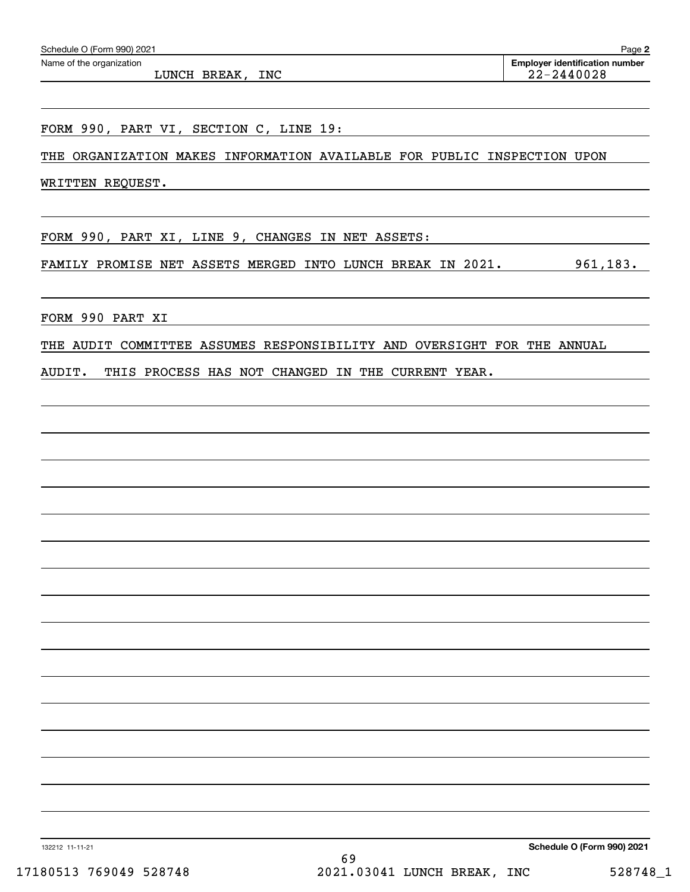LUNCH BREAK, INC 22-2440028

FORM 990, PART VI, SECTION C, LINE 19:

THE ORGANIZATION MAKES INFORMATION AVAILABLE FOR PUBLIC INSPECTION UPON

WRITTEN REQUEST.

FORM 990, PART XI, LINE 9, CHANGES IN NET ASSETS:

FAMILY PROMISE NET ASSETS MERGED INTO LUNCH BREAK IN 2021. 961,183.

FORM 990 PART XI

THE AUDIT COMMITTEE ASSUMES RESPONSIBILITY AND OVERSIGHT FOR THE ANNUAL

AUDIT. THIS PROCESS HAS NOT CHANGED IN THE CURRENT YEAR.

132212 11-11-21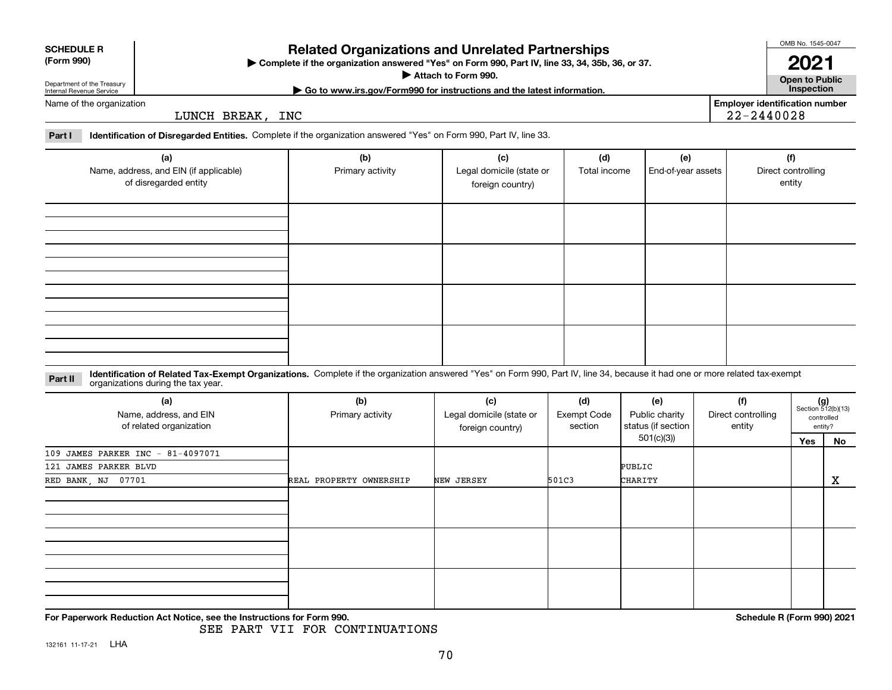# **SCHEDULE R**

Department of the Treasury Internal Revenue Service

**(Form 990)**

# **Related Organizations and Unrelated Partnerships**

**Complete if the organization answered "Yes" on Form 990, Part IV, line 33, 34, 35b, 36, or 37.** |

**Attach to Form 990.**  |

OMB No. 1545-0047 **2021**

**Open to Public**

# **| Go to www.irs.gov/Form990 for instructions and the latest information. Inspection**

**Employer identification number** 22-2440028

Name of the organization

LUNCH BREAK, INC

**Part I Identification of Disregarded Entities.**  Complete if the organization answered "Yes" on Form 990, Part IV, line 33.

| (a)<br>Name, address, and EIN (if applicable)<br>of disregarded entity | (b)<br>Primary activity | (c)<br>Legal domicile (state or<br>foreign country) | (d)<br>Total income | (e)<br>End-of-year assets | (f)<br>Direct controlling<br>entity |
|------------------------------------------------------------------------|-------------------------|-----------------------------------------------------|---------------------|---------------------------|-------------------------------------|
|                                                                        |                         |                                                     |                     |                           |                                     |
|                                                                        |                         |                                                     |                     |                           |                                     |
|                                                                        |                         |                                                     |                     |                           |                                     |
|                                                                        |                         |                                                     |                     |                           |                                     |

#### **Identification of Related Tax-Exempt Organizations.** Complete if the organization answered "Yes" on Form 990, Part IV, line 34, because it had one or more related tax-exempt **Part II** organizations during the tax year.

| (a)<br>Name, address, and EIN<br>of related organization | (b)<br>Primary activity | (c)<br>Legal domicile (state or<br>foreign country) | (d)<br>Exempt Code<br>section | (e)<br>Public charity<br>status (if section | (f)<br>Direct controlling<br>entity |     | $(g)$<br>Section 512(b)(13)<br>controlled<br>entity? |
|----------------------------------------------------------|-------------------------|-----------------------------------------------------|-------------------------------|---------------------------------------------|-------------------------------------|-----|------------------------------------------------------|
|                                                          |                         |                                                     |                               | 501(c)(3)                                   |                                     | Yes | No                                                   |
| 109 JAMES PARKER INC - 81-4097071                        |                         |                                                     |                               |                                             |                                     |     |                                                      |
| 121 JAMES PARKER BLVD                                    |                         |                                                     |                               | PUBLIC                                      |                                     |     |                                                      |
| RED BANK, NJ 07701                                       | REAL PROPERTY OWNERSHIP | NEW JERSEY                                          | 501C3                         | <b>CHARITY</b>                              |                                     |     | X                                                    |
|                                                          |                         |                                                     |                               |                                             |                                     |     |                                                      |
|                                                          |                         |                                                     |                               |                                             |                                     |     |                                                      |
|                                                          |                         |                                                     |                               |                                             |                                     |     |                                                      |

**For Paperwork Reduction Act Notice, see the Instructions for Form 990. Schedule R (Form 990) 2021**

SEE PART VII FOR CONTINUATIONS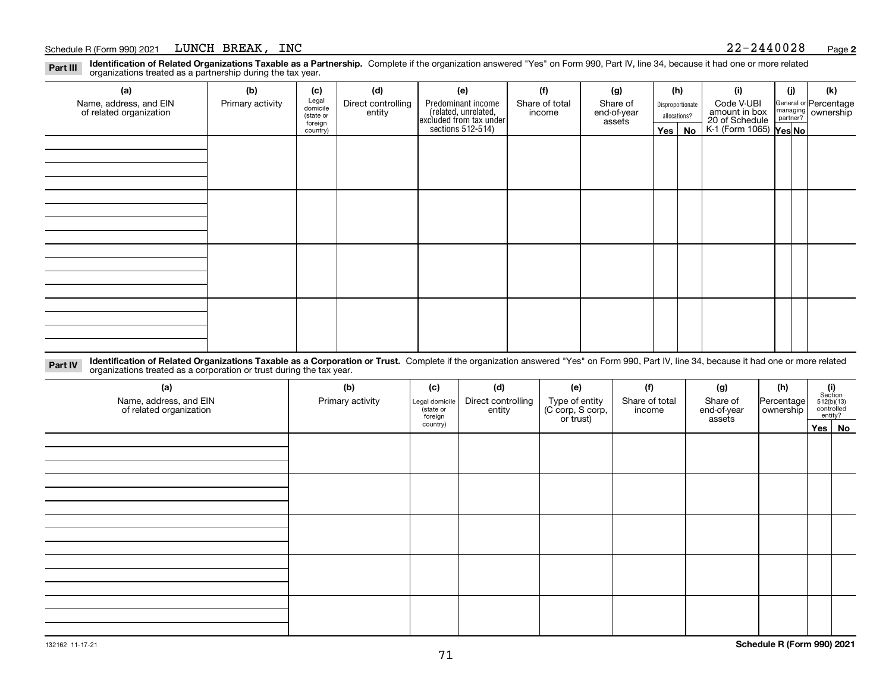**Identification of Related Organizations Taxable as a Partnership.** Complete if the organization answered "Yes" on Form 990, Part IV, line 34, because it had one or more related **Part III** organizations treated as a partnership during the tax year.

| (a)                                               | (b)              | (c)                  | (d)                          | (e)                                                                 | (f)                      | (g)                     |                  | (h)          | (i)                                      | (j) | (k)                                                       |
|---------------------------------------------------|------------------|----------------------|------------------------------|---------------------------------------------------------------------|--------------------------|-------------------------|------------------|--------------|------------------------------------------|-----|-----------------------------------------------------------|
| Name, address, and EIN<br>of related organization | Primary activity | Legal<br>domicile    | Direct controlling<br>entity | Predominant income                                                  | Share of total<br>income | Share of<br>end-of-year | Disproportionate |              | Code V-UBI<br>amount in box              |     | General or Percentage<br>managing<br>partner?<br>partner? |
|                                                   |                  | (state or<br>foreign |                              |                                                                     |                          | assets                  |                  | allocations? |                                          |     |                                                           |
|                                                   |                  | country)             |                              | related, unrelated,<br>excluded from tax under<br>sections 512-514) |                          |                         | Yes $ $          | No           | 20 of Schedule<br>K-1 (Form 1065) Yes No |     |                                                           |
|                                                   |                  |                      |                              |                                                                     |                          |                         |                  |              |                                          |     |                                                           |
|                                                   |                  |                      |                              |                                                                     |                          |                         |                  |              |                                          |     |                                                           |
|                                                   |                  |                      |                              |                                                                     |                          |                         |                  |              |                                          |     |                                                           |
|                                                   |                  |                      |                              |                                                                     |                          |                         |                  |              |                                          |     |                                                           |
|                                                   |                  |                      |                              |                                                                     |                          |                         |                  |              |                                          |     |                                                           |
|                                                   |                  |                      |                              |                                                                     |                          |                         |                  |              |                                          |     |                                                           |
|                                                   |                  |                      |                              |                                                                     |                          |                         |                  |              |                                          |     |                                                           |
|                                                   |                  |                      |                              |                                                                     |                          |                         |                  |              |                                          |     |                                                           |
|                                                   |                  |                      |                              |                                                                     |                          |                         |                  |              |                                          |     |                                                           |
|                                                   |                  |                      |                              |                                                                     |                          |                         |                  |              |                                          |     |                                                           |
|                                                   |                  |                      |                              |                                                                     |                          |                         |                  |              |                                          |     |                                                           |
|                                                   |                  |                      |                              |                                                                     |                          |                         |                  |              |                                          |     |                                                           |
|                                                   |                  |                      |                              |                                                                     |                          |                         |                  |              |                                          |     |                                                           |
|                                                   |                  |                      |                              |                                                                     |                          |                         |                  |              |                                          |     |                                                           |
|                                                   |                  |                      |                              |                                                                     |                          |                         |                  |              |                                          |     |                                                           |
|                                                   |                  |                      |                              |                                                                     |                          |                         |                  |              |                                          |     |                                                           |
|                                                   |                  |                      |                              |                                                                     |                          |                         |                  |              |                                          |     |                                                           |

**Identification of Related Organizations Taxable as a Corporation or Trust.** Complete if the organization answered "Yes" on Form 990, Part IV, line 34, because it had one or more related **Part IV** organizations treated as a corporation or trust during the tax year.

| (a)<br>Name, address, and EIN<br>of related organization | (b)<br>Primary activity | (c)<br>Legal domicile<br>(state or<br>foreign | (d)<br>Direct controlling<br>entity | (e)<br>Type of entity<br>(C corp, S corp,<br>or trust) | (f)<br>Share of total<br>income | (g)<br>Share of<br>end-of-year<br>assets | (h)<br>Percentage<br>ownership | $\begin{array}{c} \textbf{(i)}\\ \text{Section}\\ 512 \text{(b)} \text{(13)}\\ \text{controlled}\\ \text{entity?} \end{array}$ |        |
|----------------------------------------------------------|-------------------------|-----------------------------------------------|-------------------------------------|--------------------------------------------------------|---------------------------------|------------------------------------------|--------------------------------|--------------------------------------------------------------------------------------------------------------------------------|--------|
|                                                          |                         | country)                                      |                                     |                                                        |                                 |                                          |                                |                                                                                                                                | Yes No |
|                                                          |                         |                                               |                                     |                                                        |                                 |                                          |                                |                                                                                                                                |        |
|                                                          |                         |                                               |                                     |                                                        |                                 |                                          |                                |                                                                                                                                |        |
|                                                          |                         |                                               |                                     |                                                        |                                 |                                          |                                |                                                                                                                                |        |
|                                                          |                         |                                               |                                     |                                                        |                                 |                                          |                                |                                                                                                                                |        |
|                                                          |                         |                                               |                                     |                                                        |                                 |                                          |                                |                                                                                                                                |        |
|                                                          |                         |                                               |                                     |                                                        |                                 |                                          |                                |                                                                                                                                |        |
|                                                          |                         |                                               |                                     |                                                        |                                 |                                          |                                |                                                                                                                                |        |
|                                                          |                         |                                               |                                     |                                                        |                                 |                                          |                                |                                                                                                                                |        |
|                                                          |                         |                                               |                                     |                                                        |                                 |                                          |                                |                                                                                                                                |        |
|                                                          |                         |                                               |                                     |                                                        |                                 |                                          |                                |                                                                                                                                |        |
|                                                          |                         |                                               |                                     |                                                        |                                 |                                          |                                |                                                                                                                                |        |
|                                                          |                         |                                               |                                     |                                                        |                                 |                                          |                                |                                                                                                                                |        |
|                                                          |                         |                                               |                                     |                                                        |                                 |                                          |                                |                                                                                                                                |        |
|                                                          |                         |                                               |                                     |                                                        |                                 |                                          |                                |                                                                                                                                |        |
|                                                          |                         |                                               |                                     |                                                        |                                 |                                          |                                |                                                                                                                                |        |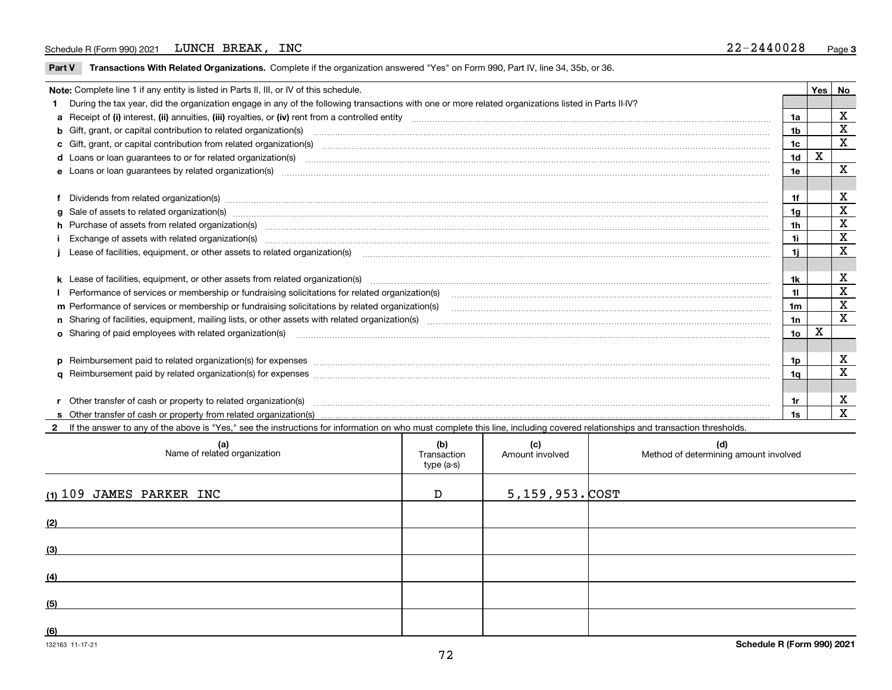$\overline{\phantom{0}}$ 

**Part V** T**ransactions With Related Organizations.** Complete if the organization answered "Yes" on Form 990, Part IV, line 34, 35b, or 36.

| Note: Complete line 1 if any entity is listed in Parts II, III, or IV of this schedule.                                                                                                                                        |                                                                                                                                                                                                                                |                 |   |             |  |
|--------------------------------------------------------------------------------------------------------------------------------------------------------------------------------------------------------------------------------|--------------------------------------------------------------------------------------------------------------------------------------------------------------------------------------------------------------------------------|-----------------|---|-------------|--|
|                                                                                                                                                                                                                                | During the tax year, did the organization engage in any of the following transactions with one or more related organizations listed in Parts II-IV?                                                                            |                 |   | X           |  |
|                                                                                                                                                                                                                                |                                                                                                                                                                                                                                |                 |   |             |  |
|                                                                                                                                                                                                                                | <b>b</b> Gift, grant, or capital contribution to related organization(s)                                                                                                                                                       | 1b              |   | X           |  |
|                                                                                                                                                                                                                                | <b>c</b> Gift, grant, or capital contribution from related organization(s)                                                                                                                                                     | 1c              |   | X           |  |
|                                                                                                                                                                                                                                | <b>d</b> Loans or loan quarantees to or for related organization(s)                                                                                                                                                            | 1d              | X |             |  |
|                                                                                                                                                                                                                                | <b>e</b> Loans or loan quarantees by related organization(s)                                                                                                                                                                   | 1e              |   | X           |  |
|                                                                                                                                                                                                                                |                                                                                                                                                                                                                                |                 |   |             |  |
|                                                                                                                                                                                                                                | f Dividends from related organization(s) manufactured contains and contained a series of the contact of the contact of the contact of the contact of the contact of the contact of the contact of the contact of the contact o | 1f              |   | X           |  |
|                                                                                                                                                                                                                                |                                                                                                                                                                                                                                | 1a              |   | X           |  |
|                                                                                                                                                                                                                                | h Purchase of assets from related organization(s) manufactured and content and content and content and content and content and content and content and content and content and content and content and content and content and | 1h              |   | X<br>X      |  |
|                                                                                                                                                                                                                                |                                                                                                                                                                                                                                |                 |   |             |  |
| j Lease of facilities, equipment, or other assets to related organization(s) manufaction content and the manufacture of facilities, equipment, or other assets to related organization(s) manufaction content and the manufact |                                                                                                                                                                                                                                |                 |   |             |  |
|                                                                                                                                                                                                                                |                                                                                                                                                                                                                                |                 |   |             |  |
|                                                                                                                                                                                                                                | k Lease of facilities, equipment, or other assets from related organization(s) manufaction content and content and content and content and content and content and content and content and content and content and content and | 1k              |   | X           |  |
|                                                                                                                                                                                                                                | I Performance of services or membership or fundraising solicitations for related organization(s)                                                                                                                               | 11              |   | $\mathbf X$ |  |
|                                                                                                                                                                                                                                | m Performance of services or membership or fundraising solicitations by related organization(s)                                                                                                                                | 1 <sub>m</sub>  |   | X           |  |
|                                                                                                                                                                                                                                |                                                                                                                                                                                                                                | 1n              |   | X           |  |
|                                                                                                                                                                                                                                | o Sharing of paid employees with related organization(s) manufactured and content to the content of the content of the content of the content of the content of the content of the content of the content of the content of th | 10 <sub>o</sub> | X |             |  |
|                                                                                                                                                                                                                                |                                                                                                                                                                                                                                |                 |   |             |  |
|                                                                                                                                                                                                                                |                                                                                                                                                                                                                                | 1p              |   | x           |  |
|                                                                                                                                                                                                                                |                                                                                                                                                                                                                                |                 |   |             |  |
|                                                                                                                                                                                                                                |                                                                                                                                                                                                                                |                 |   |             |  |
|                                                                                                                                                                                                                                | r Other transfer of cash or property to related organization(s)                                                                                                                                                                | 1r              |   | X           |  |
|                                                                                                                                                                                                                                |                                                                                                                                                                                                                                | 1s              |   | X           |  |

**2**If the answer to any of the above is "Yes," see the instructions for information on who must complete this line, including covered relationships and transaction thresholds.

| (a)<br>Name of related organization | (b)<br>Transaction<br>type (a-s) | (c)<br>Amount involved | (d)<br>Method of determining amount involved |
|-------------------------------------|----------------------------------|------------------------|----------------------------------------------|
| $(1)$ 109 JAMES PARKER INC          | D                                | $5,159,953.$ $COST$    |                                              |
| (2)                                 |                                  |                        |                                              |
| (3)                                 |                                  |                        |                                              |
| (4)                                 |                                  |                        |                                              |
| (5)                                 |                                  |                        |                                              |
| (6)                                 |                                  |                        |                                              |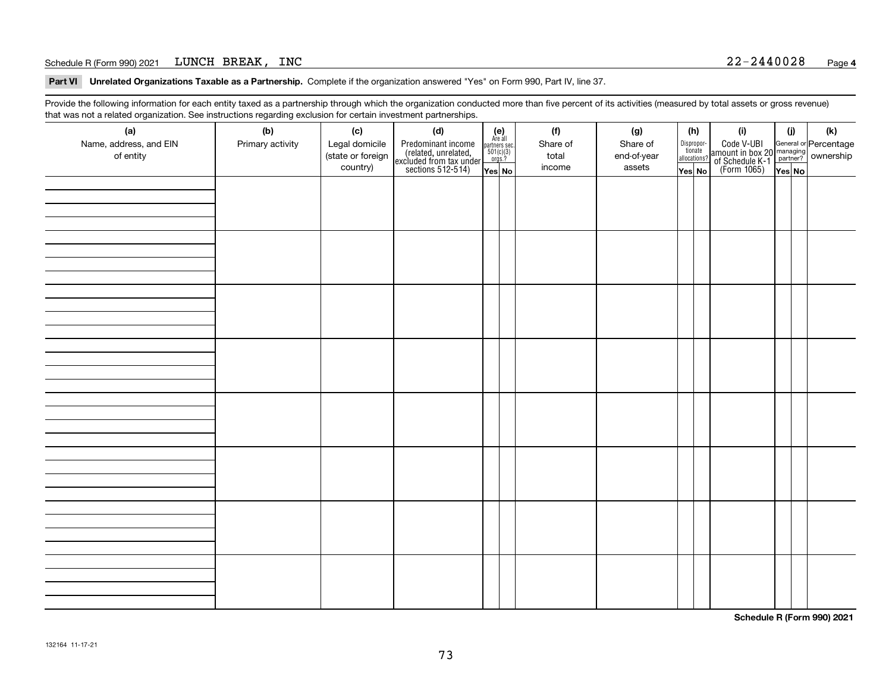**Part VI Unrelated Organizations Taxable as a Partnership. Complete if the organization answered "Yes" on Form 990, Part IV, line 37.** 

Provide the following information for each entity taxed as a partnership through which the organization conducted more than five percent of its activities (measured by total assets or gross revenue) that was not a related organization. See instructions regarding exclusion for certain investment partnerships.

| - - - - -<br>(a)<br>Name, address, and EIN<br>of entity | ----- <del>-</del> -------<br>(b)<br>Primary activity | (c)<br>Legal domicile<br>(state or foreign<br>country) | (d)<br>Predominant income<br>(related, unrelated,<br>excluded from tax under<br>sections 512-514) | (e)<br>Are all<br>partners sec.<br>$501(c)(3)$<br>orgs.?<br>Yes No | (f)<br>Share of<br>total<br>income | (g)<br>Share of<br>end-of-year<br>assets | (h)<br>Dispropor-<br>tionate<br>allocations?<br>Yes No | (i)<br>Code V-UBI<br>amount in box 20 managing<br>of Schedule K-1<br>(Form 1065)<br>$\overline{Yes}$ No | (i)<br>Yes No | (k) |
|---------------------------------------------------------|-------------------------------------------------------|--------------------------------------------------------|---------------------------------------------------------------------------------------------------|--------------------------------------------------------------------|------------------------------------|------------------------------------------|--------------------------------------------------------|---------------------------------------------------------------------------------------------------------|---------------|-----|
|                                                         |                                                       |                                                        |                                                                                                   |                                                                    |                                    |                                          |                                                        |                                                                                                         |               |     |
|                                                         |                                                       |                                                        |                                                                                                   |                                                                    |                                    |                                          |                                                        |                                                                                                         |               |     |
|                                                         |                                                       |                                                        |                                                                                                   |                                                                    |                                    |                                          |                                                        |                                                                                                         |               |     |
|                                                         |                                                       |                                                        |                                                                                                   |                                                                    |                                    |                                          |                                                        |                                                                                                         |               |     |
|                                                         |                                                       |                                                        |                                                                                                   |                                                                    |                                    |                                          |                                                        |                                                                                                         |               |     |
|                                                         |                                                       |                                                        |                                                                                                   |                                                                    |                                    |                                          |                                                        |                                                                                                         |               |     |
|                                                         |                                                       |                                                        |                                                                                                   |                                                                    |                                    |                                          |                                                        |                                                                                                         |               |     |
|                                                         |                                                       |                                                        |                                                                                                   |                                                                    |                                    |                                          |                                                        |                                                                                                         |               |     |

**Schedule R (Form 990) 2021**